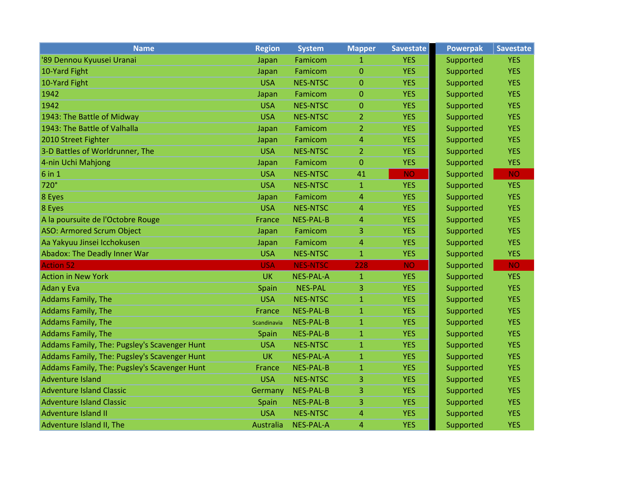| <b>Name</b>                                  | <b>Region</b> | <b>System</b>    | <b>Mapper</b>  | Savestate  | <b>Powerpak</b> | <b>Savestate</b> |
|----------------------------------------------|---------------|------------------|----------------|------------|-----------------|------------------|
| '89 Dennou Kyuusei Uranai                    | Japan         | Famicom          | 1              | <b>YES</b> | Supported       | <b>YES</b>       |
| 10-Yard Fight                                | Japan         | Famicom          | $\overline{0}$ | <b>YES</b> | Supported       | <b>YES</b>       |
| 10-Yard Fight                                | <b>USA</b>    | <b>NES-NTSC</b>  | $\Omega$       | <b>YES</b> | Supported       | <b>YES</b>       |
| 1942                                         | Japan         | Famicom          | $\mathbf 0$    | <b>YES</b> | Supported       | <b>YES</b>       |
| 1942                                         | <b>USA</b>    | <b>NES-NTSC</b>  | $\mathbf{0}$   | <b>YES</b> | Supported       | <b>YES</b>       |
| 1943: The Battle of Midway                   | <b>USA</b>    | <b>NES-NTSC</b>  | $\overline{2}$ | <b>YES</b> | Supported       | <b>YES</b>       |
| 1943: The Battle of Valhalla                 | Japan         | Famicom          | $\overline{2}$ | <b>YES</b> | Supported       | <b>YES</b>       |
| 2010 Street Fighter                          | Japan         | Famicom          | $\overline{4}$ | <b>YES</b> | Supported       | <b>YES</b>       |
| 3-D Battles of Worldrunner, The              | <b>USA</b>    | <b>NES-NTSC</b>  | $\overline{2}$ | <b>YES</b> | Supported       | <b>YES</b>       |
| 4-nin Uchi Mahjong                           | Japan         | Famicom          | $\mathbf 0$    | <b>YES</b> | Supported       | <b>YES</b>       |
| $6$ in 1                                     | <b>USA</b>    | <b>NES-NTSC</b>  | 41             | <b>NO</b>  | Supported       | <b>NO</b>        |
| 720°                                         | <b>USA</b>    | <b>NES-NTSC</b>  | $\mathbf{1}$   | <b>YES</b> | Supported       | <b>YES</b>       |
| 8 Eyes                                       | Japan         | Famicom          | $\overline{4}$ | <b>YES</b> | Supported       | <b>YES</b>       |
| 8 Eyes                                       | <b>USA</b>    | <b>NES-NTSC</b>  | $\overline{4}$ | <b>YES</b> | Supported       | <b>YES</b>       |
| A la poursuite de l'Octobre Rouge            | <b>France</b> | <b>NES-PAL-B</b> | $\overline{4}$ | <b>YES</b> | Supported       | <b>YES</b>       |
| <b>ASO: Armored Scrum Object</b>             | Japan         | Famicom          | 3              | <b>YES</b> | Supported       | <b>YES</b>       |
| Aa Yakyuu Jinsei Icchokusen                  | Japan         | Famicom          | $\overline{4}$ | <b>YES</b> | Supported       | <b>YES</b>       |
| Abadox: The Deadly Inner War                 | <b>USA</b>    | <b>NES-NTSC</b>  | $\mathbf{1}$   | <b>YES</b> | Supported       | <b>YES</b>       |
| <b>Action 52</b>                             | <b>USA</b>    | <b>NES-NTSC</b>  | 228            | <b>NO</b>  | Supported       | <b>NO</b>        |
| <b>Action in New York</b>                    | <b>UK</b>     | <b>NES-PAL-A</b> | $\mathbf{1}$   | <b>YES</b> | Supported       | <b>YES</b>       |
| Adan y Eva                                   | Spain         | <b>NES-PAL</b>   | 3              | <b>YES</b> | Supported       | <b>YES</b>       |
| <b>Addams Family, The</b>                    | <b>USA</b>    | <b>NES-NTSC</b>  | $\mathbf{1}$   | <b>YES</b> | Supported       | <b>YES</b>       |
| <b>Addams Family, The</b>                    | France        | <b>NES-PAL-B</b> | $\mathbf{1}$   | <b>YES</b> | Supported       | <b>YES</b>       |
| <b>Addams Family, The</b>                    | Scandinavia   | <b>NES-PAL-B</b> | $\mathbf{1}$   | <b>YES</b> | Supported       | <b>YES</b>       |
| <b>Addams Family, The</b>                    | Spain         | <b>NES-PAL-B</b> | $\mathbf{1}$   | <b>YES</b> | Supported       | <b>YES</b>       |
| Addams Family, The: Pugsley's Scavenger Hunt | <b>USA</b>    | <b>NES-NTSC</b>  | $\mathbf{1}$   | <b>YES</b> | Supported       | <b>YES</b>       |
| Addams Family, The: Pugsley's Scavenger Hunt | <b>UK</b>     | <b>NES-PAL-A</b> | $\mathbf{1}$   | <b>YES</b> | Supported       | <b>YES</b>       |
| Addams Family, The: Pugsley's Scavenger Hunt | <b>France</b> | <b>NES-PAL-B</b> | $\mathbf{1}$   | <b>YES</b> | Supported       | <b>YES</b>       |
| <b>Adventure Island</b>                      | <b>USA</b>    | <b>NES-NTSC</b>  | 3              | <b>YES</b> | Supported       | <b>YES</b>       |
| <b>Adventure Island Classic</b>              | Germany       | <b>NES-PAL-B</b> | 3              | <b>YES</b> | Supported       | <b>YES</b>       |
| <b>Adventure Island Classic</b>              | Spain         | <b>NES-PAL-B</b> | 3              | <b>YES</b> | Supported       | <b>YES</b>       |
| <b>Adventure Island II</b>                   | <b>USA</b>    | <b>NES-NTSC</b>  | $\overline{4}$ | <b>YES</b> | Supported       | <b>YES</b>       |
| Adventure Island II, The                     | Australia     | <b>NES-PAL-A</b> | 4              | <b>YES</b> | Supported       | <b>YES</b>       |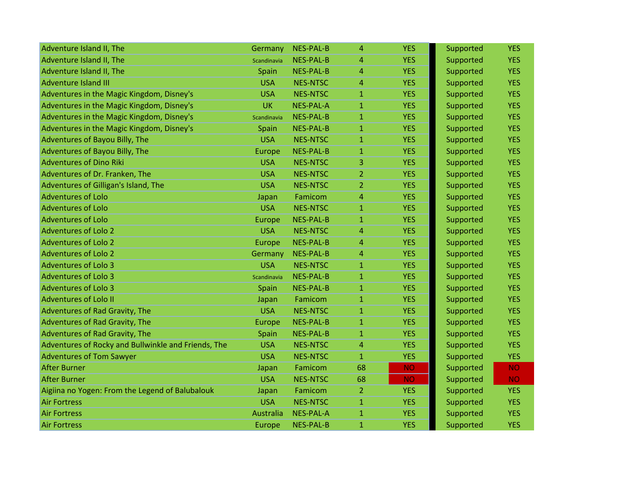| Adventure Island II, The                            | Germany     | <b>NES-PAL-B</b> | 4              | <b>YES</b> | Supported | <b>YES</b> |
|-----------------------------------------------------|-------------|------------------|----------------|------------|-----------|------------|
| Adventure Island II, The                            | Scandinavia | <b>NES-PAL-B</b> | $\overline{4}$ | <b>YES</b> | Supported | <b>YES</b> |
| Adventure Island II, The                            | Spain       | NES-PAL-B        | $\overline{4}$ | <b>YES</b> | Supported | <b>YES</b> |
| <b>Adventure Island III</b>                         | <b>USA</b>  | <b>NES-NTSC</b>  | 4              | <b>YES</b> | Supported | <b>YES</b> |
| Adventures in the Magic Kingdom, Disney's           | <b>USA</b>  | <b>NES-NTSC</b>  | $\mathbf{1}$   | <b>YES</b> | Supported | <b>YES</b> |
| Adventures in the Magic Kingdom, Disney's           | <b>UK</b>   | <b>NES-PAL-A</b> | $\mathbf{1}$   | <b>YES</b> | Supported | <b>YES</b> |
| Adventures in the Magic Kingdom, Disney's           | Scandinavia | <b>NES-PAL-B</b> | $\mathbf{1}$   | <b>YES</b> | Supported | <b>YES</b> |
| Adventures in the Magic Kingdom, Disney's           | Spain       | <b>NES-PAL-B</b> | $\mathbf{1}$   | <b>YES</b> | Supported | <b>YES</b> |
| Adventures of Bayou Billy, The                      | <b>USA</b>  | <b>NES-NTSC</b>  | $\mathbf{1}$   | <b>YES</b> | Supported | <b>YES</b> |
| Adventures of Bayou Billy, The                      | Europe      | <b>NES-PAL-B</b> | $\mathbf{1}$   | <b>YES</b> | Supported | <b>YES</b> |
| <b>Adventures of Dino Riki</b>                      | <b>USA</b>  | <b>NES-NTSC</b>  | 3.             | <b>YES</b> | Supported | <b>YES</b> |
| Adventures of Dr. Franken, The                      | <b>USA</b>  | <b>NES-NTSC</b>  | $\overline{2}$ | <b>YES</b> | Supported | <b>YES</b> |
| Adventures of Gilligan's Island, The                | <b>USA</b>  | <b>NES-NTSC</b>  | $\overline{2}$ | <b>YES</b> | Supported | <b>YES</b> |
| <b>Adventures of Lolo</b>                           | Japan       | Famicom          | 4              | <b>YES</b> | Supported | <b>YES</b> |
| <b>Adventures of Lolo</b>                           | <b>USA</b>  | <b>NES-NTSC</b>  | $\mathbf{1}$   | <b>YES</b> | Supported | <b>YES</b> |
| <b>Adventures of Lolo</b>                           | Europe      | <b>NES-PAL-B</b> | $\mathbf{1}$   | <b>YES</b> | Supported | <b>YES</b> |
| <b>Adventures of Lolo 2</b>                         | <b>USA</b>  | <b>NES-NTSC</b>  | 4              | <b>YES</b> | Supported | <b>YES</b> |
| <b>Adventures of Lolo 2</b>                         | Europe      | <b>NES-PAL-B</b> | $\overline{4}$ | <b>YES</b> | Supported | <b>YES</b> |
| <b>Adventures of Lolo 2</b>                         | Germany     | <b>NES-PAL-B</b> | $\overline{4}$ | <b>YES</b> | Supported | <b>YES</b> |
| <b>Adventures of Lolo 3</b>                         | <b>USA</b>  | <b>NES-NTSC</b>  | $\mathbf{1}$   | <b>YES</b> | Supported | <b>YES</b> |
| <b>Adventures of Lolo 3</b>                         | Scandinavia | <b>NES-PAL-B</b> | $\mathbf{1}$   | <b>YES</b> | Supported | <b>YES</b> |
| <b>Adventures of Lolo 3</b>                         | Spain       | <b>NES-PAL-B</b> | $\mathbf{1}$   | <b>YES</b> | Supported | <b>YES</b> |
| <b>Adventures of Lolo II</b>                        | Japan       | Famicom          | $\mathbf{1}$   | <b>YES</b> | Supported | <b>YES</b> |
| Adventures of Rad Gravity, The                      | <b>USA</b>  | <b>NES-NTSC</b>  | $\mathbf{1}$   | <b>YES</b> | Supported | <b>YES</b> |
| Adventures of Rad Gravity, The                      | Europe      | <b>NES-PAL-B</b> | $\mathbf{1}$   | <b>YES</b> | Supported | <b>YES</b> |
| Adventures of Rad Gravity, The                      | Spain       | <b>NES-PAL-B</b> | $\mathbf{1}$   | <b>YES</b> | Supported | <b>YES</b> |
| Adventures of Rocky and Bullwinkle and Friends, The | <b>USA</b>  | <b>NES-NTSC</b>  | 4              | <b>YES</b> | Supported | <b>YES</b> |
| <b>Adventures of Tom Sawyer</b>                     | <b>USA</b>  | <b>NES-NTSC</b>  | $\mathbf{1}$   | <b>YES</b> | Supported | <b>YES</b> |
| <b>After Burner</b>                                 | Japan       | Famicom          | 68             | <b>NO</b>  | Supported | <b>NO</b>  |
| <b>After Burner</b>                                 | <b>USA</b>  | <b>NES-NTSC</b>  | 68             | <b>NO</b>  | Supported | <b>NO</b>  |
| Aigiina no Yogen: From the Legend of Balubalouk     | Japan       | Famicom          | $\overline{2}$ | <b>YES</b> | Supported | <b>YES</b> |
| <b>Air Fortress</b>                                 | <b>USA</b>  | <b>NES-NTSC</b>  | $\mathbf{1}$   | <b>YES</b> | Supported | <b>YES</b> |
| <b>Air Fortress</b>                                 | Australia   | <b>NES-PAL-A</b> | $\mathbf{1}$   | <b>YES</b> | Supported | <b>YES</b> |
| <b>Air Fortress</b>                                 | Europe      | <b>NES-PAL-B</b> | $\mathbf{1}$   | <b>YES</b> | Supported | <b>YES</b> |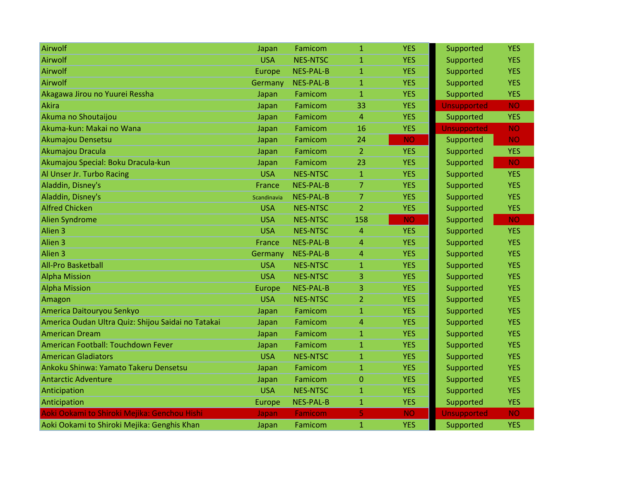| Airwolf                                            | Japan       | Famicom          | $\mathbf{1}$   | <b>YES</b> | Supported          | <b>YES</b> |
|----------------------------------------------------|-------------|------------------|----------------|------------|--------------------|------------|
| Airwolf                                            | <b>USA</b>  | <b>NES-NTSC</b>  | $\mathbf{1}$   | <b>YES</b> | Supported          | <b>YES</b> |
| Airwolf                                            | Europe      | <b>NES-PAL-B</b> | $\mathbf{1}$   | <b>YES</b> | Supported          | <b>YES</b> |
| Airwolf                                            | Germany     | <b>NES-PAL-B</b> | $\mathbf{1}$   | <b>YES</b> | Supported          | <b>YES</b> |
| Akagawa Jirou no Yuurei Ressha                     | Japan       | Famicom          | $\mathbf{1}$   | <b>YES</b> | Supported          | <b>YES</b> |
| <b>Akira</b>                                       | Japan       | Famicom          | 33             | <b>YES</b> | <b>Unsupported</b> | <b>NO</b>  |
| Akuma no Shoutaijou                                | Japan       | Famicom          | $\overline{4}$ | <b>YES</b> | Supported          | <b>YES</b> |
| Akuma-kun: Makai no Wana                           | Japan       | Famicom          | 16             | <b>YES</b> | <b>Unsupported</b> | <b>NO</b>  |
| Akumajou Densetsu                                  | Japan       | Famicom          | 24             | <b>NO</b>  | Supported          | <b>NO</b>  |
| Akumajou Dracula                                   | Japan       | Famicom          | $\overline{2}$ | <b>YES</b> | Supported          | <b>YES</b> |
| Akumajou Special: Boku Dracula-kun                 | Japan       | Famicom          | 23             | <b>YES</b> | Supported          | <b>NO</b>  |
| Al Unser Jr. Turbo Racing                          | <b>USA</b>  | <b>NES-NTSC</b>  | $\mathbf{1}$   | <b>YES</b> | Supported          | <b>YES</b> |
| Aladdin, Disney's                                  | France      | <b>NES-PAL-B</b> | $\overline{7}$ | <b>YES</b> | Supported          | <b>YES</b> |
| Aladdin, Disney's                                  | Scandinavia | <b>NES-PAL-B</b> | $\overline{7}$ | <b>YES</b> | Supported          | <b>YES</b> |
| <b>Alfred Chicken</b>                              | <b>USA</b>  | <b>NES-NTSC</b>  | $\overline{2}$ | <b>YES</b> | Supported          | <b>YES</b> |
| <b>Alien Syndrome</b>                              | <b>USA</b>  | <b>NES-NTSC</b>  | 158            | <b>NO</b>  | Supported          | <b>NO</b>  |
| Alien <sub>3</sub>                                 | <b>USA</b>  | <b>NES-NTSC</b>  | $\overline{4}$ | <b>YES</b> | Supported          | <b>YES</b> |
| Alien <sub>3</sub>                                 | France      | <b>NES-PAL-B</b> | $\overline{4}$ | <b>YES</b> | Supported          | <b>YES</b> |
| Alien <sub>3</sub>                                 | Germany     | <b>NES-PAL-B</b> | $\overline{4}$ | <b>YES</b> | Supported          | <b>YES</b> |
| <b>All-Pro Basketball</b>                          | <b>USA</b>  | <b>NES-NTSC</b>  | $\mathbf{1}$   | <b>YES</b> | Supported          | <b>YES</b> |
| <b>Alpha Mission</b>                               | <b>USA</b>  | <b>NES-NTSC</b>  | 3              | <b>YES</b> | Supported          | <b>YES</b> |
| <b>Alpha Mission</b>                               | Europe      | <b>NES-PAL-B</b> | 3              | <b>YES</b> | Supported          | <b>YES</b> |
| Amagon                                             | <b>USA</b>  | <b>NES-NTSC</b>  | $\overline{2}$ | <b>YES</b> | Supported          | <b>YES</b> |
| America Daitouryou Senkyo                          | Japan       | Famicom          | $\mathbf{1}$   | <b>YES</b> | Supported          | <b>YES</b> |
| America Oudan Ultra Quiz: Shijou Saidai no Tatakai | Japan       | Famicom          | 4              | <b>YES</b> | Supported          | <b>YES</b> |
| <b>American Dream</b>                              | Japan       | Famicom          | $\mathbf{1}$   | <b>YES</b> | Supported          | <b>YES</b> |
| American Football: Touchdown Fever                 | Japan       | Famicom          | $\mathbf{1}$   | <b>YES</b> | Supported          | <b>YES</b> |
| <b>American Gladiators</b>                         | <b>USA</b>  | <b>NES-NTSC</b>  | $\mathbf{1}$   | <b>YES</b> | Supported          | <b>YES</b> |
| Ankoku Shinwa: Yamato Takeru Densetsu              | Japan       | Famicom          | $\mathbf{1}$   | <b>YES</b> | Supported          | <b>YES</b> |
| <b>Antarctic Adventure</b>                         | Japan       | Famicom          | $\mathbf{0}$   | <b>YES</b> | Supported          | <b>YES</b> |
| Anticipation                                       | <b>USA</b>  | <b>NES-NTSC</b>  | $\mathbf{1}$   | <b>YES</b> | Supported          | <b>YES</b> |
| Anticipation                                       | Europe      | <b>NES-PAL-B</b> | $\mathbf{1}$   | <b>YES</b> | Supported          | <b>YES</b> |
| Aoki Ookami to Shiroki Mejika: Genchou Hishi       | Japan       | <b>Famicom</b>   | 5              | <b>NO</b>  | <b>Unsupported</b> | <b>NO</b>  |
| Aoki Ookami to Shiroki Mejika: Genghis Khan        | Japan       | Famicom          | $\mathbf{1}$   | <b>YES</b> | Supported          | <b>YES</b> |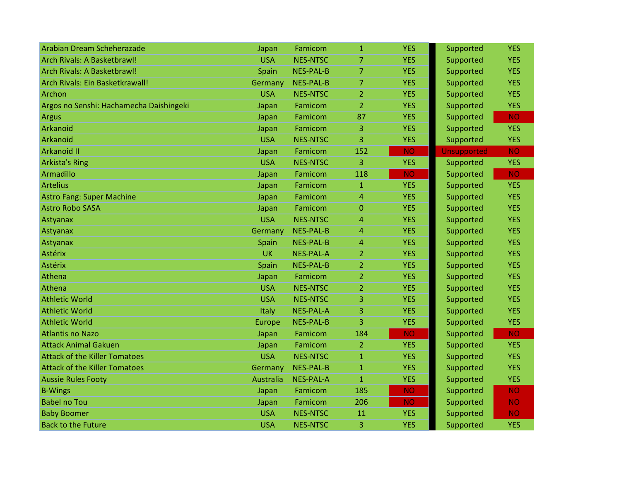| Arabian Dream Scheherazade              | Japan      | Famicom          | $\mathbf{1}$   | <b>YES</b> | Supported          | <b>YES</b> |
|-----------------------------------------|------------|------------------|----------------|------------|--------------------|------------|
| Arch Rivals: A Basketbrawl!             | <b>USA</b> | <b>NES-NTSC</b>  | 7              | <b>YES</b> | Supported          | <b>YES</b> |
| Arch Rivals: A Basketbrawl!             | Spain      | <b>NES-PAL-B</b> | $\overline{7}$ | <b>YES</b> | Supported          | <b>YES</b> |
| Arch Rivals: Ein Basketkrawall!         | Germany    | <b>NES-PAL-B</b> | $\overline{7}$ | <b>YES</b> | Supported          | <b>YES</b> |
| <b>Archon</b>                           | <b>USA</b> | <b>NES-NTSC</b>  | $\overline{2}$ | <b>YES</b> | Supported          | <b>YES</b> |
| Argos no Senshi: Hachamecha Daishingeki | Japan      | Famicom          | 2              | <b>YES</b> | Supported          | <b>YES</b> |
| <b>Argus</b>                            | Japan      | Famicom          | 87             | <b>YES</b> | Supported          | <b>NO</b>  |
| Arkanoid                                | Japan      | Famicom          | 3              | <b>YES</b> | Supported          | <b>YES</b> |
| Arkanoid                                | <b>USA</b> | <b>NES-NTSC</b>  | 3              | <b>YES</b> | Supported          | <b>YES</b> |
| <b>Arkanoid II</b>                      | Japan      | Famicom          | 152            | <b>NO</b>  | <b>Unsupported</b> | <b>NO</b>  |
| <b>Arkista's Ring</b>                   | <b>USA</b> | <b>NES-NTSC</b>  | 3              | <b>YES</b> | Supported          | <b>YES</b> |
| Armadillo                               | Japan      | Famicom          | 118            | <b>NO</b>  | Supported          | <b>NO</b>  |
| <b>Artelius</b>                         | Japan      | Famicom          | $\mathbf{1}$   | <b>YES</b> | Supported          | <b>YES</b> |
| <b>Astro Fang: Super Machine</b>        | Japan      | Famicom          | 4              | <b>YES</b> | Supported          | <b>YES</b> |
| <b>Astro Robo SASA</b>                  | Japan      | Famicom          | $\mathbf{0}$   | <b>YES</b> | Supported          | <b>YES</b> |
| Astyanax                                | <b>USA</b> | <b>NES-NTSC</b>  | 4              | <b>YES</b> | Supported          | <b>YES</b> |
| Astyanax                                | Germany    | <b>NES-PAL-B</b> | 4              | <b>YES</b> | Supported          | <b>YES</b> |
| Astyanax                                | Spain      | <b>NES-PAL-B</b> | 4              | <b>YES</b> | Supported          | <b>YES</b> |
| <b>Astérix</b>                          | <b>UK</b>  | <b>NES-PAL-A</b> | $\overline{2}$ | <b>YES</b> | Supported          | <b>YES</b> |
| <b>Astérix</b>                          | Spain      | <b>NES-PAL-B</b> | 2              | <b>YES</b> | Supported          | <b>YES</b> |
| Athena                                  | Japan      | Famicom          | 2              | <b>YES</b> | Supported          | <b>YES</b> |
| Athena                                  | <b>USA</b> | <b>NES-NTSC</b>  | $\overline{2}$ | <b>YES</b> | Supported          | <b>YES</b> |
| <b>Athletic World</b>                   | <b>USA</b> | <b>NES-NTSC</b>  | 3              | <b>YES</b> | Supported          | <b>YES</b> |
| <b>Athletic World</b>                   | Italy      | <b>NES-PAL-A</b> | 3              | <b>YES</b> | Supported          | <b>YES</b> |
| <b>Athletic World</b>                   | Europe     | <b>NES-PAL-B</b> | 3              | <b>YES</b> | Supported          | <b>YES</b> |
| <b>Atlantis no Nazo</b>                 | Japan      | Famicom          | 184            | <b>NO</b>  | Supported          | <b>NO</b>  |
| <b>Attack Animal Gakuen</b>             | Japan      | Famicom          | $\overline{2}$ | <b>YES</b> | Supported          | <b>YES</b> |
| <b>Attack of the Killer Tomatoes</b>    | <b>USA</b> | <b>NES-NTSC</b>  | $\mathbf{1}$   | <b>YES</b> | Supported          | <b>YES</b> |
| <b>Attack of the Killer Tomatoes</b>    | Germany    | <b>NES-PAL-B</b> | $\mathbf{1}$   | <b>YES</b> | Supported          | <b>YES</b> |
| <b>Aussie Rules Footy</b>               | Australia  | <b>NES-PAL-A</b> | $\mathbf{1}$   | <b>YES</b> | Supported          | <b>YES</b> |
| <b>B-Wings</b>                          | Japan      | Famicom          | 185            | <b>NO</b>  | Supported          | <b>NO</b>  |
| <b>Babel no Tou</b>                     | Japan      | Famicom          | 206            | <b>NO</b>  | Supported          | <b>NO</b>  |
| <b>Baby Boomer</b>                      | <b>USA</b> | <b>NES-NTSC</b>  | 11             | <b>YES</b> | Supported          | <b>NO</b>  |
| <b>Back to the Future</b>               | <b>USA</b> | <b>NES-NTSC</b>  | 3              | <b>YES</b> | Supported          | <b>YES</b> |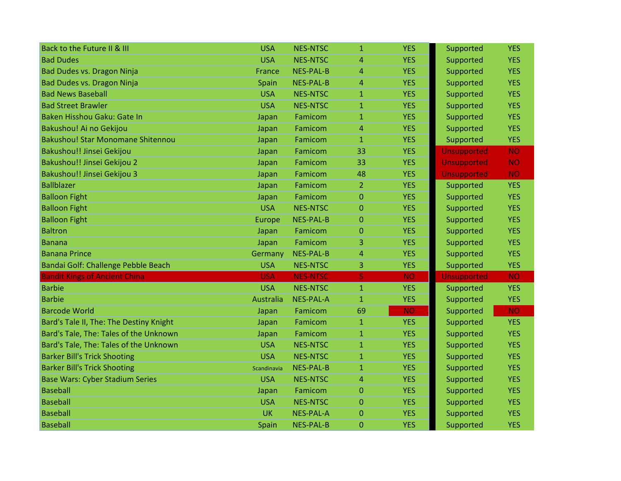| Back to the Future II & III              | <b>USA</b>       | <b>NES-NTSC</b>  | $\mathbf{1}$   | <b>YES</b> | Supported          | <b>YES</b> |
|------------------------------------------|------------------|------------------|----------------|------------|--------------------|------------|
| <b>Bad Dudes</b>                         | <b>USA</b>       | <b>NES-NTSC</b>  | 4              | <b>YES</b> | Supported          | <b>YES</b> |
| Bad Dudes vs. Dragon Ninja               | France           | <b>NES-PAL-B</b> | 4              | <b>YES</b> | Supported          | <b>YES</b> |
| Bad Dudes vs. Dragon Ninja               | Spain            | <b>NES-PAL-B</b> | 4              | <b>YES</b> | Supported          | <b>YES</b> |
| <b>Bad News Baseball</b>                 | <b>USA</b>       | <b>NES-NTSC</b>  | $\mathbf{1}$   | <b>YES</b> | Supported          | <b>YES</b> |
| <b>Bad Street Brawler</b>                | <b>USA</b>       | <b>NES-NTSC</b>  | $\mathbf{1}$   | <b>YES</b> | Supported          | <b>YES</b> |
| Baken Hisshou Gaku: Gate In              | Japan            | Famicom          | $\mathbf{1}$   | <b>YES</b> | Supported          | <b>YES</b> |
| Bakushou! Ai no Gekijou                  | Japan            | Famicom          | 4              | <b>YES</b> | Supported          | <b>YES</b> |
| <b>Bakushou! Star Monomane Shitennou</b> | Japan            | Famicom          | $\mathbf{1}$   | <b>YES</b> | Supported          | <b>YES</b> |
| Bakushou!! Jinsei Gekijou                | Japan            | Famicom          | 33             | <b>YES</b> | <b>Unsupported</b> | <b>NO</b>  |
| Bakushou!! Jinsei Gekijou 2              | Japan            | Famicom          | 33             | <b>YES</b> | <b>Unsupported</b> | <b>NO</b>  |
| Bakushou!! Jinsei Gekijou 3              | Japan            | Famicom          | 48             | <b>YES</b> | <b>Unsupported</b> | <b>NO</b>  |
| <b>Ballblazer</b>                        | Japan            | Famicom          | $\overline{2}$ | <b>YES</b> | Supported          | <b>YES</b> |
| <b>Balloon Fight</b>                     | Japan            | Famicom          | $\overline{0}$ | <b>YES</b> | Supported          | <b>YES</b> |
| <b>Balloon Fight</b>                     | <b>USA</b>       | <b>NES-NTSC</b>  | $\overline{0}$ | <b>YES</b> | Supported          | <b>YES</b> |
| <b>Balloon Fight</b>                     | <b>Europe</b>    | <b>NES-PAL-B</b> | 0              | <b>YES</b> | Supported          | <b>YES</b> |
| <b>Baltron</b>                           | Japan            | Famicom          | 0              | <b>YES</b> | Supported          | <b>YES</b> |
| <b>Banana</b>                            | Japan            | Famicom          | 3              | <b>YES</b> | Supported          | <b>YES</b> |
| <b>Banana Prince</b>                     | Germany          | <b>NES-PAL-B</b> | $\overline{4}$ | <b>YES</b> | Supported          | <b>YES</b> |
| Bandai Golf: Challenge Pebble Beach      | <b>USA</b>       | <b>NES-NTSC</b>  | 3              | <b>YES</b> | Supported          | <b>YES</b> |
| <b>Bandit Kings of Ancient China</b>     | <b>USA</b>       | <b>NES-NTSC</b>  | 5              | <b>NO</b>  | <b>Unsupported</b> | <b>NO</b>  |
| <b>Barbie</b>                            | <b>USA</b>       | <b>NES-NTSC</b>  | $\mathbf{1}$   | <b>YES</b> | Supported          | <b>YES</b> |
| <b>Barbie</b>                            | <b>Australia</b> | <b>NES-PAL-A</b> | $\mathbf{1}$   | <b>YES</b> | Supported          | <b>YES</b> |
| <b>Barcode World</b>                     | Japan            | Famicom          | 69             | <b>NO</b>  | Supported          | <b>NO</b>  |
| Bard's Tale II, The: The Destiny Knight  | Japan            | Famicom          | $\mathbf{1}$   | <b>YES</b> | Supported          | <b>YES</b> |
| Bard's Tale, The: Tales of the Unknown   | Japan            | Famicom          | $\mathbf{1}$   | <b>YES</b> | Supported          | <b>YES</b> |
| Bard's Tale, The: Tales of the Unknown   | <b>USA</b>       | <b>NES-NTSC</b>  | $\mathbf{1}$   | <b>YES</b> | Supported          | <b>YES</b> |
| <b>Barker Bill's Trick Shooting</b>      | <b>USA</b>       | <b>NES-NTSC</b>  | $\mathbf{1}$   | <b>YES</b> | Supported          | <b>YES</b> |
| <b>Barker Bill's Trick Shooting</b>      | Scandinavia      | <b>NES-PAL-B</b> | $\mathbf{1}$   | <b>YES</b> | Supported          | <b>YES</b> |
| <b>Base Wars: Cyber Stadium Series</b>   | <b>USA</b>       | <b>NES-NTSC</b>  | 4              | <b>YES</b> | Supported          | <b>YES</b> |
| <b>Baseball</b>                          | Japan            | Famicom          | 0              | <b>YES</b> | Supported          | <b>YES</b> |
| <b>Baseball</b>                          | <b>USA</b>       | <b>NES-NTSC</b>  | $\overline{0}$ | <b>YES</b> | Supported          | <b>YES</b> |
| <b>Baseball</b>                          | <b>UK</b>        | <b>NES-PAL-A</b> | $\Omega$       | <b>YES</b> | Supported          | <b>YES</b> |
| <b>Baseball</b>                          | Spain            | <b>NES-PAL-B</b> | 0              | <b>YES</b> | Supported          | <b>YES</b> |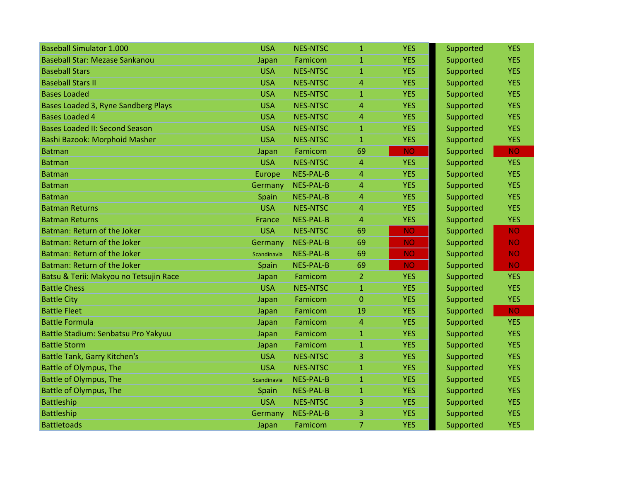| <b>Baseball Simulator 1.000</b>        | <b>USA</b>  | <b>NES-NTSC</b>  | $\mathbf{1}$   | <b>YES</b> | Supported | <b>YES</b> |
|----------------------------------------|-------------|------------------|----------------|------------|-----------|------------|
| <b>Baseball Star: Mezase Sankanou</b>  | Japan       | Famicom          | $\mathbf{1}$   | <b>YES</b> | Supported | <b>YES</b> |
| <b>Baseball Stars</b>                  | <b>USA</b>  | <b>NES-NTSC</b>  | $\mathbf{1}$   | <b>YES</b> | Supported | <b>YES</b> |
| <b>Baseball Stars II</b>               | <b>USA</b>  | <b>NES-NTSC</b>  | 4              | <b>YES</b> | Supported | <b>YES</b> |
| <b>Bases Loaded</b>                    | <b>USA</b>  | <b>NES-NTSC</b>  | $\mathbf{1}$   | <b>YES</b> | Supported | <b>YES</b> |
| Bases Loaded 3, Ryne Sandberg Plays    | <b>USA</b>  | <b>NES-NTSC</b>  | 4              | <b>YES</b> | Supported | <b>YES</b> |
| <b>Bases Loaded 4</b>                  | <b>USA</b>  | <b>NES-NTSC</b>  | 4              | <b>YES</b> | Supported | <b>YES</b> |
| <b>Bases Loaded II: Second Season</b>  | <b>USA</b>  | <b>NES-NTSC</b>  | $\mathbf{1}$   | <b>YES</b> | Supported | <b>YES</b> |
| Bashi Bazook: Morphoid Masher          | <b>USA</b>  | <b>NES-NTSC</b>  | $\mathbf{1}$   | <b>YES</b> | Supported | <b>YES</b> |
| <b>Batman</b>                          | Japan       | Famicom          | 69             | <b>NO</b>  | Supported | <b>NO</b>  |
| <b>Batman</b>                          | <b>USA</b>  | <b>NES-NTSC</b>  | 4              | <b>YES</b> | Supported | <b>YES</b> |
| <b>Batman</b>                          | Europe      | <b>NES-PAL-B</b> | 4              | <b>YES</b> | Supported | <b>YES</b> |
| Batman                                 | Germany     | <b>NES-PAL-B</b> | 4              | <b>YES</b> | Supported | <b>YES</b> |
| <b>Batman</b>                          | Spain       | <b>NES-PAL-B</b> | 4              | <b>YES</b> | Supported | <b>YES</b> |
| <b>Batman Returns</b>                  | <b>USA</b>  | <b>NES-NTSC</b>  | 4              | <b>YES</b> | Supported | <b>YES</b> |
| <b>Batman Returns</b>                  | France      | <b>NES-PAL-B</b> | 4              | <b>YES</b> | Supported | <b>YES</b> |
| Batman: Return of the Joker            | <b>USA</b>  | <b>NES-NTSC</b>  | 69             | <b>NO</b>  | Supported | <b>NO</b>  |
| Batman: Return of the Joker            | Germany     | <b>NES-PAL-B</b> | 69             | <b>NO</b>  | Supported | <b>NO</b>  |
| Batman: Return of the Joker            | Scandinavia | <b>NES-PAL-B</b> | 69             | <b>NO</b>  | Supported | <b>NO</b>  |
| Batman: Return of the Joker            | Spain       | <b>NES-PAL-B</b> | 69             | <b>NO</b>  | Supported | <b>NO</b>  |
| Batsu & Terii: Makyou no Tetsujin Race | Japan       | Famicom          | $\overline{2}$ | <b>YES</b> | Supported | <b>YES</b> |
| <b>Battle Chess</b>                    | <b>USA</b>  | <b>NES-NTSC</b>  | $\mathbf{1}$   | <b>YES</b> | Supported | <b>YES</b> |
| <b>Battle City</b>                     | Japan       | Famicom          | 0              | <b>YES</b> | Supported | <b>YES</b> |
| <b>Battle Fleet</b>                    | Japan       | Famicom          | 19             | <b>YES</b> | Supported | <b>NO</b>  |
| <b>Battle Formula</b>                  | Japan       | Famicom          | 4              | <b>YES</b> | Supported | <b>YES</b> |
| Battle Stadium: Senbatsu Pro Yakyuu    | Japan       | Famicom          | $\mathbf{1}$   | <b>YES</b> | Supported | <b>YES</b> |
| <b>Battle Storm</b>                    | Japan       | Famicom          | $\mathbf{1}$   | <b>YES</b> | Supported | <b>YES</b> |
| <b>Battle Tank, Garry Kitchen's</b>    | <b>USA</b>  | <b>NES-NTSC</b>  | 3              | <b>YES</b> | Supported | <b>YES</b> |
| Battle of Olympus, The                 | <b>USA</b>  | <b>NES-NTSC</b>  | $\mathbf{1}$   | <b>YES</b> | Supported | <b>YES</b> |
| Battle of Olympus, The                 | Scandinavia | <b>NES-PAL-B</b> | $\mathbf{1}$   | <b>YES</b> | Supported | <b>YES</b> |
| <b>Battle of Olympus, The</b>          | Spain       | <b>NES-PAL-B</b> | 1              | <b>YES</b> | Supported | <b>YES</b> |
| <b>Battleship</b>                      | <b>USA</b>  | <b>NES-NTSC</b>  | 3              | <b>YES</b> | Supported | <b>YES</b> |
| <b>Battleship</b>                      | Germany     | <b>NES-PAL-B</b> | 3              | <b>YES</b> | Supported | <b>YES</b> |
| <b>Battletoads</b>                     | Japan       | Famicom          | 7              | <b>YES</b> | Supported | <b>YES</b> |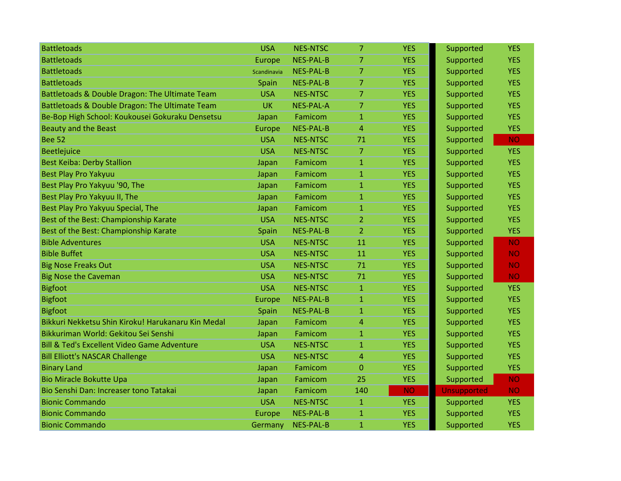| <b>Battletoads</b>                                     | <b>USA</b>    | <b>NES-NTSC</b>  | 7              | <b>YES</b> | Supported          | <b>YES</b> |
|--------------------------------------------------------|---------------|------------------|----------------|------------|--------------------|------------|
| <b>Battletoads</b>                                     | Europe        | <b>NES-PAL-B</b> | $\overline{7}$ | <b>YES</b> | Supported          | <b>YES</b> |
| <b>Battletoads</b>                                     | Scandinavia   | <b>NES-PAL-B</b> | $\overline{7}$ | <b>YES</b> | Supported          | <b>YES</b> |
| <b>Battletoads</b>                                     | Spain         | <b>NES-PAL-B</b> | $\overline{7}$ | <b>YES</b> | Supported          | <b>YES</b> |
| Battletoads & Double Dragon: The Ultimate Team         | <b>USA</b>    | <b>NES-NTSC</b>  | $\overline{7}$ | <b>YES</b> | Supported          | <b>YES</b> |
| Battletoads & Double Dragon: The Ultimate Team         | <b>UK</b>     | <b>NES-PAL-A</b> | 7              | <b>YES</b> | Supported          | <b>YES</b> |
| Be-Bop High School: Koukousei Gokuraku Densetsu        | Japan         | Famicom          | $\mathbf{1}$   | <b>YES</b> | Supported          | <b>YES</b> |
| <b>Beauty and the Beast</b>                            | <b>Europe</b> | <b>NES-PAL-B</b> | 4              | <b>YES</b> | Supported          | <b>YES</b> |
| <b>Bee 52</b>                                          | <b>USA</b>    | <b>NES-NTSC</b>  | 71             | <b>YES</b> | Supported          | <b>NO</b>  |
| Beetlejuice                                            | <b>USA</b>    | <b>NES-NTSC</b>  | $\overline{7}$ | <b>YES</b> | Supported          | <b>YES</b> |
| <b>Best Keiba: Derby Stallion</b>                      | Japan         | Famicom          | 1              | <b>YES</b> | Supported          | <b>YES</b> |
| <b>Best Play Pro Yakyuu</b>                            | Japan         | Famicom          | $\mathbf{1}$   | <b>YES</b> | Supported          | <b>YES</b> |
| Best Play Pro Yakyuu '90, The                          | Japan         | Famicom          | $\mathbf{1}$   | <b>YES</b> | Supported          | <b>YES</b> |
| Best Play Pro Yakyuu II, The                           | Japan         | Famicom          | $\mathbf{1}$   | <b>YES</b> | Supported          | <b>YES</b> |
| Best Play Pro Yakyuu Special, The                      | Japan         | Famicom          | 1              | <b>YES</b> | Supported          | <b>YES</b> |
| Best of the Best: Championship Karate                  | <b>USA</b>    | <b>NES-NTSC</b>  | $\overline{2}$ | <b>YES</b> | Supported          | <b>YES</b> |
| Best of the Best: Championship Karate                  | Spain         | <b>NES-PAL-B</b> | $\overline{2}$ | <b>YES</b> | Supported          | <b>YES</b> |
| <b>Bible Adventures</b>                                | <b>USA</b>    | <b>NES-NTSC</b>  | 11             | <b>YES</b> | Supported          | <b>NO</b>  |
| <b>Bible Buffet</b>                                    | <b>USA</b>    | <b>NES-NTSC</b>  | 11             | <b>YES</b> | Supported          | <b>NO</b>  |
| <b>Big Nose Freaks Out</b>                             | <b>USA</b>    | <b>NES-NTSC</b>  | 71             | <b>YES</b> | Supported          | <b>NO</b>  |
| <b>Big Nose the Caveman</b>                            | <b>USA</b>    | <b>NES-NTSC</b>  | 71             | <b>YES</b> | Supported          | <b>NO</b>  |
| <b>Bigfoot</b>                                         | <b>USA</b>    | <b>NES-NTSC</b>  | $\mathbf{1}$   | <b>YES</b> | Supported          | <b>YES</b> |
| <b>Bigfoot</b>                                         | <b>Europe</b> | <b>NES-PAL-B</b> | $\mathbf{1}$   | <b>YES</b> | Supported          | <b>YES</b> |
| <b>Bigfoot</b>                                         | Spain         | <b>NES-PAL-B</b> | $\mathbf{1}$   | <b>YES</b> | Supported          | <b>YES</b> |
| Bikkuri Nekketsu Shin Kiroku! Harukanaru Kin Medal     | Japan         | Famicom          | 4              | <b>YES</b> | Supported          | <b>YES</b> |
| Bikkuriman World: Gekitou Sei Senshi                   | Japan         | Famicom          | 1              | <b>YES</b> | Supported          | <b>YES</b> |
| <b>Bill &amp; Ted's Excellent Video Game Adventure</b> | <b>USA</b>    | <b>NES-NTSC</b>  | $\mathbf{1}$   | <b>YES</b> | Supported          | <b>YES</b> |
| <b>Bill Elliott's NASCAR Challenge</b>                 | <b>USA</b>    | <b>NES-NTSC</b>  | 4              | <b>YES</b> | Supported          | <b>YES</b> |
| <b>Binary Land</b>                                     | Japan         | Famicom          | $\overline{0}$ | <b>YES</b> | Supported          | <b>YES</b> |
| <b>Bio Miracle Bokutte Upa</b>                         | Japan         | Famicom          | 25             | <b>YES</b> | Supported          | <b>NO</b>  |
| Bio Senshi Dan: Increaser tono Tatakai                 | Japan         | Famicom          | 140            | <b>NO</b>  | <b>Unsupported</b> | <b>NO</b>  |
| <b>Bionic Commando</b>                                 | <b>USA</b>    | <b>NES-NTSC</b>  | $\mathbf{1}$   | <b>YES</b> | Supported          | <b>YES</b> |
| <b>Bionic Commando</b>                                 | Europe        | <b>NES-PAL-B</b> | $\mathbf{1}$   | <b>YES</b> | Supported          | <b>YES</b> |
| <b>Bionic Commando</b>                                 | Germany       | <b>NES-PAL-B</b> | $\mathbf{1}$   | <b>YES</b> | Supported          | <b>YES</b> |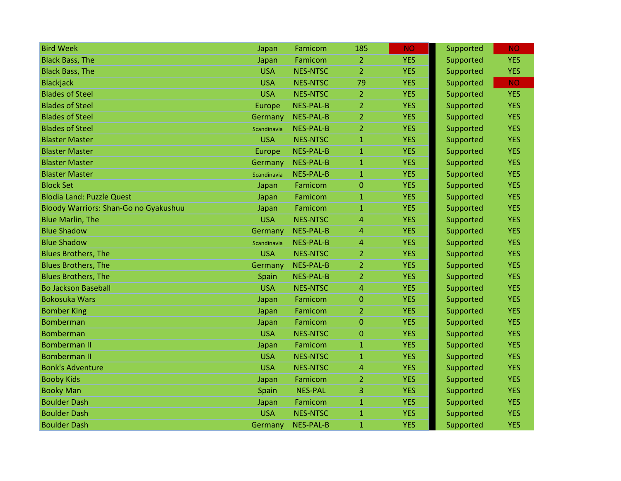| <b>Bird Week</b>                      | Japan       | Famicom          | 185            | <b>NO</b>  | Supported | NO.        |
|---------------------------------------|-------------|------------------|----------------|------------|-----------|------------|
| <b>Black Bass, The</b>                | Japan       | Famicom          | $\overline{2}$ | <b>YES</b> | Supported | <b>YES</b> |
| <b>Black Bass, The</b>                | <b>USA</b>  | <b>NES-NTSC</b>  | $\overline{2}$ | <b>YES</b> | Supported | <b>YES</b> |
| <b>Blackjack</b>                      | <b>USA</b>  | <b>NES-NTSC</b>  | 79             | <b>YES</b> | Supported | <b>NO</b>  |
| <b>Blades of Steel</b>                | <b>USA</b>  | <b>NES-NTSC</b>  | $\overline{2}$ | <b>YES</b> | Supported | <b>YES</b> |
| <b>Blades of Steel</b>                | Europe      | <b>NES-PAL-B</b> | $\overline{2}$ | <b>YES</b> | Supported | <b>YES</b> |
| <b>Blades of Steel</b>                | Germany     | <b>NES-PAL-B</b> | $\overline{2}$ | <b>YES</b> | Supported | <b>YES</b> |
| <b>Blades of Steel</b>                | Scandinavia | <b>NES-PAL-B</b> | $\overline{2}$ | <b>YES</b> | Supported | <b>YES</b> |
| <b>Blaster Master</b>                 | <b>USA</b>  | <b>NES-NTSC</b>  | $\mathbf{1}$   | <b>YES</b> | Supported | <b>YES</b> |
| <b>Blaster Master</b>                 | Europe      | <b>NES-PAL-B</b> | $\mathbf{1}$   | <b>YES</b> | Supported | <b>YES</b> |
| <b>Blaster Master</b>                 | Germany     | <b>NES-PAL-B</b> | $\mathbf{1}$   | <b>YES</b> | Supported | <b>YES</b> |
| <b>Blaster Master</b>                 | Scandinavia | <b>NES-PAL-B</b> | $\mathbf{1}$   | <b>YES</b> | Supported | <b>YES</b> |
| <b>Block Set</b>                      | Japan       | Famicom          | $\mathbf{0}$   | <b>YES</b> | Supported | <b>YES</b> |
| <b>Blodia Land: Puzzle Quest</b>      | Japan       | Famicom          | $\mathbf{1}$   | <b>YES</b> | Supported | <b>YES</b> |
| Bloody Warriors: Shan-Go no Gyakushuu | Japan       | Famicom          | $\mathbf{1}$   | <b>YES</b> | Supported | <b>YES</b> |
| <b>Blue Marlin, The</b>               | <b>USA</b>  | <b>NES-NTSC</b>  | $\overline{4}$ | <b>YES</b> | Supported | <b>YES</b> |
| <b>Blue Shadow</b>                    | Germany     | <b>NES-PAL-B</b> | $\overline{4}$ | <b>YES</b> | Supported | <b>YES</b> |
| <b>Blue Shadow</b>                    | Scandinavia | <b>NES-PAL-B</b> | $\overline{4}$ | <b>YES</b> | Supported | <b>YES</b> |
| <b>Blues Brothers, The</b>            | <b>USA</b>  | <b>NES-NTSC</b>  | $\overline{2}$ | <b>YES</b> | Supported | <b>YES</b> |
| <b>Blues Brothers, The</b>            | Germany     | <b>NES-PAL-B</b> | $\overline{2}$ | <b>YES</b> | Supported | <b>YES</b> |
| <b>Blues Brothers, The</b>            | Spain       | <b>NES-PAL-B</b> | $\overline{2}$ | <b>YES</b> | Supported | <b>YES</b> |
| <b>Bo Jackson Baseball</b>            | <b>USA</b>  | <b>NES-NTSC</b>  | $\overline{4}$ | <b>YES</b> | Supported | <b>YES</b> |
| <b>Bokosuka Wars</b>                  | Japan       | Famicom          | $\overline{0}$ | <b>YES</b> | Supported | <b>YES</b> |
| <b>Bomber King</b>                    | Japan       | Famicom          | $\overline{2}$ | <b>YES</b> | Supported | <b>YES</b> |
| <b>Bomberman</b>                      | Japan       | Famicom          | $\overline{0}$ | <b>YES</b> | Supported | <b>YES</b> |
| <b>Bomberman</b>                      | <b>USA</b>  | <b>NES-NTSC</b>  | $\mathbf 0$    | <b>YES</b> | Supported | <b>YES</b> |
| <b>Bomberman II</b>                   | Japan       | Famicom          | $\mathbf{1}$   | <b>YES</b> | Supported | <b>YES</b> |
| <b>Bomberman II</b>                   | <b>USA</b>  | <b>NES-NTSC</b>  | $\overline{1}$ | <b>YES</b> | Supported | <b>YES</b> |
| <b>Bonk's Adventure</b>               | <b>USA</b>  | <b>NES-NTSC</b>  | $\overline{4}$ | <b>YES</b> | Supported | <b>YES</b> |
| <b>Booby Kids</b>                     | Japan       | Famicom          | $\overline{2}$ | <b>YES</b> | Supported | <b>YES</b> |
| <b>Booky Man</b>                      | Spain       | <b>NES-PAL</b>   | 3              | <b>YES</b> | Supported | <b>YES</b> |
| <b>Boulder Dash</b>                   | Japan       | Famicom          | $\mathbf{1}$   | <b>YES</b> | Supported | <b>YES</b> |
| <b>Boulder Dash</b>                   | <b>USA</b>  | <b>NES-NTSC</b>  | $\mathbf{1}$   | <b>YES</b> | Supported | <b>YES</b> |
| <b>Boulder Dash</b>                   | Germany     | <b>NES-PAL-B</b> | $\mathbf{1}$   | <b>YES</b> | Supported | <b>YES</b> |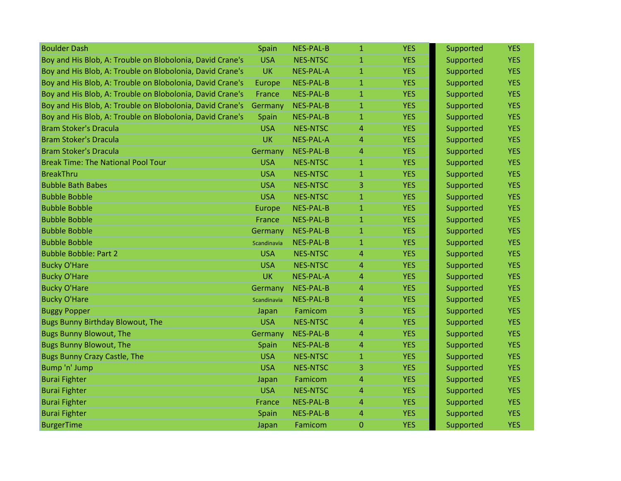| <b>Boulder Dash</b>                                       | Spain       | NES-PAL-B        | $\mathbf{1}$   | <b>YES</b> | Supported | <b>YES</b> |
|-----------------------------------------------------------|-------------|------------------|----------------|------------|-----------|------------|
| Boy and His Blob, A: Trouble on Blobolonia, David Crane's | <b>USA</b>  | <b>NES-NTSC</b>  | $\mathbf{1}$   | <b>YES</b> | Supported | <b>YES</b> |
| Boy and His Blob, A: Trouble on Blobolonia, David Crane's | <b>UK</b>   | <b>NES-PAL-A</b> | $\mathbf{1}$   | <b>YES</b> | Supported | <b>YES</b> |
| Boy and His Blob, A: Trouble on Blobolonia, David Crane's | Europe      | NES-PAL-B        | $\mathbf{1}$   | <b>YES</b> | Supported | <b>YES</b> |
| Boy and His Blob, A: Trouble on Blobolonia, David Crane's | France      | NES-PAL-B        | $\mathbf{1}$   | <b>YES</b> | Supported | <b>YES</b> |
| Boy and His Blob, A: Trouble on Blobolonia, David Crane's | Germany     | NES-PAL-B        | 1              | <b>YES</b> | Supported | <b>YES</b> |
| Boy and His Blob, A: Trouble on Blobolonia, David Crane's | Spain       | NES-PAL-B        | $\mathbf{1}$   | <b>YES</b> | Supported | <b>YES</b> |
| <b>Bram Stoker's Dracula</b>                              | <b>USA</b>  | <b>NES-NTSC</b>  | 4              | <b>YES</b> | Supported | <b>YES</b> |
| <b>Bram Stoker's Dracula</b>                              | <b>UK</b>   | <b>NES-PAL-A</b> | 4              | <b>YES</b> | Supported | <b>YES</b> |
| <b>Bram Stoker's Dracula</b>                              | Germany     | NES-PAL-B        | 4              | <b>YES</b> | Supported | <b>YES</b> |
| <b>Break Time: The National Pool Tour</b>                 | <b>USA</b>  | <b>NES-NTSC</b>  | 1              | <b>YES</b> | Supported | <b>YES</b> |
| <b>BreakThru</b>                                          | <b>USA</b>  | <b>NES-NTSC</b>  | $\mathbf{1}$   | <b>YES</b> | Supported | <b>YES</b> |
| <b>Bubble Bath Babes</b>                                  | <b>USA</b>  | <b>NES-NTSC</b>  | 3              | <b>YES</b> | Supported | <b>YES</b> |
| <b>Bubble Bobble</b>                                      | <b>USA</b>  | <b>NES-NTSC</b>  | $\mathbf{1}$   | <b>YES</b> | Supported | <b>YES</b> |
| <b>Bubble Bobble</b>                                      | Europe      | NES-PAL-B        | 1              | <b>YES</b> | Supported | <b>YES</b> |
| <b>Bubble Bobble</b>                                      | France      | <b>NES-PAL-B</b> | 1              | <b>YES</b> | Supported | <b>YES</b> |
| <b>Bubble Bobble</b>                                      | Germany     | NES-PAL-B        | $\mathbf{1}$   | <b>YES</b> | Supported | <b>YES</b> |
| <b>Bubble Bobble</b>                                      | Scandinavia | <b>NES-PAL-B</b> | $\overline{1}$ | <b>YES</b> | Supported | <b>YES</b> |
| <b>Bubble Bobble: Part 2</b>                              | <b>USA</b>  | <b>NES-NTSC</b>  | 4              | <b>YES</b> | Supported | <b>YES</b> |
| <b>Bucky O'Hare</b>                                       | <b>USA</b>  | <b>NES-NTSC</b>  | 4              | <b>YES</b> | Supported | <b>YES</b> |
| <b>Bucky O'Hare</b>                                       | <b>UK</b>   | <b>NES-PAL-A</b> | 4              | <b>YES</b> | Supported | <b>YES</b> |
| <b>Bucky O'Hare</b>                                       | Germany     | <b>NES-PAL-B</b> | 4              | <b>YES</b> | Supported | <b>YES</b> |
| <b>Bucky O'Hare</b>                                       | Scandinavia | NES-PAL-B        | 4              | <b>YES</b> | Supported | <b>YES</b> |
| <b>Buggy Popper</b>                                       | Japan       | Famicom          | 3              | <b>YES</b> | Supported | <b>YES</b> |
| <b>Bugs Bunny Birthday Blowout, The</b>                   | <b>USA</b>  | <b>NES-NTSC</b>  | 4              | <b>YES</b> | Supported | <b>YES</b> |
| <b>Bugs Bunny Blowout, The</b>                            | Germany     | NES-PAL-B        | 4              | <b>YES</b> | Supported | <b>YES</b> |
| <b>Bugs Bunny Blowout, The</b>                            | Spain       | NES-PAL-B        | 4              | <b>YES</b> | Supported | <b>YES</b> |
| <b>Bugs Bunny Crazy Castle, The</b>                       | <b>USA</b>  | <b>NES-NTSC</b>  | $\mathbf{1}$   | <b>YES</b> | Supported | <b>YES</b> |
| Bump 'n' Jump                                             | <b>USA</b>  | <b>NES-NTSC</b>  | 3              | <b>YES</b> | Supported | <b>YES</b> |
| <b>Burai Fighter</b>                                      | Japan       | Famicom          | 4              | <b>YES</b> | Supported | <b>YES</b> |
| <b>Burai Fighter</b>                                      | <b>USA</b>  | <b>NES-NTSC</b>  | 4              | <b>YES</b> | Supported | <b>YES</b> |
| <b>Burai Fighter</b>                                      | France      | NES-PAL-B        | 4              | <b>YES</b> | Supported | <b>YES</b> |
| <b>Burai Fighter</b>                                      | Spain       | <b>NES-PAL-B</b> | 4              | <b>YES</b> | Supported | <b>YES</b> |
| <b>BurgerTime</b>                                         | Japan       | Famicom          | $\mathbf 0$    | <b>YES</b> | Supported | <b>YES</b> |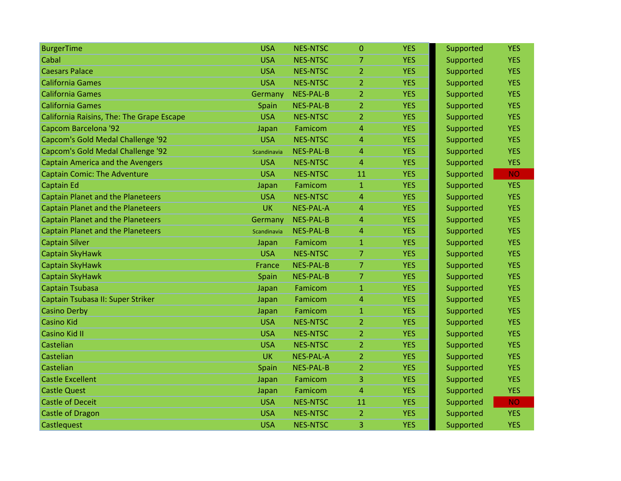| <b>BurgerTime</b>                         | <b>USA</b>  | <b>NES-NTSC</b>  | $\overline{0}$ | <b>YES</b> | Supported | <b>YES</b> |
|-------------------------------------------|-------------|------------------|----------------|------------|-----------|------------|
| Cabal                                     | <b>USA</b>  | <b>NES-NTSC</b>  | 7              | <b>YES</b> | Supported | <b>YES</b> |
| <b>Caesars Palace</b>                     | <b>USA</b>  | <b>NES-NTSC</b>  | $\overline{2}$ | <b>YES</b> | Supported | <b>YES</b> |
| <b>California Games</b>                   | <b>USA</b>  | <b>NES-NTSC</b>  | $\overline{2}$ | <b>YES</b> | Supported | <b>YES</b> |
| <b>California Games</b>                   | Germany     | <b>NES-PAL-B</b> | $\overline{2}$ | <b>YES</b> | Supported | <b>YES</b> |
| <b>California Games</b>                   | Spain       | <b>NES-PAL-B</b> | 2              | <b>YES</b> | Supported | <b>YES</b> |
| California Raisins, The: The Grape Escape | <b>USA</b>  | <b>NES-NTSC</b>  | $\overline{2}$ | <b>YES</b> | Supported | <b>YES</b> |
| Capcom Barcelona '92                      | Japan       | Famicom          | 4              | <b>YES</b> | Supported | <b>YES</b> |
| Capcom's Gold Medal Challenge '92         | <b>USA</b>  | <b>NES-NTSC</b>  | 4              | <b>YES</b> | Supported | <b>YES</b> |
| <b>Capcom's Gold Medal Challenge '92</b>  | Scandinavia | <b>NES-PAL-B</b> | 4              | <b>YES</b> | Supported | <b>YES</b> |
| <b>Captain America and the Avengers</b>   | <b>USA</b>  | <b>NES-NTSC</b>  | 4              | <b>YES</b> | Supported | <b>YES</b> |
| <b>Captain Comic: The Adventure</b>       | <b>USA</b>  | <b>NES-NTSC</b>  | 11             | <b>YES</b> | Supported | <b>NO</b>  |
| <b>Captain Ed</b>                         | Japan       | Famicom          | $\mathbf{1}$   | <b>YES</b> | Supported | <b>YES</b> |
| <b>Captain Planet and the Planeteers</b>  | <b>USA</b>  | <b>NES-NTSC</b>  | $\overline{4}$ | <b>YES</b> | Supported | <b>YES</b> |
| <b>Captain Planet and the Planeteers</b>  | <b>UK</b>   | <b>NES-PAL-A</b> | 4              | <b>YES</b> | Supported | <b>YES</b> |
| <b>Captain Planet and the Planeteers</b>  | Germany     | <b>NES-PAL-B</b> | 4              | <b>YES</b> | Supported | <b>YES</b> |
| <b>Captain Planet and the Planeteers</b>  | Scandinavia | <b>NES-PAL-B</b> | 4              | <b>YES</b> | Supported | <b>YES</b> |
| <b>Captain Silver</b>                     | Japan       | Famicom          | $\mathbf{1}$   | <b>YES</b> | Supported | <b>YES</b> |
| Captain SkyHawk                           | <b>USA</b>  | <b>NES-NTSC</b>  | $\overline{7}$ | <b>YES</b> | Supported | <b>YES</b> |
| Captain SkyHawk                           | France      | <b>NES-PAL-B</b> | $\overline{7}$ | <b>YES</b> | Supported | <b>YES</b> |
| Captain SkyHawk                           | Spain       | <b>NES-PAL-B</b> | 7              | <b>YES</b> | Supported | <b>YES</b> |
| <b>Captain Tsubasa</b>                    | Japan       | Famicom          | $\mathbf{1}$   | <b>YES</b> | Supported | <b>YES</b> |
| Captain Tsubasa II: Super Striker         | Japan       | Famicom          | 4              | <b>YES</b> | Supported | <b>YES</b> |
| <b>Casino Derby</b>                       | Japan       | Famicom          | $\mathbf{1}$   | <b>YES</b> | Supported | <b>YES</b> |
| <b>Casino Kid</b>                         | <b>USA</b>  | <b>NES-NTSC</b>  | $\overline{2}$ | <b>YES</b> | Supported | <b>YES</b> |
| <b>Casino Kid II</b>                      | <b>USA</b>  | <b>NES-NTSC</b>  | $\overline{2}$ | <b>YES</b> | Supported | <b>YES</b> |
| Castelian                                 | <b>USA</b>  | <b>NES-NTSC</b>  | $\overline{2}$ | <b>YES</b> | Supported | <b>YES</b> |
| Castelian                                 | <b>UK</b>   | <b>NES-PAL-A</b> | $\overline{2}$ | <b>YES</b> | Supported | <b>YES</b> |
| Castelian                                 | Spain       | <b>NES-PAL-B</b> | $\overline{2}$ | <b>YES</b> | Supported | <b>YES</b> |
| <b>Castle Excellent</b>                   | Japan       | Famicom          | 3              | <b>YES</b> | Supported | <b>YES</b> |
| <b>Castle Quest</b>                       | Japan       | Famicom          | 4              | <b>YES</b> | Supported | <b>YES</b> |
| <b>Castle of Deceit</b>                   | <b>USA</b>  | <b>NES-NTSC</b>  | 11             | <b>YES</b> | Supported | <b>NO</b>  |
| <b>Castle of Dragon</b>                   | <b>USA</b>  | <b>NES-NTSC</b>  | $\overline{2}$ | <b>YES</b> | Supported | <b>YES</b> |
| Castlequest                               | <b>USA</b>  | <b>NES-NTSC</b>  | 3              | <b>YES</b> | Supported | <b>YES</b> |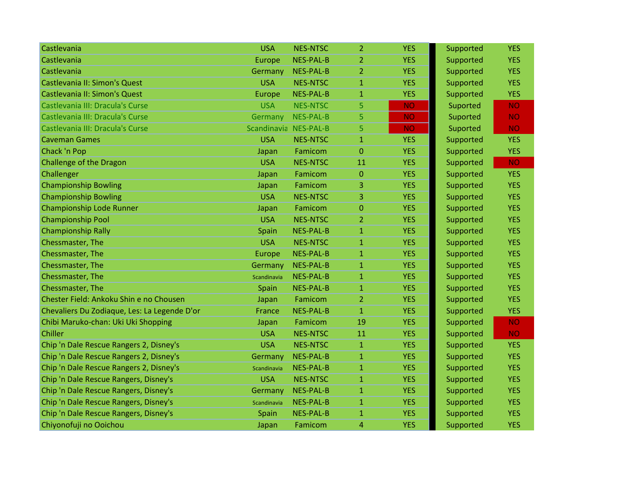| Castlevania                                  | <b>USA</b>            | <b>NES-NTSC</b>  | $\overline{2}$ | <b>YES</b> | Supported | <b>YES</b> |
|----------------------------------------------|-----------------------|------------------|----------------|------------|-----------|------------|
| Castlevania                                  | Europe                | <b>NES-PAL-B</b> | 2              | <b>YES</b> | Supported | <b>YES</b> |
| Castlevania                                  | Germany               | <b>NES-PAL-B</b> | $\overline{2}$ | <b>YES</b> | Supported | <b>YES</b> |
| Castlevania II: Simon's Quest                | <b>USA</b>            | <b>NES-NTSC</b>  | $\mathbf{1}$   | <b>YES</b> | Supported | <b>YES</b> |
| Castlevania II: Simon's Quest                | Europe                | <b>NES-PAL-B</b> | $\mathbf{1}$   | <b>YES</b> | Supported | <b>YES</b> |
| Castlevania III: Dracula's Curse             | <b>USA</b>            | <b>NES-NTSC</b>  | 5              | <b>NO</b>  | Suported  | <b>NO</b>  |
| Castlevania III: Dracula's Curse             | Germany               | <b>NES-PAL-B</b> | 5.             | <b>NO</b>  | Suported  | <b>NO</b>  |
| Castlevania III: Dracula's Curse             | Scandinavia NES-PAL-B |                  | 5              | <b>NO</b>  | Suported  | <b>NO</b>  |
| <b>Caveman Games</b>                         | <b>USA</b>            | <b>NES-NTSC</b>  | $\mathbf{1}$   | <b>YES</b> | Supported | <b>YES</b> |
| Chack 'n Pop                                 | Japan                 | Famicom          | $\overline{0}$ | <b>YES</b> | Supported | <b>YES</b> |
| Challenge of the Dragon                      | <b>USA</b>            | <b>NES-NTSC</b>  | 11             | <b>YES</b> | Supported | <b>NO</b>  |
| Challenger                                   | Japan                 | Famicom          | $\overline{0}$ | <b>YES</b> | Supported | <b>YES</b> |
| <b>Championship Bowling</b>                  | Japan                 | Famicom          | 3              | <b>YES</b> | Supported | <b>YES</b> |
| <b>Championship Bowling</b>                  | <b>USA</b>            | <b>NES-NTSC</b>  | 3              | <b>YES</b> | Supported | <b>YES</b> |
| <b>Championship Lode Runner</b>              | Japan                 | Famicom          | $\overline{0}$ | <b>YES</b> | Supported | <b>YES</b> |
| <b>Championship Pool</b>                     | <b>USA</b>            | <b>NES-NTSC</b>  | $\overline{2}$ | <b>YES</b> | Supported | <b>YES</b> |
| <b>Championship Rally</b>                    | Spain                 | <b>NES-PAL-B</b> | 1              | <b>YES</b> | Supported | <b>YES</b> |
| Chessmaster, The                             | <b>USA</b>            | <b>NES-NTSC</b>  | $\mathbf{1}$   | <b>YES</b> | Supported | <b>YES</b> |
| Chessmaster, The                             | Europe                | <b>NES-PAL-B</b> | $\mathbf{1}$   | <b>YES</b> | Supported | <b>YES</b> |
| Chessmaster, The                             | Germany               | <b>NES-PAL-B</b> | 1              | <b>YES</b> | Supported | <b>YES</b> |
| Chessmaster, The                             | Scandinavia           | <b>NES-PAL-B</b> | $\mathbf{1}$   | <b>YES</b> | Supported | <b>YES</b> |
| Chessmaster, The                             | Spain                 | NES-PAL-B        | 1              | <b>YES</b> | Supported | <b>YES</b> |
| Chester Field: Ankoku Shin e no Chousen      | Japan                 | Famicom          | $\overline{2}$ | <b>YES</b> | Supported | <b>YES</b> |
| Chevaliers Du Zodiaque, Les: La Legende D'or | France                | <b>NES-PAL-B</b> | $\mathbf{1}$   | <b>YES</b> | Supported | <b>YES</b> |
| Chibi Maruko-chan: Uki Uki Shopping          | Japan                 | Famicom          | 19             | <b>YES</b> | Supported | <b>NO</b>  |
| Chiller                                      | <b>USA</b>            | <b>NES-NTSC</b>  | 11             | <b>YES</b> | Supported | <b>NO</b>  |
| Chip 'n Dale Rescue Rangers 2, Disney's      | <b>USA</b>            | <b>NES-NTSC</b>  | $\mathbf{1}$   | <b>YES</b> | Supported | <b>YES</b> |
| Chip 'n Dale Rescue Rangers 2, Disney's      | Germany               | <b>NES-PAL-B</b> | $\mathbf{1}$   | <b>YES</b> | Supported | <b>YES</b> |
| Chip 'n Dale Rescue Rangers 2, Disney's      | Scandinavia           | <b>NES-PAL-B</b> | $\mathbf{1}$   | <b>YES</b> | Supported | <b>YES</b> |
| Chip 'n Dale Rescue Rangers, Disney's        | <b>USA</b>            | <b>NES-NTSC</b>  | 1              | <b>YES</b> | Supported | <b>YES</b> |
| Chip 'n Dale Rescue Rangers, Disney's        | Germany               | <b>NES-PAL-B</b> | $\mathbf{1}$   | <b>YES</b> | Supported | <b>YES</b> |
| Chip 'n Dale Rescue Rangers, Disney's        | Scandinavia           | NES-PAL-B        | 1              | <b>YES</b> | Supported | <b>YES</b> |
| Chip 'n Dale Rescue Rangers, Disney's        | Spain                 | <b>NES-PAL-B</b> | $\mathbf{1}$   | <b>YES</b> | Supported | <b>YES</b> |
| Chiyonofuji no Ooichou                       | Japan                 | Famicom          | 4              | <b>YES</b> | Supported | <b>YES</b> |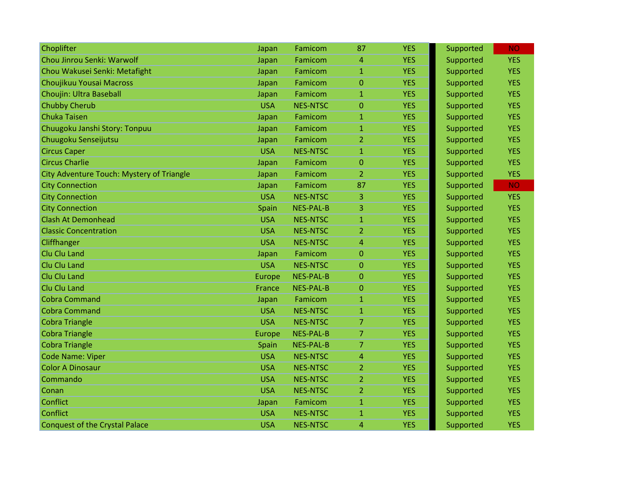| Choplifter                                | Japan      | Famicom          | 87             | <b>YES</b> | Supported | <b>NO</b>  |
|-------------------------------------------|------------|------------------|----------------|------------|-----------|------------|
| Chou Jinrou Senki: Warwolf                | Japan      | Famicom          | 4              | <b>YES</b> | Supported | <b>YES</b> |
| Chou Wakusei Senki: Metafight             | Japan      | Famicom          | $\mathbf{1}$   | <b>YES</b> | Supported | <b>YES</b> |
| Choujikuu Yousai Macross                  | Japan      | Famicom          | $\overline{0}$ | <b>YES</b> | Supported | <b>YES</b> |
| Choujin: Ultra Baseball                   | Japan      | Famicom          | $\mathbf{1}$   | <b>YES</b> | Supported | <b>YES</b> |
| <b>Chubby Cherub</b>                      | <b>USA</b> | <b>NES-NTSC</b>  | $\mathbf{0}$   | <b>YES</b> | Supported | <b>YES</b> |
| <b>Chuka Taisen</b>                       | Japan      | Famicom          | $\mathbf{1}$   | <b>YES</b> | Supported | <b>YES</b> |
| Chuugoku Janshi Story: Tonpuu             | Japan      | Famicom          | $\mathbf{1}$   | <b>YES</b> | Supported | <b>YES</b> |
| Chuugoku Senseijutsu                      | Japan      | Famicom          | $\overline{2}$ | <b>YES</b> | Supported | <b>YES</b> |
| <b>Circus Caper</b>                       | <b>USA</b> | <b>NES-NTSC</b>  | $\mathbf{1}$   | <b>YES</b> | Supported | <b>YES</b> |
| <b>Circus Charlie</b>                     | Japan      | Famicom          | $\mathbf{0}$   | <b>YES</b> | Supported | <b>YES</b> |
| City Adventure Touch: Mystery of Triangle | Japan      | Famicom          | $\overline{2}$ | <b>YES</b> | Supported | <b>YES</b> |
| <b>City Connection</b>                    | Japan      | Famicom          | 87             | <b>YES</b> | Supported | <b>NO</b>  |
| <b>City Connection</b>                    | <b>USA</b> | <b>NES-NTSC</b>  | 3              | <b>YES</b> | Supported | <b>YES</b> |
| <b>City Connection</b>                    | Spain      | <b>NES-PAL-B</b> | 3              | <b>YES</b> | Supported | <b>YES</b> |
| <b>Clash At Demonhead</b>                 | <b>USA</b> | <b>NES-NTSC</b>  | $\mathbf{1}$   | <b>YES</b> | Supported | <b>YES</b> |
| <b>Classic Concentration</b>              | <b>USA</b> | <b>NES-NTSC</b>  | $\overline{2}$ | <b>YES</b> | Supported | <b>YES</b> |
| Cliffhanger                               | <b>USA</b> | <b>NES-NTSC</b>  | $\overline{4}$ | <b>YES</b> | Supported | <b>YES</b> |
| Clu Clu Land                              | Japan      | Famicom          | $\overline{0}$ | <b>YES</b> | Supported | <b>YES</b> |
| Clu Clu Land                              | <b>USA</b> | <b>NES-NTSC</b>  | $\mathbf{0}$   | <b>YES</b> | Supported | <b>YES</b> |
| Clu Clu Land                              | Europe     | <b>NES-PAL-B</b> | $\Omega$       | <b>YES</b> | Supported | <b>YES</b> |
| Clu Clu Land                              | France     | <b>NES-PAL-B</b> | $\Omega$       | <b>YES</b> | Supported | <b>YES</b> |
| <b>Cobra Command</b>                      | Japan      | Famicom          | $\mathbf{1}$   | <b>YES</b> | Supported | <b>YES</b> |
| <b>Cobra Command</b>                      | <b>USA</b> | <b>NES-NTSC</b>  | $\mathbf{1}$   | <b>YES</b> | Supported | <b>YES</b> |
| <b>Cobra Triangle</b>                     | <b>USA</b> | <b>NES-NTSC</b>  | 7              | <b>YES</b> | Supported | <b>YES</b> |
| <b>Cobra Triangle</b>                     | Europe     | <b>NES-PAL-B</b> | $\overline{7}$ | <b>YES</b> | Supported | <b>YES</b> |
| <b>Cobra Triangle</b>                     | Spain      | <b>NES-PAL-B</b> | $\overline{7}$ | <b>YES</b> | Supported | <b>YES</b> |
| <b>Code Name: Viper</b>                   | <b>USA</b> | <b>NES-NTSC</b>  | $\overline{4}$ | <b>YES</b> | Supported | <b>YES</b> |
| <b>Color A Dinosaur</b>                   | <b>USA</b> | <b>NES-NTSC</b>  | $\overline{2}$ | <b>YES</b> | Supported | <b>YES</b> |
| Commando                                  | <b>USA</b> | <b>NES-NTSC</b>  | $\overline{2}$ | <b>YES</b> | Supported | <b>YES</b> |
| Conan                                     | <b>USA</b> | <b>NES-NTSC</b>  | $\overline{2}$ | <b>YES</b> | Supported | <b>YES</b> |
| Conflict                                  | Japan      | Famicom          | $\mathbf{1}$   | <b>YES</b> | Supported | <b>YES</b> |
| Conflict                                  | <b>USA</b> | <b>NES-NTSC</b>  | $\mathbf{1}$   | <b>YES</b> | Supported | <b>YES</b> |
| <b>Conquest of the Crystal Palace</b>     | <b>USA</b> | <b>NES-NTSC</b>  | 4              | <b>YES</b> | Supported | <b>YES</b> |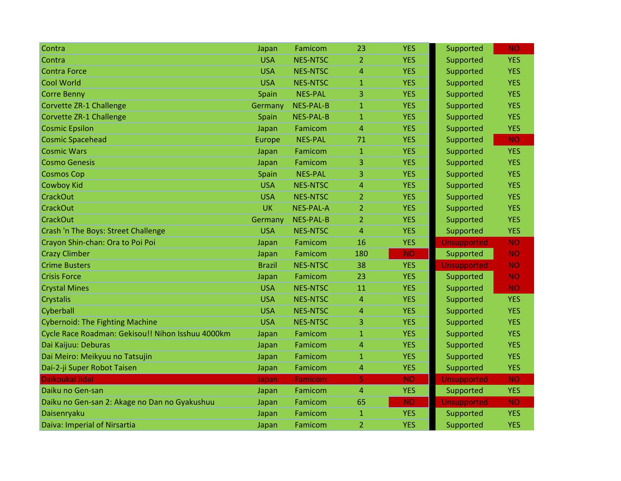| Contra                                            | Japan         | Famicom          | 23             | <b>YES</b> | Supported          | NO.        |
|---------------------------------------------------|---------------|------------------|----------------|------------|--------------------|------------|
| Contra                                            | <b>USA</b>    | <b>NES-NTSC</b>  | $\overline{2}$ | <b>YES</b> | Supported          | <b>YES</b> |
| <b>Contra Force</b>                               | <b>USA</b>    | <b>NES-NTSC</b>  | $\overline{4}$ | <b>YES</b> | Supported          | <b>YES</b> |
| <b>Cool World</b>                                 | <b>USA</b>    | <b>NES-NTSC</b>  | $\mathbf{1}$   | <b>YES</b> | Supported          | <b>YES</b> |
| <b>Corre Benny</b>                                | Spain         | <b>NES-PAL</b>   | 3              | <b>YES</b> | Supported          | <b>YES</b> |
| Corvette ZR-1 Challenge                           | Germany       | <b>NES-PAL-B</b> | $\mathbf{1}$   | <b>YES</b> | Supported          | <b>YES</b> |
| Corvette ZR-1 Challenge                           | Spain         | <b>NES-PAL-B</b> | $\mathbf{1}$   | <b>YES</b> | Supported          | <b>YES</b> |
| <b>Cosmic Epsilon</b>                             | Japan         | Famicom          | $\overline{4}$ | <b>YES</b> | Supported          | <b>YES</b> |
| <b>Cosmic Spacehead</b>                           | Europe        | <b>NES-PAL</b>   | 71             | <b>YES</b> | Supported          | <b>NO</b>  |
| <b>Cosmic Wars</b>                                | Japan         | Famicom          | $\mathbf{1}$   | <b>YES</b> | Supported          | <b>YES</b> |
| <b>Cosmo Genesis</b>                              | Japan         | Famicom          | 3              | <b>YES</b> | Supported          | <b>YES</b> |
| <b>Cosmos Cop</b>                                 | Spain         | <b>NES-PAL</b>   | 3              | <b>YES</b> | Supported          | <b>YES</b> |
| <b>Cowboy Kid</b>                                 | <b>USA</b>    | <b>NES-NTSC</b>  | $\overline{4}$ | <b>YES</b> | Supported          | <b>YES</b> |
| <b>CrackOut</b>                                   | <b>USA</b>    | <b>NES-NTSC</b>  | $\overline{2}$ | <b>YES</b> | Supported          | <b>YES</b> |
| <b>CrackOut</b>                                   | UK            | <b>NES-PAL-A</b> | $\overline{2}$ | <b>YES</b> | Supported          | <b>YES</b> |
| <b>CrackOut</b>                                   | Germany       | <b>NES-PAL-B</b> | $\overline{2}$ | <b>YES</b> | Supported          | <b>YES</b> |
| Crash 'n The Boys: Street Challenge               | <b>USA</b>    | <b>NES-NTSC</b>  | $\overline{4}$ | <b>YES</b> | Supported          | <b>YES</b> |
| Crayon Shin-chan: Ora to Poi Poi                  | Japan         | Famicom          | 16             | <b>YES</b> | <b>Unsupported</b> | <b>NO</b>  |
| <b>Crazy Climber</b>                              | Japan         | Famicom          | 180            | <b>NO</b>  | Supported          | <b>NO</b>  |
| <b>Crime Busters</b>                              | <b>Brazil</b> | <b>NES-NTSC</b>  | 38             | <b>YES</b> | <b>Unsupported</b> | <b>NO</b>  |
| <b>Crisis Force</b>                               | Japan         | Famicom          | 23             | <b>YES</b> | Supported          | <b>NO</b>  |
| <b>Crystal Mines</b>                              | <b>USA</b>    | <b>NES-NTSC</b>  | 11             | <b>YES</b> | Supported          | <b>NO</b>  |
| Crystalis                                         | <b>USA</b>    | <b>NES-NTSC</b>  | $\overline{4}$ | <b>YES</b> | Supported          | <b>YES</b> |
| Cyberball                                         | <b>USA</b>    | <b>NES-NTSC</b>  | $\overline{4}$ | <b>YES</b> | Supported          | <b>YES</b> |
| <b>Cybernoid: The Fighting Machine</b>            | <b>USA</b>    | <b>NES-NTSC</b>  | 3              | <b>YES</b> | Supported          | <b>YES</b> |
| Cycle Race Roadman: Gekisou!! Nihon Isshuu 4000km | Japan         | Famicom          | $\mathbf{1}$   | <b>YES</b> | Supported          | <b>YES</b> |
| Dai Kaijuu: Deburas                               | Japan         | Famicom          | 4              | <b>YES</b> | Supported          | <b>YES</b> |
| Dai Meiro: Meikyuu no Tatsujin                    | Japan         | Famicom          | $\mathbf{1}$   | <b>YES</b> | Supported          | <b>YES</b> |
| Dai-2-ji Super Robot Taisen                       | Japan         | Famicom          | $\overline{4}$ | <b>YES</b> | Supported          | <b>YES</b> |
| Daikoukai Jidai                                   | Japan         | <b>Famicom</b>   | 5              | <b>NO</b>  | <b>Unsupported</b> | <b>NO</b>  |
| Daiku no Gen-san                                  | Japan         | Famicom          | 4              | <b>YES</b> | Supported          | <b>YES</b> |
| Daiku no Gen-san 2: Akage no Dan no Gyakushuu     | Japan         | Famicom          | 65             | <b>NO</b>  | <b>Unsupported</b> | <b>NO</b>  |
| Daisenryaku                                       | Japan         | Famicom          | $\mathbf{1}$   | <b>YES</b> | Supported          | <b>YES</b> |
| Daiva: Imperial of Nirsartia                      | Japan         | Famicom          | $\overline{2}$ | <b>YES</b> | Supported          | <b>YES</b> |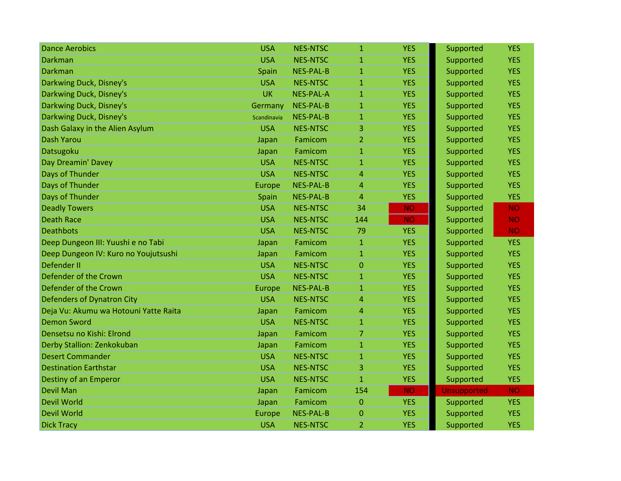| <b>Dance Aerobics</b>                 | <b>USA</b>  | <b>NES-NTSC</b>  | $\mathbf{1}$   | <b>YES</b> | Supported          | <b>YES</b> |
|---------------------------------------|-------------|------------------|----------------|------------|--------------------|------------|
| <b>Darkman</b>                        | <b>USA</b>  | <b>NES-NTSC</b>  | $\mathbf{1}$   | <b>YES</b> | Supported          | <b>YES</b> |
| Darkman                               | Spain       | <b>NES-PAL-B</b> | $\mathbf{1}$   | <b>YES</b> | Supported          | <b>YES</b> |
| Darkwing Duck, Disney's               | <b>USA</b>  | <b>NES-NTSC</b>  | $\mathbf{1}$   | <b>YES</b> | Supported          | <b>YES</b> |
| Darkwing Duck, Disney's               | <b>UK</b>   | <b>NES-PAL-A</b> | $\mathbf{1}$   | <b>YES</b> | Supported          | <b>YES</b> |
| Darkwing Duck, Disney's               | Germany     | <b>NES-PAL-B</b> | 1              | <b>YES</b> | Supported          | <b>YES</b> |
| Darkwing Duck, Disney's               | Scandinavia | <b>NES-PAL-B</b> | $\mathbf{1}$   | <b>YES</b> | Supported          | <b>YES</b> |
| Dash Galaxy in the Alien Asylum       | <b>USA</b>  | <b>NES-NTSC</b>  | 3              | <b>YES</b> | Supported          | <b>YES</b> |
| <b>Dash Yarou</b>                     | Japan       | Famicom          | $\overline{2}$ | <b>YES</b> | Supported          | <b>YES</b> |
| Datsugoku                             | Japan       | Famicom          | $\mathbf{1}$   | <b>YES</b> | Supported          | <b>YES</b> |
| Day Dreamin' Davey                    | <b>USA</b>  | <b>NES-NTSC</b>  | 1              | <b>YES</b> | Supported          | <b>YES</b> |
| Days of Thunder                       | <b>USA</b>  | <b>NES-NTSC</b>  | 4              | <b>YES</b> | Supported          | <b>YES</b> |
| Days of Thunder                       | Europe      | <b>NES-PAL-B</b> | 4              | <b>YES</b> | Supported          | <b>YES</b> |
| Days of Thunder                       | Spain       | <b>NES-PAL-B</b> | $\overline{4}$ | <b>YES</b> | Supported          | <b>YES</b> |
| <b>Deadly Towers</b>                  | <b>USA</b>  | <b>NES-NTSC</b>  | 34             | <b>NO</b>  | Supported          | <b>NO</b>  |
| <b>Death Race</b>                     | <b>USA</b>  | <b>NES-NTSC</b>  | 144            | <b>NO</b>  | Supported          | <b>NO</b>  |
| <b>Deathbots</b>                      | <b>USA</b>  | <b>NES-NTSC</b>  | 79             | <b>YES</b> | Supported          | <b>NO</b>  |
| Deep Dungeon III: Yuushi e no Tabi    | Japan       | Famicom          | $\mathbf{1}$   | <b>YES</b> | Supported          | <b>YES</b> |
| Deep Dungeon IV: Kuro no Youjutsushi  | Japan       | Famicom          | $\mathbf{1}$   | <b>YES</b> | Supported          | <b>YES</b> |
| <b>Defender II</b>                    | <b>USA</b>  | <b>NES-NTSC</b>  | $\overline{0}$ | <b>YES</b> | Supported          | <b>YES</b> |
| Defender of the Crown                 | <b>USA</b>  | <b>NES-NTSC</b>  | 1              | <b>YES</b> | Supported          | <b>YES</b> |
| Defender of the Crown                 | Europe      | <b>NES-PAL-B</b> | $\mathbf{1}$   | <b>YES</b> | Supported          | <b>YES</b> |
| <b>Defenders of Dynatron City</b>     | <b>USA</b>  | <b>NES-NTSC</b>  | 4              | <b>YES</b> | Supported          | <b>YES</b> |
| Deja Vu: Akumu wa Hotouni Yatte Raita | Japan       | Famicom          | 4              | <b>YES</b> | Supported          | <b>YES</b> |
| <b>Demon Sword</b>                    | <b>USA</b>  | <b>NES-NTSC</b>  | $\mathbf{1}$   | <b>YES</b> | Supported          | <b>YES</b> |
| Densetsu no Kishi: Elrond             | Japan       | Famicom          | 7              | <b>YES</b> | Supported          | <b>YES</b> |
| Derby Stallion: Zenkokuban            | Japan       | Famicom          | $\mathbf{1}$   | <b>YES</b> | Supported          | <b>YES</b> |
| <b>Desert Commander</b>               | <b>USA</b>  | <b>NES-NTSC</b>  | $\mathbf{1}$   | <b>YES</b> | Supported          | <b>YES</b> |
| <b>Destination Earthstar</b>          | <b>USA</b>  | <b>NES-NTSC</b>  | 3              | <b>YES</b> | Supported          | <b>YES</b> |
| Destiny of an Emperor                 | <b>USA</b>  | <b>NES-NTSC</b>  | $\mathbf{1}$   | <b>YES</b> | Supported          | <b>YES</b> |
| <b>Devil Man</b>                      | Japan       | Famicom          | 154            | <b>NO</b>  | <b>Unsupported</b> | <b>NO</b>  |
| <b>Devil World</b>                    | Japan       | Famicom          | $\Omega$       | <b>YES</b> | Supported          | <b>YES</b> |
| <b>Devil World</b>                    | Europe      | <b>NES-PAL-B</b> | $\Omega$       | <b>YES</b> | Supported          | <b>YES</b> |
| <b>Dick Tracy</b>                     | <b>USA</b>  | <b>NES-NTSC</b>  | 2              | <b>YES</b> | Supported          | <b>YES</b> |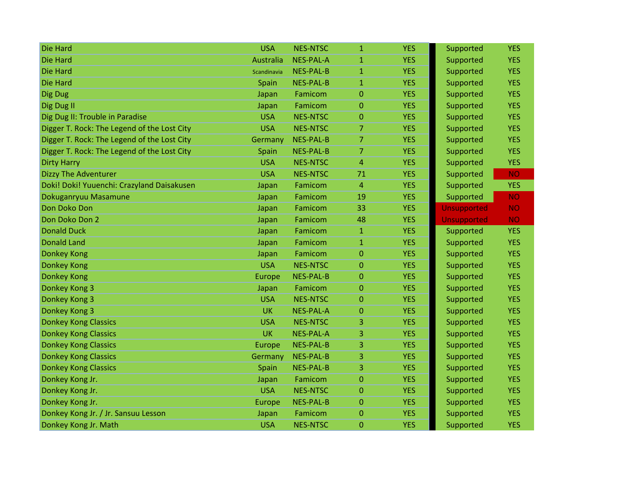| Die Hard                                    | <b>USA</b>    | <b>NES-NTSC</b>  | $\mathbf{1}$   | <b>YES</b> | Supported          | <b>YES</b> |
|---------------------------------------------|---------------|------------------|----------------|------------|--------------------|------------|
| <b>Die Hard</b>                             | Australia     | <b>NES-PAL-A</b> | $\mathbf{1}$   | <b>YES</b> | Supported          | <b>YES</b> |
| Die Hard                                    | Scandinavia   | <b>NES-PAL-B</b> | $\mathbf{1}$   | <b>YES</b> | Supported          | <b>YES</b> |
| <b>Die Hard</b>                             | Spain         | <b>NES-PAL-B</b> | $\mathbf{1}$   | <b>YES</b> | Supported          | <b>YES</b> |
| Dig Dug                                     | Japan         | Famicom          | $\overline{0}$ | <b>YES</b> | Supported          | <b>YES</b> |
| Dig Dug II                                  | Japan         | Famicom          | 0              | <b>YES</b> | Supported          | <b>YES</b> |
| Dig Dug II: Trouble in Paradise             | <b>USA</b>    | <b>NES-NTSC</b>  | $\mathbf 0$    | <b>YES</b> | Supported          | <b>YES</b> |
| Digger T. Rock: The Legend of the Lost City | <b>USA</b>    | <b>NES-NTSC</b>  | $\overline{7}$ | <b>YES</b> | Supported          | <b>YES</b> |
| Digger T. Rock: The Legend of the Lost City | Germany       | <b>NES-PAL-B</b> | $\overline{7}$ | <b>YES</b> | Supported          | <b>YES</b> |
| Digger T. Rock: The Legend of the Lost City | Spain         | <b>NES-PAL-B</b> | 7              | <b>YES</b> | Supported          | <b>YES</b> |
| <b>Dirty Harry</b>                          | <b>USA</b>    | <b>NES-NTSC</b>  | $\overline{4}$ | <b>YES</b> | Supported          | <b>YES</b> |
| <b>Dizzy The Adventurer</b>                 | <b>USA</b>    | <b>NES-NTSC</b>  | 71             | <b>YES</b> | Supported          | <b>NO</b>  |
| Doki! Doki! Yuuenchi: Crazyland Daisakusen  | Japan         | Famicom          | $\overline{4}$ | <b>YES</b> | Supported          | <b>YES</b> |
| Dokuganryuu Masamune                        | Japan         | Famicom          | 19             | <b>YES</b> | Supported          | <b>NO</b>  |
| Don Doko Don                                | Japan         | Famicom          | 33             | <b>YES</b> | <b>Unsupported</b> | <b>NO</b>  |
| Don Doko Don 2                              | Japan         | Famicom          | 48             | <b>YES</b> | <b>Unsupported</b> | <b>NO</b>  |
| <b>Donald Duck</b>                          | Japan         | Famicom          | $\mathbf{1}$   | <b>YES</b> | Supported          | <b>YES</b> |
| <b>Donald Land</b>                          | Japan         | Famicom          | $\mathbf{1}$   | <b>YES</b> | Supported          | <b>YES</b> |
| <b>Donkey Kong</b>                          | Japan         | Famicom          | $\overline{0}$ | <b>YES</b> | Supported          | <b>YES</b> |
| <b>Donkey Kong</b>                          | <b>USA</b>    | <b>NES-NTSC</b>  | $\mathbf 0$    | <b>YES</b> | Supported          | <b>YES</b> |
| <b>Donkey Kong</b>                          | Europe        | <b>NES-PAL-B</b> | $\mathbf{0}$   | <b>YES</b> | Supported          | <b>YES</b> |
| Donkey Kong 3                               | Japan         | Famicom          | $\overline{0}$ | <b>YES</b> | Supported          | <b>YES</b> |
| Donkey Kong 3                               | <b>USA</b>    | <b>NES-NTSC</b>  | 0              | <b>YES</b> | Supported          | <b>YES</b> |
| Donkey Kong 3                               | <b>UK</b>     | <b>NES-PAL-A</b> | $\overline{0}$ | <b>YES</b> | Supported          | <b>YES</b> |
| <b>Donkey Kong Classics</b>                 | <b>USA</b>    | <b>NES-NTSC</b>  | 3              | <b>YES</b> | Supported          | <b>YES</b> |
| <b>Donkey Kong Classics</b>                 | <b>UK</b>     | <b>NES-PAL-A</b> | 3              | <b>YES</b> | Supported          | <b>YES</b> |
| <b>Donkey Kong Classics</b>                 | Europe        | <b>NES-PAL-B</b> | 3              | <b>YES</b> | Supported          | <b>YES</b> |
| <b>Donkey Kong Classics</b>                 | Germany       | <b>NES-PAL-B</b> | 3              | <b>YES</b> | Supported          | <b>YES</b> |
| <b>Donkey Kong Classics</b>                 | Spain         | <b>NES-PAL-B</b> | 3              | <b>YES</b> | Supported          | <b>YES</b> |
| Donkey Kong Jr.                             | Japan         | Famicom          | 0              | <b>YES</b> | Supported          | <b>YES</b> |
| Donkey Kong Jr.                             | <b>USA</b>    | <b>NES-NTSC</b>  | $\Omega$       | <b>YES</b> | Supported          | <b>YES</b> |
| Donkey Kong Jr.                             | <b>Europe</b> | <b>NES-PAL-B</b> | $\mathbf{0}$   | <b>YES</b> | Supported          | <b>YES</b> |
| Donkey Kong Jr. / Jr. Sansuu Lesson         | Japan         | Famicom          | $\overline{0}$ | <b>YES</b> | Supported          | <b>YES</b> |
| Donkey Kong Jr. Math                        | <b>USA</b>    | <b>NES-NTSC</b>  | 0              | <b>YES</b> | Supported          | <b>YES</b> |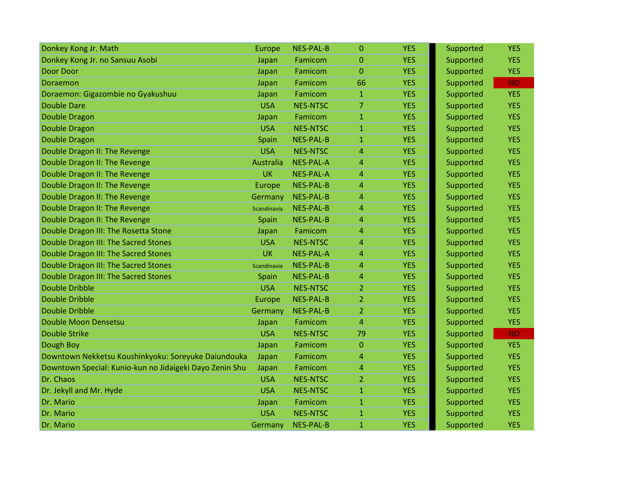| Donkey Kong Jr. Math                                    | Europe      | NES-PAL-B        | $\mathbf 0$      | <b>YES</b> | Supported | <b>YES</b> |
|---------------------------------------------------------|-------------|------------------|------------------|------------|-----------|------------|
| Donkey Kong Jr. no Sansuu Asobi                         | Japan       | Famicom          | 0                | <b>YES</b> | Supported | <b>YES</b> |
| <b>Door Door</b>                                        | Japan       | Famicom          | $\overline{0}$   | <b>YES</b> | Supported | <b>YES</b> |
| Doraemon                                                | Japan       | Famicom          | 66               | <b>YES</b> | Supported | <b>NO</b>  |
| Doraemon: Gigazombie no Gyakushuu                       | Japan       | Famicom          | 1                | <b>YES</b> | Supported | <b>YES</b> |
| <b>Double Dare</b>                                      | <b>USA</b>  | <b>NES-NTSC</b>  | 7                | <b>YES</b> | Supported | <b>YES</b> |
| <b>Double Dragon</b>                                    | Japan       | Famicom          | 1                | <b>YES</b> | Supported | <b>YES</b> |
| <b>Double Dragon</b>                                    | <b>USA</b>  | <b>NES-NTSC</b>  | $\mathbf{1}$     | <b>YES</b> | Supported | <b>YES</b> |
| <b>Double Dragon</b>                                    | Spain       | NES-PAL-B        | $\mathbf{1}$     | <b>YES</b> | Supported | <b>YES</b> |
| Double Dragon II: The Revenge                           | <b>USA</b>  | <b>NES-NTSC</b>  | 4                | <b>YES</b> | Supported | <b>YES</b> |
| Double Dragon II: The Revenge                           | Australia   | <b>NES-PAL-A</b> | 4                | <b>YES</b> | Supported | <b>YES</b> |
| Double Dragon II: The Revenge                           | <b>UK</b>   | NES-PAL-A        | 4                | <b>YES</b> | Supported | <b>YES</b> |
| Double Dragon II: The Revenge                           | Europe      | NES-PAL-B        | $\overline{4}$   | <b>YES</b> | Supported | <b>YES</b> |
| Double Dragon II: The Revenge                           | Germany     | <b>NES-PAL-B</b> | 4                | <b>YES</b> | Supported | <b>YES</b> |
| Double Dragon II: The Revenge                           | Scandinavia | <b>NES-PAL-B</b> | 4                | <b>YES</b> | Supported | <b>YES</b> |
| Double Dragon II: The Revenge                           | Spain       | NES-PAL-B        | 4                | <b>YES</b> | Supported | <b>YES</b> |
| Double Dragon III: The Rosetta Stone                    | Japan       | Famicom          | 4                | <b>YES</b> | Supported | <b>YES</b> |
| Double Dragon III: The Sacred Stones                    | <b>USA</b>  | <b>NES-NTSC</b>  | $\overline{4}$   | <b>YES</b> | Supported | <b>YES</b> |
| Double Dragon III: The Sacred Stones                    | <b>UK</b>   | NES-PAL-A        | 4                | <b>YES</b> | Supported | <b>YES</b> |
| Double Dragon III: The Sacred Stones                    | Scandinavia | <b>NES-PAL-B</b> | $\overline{4}$   | <b>YES</b> | Supported | <b>YES</b> |
| Double Dragon III: The Sacred Stones                    | Spain       | NES-PAL-B        | 4                | <b>YES</b> | Supported | <b>YES</b> |
| <b>Double Dribble</b>                                   | <b>USA</b>  | <b>NES-NTSC</b>  | $\overline{2}$   | <b>YES</b> | Supported | <b>YES</b> |
| <b>Double Dribble</b>                                   | Europe      | NES-PAL-B        | $\overline{2}$   | <b>YES</b> | Supported | <b>YES</b> |
| <b>Double Dribble</b>                                   | Germany     | <b>NES-PAL-B</b> | $\overline{2}$   | <b>YES</b> | Supported | <b>YES</b> |
| Double Moon Densetsu                                    | Japan       | Famicom          | 4                | <b>YES</b> | Supported | <b>YES</b> |
| <b>Double Strike</b>                                    | <b>USA</b>  | <b>NES-NTSC</b>  | 79               | <b>YES</b> | Supported | <b>NO</b>  |
| Dough Boy                                               | Japan       | Famicom          | $\boldsymbol{0}$ | <b>YES</b> | Supported | <b>YES</b> |
| Downtown Nekketsu Koushinkyoku: Soreyuke Daiundouka     | Japan       | Famicom          | $\overline{4}$   | <b>YES</b> | Supported | <b>YES</b> |
| Downtown Special: Kunio-kun no Jidaigeki Dayo Zenin Shu | Japan       | Famicom          | 4                | <b>YES</b> | Supported | <b>YES</b> |
| Dr. Chaos                                               | <b>USA</b>  | <b>NES-NTSC</b>  | 2                | <b>YES</b> | Supported | <b>YES</b> |
| Dr. Jekyll and Mr. Hyde                                 | <b>USA</b>  | <b>NES-NTSC</b>  | 1                | <b>YES</b> | Supported | <b>YES</b> |
| Dr. Mario                                               | Japan       | Famicom          | 1                | <b>YES</b> | Supported | <b>YES</b> |
| Dr. Mario                                               | <b>USA</b>  | <b>NES-NTSC</b>  | $\mathbf{1}$     | <b>YES</b> | Supported | <b>YES</b> |
| Dr. Mario                                               | Germany     | <b>NES-PAL-B</b> | $\mathbf{1}$     | <b>YES</b> | Supported | <b>YES</b> |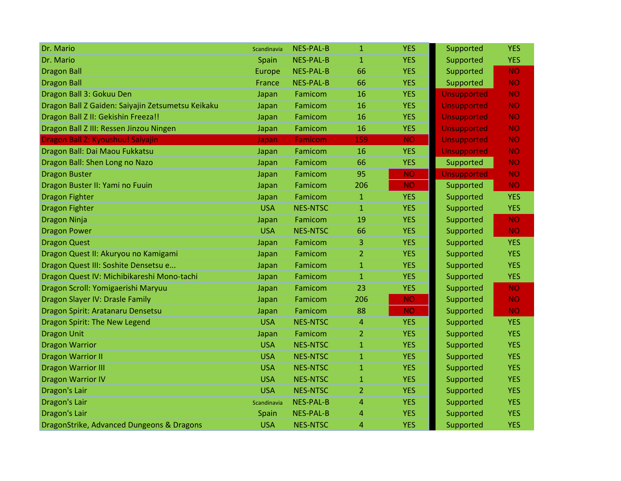| Dr. Mario                                         | Scandinavia | <b>NES-PAL-B</b> | $\mathbf{1}$   | <b>YES</b> | Supported          | <b>YES</b> |
|---------------------------------------------------|-------------|------------------|----------------|------------|--------------------|------------|
| Dr. Mario                                         | Spain       | <b>NES-PAL-B</b> | $\mathbf{1}$   | <b>YES</b> | Supported          | <b>YES</b> |
| <b>Dragon Ball</b>                                | Europe      | <b>NES-PAL-B</b> | 66             | <b>YES</b> | Supported          | <b>NO</b>  |
| <b>Dragon Ball</b>                                | France      | <b>NES-PAL-B</b> | 66             | <b>YES</b> | Supported          | <b>NO</b>  |
| Dragon Ball 3: Gokuu Den                          | Japan       | Famicom          | 16             | <b>YES</b> | <b>Unsupported</b> | <b>NO</b>  |
| Dragon Ball Z Gaiden: Saiyajin Zetsumetsu Keikaku | Japan       | Famicom          | 16             | <b>YES</b> | <b>Unsupported</b> | <b>NO</b>  |
| Dragon Ball Z II: Gekishin Freeza!!               | Japan       | Famicom          | 16             | <b>YES</b> | <b>Unsupported</b> | <b>NO</b>  |
| Dragon Ball Z III: Ressen Jinzou Ningen           | Japan       | Famicom          | 16             | <b>YES</b> | <b>Unsupported</b> | <b>NO</b>  |
| Dragon Ball Z: Kyoushuu! Saiyajin                 | Japan       | <b>Famicom</b>   | 159            | <b>NO</b>  | <b>Unsupported</b> | <b>NO</b>  |
| Dragon Ball: Dai Maou Fukkatsu                    | Japan       | Famicom          | 16             | <b>YES</b> | <b>Unsupported</b> | <b>NO</b>  |
| Dragon Ball: Shen Long no Nazo                    | Japan       | Famicom          | 66             | <b>YES</b> | Supported          | <b>NO</b>  |
| <b>Dragon Buster</b>                              | Japan       | Famicom          | 95             | <b>NO</b>  | <b>Unsupported</b> | <b>NO</b>  |
| Dragon Buster II: Yami no Fuuin                   | Japan       | Famicom          | 206            | <b>NO</b>  | Supported          | <b>NO</b>  |
| <b>Dragon Fighter</b>                             | Japan       | Famicom          | $\mathbf{1}$   | <b>YES</b> | Supported          | <b>YES</b> |
| <b>Dragon Fighter</b>                             | <b>USA</b>  | <b>NES-NTSC</b>  | $\mathbf{1}$   | <b>YES</b> | Supported          | <b>YES</b> |
| <b>Dragon Ninja</b>                               | Japan       | Famicom          | 19             | <b>YES</b> | Supported          | <b>NO</b>  |
| <b>Dragon Power</b>                               | <b>USA</b>  | <b>NES-NTSC</b>  | 66             | <b>YES</b> | Supported          | <b>NO</b>  |
| <b>Dragon Quest</b>                               | Japan       | Famicom          | 3              | <b>YES</b> | Supported          | <b>YES</b> |
| Dragon Quest II: Akuryou no Kamigami              | Japan       | Famicom          | $\overline{2}$ | <b>YES</b> | Supported          | <b>YES</b> |
| Dragon Quest III: Soshite Densetsu e              | Japan       | Famicom          | $\mathbf{1}$   | <b>YES</b> | Supported          | <b>YES</b> |
| Dragon Quest IV: Michibikareshi Mono-tachi        | Japan       | Famicom          | $\mathbf{1}$   | <b>YES</b> | Supported          | <b>YES</b> |
| Dragon Scroll: Yomigaerishi Maryuu                | Japan       | Famicom          | 23             | <b>YES</b> | Supported          | <b>NO</b>  |
| Dragon Slayer IV: Drasle Family                   | Japan       | Famicom          | 206            | <b>NO</b>  | Supported          | <b>NO</b>  |
| Dragon Spirit: Aratanaru Densetsu                 | Japan       | Famicom          | 88             | <b>NO</b>  | Supported          | <b>NO</b>  |
| Dragon Spirit: The New Legend                     | <b>USA</b>  | <b>NES-NTSC</b>  | 4              | <b>YES</b> | Supported          | <b>YES</b> |
| <b>Dragon Unit</b>                                | Japan       | Famicom          | 2              | <b>YES</b> | Supported          | <b>YES</b> |
| <b>Dragon Warrior</b>                             | <b>USA</b>  | <b>NES-NTSC</b>  | $\mathbf{1}$   | <b>YES</b> | Supported          | <b>YES</b> |
| <b>Dragon Warrior II</b>                          | <b>USA</b>  | <b>NES-NTSC</b>  | $\mathbf{1}$   | <b>YES</b> | Supported          | <b>YES</b> |
| <b>Dragon Warrior III</b>                         | <b>USA</b>  | <b>NES-NTSC</b>  | $\mathbf{1}$   | <b>YES</b> | Supported          | <b>YES</b> |
| <b>Dragon Warrior IV</b>                          | <b>USA</b>  | <b>NES-NTSC</b>  | 1              | <b>YES</b> | Supported          | <b>YES</b> |
| Dragon's Lair                                     | <b>USA</b>  | <b>NES-NTSC</b>  | 2              | <b>YES</b> | Supported          | <b>YES</b> |
| <b>Dragon's Lair</b>                              | Scandinavia | <b>NES-PAL-B</b> | 4              | <b>YES</b> | Supported          | <b>YES</b> |
| Dragon's Lair                                     | Spain       | <b>NES-PAL-B</b> | 4              | <b>YES</b> | Supported          | <b>YES</b> |
| DragonStrike, Advanced Dungeons & Dragons         | <b>USA</b>  | <b>NES-NTSC</b>  | 4              | <b>YES</b> | Supported          | <b>YES</b> |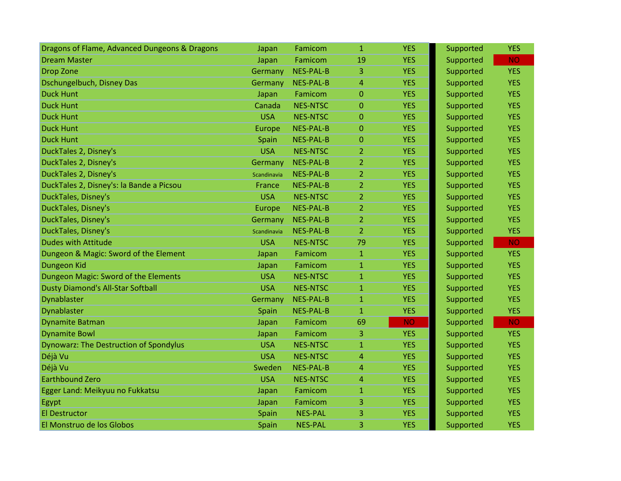| Dragons of Flame, Advanced Dungeons & Dragons | Japan         | Famicom          | $\mathbf{1}$     | <b>YES</b> | Supported | <b>YES</b> |
|-----------------------------------------------|---------------|------------------|------------------|------------|-----------|------------|
| <b>Dream Master</b>                           | Japan         | Famicom          | 19               | <b>YES</b> | Supported | <b>NO</b>  |
| <b>Drop Zone</b>                              | Germany       | <b>NES-PAL-B</b> | 3                | <b>YES</b> | Supported | <b>YES</b> |
| Dschungelbuch, Disney Das                     | Germany       | <b>NES-PAL-B</b> | $\overline{4}$   | <b>YES</b> | Supported | <b>YES</b> |
| <b>Duck Hunt</b>                              | Japan         | Famicom          | $\mathbf{0}$     | <b>YES</b> | Supported | <b>YES</b> |
| <b>Duck Hunt</b>                              | Canada        | <b>NES-NTSC</b>  | $\mathbf{0}$     | <b>YES</b> | Supported | <b>YES</b> |
| <b>Duck Hunt</b>                              | <b>USA</b>    | <b>NES-NTSC</b>  | $\boldsymbol{0}$ | <b>YES</b> | Supported | <b>YES</b> |
| <b>Duck Hunt</b>                              | Europe        | <b>NES-PAL-B</b> | $\mathbf{0}$     | <b>YES</b> | Supported | <b>YES</b> |
| <b>Duck Hunt</b>                              | Spain         | <b>NES-PAL-B</b> | $\overline{0}$   | <b>YES</b> | Supported | <b>YES</b> |
| DuckTales 2, Disney's                         | <b>USA</b>    | <b>NES-NTSC</b>  | $\overline{2}$   | <b>YES</b> | Supported | <b>YES</b> |
| DuckTales 2, Disney's                         | Germany       | <b>NES-PAL-B</b> | $\overline{2}$   | <b>YES</b> | Supported | <b>YES</b> |
| DuckTales 2, Disney's                         | Scandinavia   | <b>NES-PAL-B</b> | $\overline{2}$   | <b>YES</b> | Supported | <b>YES</b> |
| DuckTales 2, Disney's: la Bande a Picsou      | <b>France</b> | <b>NES-PAL-B</b> | $\overline{2}$   | <b>YES</b> | Supported | <b>YES</b> |
| DuckTales, Disney's                           | <b>USA</b>    | <b>NES-NTSC</b>  | $\overline{2}$   | <b>YES</b> | Supported | <b>YES</b> |
| DuckTales, Disney's                           | Europe        | <b>NES-PAL-B</b> | $\overline{2}$   | <b>YES</b> | Supported | <b>YES</b> |
| DuckTales, Disney's                           | Germany       | <b>NES-PAL-B</b> | $\overline{2}$   | <b>YES</b> | Supported | <b>YES</b> |
| DuckTales, Disney's                           | Scandinavia   | <b>NES-PAL-B</b> | $\overline{2}$   | <b>YES</b> | Supported | <b>YES</b> |
| <b>Dudes with Attitude</b>                    | <b>USA</b>    | <b>NES-NTSC</b>  | 79               | <b>YES</b> | Supported | <b>NO</b>  |
| Dungeon & Magic: Sword of the Element         | Japan         | Famicom          | $\mathbf{1}$     | <b>YES</b> | Supported | <b>YES</b> |
| Dungeon Kid                                   | Japan         | Famicom          | $\mathbf{1}$     | <b>YES</b> | Supported | <b>YES</b> |
| Dungeon Magic: Sword of the Elements          | <b>USA</b>    | <b>NES-NTSC</b>  | $\mathbf{1}$     | <b>YES</b> | Supported | <b>YES</b> |
| <b>Dusty Diamond's All-Star Softball</b>      | <b>USA</b>    | <b>NES-NTSC</b>  | $\mathbf{1}$     | <b>YES</b> | Supported | <b>YES</b> |
| Dynablaster                                   | Germany       | <b>NES-PAL-B</b> | $\mathbf{1}$     | <b>YES</b> | Supported | <b>YES</b> |
| Dynablaster                                   | Spain         | <b>NES-PAL-B</b> | $\mathbf{1}$     | <b>YES</b> | Supported | <b>YES</b> |
| <b>Dynamite Batman</b>                        | Japan         | Famicom          | 69               | <b>NO</b>  | Supported | <b>NO</b>  |
| <b>Dynamite Bowl</b>                          | Japan         | Famicom          | 3                | <b>YES</b> | Supported | <b>YES</b> |
| <b>Dynowarz: The Destruction of Spondylus</b> | <b>USA</b>    | <b>NES-NTSC</b>  | $\mathbf{1}$     | <b>YES</b> | Supported | <b>YES</b> |
| Déjà Vu                                       | <b>USA</b>    | <b>NES-NTSC</b>  | $\overline{4}$   | <b>YES</b> | Supported | <b>YES</b> |
| Déjà Vu                                       | Sweden        | <b>NES-PAL-B</b> | $\overline{4}$   | <b>YES</b> | Supported | <b>YES</b> |
| <b>Earthbound Zero</b>                        | <b>USA</b>    | <b>NES-NTSC</b>  | 4                | <b>YES</b> | Supported | <b>YES</b> |
| Egger Land: Meikyuu no Fukkatsu               | Japan         | Famicom          | $\mathbf{1}$     | <b>YES</b> | Supported | <b>YES</b> |
| Egypt                                         | Japan         | Famicom          | 3                | <b>YES</b> | Supported | <b>YES</b> |
| <b>El Destructor</b>                          | Spain         | <b>NES-PAL</b>   | 3                | <b>YES</b> | Supported | <b>YES</b> |
| El Monstruo de los Globos                     | Spain         | <b>NES-PAL</b>   | 3                | <b>YES</b> | Supported | <b>YES</b> |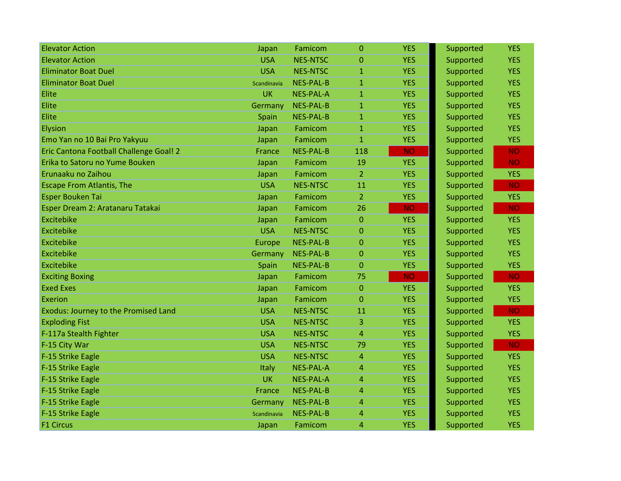| <b>Elevator Action</b>                  | Japan       | Famicom          | $\overline{0}$ | <b>YES</b> | Supported | <b>YES</b> |
|-----------------------------------------|-------------|------------------|----------------|------------|-----------|------------|
| <b>Elevator Action</b>                  | <b>USA</b>  | <b>NES-NTSC</b>  | $\mathbf{0}$   | <b>YES</b> | Supported | <b>YES</b> |
| <b>Eliminator Boat Duel</b>             | <b>USA</b>  | <b>NES-NTSC</b>  | $\mathbf{1}$   | <b>YES</b> | Supported | <b>YES</b> |
| <b>Eliminator Boat Duel</b>             | Scandinavia | <b>NES-PAL-B</b> | $\mathbf{1}$   | <b>YES</b> | Supported | <b>YES</b> |
| Elite                                   | <b>UK</b>   | <b>NES-PAL-A</b> | $\mathbf{1}$   | <b>YES</b> | Supported | <b>YES</b> |
| Elite                                   | Germany     | <b>NES-PAL-B</b> | $\mathbf{1}$   | <b>YES</b> | Supported | <b>YES</b> |
| Elite                                   | Spain       | <b>NES-PAL-B</b> | $\mathbf{1}$   | <b>YES</b> | Supported | <b>YES</b> |
| Elysion                                 | Japan       | Famicom          | $\mathbf{1}$   | <b>YES</b> | Supported | <b>YES</b> |
| Emo Yan no 10 Bai Pro Yakyuu            | Japan       | Famicom          | $\mathbf{1}$   | <b>YES</b> | Supported | <b>YES</b> |
| Eric Cantona Football Challenge Goal! 2 | France      | <b>NES-PAL-B</b> | 118            | <b>NO</b>  | Supported | <b>NO</b>  |
| Erika to Satoru no Yume Bouken          | Japan       | Famicom          | 19             | <b>YES</b> | Supported | <b>NO</b>  |
| Erunaaku no Zaihou                      | Japan       | Famicom          | $\overline{2}$ | <b>YES</b> | Supported | <b>YES</b> |
| <b>Escape From Atlantis, The</b>        | <b>USA</b>  | <b>NES-NTSC</b>  | 11             | <b>YES</b> | Supported | <b>NO</b>  |
| <b>Esper Bouken Tai</b>                 | Japan       | Famicom          | $\overline{2}$ | <b>YES</b> | Supported | <b>YES</b> |
| Esper Dream 2: Aratanaru Tatakai        | Japan       | Famicom          | 26             | <b>NO</b>  | Supported | <b>NO</b>  |
| Excitebike                              | Japan       | Famicom          | $\mathbf{0}$   | <b>YES</b> | Supported | <b>YES</b> |
| <b>Excitebike</b>                       | <b>USA</b>  | <b>NES-NTSC</b>  | $\mathbf{0}$   | <b>YES</b> | Supported | <b>YES</b> |
| Excitebike                              | Europe      | <b>NES-PAL-B</b> | $\Omega$       | <b>YES</b> | Supported | <b>YES</b> |
| Excitebike                              | Germany     | <b>NES-PAL-B</b> | 0              | <b>YES</b> | Supported | <b>YES</b> |
| <b>Excitebike</b>                       | Spain       | <b>NES-PAL-B</b> | $\overline{0}$ | <b>YES</b> | Supported | <b>YES</b> |
| <b>Exciting Boxing</b>                  | Japan       | Famicom          | 75             | <b>NO</b>  | Supported | <b>NO</b>  |
| <b>Exed Exes</b>                        | Japan       | Famicom          | $\overline{0}$ | <b>YES</b> | Supported | <b>YES</b> |
| <b>Exerion</b>                          | Japan       | Famicom          | $\mathbf{0}$   | <b>YES</b> | Supported | <b>YES</b> |
| Exodus: Journey to the Promised Land    | <b>USA</b>  | <b>NES-NTSC</b>  | 11             | <b>YES</b> | Supported | <b>NO</b>  |
| <b>Exploding Fist</b>                   | <b>USA</b>  | <b>NES-NTSC</b>  | 3              | <b>YES</b> | Supported | <b>YES</b> |
| F-117a Stealth Fighter                  | <b>USA</b>  | <b>NES-NTSC</b>  | 4              | <b>YES</b> | Supported | <b>YES</b> |
| F-15 City War                           | <b>USA</b>  | <b>NES-NTSC</b>  | 79             | <b>YES</b> | Supported | <b>NO</b>  |
| F-15 Strike Eagle                       | <b>USA</b>  | <b>NES-NTSC</b>  | 4              | <b>YES</b> | Supported | <b>YES</b> |
| F-15 Strike Eagle                       | Italy       | <b>NES-PAL-A</b> | 4              | <b>YES</b> | Supported | <b>YES</b> |
| F-15 Strike Eagle                       | <b>UK</b>   | <b>NES-PAL-A</b> | 4              | <b>YES</b> | Supported | <b>YES</b> |
| F-15 Strike Eagle                       | France      | <b>NES-PAL-B</b> | 4              | <b>YES</b> | Supported | <b>YES</b> |
| F-15 Strike Eagle                       | Germany     | <b>NES-PAL-B</b> | $\overline{4}$ | <b>YES</b> | Supported | <b>YES</b> |
| F-15 Strike Eagle                       | Scandinavia | <b>NES-PAL-B</b> | 4              | <b>YES</b> | Supported | <b>YES</b> |
| <b>F1 Circus</b>                        | Japan       | Famicom          | 4              | <b>YES</b> | Supported | <b>YES</b> |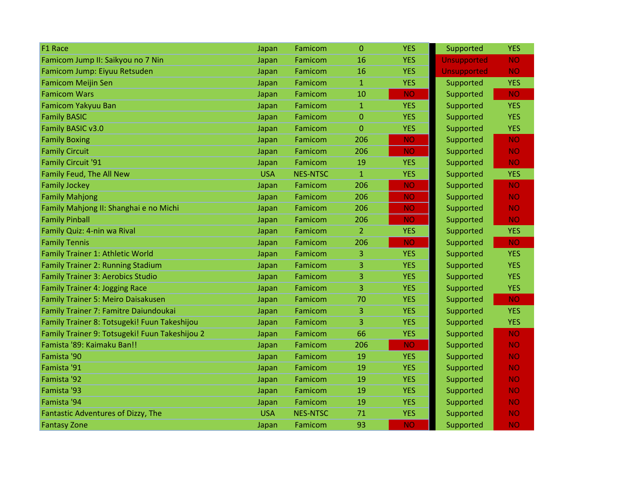| F1 Race                                        | Japan      | Famicom         | $\Omega$       | <b>YES</b> | Supported          | <b>YES</b> |
|------------------------------------------------|------------|-----------------|----------------|------------|--------------------|------------|
| Famicom Jump II: Saikyou no 7 Nin              | Japan      | Famicom         | 16             | <b>YES</b> | <b>Unsupported</b> | <b>NO</b>  |
| Famicom Jump: Eiyuu Retsuden                   | Japan      | Famicom         | 16             | <b>YES</b> | Unsupported        | <b>NO</b>  |
| <b>Famicom Meijin Sen</b>                      | Japan      | Famicom         | $\mathbf{1}$   | <b>YES</b> | Supported          | <b>YES</b> |
| <b>Famicom Wars</b>                            | Japan      | Famicom         | 10             | <b>NO</b>  | Supported          | <b>NO</b>  |
| Famicom Yakyuu Ban                             | Japan      | Famicom         | $\mathbf{1}$   | <b>YES</b> | Supported          | <b>YES</b> |
| <b>Family BASIC</b>                            | Japan      | Famicom         | 0              | <b>YES</b> | Supported          | <b>YES</b> |
| Family BASIC v3.0                              | Japan      | Famicom         | $\overline{0}$ | <b>YES</b> | Supported          | <b>YES</b> |
| <b>Family Boxing</b>                           | Japan      | Famicom         | 206            | <b>NO</b>  | Supported          | <b>NO</b>  |
| <b>Family Circuit</b>                          | Japan      | Famicom         | 206            | <b>NO</b>  | Supported          | <b>NO</b>  |
| <b>Family Circuit '91</b>                      | Japan      | Famicom         | 19             | <b>YES</b> | Supported          | <b>NO</b>  |
| Family Feud, The All New                       | <b>USA</b> | <b>NES-NTSC</b> | $\mathbf{1}$   | <b>YES</b> | Supported          | <b>YES</b> |
| <b>Family Jockey</b>                           | Japan      | Famicom         | 206            | <b>NO</b>  | Supported          | <b>NO</b>  |
| <b>Family Mahjong</b>                          | Japan      | Famicom         | 206            | <b>NO</b>  | Supported          | <b>NO</b>  |
| Family Mahjong II: Shanghai e no Michi         | Japan      | Famicom         | 206            | <b>NO</b>  | Supported          | <b>NO</b>  |
| <b>Family Pinball</b>                          | Japan      | Famicom         | 206            | <b>NO</b>  | Supported          | <b>NO</b>  |
| Family Quiz: 4-nin wa Rival                    | Japan      | Famicom         | $\overline{2}$ | <b>YES</b> | Supported          | <b>YES</b> |
| <b>Family Tennis</b>                           | Japan      | Famicom         | 206            | <b>NO</b>  | Supported          | <b>NO</b>  |
| Family Trainer 1: Athletic World               | Japan      | Famicom         | 3              | <b>YES</b> | Supported          | <b>YES</b> |
| <b>Family Trainer 2: Running Stadium</b>       | Japan      | Famicom         | 3              | <b>YES</b> | Supported          | <b>YES</b> |
| <b>Family Trainer 3: Aerobics Studio</b>       | Japan      | Famicom         | 3              | <b>YES</b> | Supported          | <b>YES</b> |
| <b>Family Trainer 4: Jogging Race</b>          | Japan      | Famicom         | 3              | <b>YES</b> | Supported          | <b>YES</b> |
| Family Trainer 5: Meiro Daisakusen             | Japan      | Famicom         | 70             | <b>YES</b> | Supported          | <b>NO</b>  |
| Family Trainer 7: Famitre Daiundoukai          | Japan      | Famicom         | 3              | <b>YES</b> | Supported          | <b>YES</b> |
| Family Trainer 8: Totsugeki! Fuun Takeshijou   | Japan      | Famicom         | 3              | <b>YES</b> | Supported          | <b>YES</b> |
| Family Trainer 9: Totsugeki! Fuun Takeshijou 2 | Japan      | Famicom         | 66             | <b>YES</b> | Supported          | <b>NO</b>  |
| Famista '89: Kaimaku Ban!!                     | Japan      | Famicom         | 206            | <b>NO</b>  | Supported          | <b>NO</b>  |
| Famista '90                                    | Japan      | Famicom         | 19             | <b>YES</b> | Supported          | <b>NO</b>  |
| Famista '91                                    | Japan      | Famicom         | 19             | <b>YES</b> | Supported          | <b>NO</b>  |
| Famista '92                                    | Japan      | Famicom         | 19             | <b>YES</b> | Supported          | <b>NO</b>  |
| Famista '93                                    | Japan      | Famicom         | 19             | <b>YES</b> | Supported          | <b>NO</b>  |
| Famista '94                                    | Japan      | Famicom         | 19             | <b>YES</b> | Supported          | <b>NO</b>  |
| Fantastic Adventures of Dizzy, The             | <b>USA</b> | <b>NES-NTSC</b> | 71             | <b>YES</b> | Supported          | <b>NO</b>  |
| <b>Fantasy Zone</b>                            | Japan      | Famicom         | 93             | <b>NO</b>  | Supported          | <b>NO</b>  |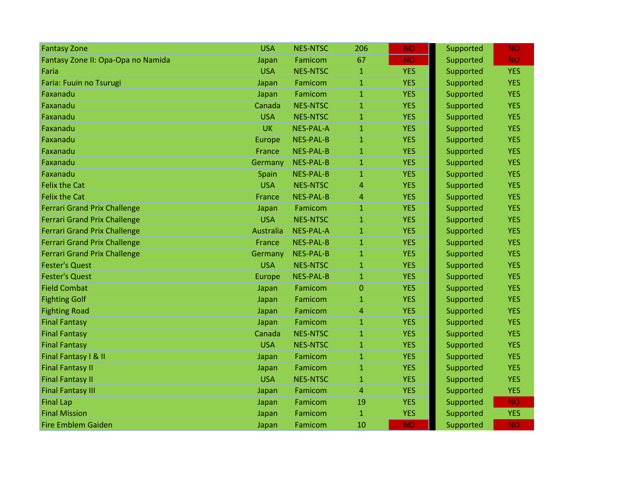| <b>Fantasy Zone</b>                 | <b>USA</b> | <b>NES-NTSC</b>  | 206            | <b>NO</b>  | Supported | <b>NO</b>  |
|-------------------------------------|------------|------------------|----------------|------------|-----------|------------|
| Fantasy Zone II: Opa-Opa no Namida  | Japan      | Famicom          | 67             | <b>NO</b>  | Supported | <b>NO</b>  |
| Faria                               | <b>USA</b> | <b>NES-NTSC</b>  | $\mathbf{1}$   | <b>YES</b> | Supported | <b>YES</b> |
| Faria: Fuuin no Tsurugi             | Japan      | Famicom          | $\mathbf{1}$   | <b>YES</b> | Supported | <b>YES</b> |
| Faxanadu                            | Japan      | Famicom          | $\mathbf{1}$   | <b>YES</b> | Supported | <b>YES</b> |
| Faxanadu                            | Canada     | <b>NES-NTSC</b>  | $\mathbf{1}$   | <b>YES</b> | Supported | <b>YES</b> |
| Faxanadu                            | <b>USA</b> | <b>NES-NTSC</b>  | $\mathbf{1}$   | <b>YES</b> | Supported | <b>YES</b> |
| Faxanadu                            | UK         | <b>NES-PAL-A</b> | $\mathbf{1}$   | <b>YES</b> | Supported | <b>YES</b> |
| Faxanadu                            | Europe     | <b>NES-PAL-B</b> | $\mathbf{1}$   | <b>YES</b> | Supported | <b>YES</b> |
| Faxanadu                            | France     | <b>NES-PAL-B</b> | $\mathbf{1}$   | <b>YES</b> | Supported | <b>YES</b> |
| Faxanadu                            | Germany    | <b>NES-PAL-B</b> | $\mathbf{1}$   | <b>YES</b> | Supported | <b>YES</b> |
| Faxanadu                            | Spain      | <b>NES-PAL-B</b> | $\mathbf{1}$   | <b>YES</b> | Supported | <b>YES</b> |
| <b>Felix the Cat</b>                | <b>USA</b> | <b>NES-NTSC</b>  | $\overline{4}$ | <b>YES</b> | Supported | <b>YES</b> |
| <b>Felix the Cat</b>                | France     | <b>NES-PAL-B</b> | $\overline{4}$ | <b>YES</b> | Supported | <b>YES</b> |
| <b>Ferrari Grand Prix Challenge</b> | Japan      | Famicom          | $\mathbf{1}$   | <b>YES</b> | Supported | <b>YES</b> |
| <b>Ferrari Grand Prix Challenge</b> | <b>USA</b> | <b>NES-NTSC</b>  | $\mathbf{1}$   | <b>YES</b> | Supported | <b>YES</b> |
| <b>Ferrari Grand Prix Challenge</b> | Australia  | <b>NES-PAL-A</b> | $\mathbf{1}$   | <b>YES</b> | Supported | <b>YES</b> |
| <b>Ferrari Grand Prix Challenge</b> | France     | <b>NES-PAL-B</b> | $\mathbf{1}$   | <b>YES</b> | Supported | <b>YES</b> |
| <b>Ferrari Grand Prix Challenge</b> | Germany    | <b>NES-PAL-B</b> | $\mathbf{1}$   | <b>YES</b> | Supported | <b>YES</b> |
| <b>Fester's Quest</b>               | <b>USA</b> | <b>NES-NTSC</b>  | $\mathbf{1}$   | <b>YES</b> | Supported | <b>YES</b> |
| <b>Fester's Quest</b>               | Europe     | <b>NES-PAL-B</b> | $\mathbf{1}$   | <b>YES</b> | Supported | <b>YES</b> |
| <b>Field Combat</b>                 | Japan      | Famicom          | $\overline{0}$ | <b>YES</b> | Supported | <b>YES</b> |
| <b>Fighting Golf</b>                | Japan      | Famicom          | $\mathbf{1}$   | <b>YES</b> | Supported | <b>YES</b> |
| <b>Fighting Road</b>                | Japan      | Famicom          | $\overline{4}$ | <b>YES</b> | Supported | <b>YES</b> |
| <b>Final Fantasy</b>                | Japan      | Famicom          | 1              | <b>YES</b> | Supported | <b>YES</b> |
| <b>Final Fantasy</b>                | Canada     | <b>NES-NTSC</b>  | $\mathbf{1}$   | <b>YES</b> | Supported | <b>YES</b> |
| <b>Final Fantasy</b>                | <b>USA</b> | <b>NES-NTSC</b>  | $\mathbf{1}$   | <b>YES</b> | Supported | <b>YES</b> |
| Final Fantasy I & II                | Japan      | Famicom          | $\mathbf{1}$   | <b>YES</b> | Supported | <b>YES</b> |
| <b>Final Fantasy II</b>             | Japan      | Famicom          | $\mathbf{1}$   | <b>YES</b> | Supported | <b>YES</b> |
| <b>Final Fantasy II</b>             | <b>USA</b> | <b>NES-NTSC</b>  | 1              | <b>YES</b> | Supported | <b>YES</b> |
| <b>Final Fantasy III</b>            | Japan      | Famicom          | 4              | <b>YES</b> | Supported | <b>YES</b> |
| <b>Final Lap</b>                    | Japan      | Famicom          | 19             | <b>YES</b> | Supported | <b>NO</b>  |
| <b>Final Mission</b>                | Japan      | Famicom          | $\mathbf{1}$   | <b>YES</b> | Supported | <b>YES</b> |
| <b>Fire Emblem Gaiden</b>           | Japan      | Famicom          | 10             | <b>NO</b>  | Supported | <b>NO</b>  |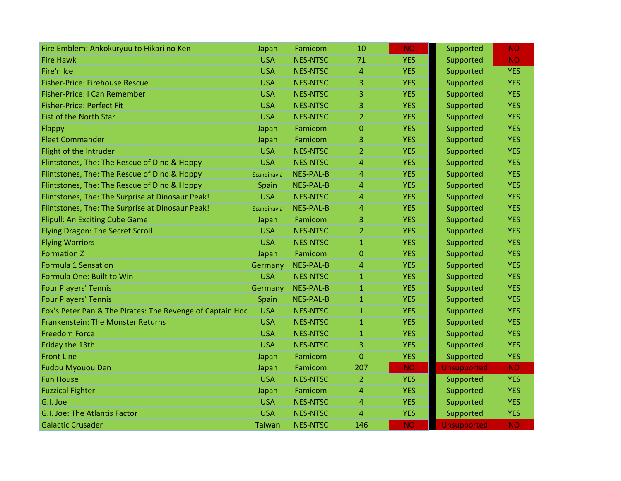| Fire Emblem: Ankokuryuu to Hikari no Ken                  | Japan         | Famicom          | 10             | <b>NO</b>  | Supported          | <b>NO</b>  |
|-----------------------------------------------------------|---------------|------------------|----------------|------------|--------------------|------------|
| <b>Fire Hawk</b>                                          | <b>USA</b>    | <b>NES-NTSC</b>  | 71             | <b>YES</b> | Supported          | <b>NO</b>  |
| Fire'n Ice                                                | <b>USA</b>    | <b>NES-NTSC</b>  | $\overline{4}$ | <b>YES</b> | Supported          | <b>YES</b> |
| <b>Fisher-Price: Firehouse Rescue</b>                     | <b>USA</b>    | <b>NES-NTSC</b>  | 3              | <b>YES</b> | Supported          | <b>YES</b> |
| <b>Fisher-Price: I Can Remember</b>                       | <b>USA</b>    | <b>NES-NTSC</b>  | 3              | <b>YES</b> | Supported          | <b>YES</b> |
| <b>Fisher-Price: Perfect Fit</b>                          | <b>USA</b>    | <b>NES-NTSC</b>  | 3              | <b>YES</b> | Supported          | <b>YES</b> |
| <b>Fist of the North Star</b>                             | <b>USA</b>    | <b>NES-NTSC</b>  | $\overline{2}$ | <b>YES</b> | Supported          | <b>YES</b> |
| Flappy                                                    | Japan         | Famicom          | $\mathbf{0}$   | <b>YES</b> | Supported          | <b>YES</b> |
| <b>Fleet Commander</b>                                    | Japan         | Famicom          | 3              | <b>YES</b> | Supported          | <b>YES</b> |
| Flight of the Intruder                                    | <b>USA</b>    | <b>NES-NTSC</b>  | $\overline{2}$ | <b>YES</b> | Supported          | <b>YES</b> |
| Flintstones, The: The Rescue of Dino & Hoppy              | <b>USA</b>    | <b>NES-NTSC</b>  | $\overline{4}$ | <b>YES</b> | Supported          | <b>YES</b> |
| Flintstones, The: The Rescue of Dino & Hoppy              | Scandinavia   | <b>NES-PAL-B</b> | 4              | <b>YES</b> | Supported          | <b>YES</b> |
| Flintstones, The: The Rescue of Dino & Hoppy              | Spain         | <b>NES-PAL-B</b> | $\overline{4}$ | <b>YES</b> | Supported          | <b>YES</b> |
| Flintstones, The: The Surprise at Dinosaur Peak!          | <b>USA</b>    | <b>NES-NTSC</b>  | $\overline{4}$ | <b>YES</b> | Supported          | <b>YES</b> |
| Flintstones, The: The Surprise at Dinosaur Peak!          | Scandinavia   | <b>NES-PAL-B</b> | $\overline{4}$ | <b>YES</b> | Supported          | <b>YES</b> |
| Flipull: An Exciting Cube Game                            | Japan         | Famicom          | 3              | <b>YES</b> | Supported          | <b>YES</b> |
| <b>Flying Dragon: The Secret Scroll</b>                   | <b>USA</b>    | <b>NES-NTSC</b>  | $\overline{2}$ | <b>YES</b> | Supported          | <b>YES</b> |
| <b>Flying Warriors</b>                                    | <b>USA</b>    | <b>NES-NTSC</b>  | $\mathbf{1}$   | <b>YES</b> | Supported          | <b>YES</b> |
| <b>Formation Z</b>                                        | Japan         | Famicom          | $\Omega$       | <b>YES</b> | Supported          | <b>YES</b> |
| <b>Formula 1 Sensation</b>                                | Germany       | <b>NES-PAL-B</b> | 4              | <b>YES</b> | Supported          | <b>YES</b> |
| Formula One: Built to Win                                 | <b>USA</b>    | <b>NES-NTSC</b>  | $\mathbf{1}$   | <b>YES</b> | Supported          | <b>YES</b> |
| <b>Four Players' Tennis</b>                               | Germany       | <b>NES-PAL-B</b> | $\mathbf{1}$   | <b>YES</b> | Supported          | <b>YES</b> |
| <b>Four Players' Tennis</b>                               | Spain         | <b>NES-PAL-B</b> | $\mathbf{1}$   | <b>YES</b> | Supported          | <b>YES</b> |
| Fox's Peter Pan & The Pirates: The Revenge of Captain Hoc | <b>USA</b>    | <b>NES-NTSC</b>  | $\mathbf{1}$   | <b>YES</b> | Supported          | <b>YES</b> |
| <b>Frankenstein: The Monster Returns</b>                  | <b>USA</b>    | <b>NES-NTSC</b>  | $\mathbf{1}$   | <b>YES</b> | Supported          | <b>YES</b> |
| <b>Freedom Force</b>                                      | <b>USA</b>    | <b>NES-NTSC</b>  | $\mathbf{1}$   | <b>YES</b> | Supported          | <b>YES</b> |
| Friday the 13th                                           | <b>USA</b>    | <b>NES-NTSC</b>  | 3              | <b>YES</b> | Supported          | <b>YES</b> |
| <b>Front Line</b>                                         | Japan         | Famicom          | $\overline{0}$ | <b>YES</b> | Supported          | <b>YES</b> |
| <b>Fudou Myouou Den</b>                                   | Japan         | Famicom          | 207            | <b>NO</b>  | <b>Unsupported</b> | <b>NO</b>  |
| <b>Fun House</b>                                          | <b>USA</b>    | <b>NES-NTSC</b>  | 2              | <b>YES</b> | Supported          | <b>YES</b> |
| <b>Fuzzical Fighter</b>                                   | Japan         | Famicom          | $\overline{4}$ | <b>YES</b> | Supported          | <b>YES</b> |
| G.I. Joe                                                  | <b>USA</b>    | <b>NES-NTSC</b>  | $\overline{4}$ | <b>YES</b> | Supported          | <b>YES</b> |
| G.I. Joe: The Atlantis Factor                             | <b>USA</b>    | <b>NES-NTSC</b>  | $\overline{4}$ | <b>YES</b> | Supported          | <b>YES</b> |
| <b>Galactic Crusader</b>                                  | <b>Taiwan</b> | <b>NES-NTSC</b>  | 146            | <b>NO</b>  | <b>Unsupported</b> | <b>NO</b>  |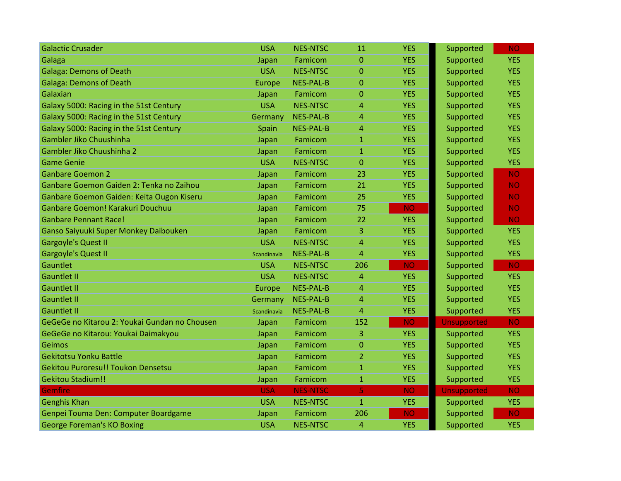| <b>Galactic Crusader</b>                      | <b>USA</b>  | <b>NES-NTSC</b>  | 11             | <b>YES</b> | Supported          | <b>NO</b>  |
|-----------------------------------------------|-------------|------------------|----------------|------------|--------------------|------------|
| Galaga                                        | Japan       | Famicom          | $\mathbf{0}$   | <b>YES</b> | Supported          | <b>YES</b> |
| <b>Galaga: Demons of Death</b>                | <b>USA</b>  | <b>NES-NTSC</b>  | $\mathbf{0}$   | <b>YES</b> | Supported          | <b>YES</b> |
| <b>Galaga: Demons of Death</b>                | Europe      | NES-PAL-B        | $\Omega$       | <b>YES</b> | Supported          | <b>YES</b> |
| Galaxian                                      | Japan       | Famicom          | $\mathbf{0}$   | <b>YES</b> | Supported          | <b>YES</b> |
| Galaxy 5000: Racing in the 51st Century       | <b>USA</b>  | <b>NES-NTSC</b>  | 4              | <b>YES</b> | Supported          | <b>YES</b> |
| Galaxy 5000: Racing in the 51st Century       | Germany     | <b>NES-PAL-B</b> | 4              | <b>YES</b> | Supported          | <b>YES</b> |
| Galaxy 5000: Racing in the 51st Century       | Spain       | <b>NES-PAL-B</b> | 4              | <b>YES</b> | Supported          | <b>YES</b> |
| Gambler Jiko Chuushinha                       | Japan       | Famicom          | $\mathbf{1}$   | <b>YES</b> | Supported          | <b>YES</b> |
| Gambler Jiko Chuushinha 2                     | Japan       | Famicom          | $\mathbf{1}$   | <b>YES</b> | Supported          | <b>YES</b> |
| <b>Game Genie</b>                             | <b>USA</b>  | <b>NES-NTSC</b>  | 0              | <b>YES</b> | Supported          | <b>YES</b> |
| <b>Ganbare Goemon 2</b>                       | Japan       | Famicom          | 23             | <b>YES</b> | Supported          | <b>NO</b>  |
| Ganbare Goemon Gaiden 2: Tenka no Zaihou      | Japan       | Famicom          | 21             | <b>YES</b> | Supported          | <b>NO</b>  |
| Ganbare Goemon Gaiden: Keita Ougon Kiseru     | Japan       | Famicom          | 25             | <b>YES</b> | Supported          | <b>NO</b>  |
| Ganbare Goemon! Karakuri Douchuu              | Japan       | Famicom          | 75             | <b>NO</b>  | Supported          | <b>NO</b>  |
| <b>Ganbare Pennant Race!</b>                  | Japan       | Famicom          | 22             | <b>YES</b> | Supported          | <b>NO</b>  |
| Ganso Saiyuuki Super Monkey Daibouken         | Japan       | Famicom          | 3              | <b>YES</b> | Supported          | <b>YES</b> |
| <b>Gargoyle's Quest II</b>                    | <b>USA</b>  | <b>NES-NTSC</b>  | 4              | <b>YES</b> | Supported          | <b>YES</b> |
| <b>Gargoyle's Quest II</b>                    | Scandinavia | <b>NES-PAL-B</b> | $\overline{4}$ | <b>YES</b> | Supported          | <b>YES</b> |
| Gauntlet                                      | <b>USA</b>  | <b>NES-NTSC</b>  | 206            | <b>NO</b>  | Supported          | <b>NO</b>  |
| <b>Gauntlet II</b>                            | <b>USA</b>  | <b>NES-NTSC</b>  | 4              | <b>YES</b> | Supported          | <b>YES</b> |
| <b>Gauntlet II</b>                            | Europe      | <b>NES-PAL-B</b> | 4              | <b>YES</b> | Supported          | <b>YES</b> |
| <b>Gauntlet II</b>                            | Germany     | <b>NES-PAL-B</b> | 4              | <b>YES</b> | Supported          | <b>YES</b> |
| <b>Gauntlet II</b>                            | Scandinavia | <b>NES-PAL-B</b> | 4              | <b>YES</b> | Supported          | <b>YES</b> |
| GeGeGe no Kitarou 2: Youkai Gundan no Chousen | Japan       | Famicom          | 152            | <b>NO</b>  | <b>Unsupported</b> | <b>NO</b>  |
| GeGeGe no Kitarou: Youkai Daimakyou           | Japan       | Famicom          | 3              | <b>YES</b> | Supported          | <b>YES</b> |
| Geimos                                        | Japan       | Famicom          | 0              | <b>YES</b> | Supported          | <b>YES</b> |
| <b>Gekitotsu Yonku Battle</b>                 | Japan       | Famicom          | $\overline{2}$ | <b>YES</b> | Supported          | <b>YES</b> |
| <b>Gekitou Puroresu!! Toukon Densetsu</b>     | Japan       | Famicom          | $\mathbf{1}$   | <b>YES</b> | Supported          | <b>YES</b> |
| <b>Gekitou Stadium!!</b>                      | Japan       | Famicom          | $\mathbf{1}$   | <b>YES</b> | Supported          | <b>YES</b> |
| Gemfire                                       | <b>USA</b>  | <b>NES-NTSC</b>  | 5              | <b>NO</b>  | <b>Unsupported</b> | <b>NO</b>  |
| <b>Genghis Khan</b>                           | <b>USA</b>  | <b>NES-NTSC</b>  | $\mathbf{1}$   | <b>YES</b> | Supported          | <b>YES</b> |
| Genpei Touma Den: Computer Boardgame          | Japan       | Famicom          | 206            | <b>NO</b>  | Supported          | <b>NO</b>  |
| <b>George Foreman's KO Boxing</b>             | <b>USA</b>  | <b>NES-NTSC</b>  | 4              | <b>YES</b> | Supported          | <b>YES</b> |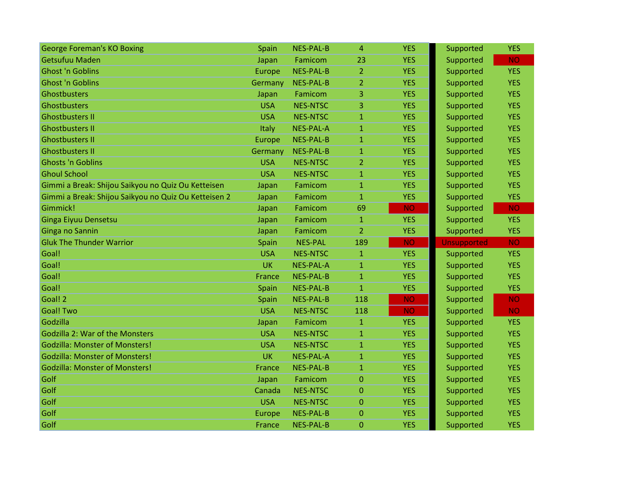| <b>George Foreman's KO Boxing</b>                    | Spain      | <b>NES-PAL-B</b> | $\overline{a}$ | <b>YES</b> | Supported          | <b>YES</b> |
|------------------------------------------------------|------------|------------------|----------------|------------|--------------------|------------|
| <b>Getsufuu Maden</b>                                | Japan      | Famicom          | 23             | <b>YES</b> | Supported          | <b>NO</b>  |
| <b>Ghost 'n Goblins</b>                              | Europe     | <b>NES-PAL-B</b> | $\overline{2}$ | <b>YES</b> | Supported          | <b>YES</b> |
| <b>Ghost 'n Goblins</b>                              | Germany    | <b>NES-PAL-B</b> | 2              | <b>YES</b> | Supported          | <b>YES</b> |
| Ghostbusters                                         | Japan      | Famicom          | 3              | <b>YES</b> | Supported          | <b>YES</b> |
| Ghostbusters                                         | <b>USA</b> | <b>NES-NTSC</b>  | 3              | <b>YES</b> | Supported          | <b>YES</b> |
| <b>Ghostbusters II</b>                               | <b>USA</b> | <b>NES-NTSC</b>  | $\mathbf{1}$   | <b>YES</b> | Supported          | <b>YES</b> |
| <b>Ghostbusters II</b>                               | Italy      | <b>NES-PAL-A</b> | $\mathbf{1}$   | <b>YES</b> | Supported          | <b>YES</b> |
| <b>Ghostbusters II</b>                               | Europe     | <b>NES-PAL-B</b> | $\mathbf{1}$   | <b>YES</b> | Supported          | <b>YES</b> |
| <b>Ghostbusters II</b>                               | Germany    | <b>NES-PAL-B</b> | $\mathbf{1}$   | <b>YES</b> | Supported          | <b>YES</b> |
| <b>Ghosts 'n Goblins</b>                             | <b>USA</b> | <b>NES-NTSC</b>  | $\overline{2}$ | <b>YES</b> | Supported          | <b>YES</b> |
| <b>Ghoul School</b>                                  | <b>USA</b> | <b>NES-NTSC</b>  | $\mathbf{1}$   | <b>YES</b> | Supported          | <b>YES</b> |
| Gimmi a Break: Shijou Saikyou no Quiz Ou Ketteisen   | Japan      | Famicom          | $\mathbf{1}$   | <b>YES</b> | Supported          | <b>YES</b> |
| Gimmi a Break: Shijou Saikyou no Quiz Ou Ketteisen 2 | Japan      | Famicom          | $\mathbf{1}$   | <b>YES</b> | Supported          | <b>YES</b> |
| Gimmick!                                             | Japan      | Famicom          | 69             | <b>NO</b>  | Supported          | <b>NO</b>  |
| Ginga Eiyuu Densetsu                                 | Japan      | Famicom          | $\mathbf{1}$   | <b>YES</b> | Supported          | <b>YES</b> |
| Ginga no Sannin                                      | Japan      | Famicom          | $\overline{2}$ | <b>YES</b> | Supported          | <b>YES</b> |
|                                                      |            |                  |                |            |                    |            |
| <b>Gluk The Thunder Warrior</b>                      | Spain      | <b>NES-PAL</b>   | 189            | <b>NO</b>  | <b>Unsupported</b> | <b>NO</b>  |
| Goal!                                                | <b>USA</b> | <b>NES-NTSC</b>  | $\mathbf{1}$   | <b>YES</b> | Supported          | <b>YES</b> |
| Goal!                                                | <b>UK</b>  | <b>NES-PAL-A</b> | $\mathbf{1}$   | <b>YES</b> | Supported          | <b>YES</b> |
| Goal!                                                | France     | <b>NES-PAL-B</b> | $\mathbf{1}$   | <b>YES</b> | Supported          | <b>YES</b> |
| Goal!                                                | Spain      | <b>NES-PAL-B</b> | $\mathbf{1}$   | <b>YES</b> | Supported          | <b>YES</b> |
| Goal! 2                                              | Spain      | <b>NES-PAL-B</b> | 118            | <b>NO</b>  | Supported          | <b>NO</b>  |
| <b>Goal! Two</b>                                     | <b>USA</b> | <b>NES-NTSC</b>  | 118            | <b>NO</b>  | Supported          | <b>NO</b>  |
| Godzilla                                             | Japan      | Famicom          | $\mathbf{1}$   | <b>YES</b> | Supported          | <b>YES</b> |
| Godzilla 2: War of the Monsters                      | <b>USA</b> | <b>NES-NTSC</b>  | $\mathbf{1}$   | <b>YES</b> | Supported          | <b>YES</b> |
| <b>Godzilla: Monster of Monsters!</b>                | <b>USA</b> | <b>NES-NTSC</b>  | $\mathbf{1}$   | <b>YES</b> | Supported          | <b>YES</b> |
| <b>Godzilla: Monster of Monsters!</b>                | <b>UK</b>  | <b>NES-PAL-A</b> | $\mathbf{1}$   | <b>YES</b> | Supported          | <b>YES</b> |
| <b>Godzilla: Monster of Monsters!</b>                | France     | <b>NES-PAL-B</b> | $\mathbf{1}$   | <b>YES</b> | Supported          | <b>YES</b> |
| Golf                                                 | Japan      | Famicom          | $\mathbf 0$    | <b>YES</b> | Supported          | <b>YES</b> |
| Golf                                                 | Canada     | <b>NES-NTSC</b>  | $\mathbf{0}$   | <b>YES</b> | Supported          | <b>YES</b> |
| Golf                                                 | <b>USA</b> | <b>NES-NTSC</b>  | $\overline{0}$ | <b>YES</b> | Supported          | <b>YES</b> |
| Golf                                                 | Europe     | <b>NES-PAL-B</b> | $\Omega$       | <b>YES</b> | Supported          | <b>YES</b> |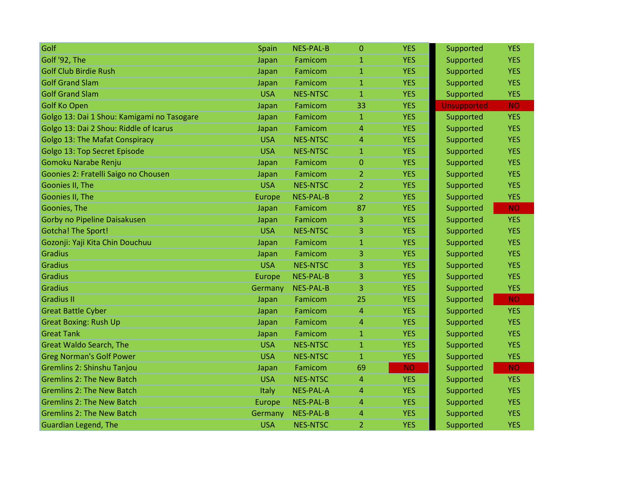| Golf                                       | Spain      | <b>NES-PAL-B</b> | $\overline{0}$ | <b>YES</b> | Supported          | <b>YES</b> |
|--------------------------------------------|------------|------------------|----------------|------------|--------------------|------------|
| Golf '92, The                              | Japan      | Famicom          | $\mathbf{1}$   | <b>YES</b> | Supported          | <b>YES</b> |
| <b>Golf Club Birdie Rush</b>               | Japan      | Famicom          | $\mathbf{1}$   | <b>YES</b> | Supported          | <b>YES</b> |
| <b>Golf Grand Slam</b>                     | Japan      | Famicom          | $\mathbf{1}$   | <b>YES</b> | Supported          | <b>YES</b> |
| <b>Golf Grand Slam</b>                     | <b>USA</b> | <b>NES-NTSC</b>  | $\mathbf{1}$   | <b>YES</b> | Supported          | <b>YES</b> |
| <b>Golf Ko Open</b>                        | Japan      | Famicom          | 33             | <b>YES</b> | <b>Unsupported</b> | <b>NO</b>  |
| Golgo 13: Dai 1 Shou: Kamigami no Tasogare | Japan      | Famicom          | $\mathbf{1}$   | <b>YES</b> | Supported          | <b>YES</b> |
| Golgo 13: Dai 2 Shou: Riddle of Icarus     | Japan      | Famicom          | $\overline{4}$ | <b>YES</b> | Supported          | <b>YES</b> |
| <b>Golgo 13: The Mafat Conspiracy</b>      | <b>USA</b> | <b>NES-NTSC</b>  | $\overline{4}$ | <b>YES</b> | Supported          | <b>YES</b> |
| Golgo 13: Top Secret Episode               | <b>USA</b> | <b>NES-NTSC</b>  | $\mathbf{1}$   | <b>YES</b> | Supported          | <b>YES</b> |
| Gomoku Narabe Renju                        | Japan      | Famicom          | $\mathbf{0}$   | <b>YES</b> | Supported          | <b>YES</b> |
| Goonies 2: Fratelli Saigo no Chousen       | Japan      | Famicom          | 2              | <b>YES</b> | Supported          | <b>YES</b> |
| Goonies II, The                            | <b>USA</b> | <b>NES-NTSC</b>  | $\overline{2}$ | <b>YES</b> | Supported          | <b>YES</b> |
| Goonies II, The                            | Europe     | <b>NES-PAL-B</b> | $\overline{2}$ | <b>YES</b> | Supported          | <b>YES</b> |
| Goonies, The                               | Japan      | Famicom          | 87             | <b>YES</b> | Supported          | <b>NO</b>  |
| Gorby no Pipeline Daisakusen               | Japan      | Famicom          | 3              | <b>YES</b> | Supported          | <b>YES</b> |
| <b>Gotcha! The Sport!</b>                  | <b>USA</b> | <b>NES-NTSC</b>  | 3              | <b>YES</b> | Supported          | <b>YES</b> |
| Gozonji: Yaji Kita Chin Douchuu            | Japan      | Famicom          | $\mathbf{1}$   | <b>YES</b> | Supported          | <b>YES</b> |
| <b>Gradius</b>                             | Japan      | Famicom          | 3              | <b>YES</b> | Supported          | <b>YES</b> |
| <b>Gradius</b>                             | <b>USA</b> | <b>NES-NTSC</b>  | 3              | <b>YES</b> | Supported          | <b>YES</b> |
| <b>Gradius</b>                             | Europe     | <b>NES-PAL-B</b> | 3              | <b>YES</b> | Supported          | <b>YES</b> |
| <b>Gradius</b>                             | Germany    | <b>NES-PAL-B</b> | 3              | <b>YES</b> | Supported          | <b>YES</b> |
| <b>Gradius II</b>                          | Japan      | Famicom          | 25             | <b>YES</b> | Supported          | <b>NO</b>  |
| <b>Great Battle Cyber</b>                  | Japan      | Famicom          | $\overline{4}$ | <b>YES</b> | Supported          | <b>YES</b> |
| <b>Great Boxing: Rush Up</b>               | Japan      | Famicom          | $\overline{4}$ | <b>YES</b> | Supported          | <b>YES</b> |
| <b>Great Tank</b>                          | Japan      | Famicom          | $\mathbf{1}$   | <b>YES</b> | Supported          | <b>YES</b> |
| <b>Great Waldo Search, The</b>             | <b>USA</b> | <b>NES-NTSC</b>  | $\mathbf{1}$   | <b>YES</b> | Supported          | <b>YES</b> |
| <b>Greg Norman's Golf Power</b>            | <b>USA</b> | <b>NES-NTSC</b>  | $\mathbf{1}$   | <b>YES</b> | Supported          | <b>YES</b> |
| Gremlins 2: Shinshu Tanjou                 | Japan      | Famicom          | 69             | <b>NO</b>  | Supported          | <b>NO</b>  |
| <b>Gremlins 2: The New Batch</b>           | <b>USA</b> | <b>NES-NTSC</b>  | $\overline{4}$ | <b>YES</b> | Supported          | <b>YES</b> |
| <b>Gremlins 2: The New Batch</b>           | Italy      | <b>NES-PAL-A</b> | $\overline{4}$ | <b>YES</b> | Supported          | <b>YES</b> |
| <b>Gremlins 2: The New Batch</b>           | Europe     | <b>NES-PAL-B</b> | $\overline{4}$ | <b>YES</b> | Supported          | <b>YES</b> |
| <b>Gremlins 2: The New Batch</b>           | Germany    | <b>NES-PAL-B</b> | $\overline{4}$ | <b>YES</b> | Supported          | <b>YES</b> |
| <b>Guardian Legend, The</b>                | <b>USA</b> | <b>NES-NTSC</b>  | $\overline{2}$ | <b>YES</b> | Supported          | <b>YES</b> |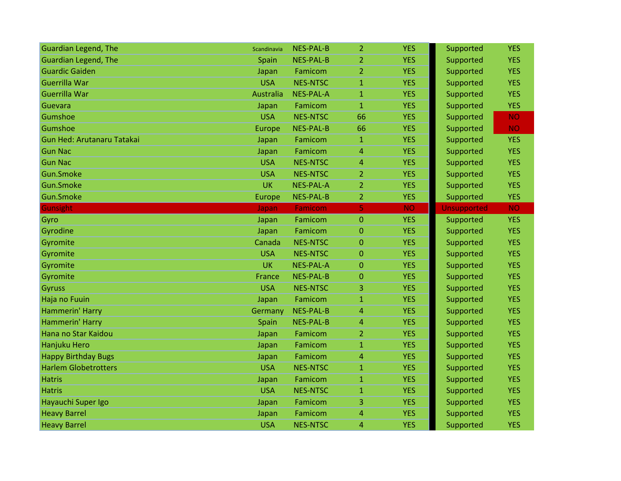| <b>Guardian Legend, The</b>       | Scandinavia | <b>NES-PAL-B</b> | $\overline{2}$ | <b>YES</b> | Supported          | <b>YES</b> |
|-----------------------------------|-------------|------------------|----------------|------------|--------------------|------------|
| <b>Guardian Legend, The</b>       | Spain       | <b>NES-PAL-B</b> | 2              | <b>YES</b> | Supported          | <b>YES</b> |
| <b>Guardic Gaiden</b>             | Japan       | Famicom          | $\overline{2}$ | <b>YES</b> | Supported          | <b>YES</b> |
| Guerrilla War                     | <b>USA</b>  | <b>NES-NTSC</b>  | $\mathbf{1}$   | <b>YES</b> | Supported          | <b>YES</b> |
| Guerrilla War                     | Australia   | <b>NES-PAL-A</b> | $\mathbf{1}$   | <b>YES</b> | Supported          | <b>YES</b> |
| Guevara                           | Japan       | Famicom          | $\mathbf{1}$   | <b>YES</b> | Supported          | <b>YES</b> |
| Gumshoe                           | <b>USA</b>  | <b>NES-NTSC</b>  | 66             | <b>YES</b> | Supported          | <b>NO</b>  |
| Gumshoe                           | Europe      | <b>NES-PAL-B</b> | 66             | <b>YES</b> | Supported          | <b>NO</b>  |
| <b>Gun Hed: Arutanaru Tatakai</b> | Japan       | Famicom          | $\mathbf{1}$   | <b>YES</b> | Supported          | <b>YES</b> |
| <b>Gun Nac</b>                    | Japan       | Famicom          | 4              | <b>YES</b> | Supported          | <b>YES</b> |
| <b>Gun Nac</b>                    | <b>USA</b>  | <b>NES-NTSC</b>  | 4              | <b>YES</b> | Supported          | <b>YES</b> |
| Gun.Smoke                         | <b>USA</b>  | <b>NES-NTSC</b>  | 2              | <b>YES</b> | Supported          | <b>YES</b> |
| Gun.Smoke                         | <b>UK</b>   | <b>NES-PAL-A</b> | $\overline{2}$ | <b>YES</b> | Supported          | <b>YES</b> |
| Gun.Smoke                         | Europe      | <b>NES-PAL-B</b> | $\overline{2}$ | <b>YES</b> | Supported          | <b>YES</b> |
| <b>Gunsight</b>                   | Japan       | Famicom          | 5              | <b>NO</b>  | <b>Unsupported</b> | <b>NO</b>  |
| Gyro                              | Japan       | Famicom          | 0              | <b>YES</b> | Supported          | <b>YES</b> |
| Gyrodine                          | Japan       | Famicom          | $\overline{0}$ | <b>YES</b> | Supported          | <b>YES</b> |
| Gyromite                          | Canada      | <b>NES-NTSC</b>  | $\overline{0}$ | <b>YES</b> | Supported          | <b>YES</b> |
| Gyromite                          | <b>USA</b>  | <b>NES-NTSC</b>  | $\overline{0}$ | <b>YES</b> | Supported          | <b>YES</b> |
| Gyromite                          | <b>UK</b>   | NES-PAL-A        | 0              | <b>YES</b> | Supported          | <b>YES</b> |
| Gyromite                          | France      | <b>NES-PAL-B</b> | 0              | <b>YES</b> | Supported          | <b>YES</b> |
| <b>Gyruss</b>                     | <b>USA</b>  | <b>NES-NTSC</b>  | 3              | <b>YES</b> | Supported          | <b>YES</b> |
| Haja no Fuuin                     | Japan       | Famicom          | $\mathbf{1}$   | <b>YES</b> | Supported          | <b>YES</b> |
| Hammerin' Harry                   | Germany     | <b>NES-PAL-B</b> | 4              | <b>YES</b> | Supported          | <b>YES</b> |
| Hammerin' Harry                   | Spain       | <b>NES-PAL-B</b> | 4              | <b>YES</b> | Supported          | <b>YES</b> |
| Hana no Star Kaidou               | Japan       | Famicom          | 2              | <b>YES</b> | Supported          | <b>YES</b> |
| Hanjuku Hero                      | Japan       | Famicom          | $\mathbf{1}$   | <b>YES</b> | Supported          | <b>YES</b> |
| <b>Happy Birthday Bugs</b>        | Japan       | Famicom          | 4              | <b>YES</b> | Supported          | <b>YES</b> |
| <b>Harlem Globetrotters</b>       | <b>USA</b>  | <b>NES-NTSC</b>  | $\mathbf{1}$   | <b>YES</b> | Supported          | <b>YES</b> |
| <b>Hatris</b>                     | Japan       | Famicom          | $\mathbf{1}$   | <b>YES</b> | Supported          | <b>YES</b> |
| <b>Hatris</b>                     | <b>USA</b>  | <b>NES-NTSC</b>  | $\mathbf{1}$   | <b>YES</b> | Supported          | <b>YES</b> |
| Hayauchi Super Igo                | Japan       | Famicom          | 3              | <b>YES</b> | Supported          | <b>YES</b> |
| <b>Heavy Barrel</b>               | Japan       | Famicom          | 4              | <b>YES</b> | Supported          | <b>YES</b> |
|                                   |             |                  |                |            |                    |            |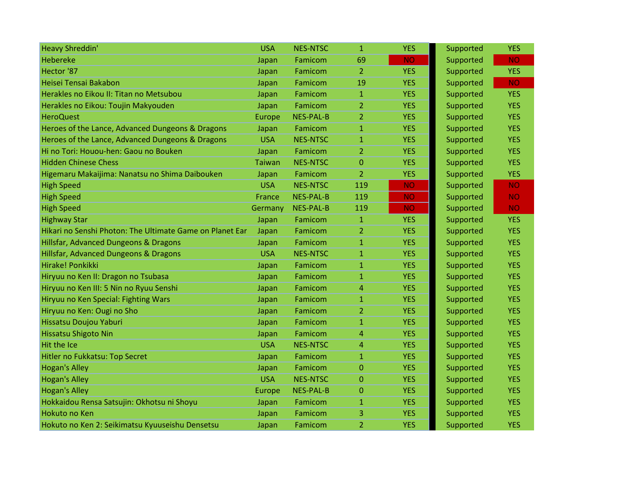| <b>Heavy Shreddin'</b>                                   | <b>USA</b>    | <b>NES-NTSC</b>  | $\mathbf{1}$   | <b>YES</b> | Supported | <b>YES</b> |
|----------------------------------------------------------|---------------|------------------|----------------|------------|-----------|------------|
| Hebereke                                                 | Japan         | Famicom          | 69             | <b>NO</b>  | Supported | <b>NO</b>  |
| Hector '87                                               | Japan         | Famicom          | $\overline{2}$ | <b>YES</b> | Supported | <b>YES</b> |
| Heisei Tensai Bakabon                                    | Japan         | Famicom          | 19             | <b>YES</b> | Supported | <b>NO</b>  |
| Herakles no Eikou II: Titan no Metsubou                  | Japan         | Famicom          | $\mathbf{1}$   | <b>YES</b> | Supported | <b>YES</b> |
| Herakles no Eikou: Toujin Makyouden                      | Japan         | Famicom          | $\overline{2}$ | <b>YES</b> | Supported | <b>YES</b> |
| <b>HeroQuest</b>                                         | Europe        | <b>NES-PAL-B</b> | $\overline{2}$ | <b>YES</b> | Supported | <b>YES</b> |
| Heroes of the Lance, Advanced Dungeons & Dragons         | Japan         | Famicom          | $\mathbf{1}$   | <b>YES</b> | Supported | <b>YES</b> |
| Heroes of the Lance, Advanced Dungeons & Dragons         | <b>USA</b>    | <b>NES-NTSC</b>  | $\mathbf{1}$   | <b>YES</b> | Supported | <b>YES</b> |
| Hi no Tori: Houou-hen: Gaou no Bouken                    | Japan         | Famicom          | $\overline{2}$ | <b>YES</b> | Supported | <b>YES</b> |
| <b>Hidden Chinese Chess</b>                              | <b>Taiwan</b> | <b>NES-NTSC</b>  | 0              | <b>YES</b> | Supported | <b>YES</b> |
| Higemaru Makaijima: Nanatsu no Shima Daibouken           | Japan         | Famicom          | $\overline{2}$ | <b>YES</b> | Supported | <b>YES</b> |
| <b>High Speed</b>                                        | <b>USA</b>    | <b>NES-NTSC</b>  | 119            | <b>NO</b>  | Supported | <b>NO</b>  |
| <b>High Speed</b>                                        | France        | <b>NES-PAL-B</b> | 119            | <b>NO</b>  | Supported | NO.        |
| <b>High Speed</b>                                        | Germany       | <b>NES-PAL-B</b> | 119            | <b>NO</b>  | Supported | <b>NO</b>  |
| <b>Highway Star</b>                                      | Japan         | Famicom          | 1              | <b>YES</b> | Supported | <b>YES</b> |
| Hikari no Senshi Photon: The Ultimate Game on Planet Ear | Japan         | Famicom          | $\overline{2}$ | <b>YES</b> | Supported | <b>YES</b> |
| Hillsfar, Advanced Dungeons & Dragons                    | Japan         | Famicom          | $\mathbf{1}$   | <b>YES</b> | Supported | <b>YES</b> |
| Hillsfar, Advanced Dungeons & Dragons                    | <b>USA</b>    | <b>NES-NTSC</b>  | $\mathbf{1}$   | <b>YES</b> | Supported | <b>YES</b> |
| Hirake! Ponkikki                                         | Japan         | Famicom          | $\mathbf{1}$   | <b>YES</b> | Supported | <b>YES</b> |
| Hiryuu no Ken II: Dragon no Tsubasa                      | Japan         | Famicom          | 1              | <b>YES</b> | Supported | <b>YES</b> |
| Hiryuu no Ken III: 5 Nin no Ryuu Senshi                  | Japan         | Famicom          | 4              | <b>YES</b> | Supported | <b>YES</b> |
| Hiryuu no Ken Special: Fighting Wars                     | Japan         | Famicom          | $\mathbf{1}$   | <b>YES</b> | Supported | <b>YES</b> |
| Hiryuu no Ken: Ougi no Sho                               | Japan         | Famicom          | $\overline{2}$ | <b>YES</b> | Supported | <b>YES</b> |
| Hissatsu Doujou Yaburi                                   | Japan         | Famicom          | $\mathbf{1}$   | <b>YES</b> | Supported | <b>YES</b> |
| <b>Hissatsu Shigoto Nin</b>                              | Japan         | Famicom          | 4              | <b>YES</b> | Supported | <b>YES</b> |
| Hit the Ice                                              | <b>USA</b>    | <b>NES-NTSC</b>  | 4              | <b>YES</b> | Supported | <b>YES</b> |
| Hitler no Fukkatsu: Top Secret                           | Japan         | Famicom          | $\mathbf{1}$   | <b>YES</b> | Supported | <b>YES</b> |
| <b>Hogan's Alley</b>                                     | Japan         | Famicom          | $\mathbf 0$    | <b>YES</b> | Supported | <b>YES</b> |
| <b>Hogan's Alley</b>                                     | <b>USA</b>    | <b>NES-NTSC</b>  | $\mathbf 0$    | <b>YES</b> | Supported | <b>YES</b> |
| <b>Hogan's Alley</b>                                     | Europe        | <b>NES-PAL-B</b> | $\Omega$       | <b>YES</b> | Supported | <b>YES</b> |
| Hokkaidou Rensa Satsujin: Okhotsu ni Shoyu               | Japan         | Famicom          | $\mathbf{1}$   | <b>YES</b> | Supported | <b>YES</b> |
| Hokuto no Ken                                            | Japan         | Famicom          | 3              | <b>YES</b> | Supported | <b>YES</b> |
| Hokuto no Ken 2: Seikimatsu Kyuuseishu Densetsu          | Japan         | Famicom          | $\overline{2}$ | <b>YES</b> | Supported | <b>YES</b> |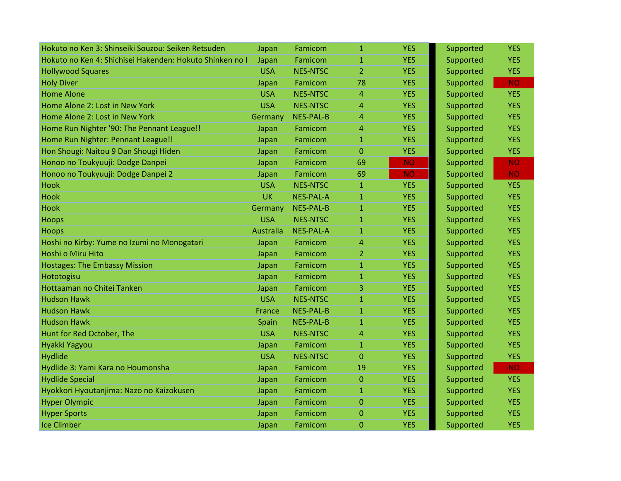| Hokuto no Ken 3: Shinseiki Souzou: Seiken Retsuden       | Japan      | Famicom          | $\mathbf 1$    | <b>YES</b> | Supported | <b>YES</b> |
|----------------------------------------------------------|------------|------------------|----------------|------------|-----------|------------|
| Hokuto no Ken 4: Shichisei Hakenden: Hokuto Shinken no I | Japan      | Famicom          | $\mathbf{1}$   | <b>YES</b> | Supported | <b>YES</b> |
| <b>Hollywood Squares</b>                                 | <b>USA</b> | <b>NES-NTSC</b>  | $\overline{2}$ | <b>YES</b> | Supported | <b>YES</b> |
| <b>Holy Diver</b>                                        | Japan      | Famicom          | 78             | <b>YES</b> | Supported | <b>NO</b>  |
| <b>Home Alone</b>                                        | <b>USA</b> | <b>NES-NTSC</b>  | $\overline{4}$ | <b>YES</b> | Supported | <b>YES</b> |
| Home Alone 2: Lost in New York                           | <b>USA</b> | <b>NES-NTSC</b>  | 4              | <b>YES</b> | Supported | <b>YES</b> |
| Home Alone 2: Lost in New York                           | Germany    | <b>NES-PAL-B</b> | $\overline{4}$ | <b>YES</b> | Supported | <b>YES</b> |
| Home Run Nighter '90: The Pennant League!!               | Japan      | Famicom          | $\overline{4}$ | <b>YES</b> | Supported | <b>YES</b> |
| Home Run Nighter: Pennant League!!                       | Japan      | Famicom          | $\mathbf{1}$   | <b>YES</b> | Supported | <b>YES</b> |
| Hon Shougi: Naitou 9 Dan Shougi Hiden                    | Japan      | Famicom          | $\overline{0}$ | <b>YES</b> | Supported | <b>YES</b> |
| Honoo no Toukyuuji: Dodge Danpei                         | Japan      | Famicom          | 69             | <b>NO</b>  | Supported | <b>NO</b>  |
| Honoo no Toukyuuji: Dodge Danpei 2                       | Japan      | Famicom          | 69             | <b>NO</b>  | Supported | <b>NO</b>  |
| <b>Hook</b>                                              | <b>USA</b> | <b>NES-NTSC</b>  | $\mathbf{1}$   | <b>YES</b> | Supported | <b>YES</b> |
| <b>Hook</b>                                              | <b>UK</b>  | <b>NES-PAL-A</b> | $\mathbf{1}$   | <b>YES</b> | Supported | <b>YES</b> |
| Hook                                                     | Germany    | <b>NES-PAL-B</b> | $\mathbf{1}$   | <b>YES</b> | Supported | <b>YES</b> |
| <b>Hoops</b>                                             | <b>USA</b> | <b>NES-NTSC</b>  | $\mathbf{1}$   | <b>YES</b> | Supported | <b>YES</b> |
| Hoops                                                    | Australia  | <b>NES-PAL-A</b> | $\mathbf{1}$   | <b>YES</b> | Supported | <b>YES</b> |
| Hoshi no Kirby: Yume no Izumi no Monogatari              | Japan      | Famicom          | $\overline{4}$ | <b>YES</b> | Supported | <b>YES</b> |
| Hoshi o Miru Hito                                        | Japan      | Famicom          | $\overline{2}$ | <b>YES</b> | Supported | <b>YES</b> |
| <b>Hostages: The Embassy Mission</b>                     | Japan      | Famicom          | $\mathbf{1}$   | <b>YES</b> | Supported | <b>YES</b> |
| Hototogisu                                               | Japan      | Famicom          | $\mathbf{1}$   | <b>YES</b> | Supported | <b>YES</b> |
| Hottaaman no Chitei Tanken                               | Japan      | Famicom          | 3              | <b>YES</b> | Supported | <b>YES</b> |
| <b>Hudson Hawk</b>                                       | <b>USA</b> | <b>NES-NTSC</b>  | $\mathbf{1}$   | <b>YES</b> | Supported | <b>YES</b> |
| <b>Hudson Hawk</b>                                       | France     | <b>NES-PAL-B</b> | $\mathbf{1}$   | <b>YES</b> | Supported | <b>YES</b> |
| <b>Hudson Hawk</b>                                       | Spain      | <b>NES-PAL-B</b> | $\mathbf{1}$   | <b>YES</b> | Supported | <b>YES</b> |
| Hunt for Red October, The                                | <b>USA</b> | <b>NES-NTSC</b>  | 4              | <b>YES</b> | Supported | <b>YES</b> |
| Hyakki Yagyou                                            | Japan      | Famicom          | $\mathbf{1}$   | <b>YES</b> | Supported | <b>YES</b> |
| <b>Hydlide</b>                                           | <b>USA</b> | <b>NES-NTSC</b>  | $\overline{0}$ | <b>YES</b> | Supported | <b>YES</b> |
| Hydlide 3: Yami Kara no Houmonsha                        | Japan      | Famicom          | 19             | <b>YES</b> | Supported | <b>NO</b>  |
| <b>Hydlide Special</b>                                   | Japan      | Famicom          | $\mathbf 0$    | <b>YES</b> | Supported | <b>YES</b> |
| Hyokkori Hyoutanjima: Nazo no Kaizokusen                 | Japan      | Famicom          | $\mathbf{1}$   | <b>YES</b> | Supported | <b>YES</b> |
| <b>Hyper Olympic</b>                                     | Japan      | Famicom          | $\mathbf{0}$   | <b>YES</b> | Supported | <b>YES</b> |
| <b>Hyper Sports</b>                                      | Japan      | Famicom          | $\overline{0}$ | <b>YES</b> | Supported | <b>YES</b> |
| <b>Ice Climber</b>                                       | Japan      | Famicom          | $\mathbf{0}$   | <b>YES</b> | Supported | <b>YES</b> |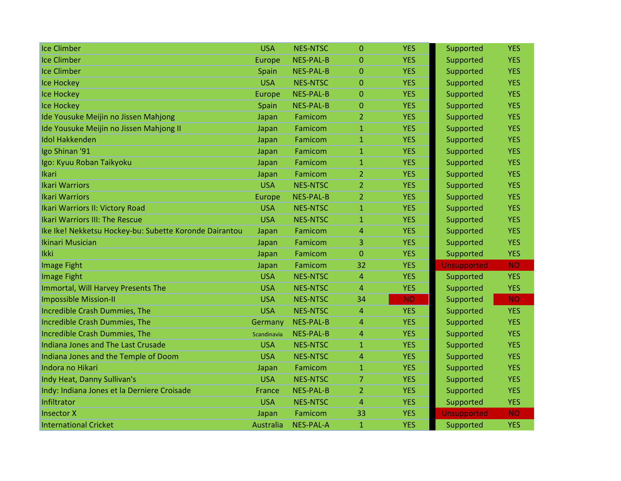| <b>Ice Climber</b>                                     | <b>USA</b>    | <b>NES-NTSC</b>  | $\overline{0}$ | <b>YES</b> | Supported          | <b>YES</b> |
|--------------------------------------------------------|---------------|------------------|----------------|------------|--------------------|------------|
| <b>Ice Climber</b>                                     | <b>Europe</b> | NES-PAL-B        | $\Omega$       | <b>YES</b> | Supported          | <b>YES</b> |
| <b>Ice Climber</b>                                     | Spain         | NES-PAL-B        | $\Omega$       | <b>YES</b> | Supported          | <b>YES</b> |
| <b>Ice Hockey</b>                                      | <b>USA</b>    | <b>NES-NTSC</b>  | $\overline{0}$ | <b>YES</b> | Supported          | <b>YES</b> |
| <b>Ice Hockey</b>                                      | <b>Europe</b> | <b>NES-PAL-B</b> | $\overline{0}$ | <b>YES</b> | Supported          | <b>YES</b> |
| <b>Ice Hockey</b>                                      | Spain         | <b>NES-PAL-B</b> | 0              | <b>YES</b> | Supported          | <b>YES</b> |
| Ide Yousuke Meijin no Jissen Mahjong                   | Japan         | Famicom          | 2              | <b>YES</b> | Supported          | <b>YES</b> |
| Ide Yousuke Meijin no Jissen Mahjong II                | Japan         | Famicom          | $\mathbf{1}$   | <b>YES</b> | Supported          | <b>YES</b> |
| <b>Idol Hakkenden</b>                                  | Japan         | Famicom          | $\mathbf{1}$   | <b>YES</b> | Supported          | <b>YES</b> |
| Igo Shinan '91                                         | Japan         | Famicom          | 1              | <b>YES</b> | Supported          | <b>YES</b> |
| Igo: Kyuu Roban Taikyoku                               | Japan         | Famicom          | 1              | <b>YES</b> | Supported          | <b>YES</b> |
| <b>Ikari</b>                                           | Japan         | Famicom          | 2              | <b>YES</b> | Supported          | <b>YES</b> |
| <b>Ikari Warriors</b>                                  | <b>USA</b>    | <b>NES-NTSC</b>  | $\overline{2}$ | <b>YES</b> | Supported          | <b>YES</b> |
| <b>Ikari Warriors</b>                                  | Europe        | <b>NES-PAL-B</b> | $\overline{2}$ | <b>YES</b> | Supported          | <b>YES</b> |
| Ikari Warriors II: Victory Road                        | <b>USA</b>    | <b>NES-NTSC</b>  | $\mathbf{1}$   | <b>YES</b> | Supported          | <b>YES</b> |
| <b>Ikari Warriors III: The Rescue</b>                  | <b>USA</b>    | <b>NES-NTSC</b>  | $\mathbf{1}$   | <b>YES</b> | Supported          | <b>YES</b> |
| Ike Ike! Nekketsu Hockey-bu: Subette Koronde Dairantou | Japan         | Famicom          | 4              | <b>YES</b> | Supported          | <b>YES</b> |
| <b>Ikinari Musician</b>                                | Japan         | Famicom          | 3              | <b>YES</b> | Supported          | <b>YES</b> |
| Ikki                                                   | Japan         | Famicom          | $\overline{0}$ | <b>YES</b> | Supported          | <b>YES</b> |
| <b>Image Fight</b>                                     | Japan         | Famicom          | 32             | <b>YES</b> | <b>Unsupported</b> | <b>NO</b>  |
| <b>Image Fight</b>                                     | <b>USA</b>    | <b>NES-NTSC</b>  | 4              | <b>YES</b> | Supported          | <b>YES</b> |
| Immortal, Will Harvey Presents The                     | <b>USA</b>    | <b>NES-NTSC</b>  | 4              | <b>YES</b> | Supported          | <b>YES</b> |
| <b>Impossible Mission-II</b>                           | <b>USA</b>    | <b>NES-NTSC</b>  | 34             | <b>NO</b>  | Supported          | <b>NO</b>  |
| Incredible Crash Dummies, The                          | <b>USA</b>    | <b>NES-NTSC</b>  | 4              | <b>YES</b> | Supported          | <b>YES</b> |
| Incredible Crash Dummies, The                          | Germany       | <b>NES-PAL-B</b> | 4              | <b>YES</b> | Supported          | <b>YES</b> |
| Incredible Crash Dummies, The                          | Scandinavia   | NES-PAL-B        | 4              | <b>YES</b> | Supported          | <b>YES</b> |
| Indiana Jones and The Last Crusade                     | <b>USA</b>    | <b>NES-NTSC</b>  | 1              | <b>YES</b> | Supported          | <b>YES</b> |
| Indiana Jones and the Temple of Doom                   | <b>USA</b>    | <b>NES-NTSC</b>  | 4              | <b>YES</b> | Supported          | <b>YES</b> |
| Indora no Hikari                                       | Japan         | Famicom          | $\mathbf{1}$   | <b>YES</b> | Supported          | <b>YES</b> |
| Indy Heat, Danny Sullivan's                            | <b>USA</b>    | <b>NES-NTSC</b>  | 7              | <b>YES</b> | Supported          | <b>YES</b> |
| Indy: Indiana Jones et la Derniere Croisade            | France        | <b>NES-PAL-B</b> | 2              | <b>YES</b> | Supported          | <b>YES</b> |
| Infiltrator                                            | <b>USA</b>    | <b>NES-NTSC</b>  | 4              | <b>YES</b> | Supported          | <b>YES</b> |
| <b>Insector X</b>                                      | Japan         | Famicom          | 33             | <b>YES</b> | <b>Unsupported</b> | <b>NO</b>  |
| <b>International Cricket</b>                           | Australia     | <b>NES-PAL-A</b> | $\mathbf{1}$   | <b>YES</b> | Supported          | <b>YES</b> |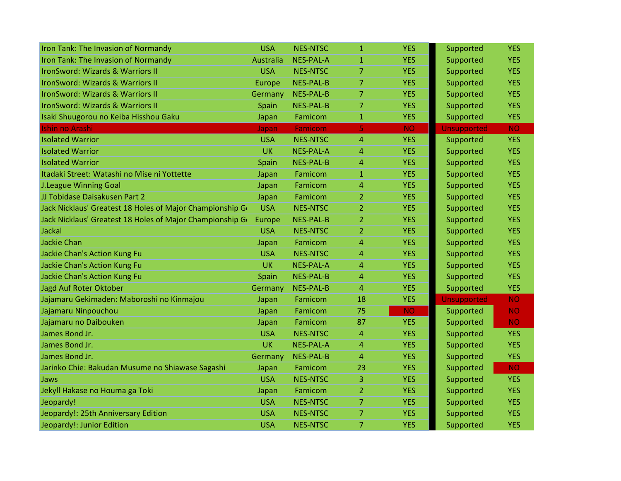| Iron Tank: The Invasion of Normandy                       | <b>USA</b> | <b>NES-NTSC</b>  | $\mathbf{1}$   | <b>YES</b> | Supported          | <b>YES</b> |
|-----------------------------------------------------------|------------|------------------|----------------|------------|--------------------|------------|
| Iron Tank: The Invasion of Normandy                       | Australia  | <b>NES-PAL-A</b> | $\mathbf{1}$   | <b>YES</b> | Supported          | <b>YES</b> |
| IronSword: Wizards & Warriors II                          | <b>USA</b> | <b>NES-NTSC</b>  | $\overline{7}$ | <b>YES</b> | Supported          | <b>YES</b> |
| IronSword: Wizards & Warriors II                          | Europe     | <b>NES-PAL-B</b> | $\overline{7}$ | <b>YES</b> | Supported          | <b>YES</b> |
| IronSword: Wizards & Warriors II                          | Germany    | <b>NES-PAL-B</b> | 7              | <b>YES</b> | Supported          | <b>YES</b> |
| IronSword: Wizards & Warriors II                          | Spain      | <b>NES-PAL-B</b> | 7              | <b>YES</b> | Supported          | <b>YES</b> |
| Isaki Shuugorou no Keiba Hisshou Gaku                     | Japan      | Famicom          | $\mathbf{1}$   | <b>YES</b> | Supported          | <b>YES</b> |
| <b>Ishin no Arashi</b>                                    | Japan      | Famicom          | 5              | <b>NO</b>  | <b>Unsupported</b> | <b>NO</b>  |
| <b>Isolated Warrior</b>                                   | <b>USA</b> | <b>NES-NTSC</b>  | 4              | <b>YES</b> | Supported          | <b>YES</b> |
| <b>Isolated Warrior</b>                                   | <b>UK</b>  | <b>NES-PAL-A</b> | 4              | <b>YES</b> | Supported          | <b>YES</b> |
| <b>Isolated Warrior</b>                                   | Spain      | <b>NES-PAL-B</b> | 4              | <b>YES</b> | Supported          | <b>YES</b> |
| Itadaki Street: Watashi no Mise ni Yottette               | Japan      | Famicom          | $\mathbf{1}$   | <b>YES</b> | Supported          | <b>YES</b> |
| <b>J.League Winning Goal</b>                              | Japan      | Famicom          | 4              | <b>YES</b> | Supported          | <b>YES</b> |
| JJ Tobidase Daisakusen Part 2                             | Japan      | Famicom          | $\overline{2}$ | <b>YES</b> | Supported          | <b>YES</b> |
| Jack Nicklaus' Greatest 18 Holes of Major Championship Go | <b>USA</b> | <b>NES-NTSC</b>  | 2              | <b>YES</b> | Supported          | <b>YES</b> |
| Jack Nicklaus' Greatest 18 Holes of Major Championship Go | Europe     | <b>NES-PAL-B</b> | 2              | <b>YES</b> | Supported          | <b>YES</b> |
| Jackal                                                    | <b>USA</b> | <b>NES-NTSC</b>  | $\overline{2}$ | <b>YES</b> | Supported          | <b>YES</b> |
| <b>Jackie Chan</b>                                        | Japan      | Famicom          | 4              | <b>YES</b> | Supported          | <b>YES</b> |
| Jackie Chan's Action Kung Fu                              | <b>USA</b> | <b>NES-NTSC</b>  | 4              | <b>YES</b> | Supported          | <b>YES</b> |
| Jackie Chan's Action Kung Fu                              | <b>UK</b>  | <b>NES-PAL-A</b> | 4              | <b>YES</b> | Supported          | <b>YES</b> |
| Jackie Chan's Action Kung Fu                              | Spain      | <b>NES-PAL-B</b> | 4              | <b>YES</b> | Supported          | <b>YES</b> |
| Jagd Auf Roter Oktober                                    | Germany    | NES-PAL-B        | 4              | <b>YES</b> | Supported          | <b>YES</b> |
| Jajamaru Gekimaden: Maboroshi no Kinmajou                 | Japan      | Famicom          | 18             | <b>YES</b> | Unsupported        | <b>NO</b>  |
| Jajamaru Ninpouchou                                       | Japan      | Famicom          | 75             | <b>NO</b>  | Supported          | <b>NO</b>  |
| Jajamaru no Daibouken                                     | Japan      | Famicom          | 87             | <b>YES</b> | Supported          | <b>NO</b>  |
| James Bond Jr.                                            | <b>USA</b> | <b>NES-NTSC</b>  | $\overline{4}$ | <b>YES</b> | Supported          | <b>YES</b> |
| James Bond Jr.                                            | <b>UK</b>  | <b>NES-PAL-A</b> | $\overline{4}$ | <b>YES</b> | Supported          | <b>YES</b> |
| James Bond Jr.                                            | Germany    | <b>NES-PAL-B</b> | 4              | <b>YES</b> | Supported          | <b>YES</b> |
| Jarinko Chie: Bakudan Musume no Shiawase Sagashi          | Japan      | Famicom          | 23             | <b>YES</b> | Supported          | <b>NO</b>  |
| Jaws                                                      | <b>USA</b> | <b>NES-NTSC</b>  | 3              | <b>YES</b> | Supported          | <b>YES</b> |
| Jekyll Hakase no Houma ga Toki                            | Japan      | Famicom          | $\mathbf{2}$   | <b>YES</b> | Supported          | <b>YES</b> |
| Jeopardy!                                                 | <b>USA</b> | <b>NES-NTSC</b>  | $\overline{7}$ | <b>YES</b> | Supported          | <b>YES</b> |
| Jeopardy!: 25th Anniversary Edition                       | <b>USA</b> | <b>NES-NTSC</b>  | 7              | <b>YES</b> | Supported          | <b>YES</b> |
| Jeopardy!: Junior Edition                                 | <b>USA</b> | <b>NES-NTSC</b>  | 7              | <b>YES</b> | Supported          | <b>YES</b> |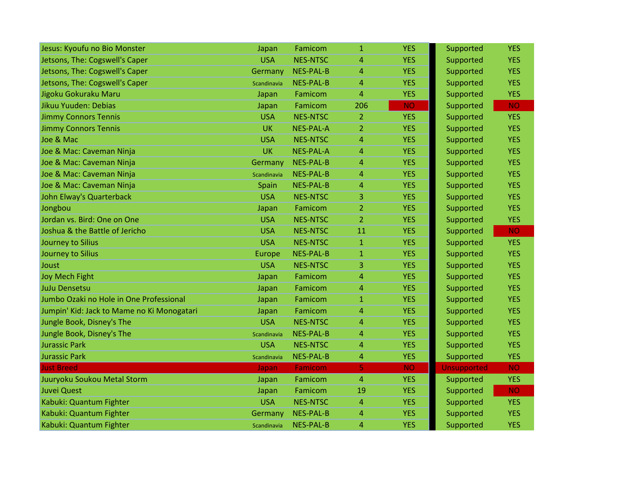| Jesus: Kyoufu no Bio Monster               | Japan       | Famicom          | $\mathbf{1}$   | <b>YES</b> | Supported          | <b>YES</b> |
|--------------------------------------------|-------------|------------------|----------------|------------|--------------------|------------|
| Jetsons, The: Cogswell's Caper             | <b>USA</b>  | <b>NES-NTSC</b>  | 4              | <b>YES</b> | Supported          | <b>YES</b> |
| Jetsons, The: Cogswell's Caper             | Germany     | <b>NES-PAL-B</b> | $\overline{4}$ | <b>YES</b> | Supported          | <b>YES</b> |
| Jetsons, The: Cogswell's Caper             | Scandinavia | <b>NES-PAL-B</b> | $\overline{4}$ | <b>YES</b> | Supported          | <b>YES</b> |
| Jigoku Gokuraku Maru                       | Japan       | Famicom          | $\overline{4}$ | <b>YES</b> | Supported          | <b>YES</b> |
| Jikuu Yuuden: Debias                       | Japan       | Famicom          | 206            | <b>NO</b>  | Supported          | <b>NO</b>  |
| <b>Jimmy Connors Tennis</b>                | <b>USA</b>  | <b>NES-NTSC</b>  | $\overline{2}$ | <b>YES</b> | Supported          | <b>YES</b> |
| <b>Jimmy Connors Tennis</b>                | <b>UK</b>   | <b>NES-PAL-A</b> | $\overline{2}$ | <b>YES</b> | Supported          | <b>YES</b> |
| Joe & Mac                                  | <b>USA</b>  | <b>NES-NTSC</b>  | $\overline{4}$ | <b>YES</b> | Supported          | <b>YES</b> |
| Joe & Mac: Caveman Ninja                   | UK          | <b>NES-PAL-A</b> | $\overline{4}$ | <b>YES</b> | Supported          | <b>YES</b> |
| Joe & Mac: Caveman Ninja                   | Germany     | <b>NES-PAL-B</b> | 4              | <b>YES</b> | Supported          | <b>YES</b> |
| Joe & Mac: Caveman Ninja                   | Scandinavia | NES-PAL-B        | $\overline{4}$ | <b>YES</b> | Supported          | <b>YES</b> |
| Joe & Mac: Caveman Ninja                   | Spain       | <b>NES-PAL-B</b> | $\overline{4}$ | <b>YES</b> | Supported          | <b>YES</b> |
| John Elway's Quarterback                   | <b>USA</b>  | <b>NES-NTSC</b>  | 3              | <b>YES</b> | Supported          | <b>YES</b> |
| Jongbou                                    | Japan       | Famicom          | $\overline{2}$ | <b>YES</b> | Supported          | <b>YES</b> |
| Jordan vs. Bird: One on One                | <b>USA</b>  | <b>NES-NTSC</b>  | $\overline{2}$ | <b>YES</b> | Supported          | <b>YES</b> |
| Joshua & the Battle of Jericho             | <b>USA</b>  | <b>NES-NTSC</b>  | 11             | <b>YES</b> | Supported          | <b>NO</b>  |
| Journey to Silius                          | <b>USA</b>  | <b>NES-NTSC</b>  | $\mathbf{1}$   | <b>YES</b> | Supported          | <b>YES</b> |
| Journey to Silius                          | Europe      | <b>NES-PAL-B</b> | $\mathbf{1}$   | <b>YES</b> | Supported          | <b>YES</b> |
| Joust                                      | <b>USA</b>  | <b>NES-NTSC</b>  | 3              | <b>YES</b> | Supported          | <b>YES</b> |
| <b>Joy Mech Fight</b>                      | Japan       | Famicom          | 4              | <b>YES</b> | Supported          | <b>YES</b> |
| <b>JuJu Densetsu</b>                       | Japan       | Famicom          | $\overline{4}$ | <b>YES</b> | Supported          | <b>YES</b> |
| Jumbo Ozaki no Hole in One Professional    | Japan       | Famicom          | $\mathbf{1}$   | <b>YES</b> | Supported          | <b>YES</b> |
| Jumpin' Kid: Jack to Mame no Ki Monogatari | Japan       | Famicom          | 4              | <b>YES</b> | Supported          | <b>YES</b> |
| Jungle Book, Disney's The                  | <b>USA</b>  | <b>NES-NTSC</b>  | 4              | <b>YES</b> | Supported          | <b>YES</b> |
| Jungle Book, Disney's The                  | Scandinavia | <b>NES-PAL-B</b> | 4              | <b>YES</b> | Supported          | <b>YES</b> |
| <b>Jurassic Park</b>                       | <b>USA</b>  | <b>NES-NTSC</b>  | $\overline{4}$ | <b>YES</b> | Supported          | <b>YES</b> |
| <b>Jurassic Park</b>                       | Scandinavia | <b>NES-PAL-B</b> | 4              | <b>YES</b> | Supported          | <b>YES</b> |
| <b>Just Breed</b>                          | Japan       | <b>Famicom</b>   | 5              | <b>NO</b>  | <b>Unsupported</b> | <b>NO</b>  |
| Juuryoku Soukou Metal Storm                | Japan       | Famicom          | 4              | <b>YES</b> | Supported          | <b>YES</b> |
| <b>Juvei Quest</b>                         | Japan       | Famicom          | 19             | <b>YES</b> | Supported          | <b>NO</b>  |
| Kabuki: Quantum Fighter                    | <b>USA</b>  | <b>NES-NTSC</b>  | $\overline{4}$ | <b>YES</b> | Supported          | <b>YES</b> |
| Kabuki: Quantum Fighter                    | Germany     | NES-PAL-B        | $\overline{4}$ | <b>YES</b> | Supported          | <b>YES</b> |
| Kabuki: Quantum Fighter                    | Scandinavia | <b>NES-PAL-B</b> | $\overline{4}$ | <b>YES</b> | Supported          | <b>YES</b> |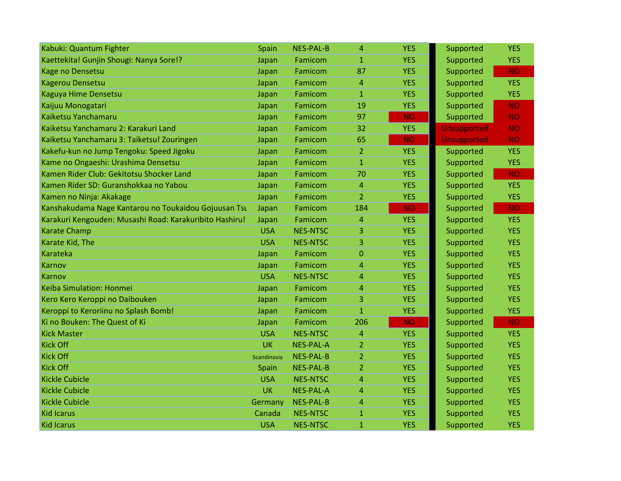| Kabuki: Quantum Fighter                                 | Spain       | <b>NES-PAL-B</b> | $\overline{4}$ | <b>YES</b> | Supported          | <b>YES</b> |
|---------------------------------------------------------|-------------|------------------|----------------|------------|--------------------|------------|
| Kaettekita! Gunjin Shougi: Nanya Sore!?                 | Japan       | Famicom          | $\mathbf{1}$   | <b>YES</b> | Supported          | <b>YES</b> |
| Kage no Densetsu                                        | Japan       | Famicom          | 87             | <b>YES</b> | Supported          | <b>NO</b>  |
| <b>Kagerou Densetsu</b>                                 | Japan       | Famicom          | $\overline{4}$ | <b>YES</b> | Supported          | <b>YES</b> |
| Kaguya Hime Densetsu                                    | Japan       | Famicom          | $\mathbf{1}$   | <b>YES</b> | Supported          | <b>YES</b> |
| Kaijuu Monogatari                                       | Japan       | Famicom          | 19             | <b>YES</b> | Supported          | <b>NO</b>  |
| Kaiketsu Yanchamaru                                     | Japan       | Famicom          | 97             | <b>NO</b>  | Supported          | <b>NO</b>  |
| Kaiketsu Yanchamaru 2: Karakuri Land                    | Japan       | Famicom          | 32             | <b>YES</b> | <b>Unsupported</b> | <b>NO</b>  |
| Kaiketsu Yanchamaru 3: Taiketsu! Zouringen              | Japan       | Famicom          | 65             | <b>NO</b>  | <b>Unsupported</b> | <b>NO</b>  |
| Kakefu-kun no Jump Tengoku: Speed Jigoku                | Japan       | Famicom          | $\overline{2}$ | <b>YES</b> | Supported          | <b>YES</b> |
| Kame no Ongaeshi: Urashima Densetsu                     | Japan       | Famicom          | $\mathbf{1}$   | <b>YES</b> | Supported          | <b>YES</b> |
| Kamen Rider Club: Gekitotsu Shocker Land                | Japan       | Famicom          | 70             | <b>YES</b> | Supported          | <b>NO</b>  |
| Kamen Rider SD: Guranshokkaa no Yabou                   | Japan       | Famicom          | $\overline{4}$ | <b>YES</b> | Supported          | <b>YES</b> |
| Kamen no Ninja: Akakage                                 | Japan       | Famicom          | $\overline{2}$ | <b>YES</b> | Supported          | <b>YES</b> |
| Kanshakudama Nage Kantarou no Toukaidou Gojuusan Tsu    | Japan       | Famicom          | 184            | <b>NO</b>  | Supported          | <b>NO</b>  |
| Karakuri Kengouden: Musashi Road: Karakuribito Hashiru! | Japan       | Famicom          | $\overline{4}$ | <b>YES</b> | Supported          | <b>YES</b> |
| <b>Karate Champ</b>                                     | <b>USA</b>  | <b>NES-NTSC</b>  | 3              | <b>YES</b> | Supported          | <b>YES</b> |
| Karate Kid, The                                         | <b>USA</b>  | <b>NES-NTSC</b>  | 3              | <b>YES</b> | Supported          | <b>YES</b> |
| <b>Karateka</b>                                         | Japan       | Famicom          | $\mathbf{0}$   | <b>YES</b> | Supported          | <b>YES</b> |
| Karnov                                                  | Japan       | Famicom          | $\overline{4}$ | <b>YES</b> | Supported          | <b>YES</b> |
| Karnov                                                  | <b>USA</b>  | <b>NES-NTSC</b>  | 4              | <b>YES</b> | Supported          | <b>YES</b> |
| Keiba Simulation: Honmei                                | Japan       | Famicom          | $\overline{4}$ | <b>YES</b> | Supported          | <b>YES</b> |
| Kero Kero Keroppi no Daibouken                          | Japan       | Famicom          | 3              | <b>YES</b> | Supported          | <b>YES</b> |
| Keroppi to Keroriinu no Splash Bomb!                    | Japan       | Famicom          | $\mathbf{1}$   | <b>YES</b> | Supported          | <b>YES</b> |
| Ki no Bouken: The Quest of Ki                           | Japan       | Famicom          | 206            | <b>NO</b>  | Supported          | <b>NO</b>  |
| <b>Kick Master</b>                                      | <b>USA</b>  | <b>NES-NTSC</b>  | $\overline{4}$ | <b>YES</b> | Supported          | <b>YES</b> |
| <b>Kick Off</b>                                         | <b>UK</b>   | <b>NES-PAL-A</b> | $\overline{2}$ | <b>YES</b> | Supported          | <b>YES</b> |
| <b>Kick Off</b>                                         | Scandinavia | <b>NES-PAL-B</b> | $\overline{2}$ | <b>YES</b> | Supported          | <b>YES</b> |
| <b>Kick Off</b>                                         | Spain       | <b>NES-PAL-B</b> | $\overline{2}$ | <b>YES</b> | Supported          | <b>YES</b> |
| <b>Kickle Cubicle</b>                                   | <b>USA</b>  | <b>NES-NTSC</b>  | 4              | <b>YES</b> | Supported          | <b>YES</b> |
| <b>Kickle Cubicle</b>                                   | <b>UK</b>   | <b>NES-PAL-A</b> | 4              | <b>YES</b> | Supported          | <b>YES</b> |
| <b>Kickle Cubicle</b>                                   | Germany     | <b>NES-PAL-B</b> | $\overline{4}$ | <b>YES</b> | Supported          | <b>YES</b> |
| <b>Kid Icarus</b>                                       | Canada      | <b>NES-NTSC</b>  | $\mathbf{1}$   | <b>YES</b> | Supported          | <b>YES</b> |
| <b>Kid Icarus</b>                                       | <b>USA</b>  | <b>NES-NTSC</b>  | $\mathbf{1}$   | <b>YES</b> | Supported          | <b>YES</b> |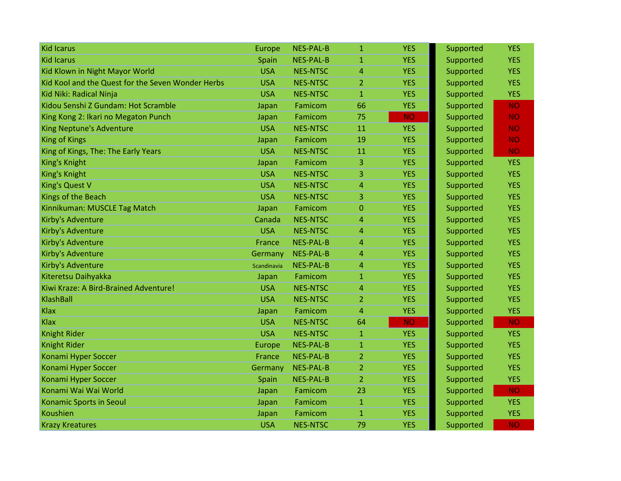| <b>Kid Icarus</b>                                 | Europe      | <b>NES-PAL-B</b> | 1              | <b>YES</b> | Supported | <b>YES</b> |
|---------------------------------------------------|-------------|------------------|----------------|------------|-----------|------------|
| <b>Kid Icarus</b>                                 | Spain       | <b>NES-PAL-B</b> | $\mathbf{1}$   | <b>YES</b> | Supported | <b>YES</b> |
| Kid Klown in Night Mayor World                    | <b>USA</b>  | <b>NES-NTSC</b>  | 4              | <b>YES</b> | Supported | <b>YES</b> |
| Kid Kool and the Quest for the Seven Wonder Herbs | <b>USA</b>  | <b>NES-NTSC</b>  | $\overline{2}$ | <b>YES</b> | Supported | <b>YES</b> |
| Kid Niki: Radical Ninja                           | <b>USA</b>  | <b>NES-NTSC</b>  | $\mathbf{1}$   | <b>YES</b> | Supported | <b>YES</b> |
| Kidou Senshi Z Gundam: Hot Scramble               | Japan       | Famicom          | 66             | <b>YES</b> | Supported | <b>NO</b>  |
| King Kong 2: Ikari no Megaton Punch               | Japan       | Famicom          | 75             | <b>NO</b>  | Supported | <b>NO</b>  |
| King Neptune's Adventure                          | <b>USA</b>  | <b>NES-NTSC</b>  | 11             | <b>YES</b> | Supported | <b>NO</b>  |
| <b>King of Kings</b>                              | Japan       | Famicom          | 19             | <b>YES</b> | Supported | <b>NO</b>  |
| King of Kings, The: The Early Years               | <b>USA</b>  | <b>NES-NTSC</b>  | 11             | <b>YES</b> | Supported | <b>NO</b>  |
| King's Knight                                     | Japan       | Famicom          | 3              | <b>YES</b> | Supported | <b>YES</b> |
| King's Knight                                     | <b>USA</b>  | <b>NES-NTSC</b>  | 3              | <b>YES</b> | Supported | <b>YES</b> |
| <b>King's Quest V</b>                             | <b>USA</b>  | <b>NES-NTSC</b>  | 4              | <b>YES</b> | Supported | <b>YES</b> |
| Kings of the Beach                                | <b>USA</b>  | <b>NES-NTSC</b>  | 3              | <b>YES</b> | Supported | <b>YES</b> |
| Kinnikuman: MUSCLE Tag Match                      | Japan       | Famicom          | 0              | <b>YES</b> | Supported | <b>YES</b> |
| Kirby's Adventure                                 | Canada      | <b>NES-NTSC</b>  | 4              | <b>YES</b> | Supported | <b>YES</b> |
| Kirby's Adventure                                 | <b>USA</b>  | <b>NES-NTSC</b>  | 4              | <b>YES</b> | Supported | <b>YES</b> |
| Kirby's Adventure                                 | France      | <b>NES-PAL-B</b> | 4              | <b>YES</b> | Supported | <b>YES</b> |
| Kirby's Adventure                                 | Germany     | <b>NES-PAL-B</b> | 4              | <b>YES</b> | Supported | <b>YES</b> |
| Kirby's Adventure                                 | Scandinavia | <b>NES-PAL-B</b> | 4              | <b>YES</b> | Supported | <b>YES</b> |
| Kiteretsu Daihyakka                               | Japan       | Famicom          | $\mathbf{1}$   | <b>YES</b> | Supported | <b>YES</b> |
| Kiwi Kraze: A Bird-Brained Adventure!             | <b>USA</b>  | <b>NES-NTSC</b>  | 4              | <b>YES</b> | Supported | <b>YES</b> |
| KlashBall                                         | <b>USA</b>  | <b>NES-NTSC</b>  | $\overline{2}$ | <b>YES</b> | Supported | <b>YES</b> |
| Klax                                              | Japan       | Famicom          | 4              | <b>YES</b> | Supported | <b>YES</b> |
| <b>Klax</b>                                       | <b>USA</b>  | <b>NES-NTSC</b>  | 64             | <b>NO</b>  | Supported | <b>NO</b>  |
| <b>Knight Rider</b>                               | <b>USA</b>  | <b>NES-NTSC</b>  | $\mathbf{1}$   | <b>YES</b> | Supported | <b>YES</b> |
| <b>Knight Rider</b>                               | Europe      | <b>NES-PAL-B</b> | $\mathbf{1}$   | <b>YES</b> | Supported | <b>YES</b> |
| Konami Hyper Soccer                               | France      | <b>NES-PAL-B</b> | $\overline{2}$ | <b>YES</b> | Supported | <b>YES</b> |
| Konami Hyper Soccer                               | Germany     | <b>NES-PAL-B</b> | $\overline{2}$ | <b>YES</b> | Supported | <b>YES</b> |
| Konami Hyper Soccer                               | Spain       | <b>NES-PAL-B</b> | $\overline{2}$ | <b>YES</b> | Supported | <b>YES</b> |
| Konami Wai Wai World                              | Japan       | Famicom          | 23             | <b>YES</b> | Supported | <b>NO</b>  |
| Konamic Sports in Seoul                           | Japan       | Famicom          | $\mathbf{1}$   | <b>YES</b> | Supported | <b>YES</b> |
| Koushien                                          | Japan       | Famicom          | $\mathbf{1}$   | <b>YES</b> | Supported | <b>YES</b> |
| <b>Krazy Kreatures</b>                            | <b>USA</b>  | <b>NES-NTSC</b>  | 79             | <b>YES</b> | Supported | <b>NO</b>  |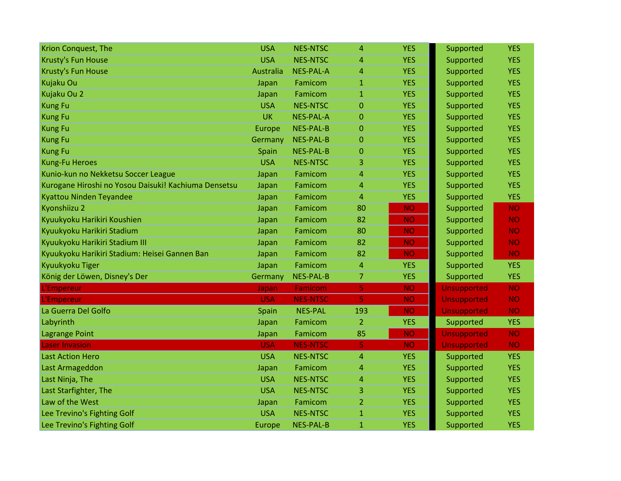| Krion Conquest, The                                  | <b>USA</b>       | <b>NES-NTSC</b>  | 4              | <b>YES</b> | Supported          | <b>YES</b> |
|------------------------------------------------------|------------------|------------------|----------------|------------|--------------------|------------|
| Krusty's Fun House                                   | <b>USA</b>       | <b>NES-NTSC</b>  | 4              | <b>YES</b> | Supported          | <b>YES</b> |
| Krusty's Fun House                                   | <b>Australia</b> | <b>NES-PAL-A</b> | 4              | <b>YES</b> | Supported          | <b>YES</b> |
| Kujaku Ou                                            | Japan            | Famicom          | $\mathbf{1}$   | <b>YES</b> | Supported          | <b>YES</b> |
| Kujaku Ou 2                                          | Japan            | Famicom          | $\mathbf{1}$   | <b>YES</b> | Supported          | <b>YES</b> |
| <b>Kung Fu</b>                                       | <b>USA</b>       | <b>NES-NTSC</b>  | 0              | <b>YES</b> | Supported          | <b>YES</b> |
| <b>Kung Fu</b>                                       | <b>UK</b>        | NES-PAL-A        | 0              | <b>YES</b> | Supported          | <b>YES</b> |
| <b>Kung Fu</b>                                       | Europe           | <b>NES-PAL-B</b> | $\overline{0}$ | <b>YES</b> | Supported          | <b>YES</b> |
| <b>Kung Fu</b>                                       | Germany          | <b>NES-PAL-B</b> | $\overline{0}$ | <b>YES</b> | Supported          | <b>YES</b> |
| <b>Kung Fu</b>                                       | Spain            | <b>NES-PAL-B</b> | 0              | <b>YES</b> | Supported          | <b>YES</b> |
| Kung-Fu Heroes                                       | <b>USA</b>       | <b>NES-NTSC</b>  | 3.             | <b>YES</b> | Supported          | <b>YES</b> |
| Kunio-kun no Nekketsu Soccer League                  | Japan            | Famicom          | 4              | <b>YES</b> | Supported          | <b>YES</b> |
| Kurogane Hiroshi no Yosou Daisuki! Kachiuma Densetsu | Japan            | Famicom          | 4              | <b>YES</b> | Supported          | <b>YES</b> |
| Kyattou Ninden Teyandee                              | Japan            | Famicom          | 4              | <b>YES</b> | Supported          | <b>YES</b> |
| Kyonshiizu 2                                         | Japan            | Famicom          | 80             | <b>NO</b>  | Supported          | <b>NO</b>  |
| Kyuukyoku Harikiri Koushien                          | Japan            | Famicom          | 82             | <b>NO</b>  | Supported          | <b>NO</b>  |
| Kyuukyoku Harikiri Stadium                           | Japan            | Famicom          | 80             | <b>NO</b>  | Supported          | <b>NO</b>  |
| Kyuukyoku Harikiri Stadium III                       | Japan            | Famicom          | 82             | <b>NO</b>  | Supported          | <b>NO</b>  |
| Kyuukyoku Harikiri Stadium: Heisei Gannen Ban        | Japan            | Famicom          | 82             | <b>NO</b>  | Supported          | <b>NO</b>  |
| Kyuukyoku Tiger                                      | Japan            | Famicom          | 4              | <b>YES</b> | Supported          | <b>YES</b> |
| König der Löwen, Disney's Der                        | Germany          | <b>NES-PAL-B</b> | 7              | <b>YES</b> | Supported          | <b>YES</b> |
| <b>Empereur</b>                                      | Japan            | Famicom          | 5              | <b>NO</b>  | <b>Unsupported</b> | <b>NO</b>  |
| L'Empereur                                           | <b>USA</b>       | <b>NES-NTSC</b>  | 5              | <b>NO</b>  | <b>Unsupported</b> | <b>NO</b>  |
| La Guerra Del Golfo                                  | Spain            | <b>NES-PAL</b>   | 193            | <b>NO</b>  | <b>Unsupported</b> | <b>NO</b>  |
| Labyrinth                                            | Japan            | Famicom          | 2              | <b>YES</b> | Supported          | <b>YES</b> |
| <b>Lagrange Point</b>                                | Japan            | Famicom          | 85             | <b>NO</b>  | <b>Unsupported</b> | <b>NO</b>  |
| <b>Laser Invasion</b>                                | <b>USA</b>       | <b>NES-NTSC</b>  | 5              | <b>NO</b>  | <b>Unsupported</b> | <b>NO</b>  |
| <b>Last Action Hero</b>                              | <b>USA</b>       | <b>NES-NTSC</b>  | 4              | <b>YES</b> | Supported          | <b>YES</b> |
| Last Armageddon                                      | Japan            | Famicom          | 4              | <b>YES</b> | Supported          | <b>YES</b> |
| Last Ninja, The                                      | <b>USA</b>       | <b>NES-NTSC</b>  | 4              | <b>YES</b> | Supported          | <b>YES</b> |
| Last Starfighter, The                                | <b>USA</b>       | <b>NES-NTSC</b>  | 3              | <b>YES</b> | Supported          | <b>YES</b> |
| Law of the West                                      | Japan            | Famicom          | 2              | <b>YES</b> | Supported          | <b>YES</b> |
| Lee Trevino's Fighting Golf                          | <b>USA</b>       | <b>NES-NTSC</b>  | $\mathbf{1}$   | <b>YES</b> | Supported          | <b>YES</b> |
| Lee Trevino's Fighting Golf                          | <b>Europe</b>    | <b>NES-PAL-B</b> | $\mathbf{1}$   | <b>YES</b> | Supported          | <b>YES</b> |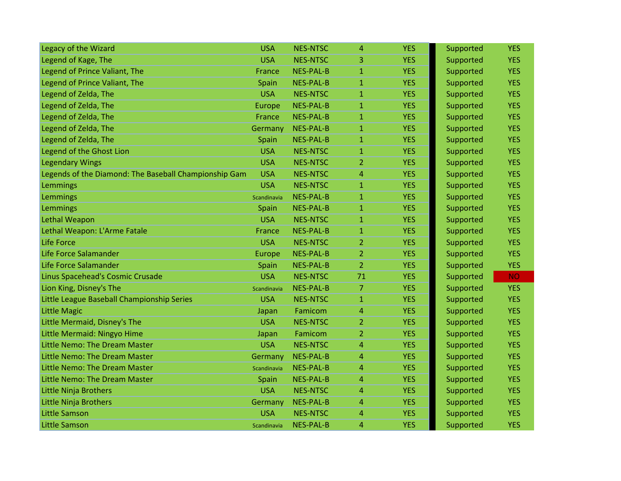| Legacy of the Wizard                                  | <b>USA</b>    | <b>NES-NTSC</b>  | 4              | <b>YES</b> | Supported | <b>YES</b> |
|-------------------------------------------------------|---------------|------------------|----------------|------------|-----------|------------|
| Legend of Kage, The                                   | <b>USA</b>    | <b>NES-NTSC</b>  | 3              | <b>YES</b> | Supported | <b>YES</b> |
| Legend of Prince Valiant, The                         | France        | NES-PAL-B        | $\mathbf{1}$   | <b>YES</b> | Supported | <b>YES</b> |
| Legend of Prince Valiant, The                         | Spain         | <b>NES-PAL-B</b> | $\mathbf{1}$   | <b>YES</b> | Supported | <b>YES</b> |
| Legend of Zelda, The                                  | <b>USA</b>    | <b>NES-NTSC</b>  | $\mathbf{1}$   | <b>YES</b> | Supported | <b>YES</b> |
| Legend of Zelda, The                                  | Europe        | <b>NES-PAL-B</b> | 1              | <b>YES</b> | Supported | <b>YES</b> |
| Legend of Zelda, The                                  | France        | <b>NES-PAL-B</b> | $\mathbf{1}$   | <b>YES</b> | Supported | <b>YES</b> |
| Legend of Zelda, The                                  | Germany       | <b>NES-PAL-B</b> | $\mathbf{1}$   | <b>YES</b> | Supported | <b>YES</b> |
| Legend of Zelda, The                                  | Spain         | <b>NES-PAL-B</b> | $\mathbf{1}$   | <b>YES</b> | Supported | <b>YES</b> |
| Legend of the Ghost Lion                              | <b>USA</b>    | <b>NES-NTSC</b>  | $\mathbf{1}$   | <b>YES</b> | Supported | <b>YES</b> |
| <b>Legendary Wings</b>                                | <b>USA</b>    | <b>NES-NTSC</b>  | 2              | <b>YES</b> | Supported | <b>YES</b> |
| Legends of the Diamond: The Baseball Championship Gam | <b>USA</b>    | <b>NES-NTSC</b>  | 4              | <b>YES</b> | Supported | <b>YES</b> |
| Lemmings                                              | <b>USA</b>    | <b>NES-NTSC</b>  | $\mathbf{1}$   | <b>YES</b> | Supported | <b>YES</b> |
| Lemmings                                              | Scandinavia   | <b>NES-PAL-B</b> | $\mathbf{1}$   | <b>YES</b> | Supported | <b>YES</b> |
| Lemmings                                              | Spain         | <b>NES-PAL-B</b> | $\mathbf{1}$   | <b>YES</b> | Supported | <b>YES</b> |
| Lethal Weapon                                         | <b>USA</b>    | <b>NES-NTSC</b>  | $\mathbf{1}$   | <b>YES</b> | Supported | <b>YES</b> |
| Lethal Weapon: L'Arme Fatale                          | France        | <b>NES-PAL-B</b> | $\mathbf{1}$   | <b>YES</b> | Supported | <b>YES</b> |
| Life Force                                            | <b>USA</b>    | <b>NES-NTSC</b>  | $\overline{2}$ | <b>YES</b> | Supported | <b>YES</b> |
| Life Force Salamander                                 | <b>Europe</b> | <b>NES-PAL-B</b> | $\overline{2}$ | <b>YES</b> | Supported | <b>YES</b> |
| Life Force Salamander                                 | Spain         | <b>NES-PAL-B</b> | $\overline{2}$ | <b>YES</b> | Supported | <b>YES</b> |
| Linus Spacehead's Cosmic Crusade                      | <b>USA</b>    | <b>NES-NTSC</b>  | 71             | <b>YES</b> | Supported | <b>NO</b>  |
| Lion King, Disney's The                               | Scandinavia   | <b>NES-PAL-B</b> | $\mathcal{I}$  | <b>YES</b> | Supported | <b>YES</b> |
| Little League Baseball Championship Series            | <b>USA</b>    | <b>NES-NTSC</b>  | $\mathbf{1}$   | <b>YES</b> | Supported | <b>YES</b> |
| <b>Little Magic</b>                                   | Japan         | Famicom          | 4              | <b>YES</b> | Supported | <b>YES</b> |
| Little Mermaid, Disney's The                          | <b>USA</b>    | <b>NES-NTSC</b>  | $\overline{2}$ | <b>YES</b> | Supported | <b>YES</b> |
| Little Mermaid: Ningyo Hime                           | Japan         | Famicom          | 2              | <b>YES</b> | Supported | <b>YES</b> |
| Little Nemo: The Dream Master                         | <b>USA</b>    | <b>NES-NTSC</b>  | $\overline{4}$ | <b>YES</b> | Supported | <b>YES</b> |
| Little Nemo: The Dream Master                         | Germany       | <b>NES-PAL-B</b> | 4              | <b>YES</b> | Supported | <b>YES</b> |
| Little Nemo: The Dream Master                         | Scandinavia   | <b>NES-PAL-B</b> | 4              | <b>YES</b> | Supported | <b>YES</b> |
| Little Nemo: The Dream Master                         | Spain         | <b>NES-PAL-B</b> | 4              | <b>YES</b> | Supported | <b>YES</b> |
| Little Ninja Brothers                                 | <b>USA</b>    | <b>NES-NTSC</b>  | 4              | <b>YES</b> | Supported | <b>YES</b> |
| Little Ninja Brothers                                 | Germany       | <b>NES-PAL-B</b> | $\overline{4}$ | <b>YES</b> | Supported | <b>YES</b> |
| <b>Little Samson</b>                                  | <b>USA</b>    | <b>NES-NTSC</b>  | 4              | <b>YES</b> | Supported | <b>YES</b> |
| <b>Little Samson</b>                                  | Scandinavia   | <b>NES-PAL-B</b> | 4              | <b>YES</b> | Supported | <b>YES</b> |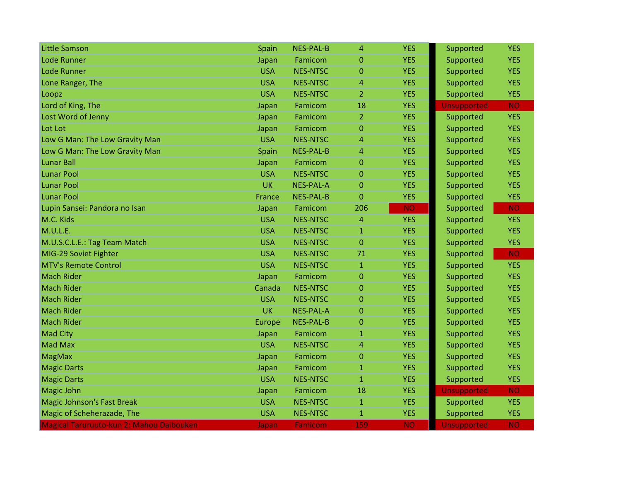| <b>Little Samson</b>                     | Spain      | <b>NES-PAL-B</b> | $\overline{4}$ | <b>YES</b> | Supported          | <b>YES</b> |
|------------------------------------------|------------|------------------|----------------|------------|--------------------|------------|
| <b>Lode Runner</b>                       | Japan      | Famicom          | $\mathbf{0}$   | <b>YES</b> | Supported          | <b>YES</b> |
| <b>Lode Runner</b>                       | <b>USA</b> | <b>NES-NTSC</b>  | $\mathbf{0}$   | <b>YES</b> | Supported          | <b>YES</b> |
| Lone Ranger, The                         | <b>USA</b> | <b>NES-NTSC</b>  | $\overline{4}$ | <b>YES</b> | Supported          | <b>YES</b> |
| Loopz                                    | <b>USA</b> | <b>NES-NTSC</b>  | $\overline{2}$ | <b>YES</b> | Supported          | <b>YES</b> |
| Lord of King, The                        | Japan      | Famicom          | 18             | <b>YES</b> | <b>Unsupported</b> | <b>NO</b>  |
| Lost Word of Jenny                       | Japan      | Famicom          | $\overline{2}$ | <b>YES</b> | Supported          | <b>YES</b> |
| Lot Lot                                  | Japan      | Famicom          | $\overline{0}$ | <b>YES</b> | Supported          | <b>YES</b> |
| Low G Man: The Low Gravity Man           | <b>USA</b> | <b>NES-NTSC</b>  | $\overline{4}$ | <b>YES</b> | Supported          | <b>YES</b> |
| Low G Man: The Low Gravity Man           | Spain      | <b>NES-PAL-B</b> | $\overline{4}$ | <b>YES</b> | Supported          | <b>YES</b> |
| <b>Lunar Ball</b>                        | Japan      | Famicom          | $\mathbf 0$    | <b>YES</b> | Supported          | <b>YES</b> |
| <b>Lunar Pool</b>                        | <b>USA</b> | <b>NES-NTSC</b>  | $\Omega$       | <b>YES</b> | Supported          | <b>YES</b> |
| <b>Lunar Pool</b>                        | <b>UK</b>  | <b>NES-PAL-A</b> | $\Omega$       | <b>YES</b> | Supported          | <b>YES</b> |
| <b>Lunar Pool</b>                        | France     | <b>NES-PAL-B</b> | $\mathbf{0}$   | <b>YES</b> | Supported          | <b>YES</b> |
| Lupin Sansei: Pandora no Isan            | Japan      | Famicom          | 206            | <b>NO</b>  | Supported          | <b>NO</b>  |
| M.C. Kids                                | <b>USA</b> | <b>NES-NTSC</b>  | 4              | <b>YES</b> | Supported          | <b>YES</b> |
| M.U.L.E.                                 | <b>USA</b> | <b>NES-NTSC</b>  | $\mathbf{1}$   | <b>YES</b> | Supported          | <b>YES</b> |
| M.U.S.C.L.E.: Tag Team Match             | <b>USA</b> | <b>NES-NTSC</b>  | $\overline{0}$ | <b>YES</b> | Supported          | <b>YES</b> |
| MIG-29 Soviet Fighter                    | <b>USA</b> | <b>NES-NTSC</b>  | 71             | <b>YES</b> | Supported          | <b>NO</b>  |
| <b>MTV's Remote Control</b>              | <b>USA</b> | <b>NES-NTSC</b>  | $\mathbf{1}$   | <b>YES</b> | Supported          | <b>YES</b> |
| <b>Mach Rider</b>                        | Japan      | Famicom          | $\mathbf{0}$   | <b>YES</b> | Supported          | <b>YES</b> |
| <b>Mach Rider</b>                        | Canada     | <b>NES-NTSC</b>  | $\Omega$       | <b>YES</b> | Supported          | <b>YES</b> |
| <b>Mach Rider</b>                        | <b>USA</b> | <b>NES-NTSC</b>  | $\mathbf{0}$   | <b>YES</b> | Supported          | <b>YES</b> |
| <b>Mach Rider</b>                        | <b>UK</b>  | <b>NES-PAL-A</b> | $\Omega$       | <b>YES</b> | Supported          | <b>YES</b> |
| <b>Mach Rider</b>                        | Europe     | <b>NES-PAL-B</b> | $\mathbf 0$    | <b>YES</b> | Supported          | <b>YES</b> |
| <b>Mad City</b>                          | Japan      | Famicom          | $\mathbf{1}$   | <b>YES</b> | Supported          | <b>YES</b> |
| <b>Mad Max</b>                           | <b>USA</b> | <b>NES-NTSC</b>  | $\overline{4}$ | <b>YES</b> | Supported          | <b>YES</b> |
| <b>MagMax</b>                            | Japan      | Famicom          | $\mathbf{0}$   | <b>YES</b> | Supported          | <b>YES</b> |
| <b>Magic Darts</b>                       | Japan      | Famicom          | $\mathbf{1}$   | <b>YES</b> | Supported          | <b>YES</b> |
| <b>Magic Darts</b>                       | <b>USA</b> | <b>NES-NTSC</b>  | $\mathbf{1}$   | <b>YES</b> | Supported          | <b>YES</b> |
| <b>Magic John</b>                        | Japan      | Famicom          | 18             | <b>YES</b> | <b>Unsupported</b> | <b>NO</b>  |
| <b>Magic Johnson's Fast Break</b>        | <b>USA</b> | <b>NES-NTSC</b>  | $\mathbf{1}$   | <b>YES</b> | Supported          | <b>YES</b> |
| Magic of Scheherazade, The               | <b>USA</b> | <b>NES-NTSC</b>  | 1              | <b>YES</b> | Supported          | <b>YES</b> |
| Magical Taruruuto-kun 2: Mahou Daibouken | Japan      | Famicom          | 159            | <b>NO</b>  | <b>Unsupported</b> | <b>NO</b>  |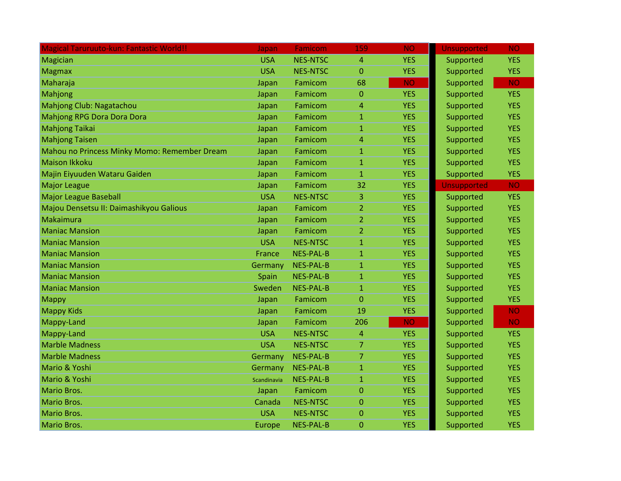| <b>Magical Taruruuto-kun: Fantastic World!!</b> | Japan       | Famicom          | 159            | <b>NO</b>  | <b>Unsupported</b> | <b>NO</b>  |
|-------------------------------------------------|-------------|------------------|----------------|------------|--------------------|------------|
| Magician                                        | <b>USA</b>  | <b>NES-NTSC</b>  | 4              | <b>YES</b> | Supported          | <b>YES</b> |
| <b>Magmax</b>                                   | <b>USA</b>  | <b>NES-NTSC</b>  | $\mathbf 0$    | <b>YES</b> | Supported          | <b>YES</b> |
| Maharaja                                        | Japan       | Famicom          | 68             | <b>NO</b>  | Supported          | <b>NO</b>  |
| Mahjong                                         | Japan       | Famicom          | $\mathbf{0}$   | <b>YES</b> | Supported          | <b>YES</b> |
| Mahjong Club: Nagatachou                        | Japan       | Famicom          | 4              | <b>YES</b> | Supported          | <b>YES</b> |
| <b>Mahjong RPG Dora Dora Dora</b>               | Japan       | Famicom          | $\mathbf{1}$   | <b>YES</b> | Supported          | <b>YES</b> |
| <b>Mahjong Taikai</b>                           | Japan       | Famicom          | $\mathbf{1}$   | <b>YES</b> | Supported          | <b>YES</b> |
| <b>Mahjong Taisen</b>                           | Japan       | Famicom          | $\overline{4}$ | <b>YES</b> | Supported          | <b>YES</b> |
| Mahou no Princess Minky Momo: Remember Dream    | Japan       | Famicom          | $\mathbf{1}$   | <b>YES</b> | Supported          | <b>YES</b> |
| <b>Maison Ikkoku</b>                            | Japan       | Famicom          | $\mathbf{1}$   | <b>YES</b> | Supported          | <b>YES</b> |
| Majin Eiyuuden Wataru Gaiden                    | Japan       | Famicom          | $\mathbf{1}$   | <b>YES</b> | Supported          | <b>YES</b> |
| <b>Major League</b>                             | Japan       | Famicom          | 32             | <b>YES</b> | <b>Unsupported</b> | <b>NO</b>  |
| <b>Major League Baseball</b>                    | <b>USA</b>  | <b>NES-NTSC</b>  | 3              | <b>YES</b> | Supported          | <b>YES</b> |
| Majou Densetsu II: Daimashikyou Galious         | Japan       | Famicom          | $\overline{2}$ | <b>YES</b> | Supported          | <b>YES</b> |
| Makaimura                                       | Japan       | Famicom          | 2              | <b>YES</b> | Supported          | <b>YES</b> |
| <b>Maniac Mansion</b>                           | Japan       | Famicom          | $\overline{2}$ | <b>YES</b> | Supported          | <b>YES</b> |
| <b>Maniac Mansion</b>                           | <b>USA</b>  | <b>NES-NTSC</b>  | $\mathbf{1}$   | <b>YES</b> | Supported          | <b>YES</b> |
| <b>Maniac Mansion</b>                           | France      | <b>NES-PAL-B</b> | $\mathbf{1}$   | <b>YES</b> | Supported          | <b>YES</b> |
| <b>Maniac Mansion</b>                           | Germany     | <b>NES-PAL-B</b> | $\mathbf{1}$   | <b>YES</b> | Supported          | <b>YES</b> |
| <b>Maniac Mansion</b>                           | Spain       | <b>NES-PAL-B</b> | $\mathbf{1}$   | <b>YES</b> | Supported          | <b>YES</b> |
| <b>Maniac Mansion</b>                           | Sweden      | <b>NES-PAL-B</b> | $\mathbf{1}$   | <b>YES</b> | Supported          | <b>YES</b> |
| <b>Mappy</b>                                    | Japan       | Famicom          | $\overline{0}$ | <b>YES</b> | Supported          | <b>YES</b> |
| <b>Mappy Kids</b>                               | Japan       | Famicom          | 19             | <b>YES</b> | Supported          | <b>NO</b>  |
| Mappy-Land                                      | Japan       | Famicom          | 206            | <b>NO</b>  | Supported          | <b>NO</b>  |
| Mappy-Land                                      | <b>USA</b>  | <b>NES-NTSC</b>  | 4              | <b>YES</b> | Supported          | <b>YES</b> |
| <b>Marble Madness</b>                           | <b>USA</b>  | <b>NES-NTSC</b>  | 7              | <b>YES</b> | Supported          | <b>YES</b> |
| <b>Marble Madness</b>                           | Germany     | <b>NES-PAL-B</b> | $\overline{7}$ | <b>YES</b> | Supported          | <b>YES</b> |
| Mario & Yoshi                                   | Germany     | <b>NES-PAL-B</b> | $\mathbf{1}$   | <b>YES</b> | Supported          | <b>YES</b> |
| Mario & Yoshi                                   | Scandinavia | <b>NES-PAL-B</b> | $\mathbf{1}$   | <b>YES</b> | Supported          | <b>YES</b> |
| Mario Bros.                                     | Japan       | Famicom          | $\Omega$       | <b>YES</b> | Supported          | <b>YES</b> |
| Mario Bros.                                     | Canada      | <b>NES-NTSC</b>  | $\mathbf{0}$   | <b>YES</b> | Supported          | <b>YES</b> |
| <b>Mario Bros.</b>                              | <b>USA</b>  | <b>NES-NTSC</b>  | $\mathbf{0}$   | <b>YES</b> | Supported          | <b>YES</b> |
| <b>Mario Bros.</b>                              | Europe      | <b>NES-PAL-B</b> | $\mathbf{0}$   | <b>YES</b> | Supported          | <b>YES</b> |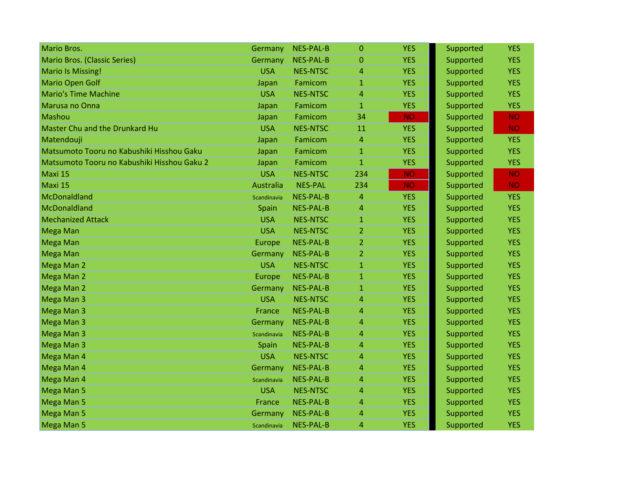| <b>Mario Bros.</b>                          | Germany          | NES-PAL-B        | $\Omega$       | <b>YES</b> | Supported | <b>YES</b> |
|---------------------------------------------|------------------|------------------|----------------|------------|-----------|------------|
| <b>Mario Bros. (Classic Series)</b>         | Germany          | <b>NES-PAL-B</b> | 0              | <b>YES</b> | Supported | <b>YES</b> |
| <b>Mario Is Missing!</b>                    | <b>USA</b>       | <b>NES-NTSC</b>  | 4              | <b>YES</b> | Supported | <b>YES</b> |
| <b>Mario Open Golf</b>                      | Japan            | Famicom          | $\mathbf{1}$   | <b>YES</b> | Supported | <b>YES</b> |
| <b>Mario's Time Machine</b>                 | <b>USA</b>       | <b>NES-NTSC</b>  | 4              | <b>YES</b> | Supported | <b>YES</b> |
| Marusa no Onna                              | Japan            | Famicom          | $\mathbf{1}$   | <b>YES</b> | Supported | <b>YES</b> |
| Mashou                                      | Japan            | Famicom          | 34             | <b>NO</b>  | Supported | <b>NO</b>  |
| <b>Master Chu and the Drunkard Hu</b>       | <b>USA</b>       | <b>NES-NTSC</b>  | 11             | <b>YES</b> | Supported | <b>NO</b>  |
| Matendouji                                  | Japan            | Famicom          | $\overline{4}$ | <b>YES</b> | Supported | <b>YES</b> |
| Matsumoto Tooru no Kabushiki Hisshou Gaku   | Japan            | Famicom          | $\mathbf{1}$   | <b>YES</b> | Supported | <b>YES</b> |
| Matsumoto Tooru no Kabushiki Hisshou Gaku 2 | Japan            | Famicom          | $\mathbf{1}$   | <b>YES</b> | Supported | <b>YES</b> |
| Maxi 15                                     | <b>USA</b>       | <b>NES-NTSC</b>  | 234            | <b>NO</b>  | Supported | <b>NO</b>  |
| Maxi 15                                     | <b>Australia</b> | <b>NES-PAL</b>   | 234            | <b>NO</b>  | Supported | <b>NO</b>  |
| McDonaldland                                | Scandinavia      | <b>NES-PAL-B</b> | 4              | <b>YES</b> | Supported | <b>YES</b> |
| McDonaldland                                | Spain            | <b>NES-PAL-B</b> | 4              | <b>YES</b> | Supported | <b>YES</b> |
| <b>Mechanized Attack</b>                    | <b>USA</b>       | <b>NES-NTSC</b>  | $\mathbf{1}$   | <b>YES</b> | Supported | <b>YES</b> |
| <b>Mega Man</b>                             | <b>USA</b>       | <b>NES-NTSC</b>  | $\overline{2}$ | <b>YES</b> | Supported | <b>YES</b> |
| <b>Mega Man</b>                             | <b>Europe</b>    | <b>NES-PAL-B</b> | $\overline{2}$ | <b>YES</b> | Supported | <b>YES</b> |
| <b>Mega Man</b>                             | Germany          | <b>NES-PAL-B</b> | $\overline{2}$ | <b>YES</b> | Supported | <b>YES</b> |
| Mega Man 2                                  | <b>USA</b>       | <b>NES-NTSC</b>  | $\mathbf{1}$   | <b>YES</b> | Supported | <b>YES</b> |
| Mega Man 2                                  | Europe           | <b>NES-PAL-B</b> | $\mathbf{1}$   | <b>YES</b> | Supported | <b>YES</b> |
| Mega Man 2                                  | Germany          | <b>NES-PAL-B</b> | $\mathbf{1}$   | <b>YES</b> | Supported | <b>YES</b> |
| Mega Man 3                                  | <b>USA</b>       | <b>NES-NTSC</b>  | 4              | <b>YES</b> | Supported | <b>YES</b> |
| Mega Man 3                                  | France           | <b>NES-PAL-B</b> | 4              | <b>YES</b> | Supported | <b>YES</b> |
| Mega Man 3                                  | Germany          | <b>NES-PAL-B</b> | 4              | <b>YES</b> | Supported | <b>YES</b> |
| Mega Man 3                                  | Scandinavia      | <b>NES-PAL-B</b> | 4              | <b>YES</b> | Supported | <b>YES</b> |
| Mega Man 3                                  | Spain            | <b>NES-PAL-B</b> | 4              | <b>YES</b> | Supported | <b>YES</b> |
| Mega Man 4                                  | <b>USA</b>       | <b>NES-NTSC</b>  | 4              | <b>YES</b> | Supported | <b>YES</b> |
| Mega Man 4                                  | Germany          | <b>NES-PAL-B</b> | 4              | <b>YES</b> | Supported | <b>YES</b> |
| Mega Man 4                                  | Scandinavia      | <b>NES-PAL-B</b> | 4              | <b>YES</b> | Supported | <b>YES</b> |
| Mega Man 5                                  | <b>USA</b>       | <b>NES-NTSC</b>  | 4              | <b>YES</b> | Supported | <b>YES</b> |
| Mega Man 5                                  | France           | <b>NES-PAL-B</b> | 4              | <b>YES</b> | Supported | <b>YES</b> |
| Mega Man 5                                  | Germany          | <b>NES-PAL-B</b> | 4              | <b>YES</b> | Supported | <b>YES</b> |
| Mega Man 5                                  | Scandinavia      | <b>NES-PAL-B</b> | 4              | <b>YES</b> | Supported | <b>YES</b> |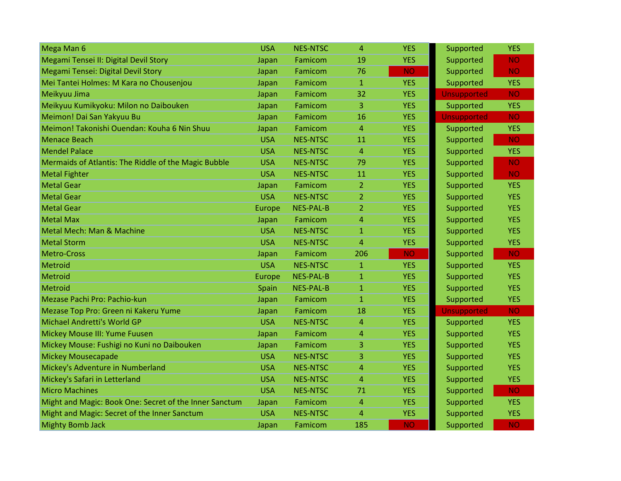| Mega Man 6                                             | <b>USA</b> | <b>NES-NTSC</b>  | 4              | <b>YES</b> | Supported          | <b>YES</b> |
|--------------------------------------------------------|------------|------------------|----------------|------------|--------------------|------------|
| Megami Tensei II: Digital Devil Story                  | Japan      | Famicom          | 19             | <b>YES</b> | Supported          | <b>NO</b>  |
| Megami Tensei: Digital Devil Story                     | Japan      | Famicom          | 76             | <b>NO</b>  | Supported          | <b>NO</b>  |
| Mei Tantei Holmes: M Kara no Chousenjou                | Japan      | Famicom          | $\mathbf{1}$   | <b>YES</b> | Supported          | <b>YES</b> |
| Meikyuu Jima                                           | Japan      | Famicom          | 32             | <b>YES</b> | <b>Unsupported</b> | <b>NO</b>  |
| Meikyuu Kumikyoku: Milon no Daibouken                  | Japan      | Famicom          | 3              | <b>YES</b> | Supported          | <b>YES</b> |
| Meimon! Dai San Yakyuu Bu                              | Japan      | Famicom          | 16             | <b>YES</b> | <b>Unsupported</b> | <b>NO</b>  |
| Meimon! Takonishi Ouendan: Kouha 6 Nin Shuu            | Japan      | <b>Famicom</b>   | 4              | <b>YES</b> | Supported          | <b>YES</b> |
| <b>Menace Beach</b>                                    | <b>USA</b> | <b>NES-NTSC</b>  | 11             | <b>YES</b> | Supported          | <b>NO</b>  |
| <b>Mendel Palace</b>                                   | <b>USA</b> | <b>NES-NTSC</b>  | 4              | <b>YES</b> | Supported          | <b>YES</b> |
| Mermaids of Atlantis: The Riddle of the Magic Bubble   | <b>USA</b> | <b>NES-NTSC</b>  | 79             | <b>YES</b> | Supported          | <b>NO</b>  |
| <b>Metal Fighter</b>                                   | <b>USA</b> | <b>NES-NTSC</b>  | 11             | <b>YES</b> | Supported          | <b>NO</b>  |
| <b>Metal Gear</b>                                      | Japan      | Famicom          | $\overline{2}$ | <b>YES</b> | Supported          | <b>YES</b> |
| <b>Metal Gear</b>                                      | <b>USA</b> | <b>NES-NTSC</b>  | 2              | <b>YES</b> | Supported          | <b>YES</b> |
| <b>Metal Gear</b>                                      | Europe     | <b>NES-PAL-B</b> | $\overline{2}$ | <b>YES</b> | Supported          | <b>YES</b> |
| <b>Metal Max</b>                                       | Japan      | Famicom          | 4              | <b>YES</b> | Supported          | <b>YES</b> |
| Metal Mech: Man & Machine                              | <b>USA</b> | <b>NES-NTSC</b>  | $\mathbf{1}$   | <b>YES</b> | Supported          | <b>YES</b> |
| <b>Metal Storm</b>                                     | <b>USA</b> | <b>NES-NTSC</b>  | $\overline{4}$ | <b>YES</b> | Supported          | <b>YES</b> |
| <b>Metro-Cross</b>                                     | Japan      | Famicom          | 206            | <b>NO</b>  | Supported          | <b>NO</b>  |
| Metroid                                                | <b>USA</b> | <b>NES-NTSC</b>  | $\mathbf{1}$   | <b>YES</b> | Supported          | <b>YES</b> |
| Metroid                                                | Europe     | NES-PAL-B        | $\mathbf{1}$   | <b>YES</b> | Supported          | <b>YES</b> |
| Metroid                                                | Spain      | <b>NES-PAL-B</b> | $\mathbf{1}$   | <b>YES</b> | Supported          | <b>YES</b> |
| Mezase Pachi Pro: Pachio-kun                           | Japan      | Famicom          | $\mathbf{1}$   | <b>YES</b> | Supported          | <b>YES</b> |
| Mezase Top Pro: Green ni Kakeru Yume                   | Japan      | Famicom          | 18             | <b>YES</b> | <b>Unsupported</b> | <b>NO</b>  |
| Michael Andretti's World GP                            | <b>USA</b> | <b>NES-NTSC</b>  | 4              | <b>YES</b> | Supported          | <b>YES</b> |
| Mickey Mouse III: Yume Fuusen                          | Japan      | Famicom          | 4              | <b>YES</b> | Supported          | <b>YES</b> |
| Mickey Mouse: Fushigi no Kuni no Daibouken             | Japan      | Famicom          | 3              | <b>YES</b> | Supported          | <b>YES</b> |
| <b>Mickey Mousecapade</b>                              | <b>USA</b> | <b>NES-NTSC</b>  | 3              | <b>YES</b> | Supported          | <b>YES</b> |
| Mickey's Adventure in Numberland                       | <b>USA</b> | <b>NES-NTSC</b>  | 4              | <b>YES</b> | Supported          | <b>YES</b> |
| Mickey's Safari in Letterland                          | <b>USA</b> | <b>NES-NTSC</b>  | 4              | <b>YES</b> | Supported          | <b>YES</b> |
| <b>Micro Machines</b>                                  | <b>USA</b> | <b>NES-NTSC</b>  | 71             | <b>YES</b> | Supported          | <b>NO</b>  |
| Might and Magic: Book One: Secret of the Inner Sanctum | Japan      | Famicom          | 4              | <b>YES</b> | Supported          | <b>YES</b> |
| Might and Magic: Secret of the Inner Sanctum           | <b>USA</b> | <b>NES-NTSC</b>  | 4              | <b>YES</b> | Supported          | <b>YES</b> |
| <b>Mighty Bomb Jack</b>                                | Japan      | Famicom          | 185            | <b>NO</b>  | Supported          | <b>NO</b>  |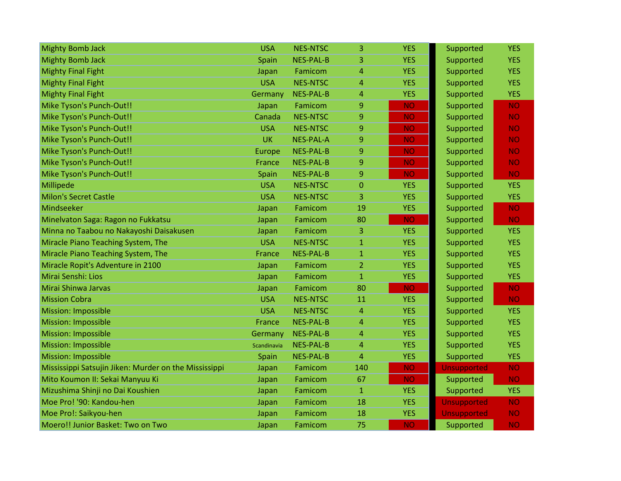| <b>Mighty Bomb Jack</b>                               | <b>USA</b>  | <b>NES-NTSC</b>  | 3              | <b>YES</b> | Supported          | <b>YES</b> |
|-------------------------------------------------------|-------------|------------------|----------------|------------|--------------------|------------|
| <b>Mighty Bomb Jack</b>                               | Spain       | <b>NES-PAL-B</b> | 3              | <b>YES</b> | Supported          | <b>YES</b> |
| <b>Mighty Final Fight</b>                             | Japan       | Famicom          | 4              | <b>YES</b> | Supported          | <b>YES</b> |
| <b>Mighty Final Fight</b>                             | <b>USA</b>  | <b>NES-NTSC</b>  | 4              | <b>YES</b> | Supported          | <b>YES</b> |
| <b>Mighty Final Fight</b>                             | Germany     | <b>NES-PAL-B</b> | 4              | <b>YES</b> | Supported          | <b>YES</b> |
| Mike Tyson's Punch-Out!!                              | Japan       | Famicom          | 9              | <b>NO</b>  | Supported          | <b>NO</b>  |
| Mike Tyson's Punch-Out!!                              | Canada      | <b>NES-NTSC</b>  | 9              | <b>NO</b>  | Supported          | <b>NO</b>  |
| Mike Tyson's Punch-Out!!                              | <b>USA</b>  | <b>NES-NTSC</b>  | 9              | <b>NO</b>  | Supported          | <b>NO</b>  |
| Mike Tyson's Punch-Out!!                              | <b>UK</b>   | NES-PAL-A        | 9              | <b>NO</b>  | Supported          | <b>NO</b>  |
| Mike Tyson's Punch-Out!!                              | Europe      | <b>NES-PAL-B</b> | 9              | <b>NO</b>  | Supported          | <b>NO</b>  |
| Mike Tyson's Punch-Out!!                              | France      | <b>NES-PAL-B</b> | 9              | <b>NO</b>  | Supported          | <b>NO</b>  |
| Mike Tyson's Punch-Out!!                              | Spain       | NES-PAL-B        | 9              | <b>NO</b>  | Supported          | <b>NO</b>  |
| Millipede                                             | <b>USA</b>  | <b>NES-NTSC</b>  | $\Omega$       | <b>YES</b> | Supported          | <b>YES</b> |
| <b>Milon's Secret Castle</b>                          | <b>USA</b>  | <b>NES-NTSC</b>  | 3              | <b>YES</b> | Supported          | <b>YES</b> |
| Mindseeker                                            | Japan       | Famicom          | 19             | <b>YES</b> | Supported          | <b>NO</b>  |
| Minelvaton Saga: Ragon no Fukkatsu                    | Japan       | Famicom          | 80             | <b>NO</b>  | Supported          | <b>NO</b>  |
| Minna no Taabou no Nakayoshi Daisakusen               | Japan       | Famicom          | 3              | <b>YES</b> | Supported          | <b>YES</b> |
| Miracle Piano Teaching System, The                    | <b>USA</b>  | <b>NES-NTSC</b>  | $\mathbf{1}$   | <b>YES</b> | Supported          | <b>YES</b> |
| Miracle Piano Teaching System, The                    | France      | <b>NES-PAL-B</b> | $\mathbf{1}$   | <b>YES</b> | Supported          | <b>YES</b> |
| Miracle Ropit's Adventure in 2100                     | Japan       | Famicom          | $\overline{2}$ | <b>YES</b> | Supported          | <b>YES</b> |
| Mirai Senshi: Lios                                    | Japan       | Famicom          | $\mathbf{1}$   | <b>YES</b> | Supported          | <b>YES</b> |
| Mirai Shinwa Jarvas                                   | Japan       | Famicom          | 80             | <b>NO</b>  | Supported          | <b>NO</b>  |
| <b>Mission Cobra</b>                                  | <b>USA</b>  | <b>NES-NTSC</b>  | 11             | <b>YES</b> | Supported          | <b>NO</b>  |
| <b>Mission: Impossible</b>                            | <b>USA</b>  | <b>NES-NTSC</b>  | $\overline{4}$ | <b>YES</b> | Supported          | <b>YES</b> |
| Mission: Impossible                                   | France      | <b>NES-PAL-B</b> | 4              | <b>YES</b> | Supported          | <b>YES</b> |
| Mission: Impossible                                   | Germany     | <b>NES-PAL-B</b> | 4              | <b>YES</b> | Supported          | <b>YES</b> |
| Mission: Impossible                                   | Scandinavia | <b>NES-PAL-B</b> | $\overline{4}$ | <b>YES</b> | Supported          | <b>YES</b> |
| Mission: Impossible                                   | Spain       | <b>NES-PAL-B</b> | $\overline{4}$ | <b>YES</b> | Supported          | <b>YES</b> |
| Mississippi Satsujin Jiken: Murder on the Mississippi | Japan       | Famicom          | 140            | <b>NO</b>  | <b>Unsupported</b> | <b>NO</b>  |
| Mito Koumon II: Sekai Manyuu Ki                       | Japan       | Famicom          | 67             | <b>NO</b>  | Supported          | <b>NO</b>  |
| Mizushima Shinji no Dai Koushien                      | Japan       | Famicom          | $\mathbf{1}$   | <b>YES</b> | Supported          | <b>YES</b> |
| Moe Pro! '90: Kandou-hen                              | Japan       | Famicom          | 18             | <b>YES</b> | <b>Unsupported</b> | <b>NO</b>  |
| Moe Pro!: Saikyou-hen                                 | Japan       | Famicom          | 18             | <b>YES</b> | Unsupported        | <b>NO</b>  |
| Moero!! Junior Basket: Two on Two                     | Japan       | Famicom          | 75             | <b>NO</b>  | Supported          | <b>NO</b>  |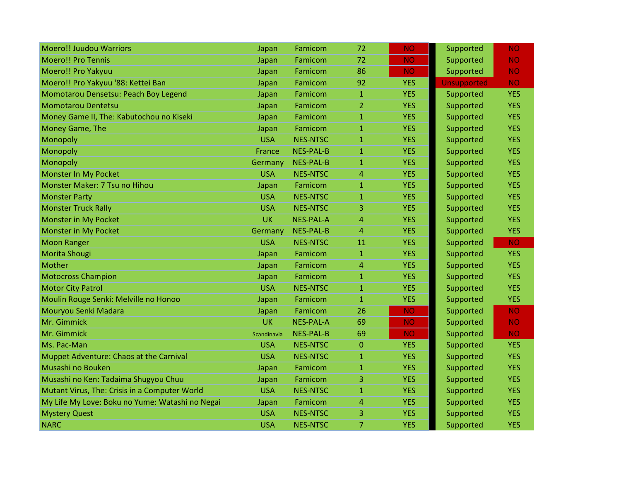| <b>Moero!! Juudou Warriors</b>                  | Japan       | Famicom          | 72           | <b>NO</b>  | Supported          | <b>NO</b>  |
|-------------------------------------------------|-------------|------------------|--------------|------------|--------------------|------------|
| <b>Moero!! Pro Tennis</b>                       | Japan       | Famicom          | 72           | <b>NO</b>  | Supported          | <b>NO</b>  |
| Moero!! Pro Yakyuu                              | Japan       | Famicom          | 86           | <b>NO</b>  | Supported          | <b>NO</b>  |
| Moero!! Pro Yakyuu '88: Kettei Ban              | Japan       | Famicom          | 92           | <b>YES</b> | <b>Unsupported</b> | <b>NO</b>  |
| Momotarou Densetsu: Peach Boy Legend            | Japan       | Famicom          | $\mathbf{1}$ | <b>YES</b> | Supported          | <b>YES</b> |
| <b>Momotarou Dentetsu</b>                       | Japan       | Famicom          | 2            | <b>YES</b> | Supported          | <b>YES</b> |
| Money Game II, The: Kabutochou no Kiseki        | Japan       | Famicom          | $\mathbf{1}$ | <b>YES</b> | Supported          | <b>YES</b> |
| Money Game, The                                 | Japan       | Famicom          | $\mathbf{1}$ | <b>YES</b> | Supported          | <b>YES</b> |
| Monopoly                                        | <b>USA</b>  | <b>NES-NTSC</b>  | $\mathbf{1}$ | <b>YES</b> | Supported          | <b>YES</b> |
| Monopoly                                        | France      | <b>NES-PAL-B</b> | $\mathbf{1}$ | <b>YES</b> | Supported          | <b>YES</b> |
| Monopoly                                        | Germany     | <b>NES-PAL-B</b> | 1            | <b>YES</b> | Supported          | <b>YES</b> |
| Monster In My Pocket                            | <b>USA</b>  | <b>NES-NTSC</b>  | 4            | <b>YES</b> | Supported          | <b>YES</b> |
| Monster Maker: 7 Tsu no Hihou                   | Japan       | Famicom          | $\mathbf{1}$ | <b>YES</b> | Supported          | <b>YES</b> |
| <b>Monster Party</b>                            | <b>USA</b>  | <b>NES-NTSC</b>  | $\mathbf{1}$ | <b>YES</b> | Supported          | <b>YES</b> |
| <b>Monster Truck Rally</b>                      | <b>USA</b>  | <b>NES-NTSC</b>  | 3            | <b>YES</b> | Supported          | <b>YES</b> |
| Monster in My Pocket                            | <b>UK</b>   | NES-PAL-A        | 4            | <b>YES</b> | Supported          | <b>YES</b> |
| Monster in My Pocket                            | Germany     | <b>NES-PAL-B</b> | 4            | <b>YES</b> | Supported          | <b>YES</b> |
| <b>Moon Ranger</b>                              | <b>USA</b>  | <b>NES-NTSC</b>  | 11           | <b>YES</b> | Supported          | <b>NO</b>  |
| Morita Shougi                                   | Japan       | Famicom          | $\mathbf{1}$ | <b>YES</b> | Supported          | <b>YES</b> |
| Mother                                          | Japan       | Famicom          | 4            | <b>YES</b> | Supported          | <b>YES</b> |
| <b>Motocross Champion</b>                       | Japan       | Famicom          | 1            | <b>YES</b> | Supported          | <b>YES</b> |
| <b>Motor City Patrol</b>                        | <b>USA</b>  | <b>NES-NTSC</b>  | $\mathbf{1}$ | <b>YES</b> | Supported          | <b>YES</b> |
| Moulin Rouge Senki: Melville no Honoo           | Japan       | Famicom          | $\mathbf{1}$ | <b>YES</b> | Supported          | <b>YES</b> |
| Mouryou Senki Madara                            | Japan       | Famicom          | 26           | <b>NO</b>  | Supported          | <b>NO</b>  |
| Mr. Gimmick                                     | <b>UK</b>   | <b>NES-PAL-A</b> | 69           | <b>NO</b>  | Supported          | <b>NO</b>  |
| Mr. Gimmick                                     | Scandinavia | <b>NES-PAL-B</b> | 69           | <b>NO</b>  | Supported          | <b>NO</b>  |
| Ms. Pac-Man                                     | <b>USA</b>  | <b>NES-NTSC</b>  | 0            | <b>YES</b> | Supported          | <b>YES</b> |
| Muppet Adventure: Chaos at the Carnival         | <b>USA</b>  | <b>NES-NTSC</b>  | $\mathbf{1}$ | <b>YES</b> | Supported          | <b>YES</b> |
| Musashi no Bouken                               | Japan       | Famicom          | $\mathbf{1}$ | <b>YES</b> | Supported          | <b>YES</b> |
| Musashi no Ken: Tadaima Shugyou Chuu            | Japan       | Famicom          | 3            | <b>YES</b> | Supported          | <b>YES</b> |
| Mutant Virus, The: Crisis in a Computer World   | <b>USA</b>  | <b>NES-NTSC</b>  | 1            | <b>YES</b> | Supported          | <b>YES</b> |
| My Life My Love: Boku no Yume: Watashi no Negai | Japan       | Famicom          | 4            | <b>YES</b> | Supported          | <b>YES</b> |
| <b>Mystery Quest</b>                            | <b>USA</b>  | <b>NES-NTSC</b>  | 3            | <b>YES</b> | Supported          | <b>YES</b> |
| <b>NARC</b>                                     | <b>USA</b>  | <b>NES-NTSC</b>  | 7            | <b>YES</b> | Supported          | <b>YES</b> |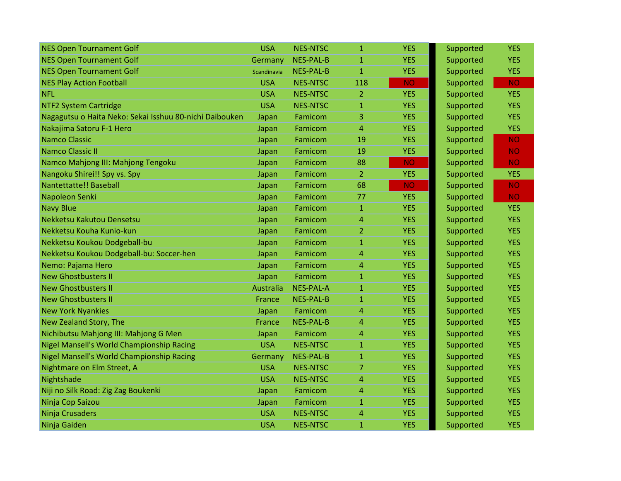| <b>NES Open Tournament Golf</b>                         | <b>USA</b>  | <b>NES-NTSC</b>  | $\mathbf{1}$   | <b>YES</b> | Supported | <b>YES</b> |
|---------------------------------------------------------|-------------|------------------|----------------|------------|-----------|------------|
| <b>NES Open Tournament Golf</b>                         | Germany     | <b>NES-PAL-B</b> | $\mathbf{1}$   | <b>YES</b> | Supported | <b>YES</b> |
| <b>NES Open Tournament Golf</b>                         | Scandinavia | <b>NES-PAL-B</b> | $\mathbf{1}$   | <b>YES</b> | Supported | <b>YES</b> |
| <b>NES Play Action Football</b>                         | <b>USA</b>  | <b>NES-NTSC</b>  | 118            | <b>NO</b>  | Supported | <b>NO</b>  |
| <b>NFL</b>                                              | <b>USA</b>  | <b>NES-NTSC</b>  | 2              | <b>YES</b> | Supported | <b>YES</b> |
| <b>NTF2 System Cartridge</b>                            | <b>USA</b>  | <b>NES-NTSC</b>  | $\mathbf{1}$   | <b>YES</b> | Supported | <b>YES</b> |
| Nagagutsu o Haita Neko: Sekai Isshuu 80-nichi Daibouken | Japan       | Famicom          | 3              | <b>YES</b> | Supported | <b>YES</b> |
| Nakajima Satoru F-1 Hero                                | Japan       | Famicom          | $\overline{4}$ | <b>YES</b> | Supported | <b>YES</b> |
| <b>Namco Classic</b>                                    | Japan       | Famicom          | 19             | <b>YES</b> | Supported | <b>NO</b>  |
| <b>Namco Classic II</b>                                 | Japan       | Famicom          | 19             | <b>YES</b> | Supported | <b>NO</b>  |
| Namco Mahjong III: Mahjong Tengoku                      | Japan       | Famicom          | 88             | <b>NO</b>  | Supported | <b>NO</b>  |
| Nangoku Shirei!! Spy vs. Spy                            | Japan       | Famicom          | $\overline{2}$ | <b>YES</b> | Supported | <b>YES</b> |
| Nantettatte!! Baseball                                  | Japan       | Famicom          | 68             | <b>NO</b>  | Supported | <b>NO</b>  |
| Napoleon Senki                                          | Japan       | Famicom          | 77             | <b>YES</b> | Supported | <b>NO</b>  |
| <b>Navy Blue</b>                                        | Japan       | Famicom          | $\mathbf{1}$   | <b>YES</b> | Supported | <b>YES</b> |
| Nekketsu Kakutou Densetsu                               | Japan       | Famicom          | 4              | <b>YES</b> | Supported | <b>YES</b> |
| Nekketsu Kouha Kunio-kun                                | Japan       | Famicom          | $\overline{2}$ | <b>YES</b> | Supported | <b>YES</b> |
| Nekketsu Koukou Dodgeball-bu                            | Japan       | Famicom          | $\mathbf{1}$   | <b>YES</b> | Supported | <b>YES</b> |
| Nekketsu Koukou Dodgeball-bu: Soccer-hen                | Japan       | Famicom          | 4              | <b>YES</b> | Supported | <b>YES</b> |
| Nemo: Pajama Hero                                       | Japan       | Famicom          | 4              | <b>YES</b> | Supported | <b>YES</b> |
| <b>New Ghostbusters II</b>                              | Japan       | Famicom          | $\mathbf{1}$   | <b>YES</b> | Supported | <b>YES</b> |
| <b>New Ghostbusters II</b>                              | Australia   | <b>NES-PAL-A</b> | $\mathbf{1}$   | <b>YES</b> | Supported | <b>YES</b> |
| <b>New Ghostbusters II</b>                              | France      | <b>NES-PAL-B</b> | $\overline{1}$ | <b>YES</b> | Supported | <b>YES</b> |
| <b>New York Nyankies</b>                                | Japan       | Famicom          | 4              | <b>YES</b> | Supported | <b>YES</b> |
| New Zealand Story, The                                  | France      | <b>NES-PAL-B</b> | 4              | <b>YES</b> | Supported | <b>YES</b> |
| Nichibutsu Mahjong III: Mahjong G Men                   | Japan       | Famicom          | 4              | <b>YES</b> | Supported | <b>YES</b> |
| Nigel Mansell's World Championship Racing               | <b>USA</b>  | <b>NES-NTSC</b>  | $\mathbf{1}$   | <b>YES</b> | Supported | <b>YES</b> |
| Nigel Mansell's World Championship Racing               | Germany     | <b>NES-PAL-B</b> | $\mathbf{1}$   | <b>YES</b> | Supported | <b>YES</b> |
| Nightmare on Elm Street, A                              | <b>USA</b>  | <b>NES-NTSC</b>  | 7              | <b>YES</b> | Supported | <b>YES</b> |
| Nightshade                                              | <b>USA</b>  | <b>NES-NTSC</b>  | 4              | <b>YES</b> | Supported | <b>YES</b> |
| Niji no Silk Road: Zig Zag Boukenki                     | Japan       | Famicom          | 4              | <b>YES</b> | Supported | <b>YES</b> |
| Ninja Cop Saizou                                        | Japan       | Famicom          | $\mathbf{1}$   | <b>YES</b> | Supported | <b>YES</b> |
| Ninja Crusaders                                         | <b>USA</b>  | <b>NES-NTSC</b>  | 4              | <b>YES</b> | Supported | <b>YES</b> |
| Ninja Gaiden                                            | <b>USA</b>  | <b>NES-NTSC</b>  | $\mathbf{1}$   | <b>YES</b> | Supported | <b>YES</b> |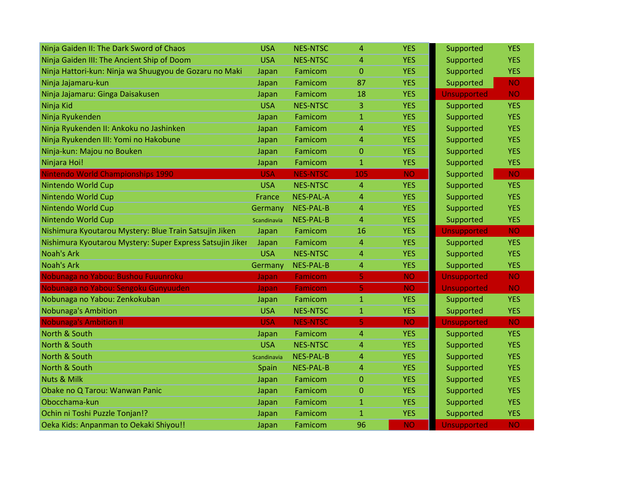| Ninja Gaiden II: The Dark Sword of Chaos                  | <b>USA</b>  | <b>NES-NTSC</b>  | $\overline{4}$ | <b>YES</b> | Supported          | <b>YES</b> |
|-----------------------------------------------------------|-------------|------------------|----------------|------------|--------------------|------------|
| Ninja Gaiden III: The Ancient Ship of Doom                | <b>USA</b>  | <b>NES-NTSC</b>  | $\overline{4}$ | <b>YES</b> | Supported          | <b>YES</b> |
| Ninja Hattori-kun: Ninja wa Shuugyou de Gozaru no Maki    | Japan       | Famicom          | $\overline{0}$ | <b>YES</b> | Supported          | <b>YES</b> |
| Ninja Jajamaru-kun                                        | Japan       | Famicom          | 87             | <b>YES</b> | Supported          | <b>NO</b>  |
| Ninja Jajamaru: Ginga Daisakusen                          | Japan       | Famicom          | 18             | <b>YES</b> | <b>Unsupported</b> | <b>NO</b>  |
| Ninja Kid                                                 | <b>USA</b>  | <b>NES-NTSC</b>  | 3              | <b>YES</b> | Supported          | <b>YES</b> |
| Ninja Ryukenden                                           | Japan       | Famicom          | $\mathbf{1}$   | <b>YES</b> | Supported          | <b>YES</b> |
| Ninja Ryukenden II: Ankoku no Jashinken                   | Japan       | Famicom          | 4              | <b>YES</b> | Supported          | <b>YES</b> |
| Ninja Ryukenden III: Yomi no Hakobune                     | Japan       | Famicom          | $\overline{4}$ | <b>YES</b> | Supported          | <b>YES</b> |
| Ninja-kun: Majou no Bouken                                | Japan       | Famicom          | $\mathbf{0}$   | <b>YES</b> | Supported          | <b>YES</b> |
| Ninjara Hoi!                                              | Japan       | Famicom          | $\mathbf{1}$   | <b>YES</b> | Supported          | <b>YES</b> |
| Nintendo World Championships 1990                         | <b>USA</b>  | <b>NES-NTSC</b>  | 105            | <b>NO</b>  | Supported          | <b>NO</b>  |
| Nintendo World Cup                                        | <b>USA</b>  | <b>NES-NTSC</b>  | $\overline{4}$ | <b>YES</b> | Supported          | <b>YES</b> |
| Nintendo World Cup                                        | France      | <b>NES-PAL-A</b> | $\overline{4}$ | <b>YES</b> | Supported          | <b>YES</b> |
| Nintendo World Cup                                        | Germany     | <b>NES-PAL-B</b> | $\overline{4}$ | <b>YES</b> | Supported          | <b>YES</b> |
| Nintendo World Cup                                        | Scandinavia | <b>NES-PAL-B</b> | 4              | <b>YES</b> | Supported          | <b>YES</b> |
| Nishimura Kyoutarou Mystery: Blue Train Satsujin Jiken    | Japan       | Famicom          | 16             | <b>YES</b> | <b>Unsupported</b> | <b>NO</b>  |
| Nishimura Kyoutarou Mystery: Super Express Satsujin Jiker | Japan       | Famicom          | $\overline{4}$ | <b>YES</b> | Supported          | <b>YES</b> |
| <b>Noah's Ark</b>                                         | <b>USA</b>  | <b>NES-NTSC</b>  | 4              | <b>YES</b> | Supported          | <b>YES</b> |
| <b>Noah's Ark</b>                                         | Germany     | <b>NES-PAL-B</b> | $\overline{4}$ | <b>YES</b> | Supported          | <b>YES</b> |
| Nobunaga no Yabou: Bushou Fuuunroku                       | Japan       | <b>Famicom</b>   | 5              | <b>NO</b>  | <b>Unsupported</b> | <b>NO</b>  |
| Nobunaga no Yabou: Sengoku Gunyuuden                      | Japan       | Famicom          | 5              | <b>NO</b>  | <b>Unsupported</b> | <b>NO</b>  |
| Nobunaga no Yabou: Zenkokuban                             | Japan       | Famicom          | $\mathbf{1}$   | <b>YES</b> | Supported          | <b>YES</b> |
| <b>Nobunaga's Ambition</b>                                | <b>USA</b>  | <b>NES-NTSC</b>  | $\mathbf{1}$   | <b>YES</b> | Supported          | <b>YES</b> |
| <b>Nobunaga's Ambition II</b>                             | <b>USA</b>  | <b>NES-NTSC</b>  | 5              | <b>NO</b>  | <b>Unsupported</b> | <b>NO</b>  |
| North & South                                             | Japan       | Famicom          | $\overline{4}$ | <b>YES</b> | Supported          | <b>YES</b> |
| North & South                                             | <b>USA</b>  | <b>NES-NTSC</b>  | $\overline{4}$ | <b>YES</b> | Supported          | <b>YES</b> |
| North & South                                             | Scandinavia | <b>NES-PAL-B</b> | 4              | <b>YES</b> | Supported          | <b>YES</b> |
| North & South                                             | Spain       | <b>NES-PAL-B</b> | $\overline{4}$ | <b>YES</b> | Supported          | <b>YES</b> |
| <b>Nuts &amp; Milk</b>                                    | Japan       | Famicom          | $\mathbf{0}$   | <b>YES</b> | Supported          | <b>YES</b> |
| Obake no Q Tarou: Wanwan Panic                            | Japan       | Famicom          | $\mathbf{0}$   | <b>YES</b> | Supported          | <b>YES</b> |
| Obocchama-kun                                             | Japan       | Famicom          | $\mathbf{1}$   | <b>YES</b> | Supported          | <b>YES</b> |
| Ochin ni Toshi Puzzle Tonjan!?                            | Japan       | Famicom          | $\mathbf{1}$   | <b>YES</b> | Supported          | <b>YES</b> |
| Oeka Kids: Anpanman to Oekaki Shiyou!!                    | Japan       | Famicom          | 96             | <b>NO</b>  | <b>Unsupported</b> | <b>NO</b>  |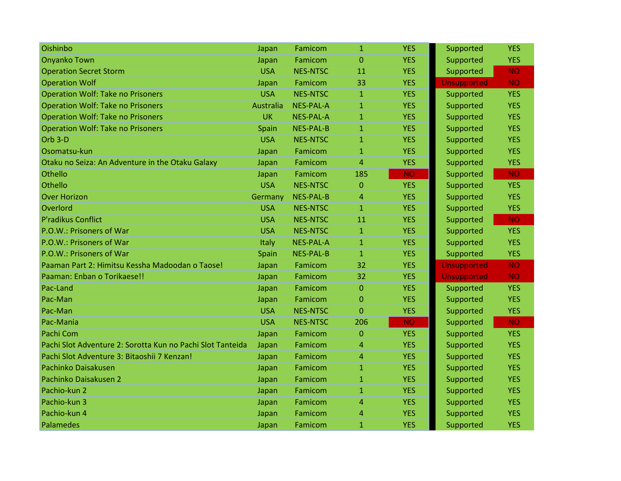| Oishinbo                                                   | Japan            | Famicom          | $\mathbf{1}$ | <b>YES</b> | Supported          | <b>YES</b> |
|------------------------------------------------------------|------------------|------------------|--------------|------------|--------------------|------------|
| <b>Onyanko Town</b>                                        | Japan            | Famicom          | $\Omega$     | <b>YES</b> | Supported          | <b>YES</b> |
| <b>Operation Secret Storm</b>                              | <b>USA</b>       | <b>NES-NTSC</b>  | 11           | <b>YES</b> | Supported          | <b>NO</b>  |
| <b>Operation Wolf</b>                                      | Japan            | Famicom          | 33           | <b>YES</b> | <b>Unsupported</b> | <b>NO</b>  |
| <b>Operation Wolf: Take no Prisoners</b>                   | <b>USA</b>       | <b>NES-NTSC</b>  | $\mathbf{1}$ | <b>YES</b> | Supported          | <b>YES</b> |
| <b>Operation Wolf: Take no Prisoners</b>                   | <b>Australia</b> | <b>NES-PAL-A</b> | 1            | <b>YES</b> | Supported          | <b>YES</b> |
| <b>Operation Wolf: Take no Prisoners</b>                   | <b>UK</b>        | <b>NES-PAL-A</b> | $\mathbf{1}$ | <b>YES</b> | Supported          | <b>YES</b> |
| <b>Operation Wolf: Take no Prisoners</b>                   | Spain            | NES-PAL-B        | $\mathbf{1}$ | <b>YES</b> | Supported          | <b>YES</b> |
| Orb <sub>3</sub> -D                                        | <b>USA</b>       | <b>NES-NTSC</b>  | $\mathbf{1}$ | <b>YES</b> | Supported          | <b>YES</b> |
| Osomatsu-kun                                               | Japan            | Famicom          | 1            | <b>YES</b> | Supported          | <b>YES</b> |
| Otaku no Seiza: An Adventure in the Otaku Galaxy           | Japan            | Famicom          | 4            | <b>YES</b> | Supported          | <b>YES</b> |
| Othello                                                    | Japan            | Famicom          | 185          | <b>NO</b>  | Supported          | <b>NO</b>  |
| Othello                                                    | <b>USA</b>       | <b>NES-NTSC</b>  | $\Omega$     | <b>YES</b> | Supported          | <b>YES</b> |
| <b>Over Horizon</b>                                        | Germany          | <b>NES-PAL-B</b> | 4            | <b>YES</b> | Supported          | <b>YES</b> |
| Overlord                                                   | <b>USA</b>       | <b>NES-NTSC</b>  | $\mathbf{1}$ | <b>YES</b> | Supported          | <b>YES</b> |
| P'radikus Conflict                                         | <b>USA</b>       | <b>NES-NTSC</b>  | 11           | <b>YES</b> | Supported          | <b>NO</b>  |
| P.O.W.: Prisoners of War                                   | <b>USA</b>       | <b>NES-NTSC</b>  | $\mathbf{1}$ | <b>YES</b> | Supported          | <b>YES</b> |
| P.O.W.: Prisoners of War                                   | Italy            | <b>NES-PAL-A</b> | $\mathbf{1}$ | <b>YES</b> | Supported          | <b>YES</b> |
| P.O.W.: Prisoners of War                                   | Spain            | <b>NES-PAL-B</b> | $\mathbf{1}$ | <b>YES</b> | Supported          | <b>YES</b> |
| Paaman Part 2: Himitsu Kessha Madoodan o Taose!            | Japan            | Famicom          | 32           | <b>YES</b> | <b>Unsupported</b> | <b>NO</b>  |
| Paaman: Enban o Torikaese!!                                | Japan            | Famicom          | 32           | <b>YES</b> | <b>Unsupported</b> | <b>NO</b>  |
| Pac-Land                                                   | Japan            | Famicom          | $\Omega$     | <b>YES</b> | Supported          | <b>YES</b> |
| Pac-Man                                                    | Japan            | Famicom          | $\Omega$     | <b>YES</b> | Supported          | <b>YES</b> |
| Pac-Man                                                    | <b>USA</b>       | <b>NES-NTSC</b>  | 0            | <b>YES</b> | Supported          | <b>YES</b> |
| Pac-Mania                                                  | <b>USA</b>       | <b>NES-NTSC</b>  | 206          | <b>NO</b>  | Supported          | <b>NO</b>  |
| Pachi Com                                                  | Japan            | Famicom          | $\mathbf{0}$ | <b>YES</b> | Supported          | <b>YES</b> |
| Pachi Slot Adventure 2: Sorotta Kun no Pachi Slot Tanteida | Japan            | Famicom          | 4            | <b>YES</b> | Supported          | <b>YES</b> |
| Pachi Slot Adventure 3: Bitaoshii 7 Kenzan!                | Japan            | Famicom          | 4            | <b>YES</b> | Supported          | <b>YES</b> |
| Pachinko Daisakusen                                        | Japan            | Famicom          | $\mathbf{1}$ | <b>YES</b> | Supported          | <b>YES</b> |
| Pachinko Daisakusen 2                                      | Japan            | Famicom          | 1            | <b>YES</b> | Supported          | <b>YES</b> |
| Pachio-kun 2                                               | Japan            | Famicom          | $\mathbf{1}$ | <b>YES</b> | Supported          | <b>YES</b> |
| Pachio-kun 3                                               | Japan            | Famicom          | 4            | <b>YES</b> | Supported          | <b>YES</b> |
| Pachio-kun 4                                               | Japan            | Famicom          | 4            | <b>YES</b> | Supported          | <b>YES</b> |
| <b>Palamedes</b>                                           | Japan            | Famicom          | $\mathbf{1}$ | <b>YES</b> | Supported          | <b>YES</b> |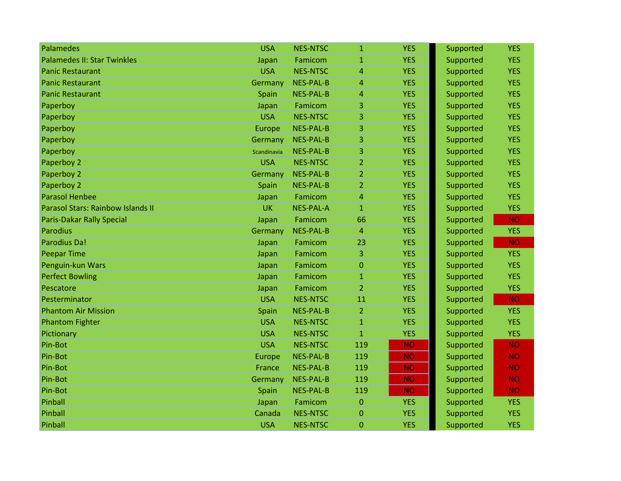| Palamedes                          | <b>USA</b>    | <b>NES-NTSC</b>  | $\mathbf{1}$   | <b>YES</b> | Supported | <b>YES</b> |
|------------------------------------|---------------|------------------|----------------|------------|-----------|------------|
| <b>Palamedes II: Star Twinkles</b> | Japan         | Famicom          | $\mathbf{1}$   | <b>YES</b> | Supported | <b>YES</b> |
| <b>Panic Restaurant</b>            | <b>USA</b>    | <b>NES-NTSC</b>  | 4              | <b>YES</b> | Supported | <b>YES</b> |
| <b>Panic Restaurant</b>            | Germany       | <b>NES-PAL-B</b> | 4              | <b>YES</b> | Supported | <b>YES</b> |
| <b>Panic Restaurant</b>            | Spain         | <b>NES-PAL-B</b> | 4              | <b>YES</b> | Supported | <b>YES</b> |
| Paperboy                           | Japan         | Famicom          | 3              | <b>YES</b> | Supported | <b>YES</b> |
| Paperboy                           | <b>USA</b>    | <b>NES-NTSC</b>  | 3              | <b>YES</b> | Supported | <b>YES</b> |
| Paperboy                           | <b>Europe</b> | <b>NES-PAL-B</b> | 3              | <b>YES</b> | Supported | <b>YES</b> |
| Paperboy                           | Germany       | NES-PAL-B        | 3              | <b>YES</b> | Supported | <b>YES</b> |
| Paperboy                           | Scandinavia   | <b>NES-PAL-B</b> | 3              | <b>YES</b> | Supported | <b>YES</b> |
| Paperboy 2                         | <b>USA</b>    | <b>NES-NTSC</b>  | 2              | <b>YES</b> | Supported | <b>YES</b> |
| Paperboy 2                         | Germany       | <b>NES-PAL-B</b> | 2              | <b>YES</b> | Supported | <b>YES</b> |
| Paperboy 2                         | Spain         | <b>NES-PAL-B</b> | 2              | <b>YES</b> | Supported | <b>YES</b> |
| <b>Parasol Henbee</b>              | Japan         | Famicom          | 4              | <b>YES</b> | Supported | <b>YES</b> |
| Parasol Stars: Rainbow Islands II  | <b>UK</b>     | <b>NES-PAL-A</b> | $\mathbf{1}$   | <b>YES</b> | Supported | <b>YES</b> |
| <b>Paris-Dakar Rally Special</b>   | Japan         | Famicom          | 66             | <b>YES</b> | Supported | <b>NO</b>  |
| <b>Parodius</b>                    | Germany       | <b>NES-PAL-B</b> | 4              | <b>YES</b> | Supported | <b>YES</b> |
| Parodius Da!                       | Japan         | Famicom          | 23             | <b>YES</b> | Supported | <b>NO</b>  |
| <b>Peepar Time</b>                 | Japan         | Famicom          | 3              | <b>YES</b> | Supported | <b>YES</b> |
| Penguin-kun Wars                   | Japan         | Famicom          | 0              | <b>YES</b> | Supported | <b>YES</b> |
| <b>Perfect Bowling</b>             | Japan         | Famicom          | 1              | <b>YES</b> | Supported | <b>YES</b> |
| Pescatore                          | Japan         | Famicom          | $\overline{2}$ | <b>YES</b> | Supported | <b>YES</b> |
| Pesterminator                      | <b>USA</b>    | <b>NES-NTSC</b>  | 11             | <b>YES</b> | Supported | <b>NO</b>  |
| <b>Phantom Air Mission</b>         | Spain         | <b>NES-PAL-B</b> | $\overline{2}$ | <b>YES</b> | Supported | <b>YES</b> |
| <b>Phantom Fighter</b>             | <b>USA</b>    | <b>NES-NTSC</b>  | 1              | <b>YES</b> | Supported | <b>YES</b> |
| Pictionary                         | <b>USA</b>    | <b>NES-NTSC</b>  | $\mathbf{1}$   | <b>YES</b> | Supported | <b>YES</b> |
| Pin-Bot                            | <b>USA</b>    | <b>NES-NTSC</b>  | 119            | <b>NO</b>  | Supported | <b>NO</b>  |
| Pin-Bot                            | <b>Europe</b> | <b>NES-PAL-B</b> | 119            | <b>NO</b>  | Supported | <b>NO</b>  |
| Pin-Bot                            | France        | <b>NES-PAL-B</b> | 119            | <b>NO</b>  | Supported | <b>NO</b>  |
| Pin-Bot                            | Germany       | <b>NES-PAL-B</b> | 119            | <b>NO</b>  | Supported | <b>NO</b>  |
| Pin-Bot                            | Spain         | <b>NES-PAL-B</b> | 119            | <b>NO</b>  | Supported | <b>NO</b>  |
| Pinball                            | Japan         | Famicom          | $\overline{0}$ | <b>YES</b> | Supported | <b>YES</b> |
| Pinball                            | Canada        | <b>NES-NTSC</b>  | 0              | <b>YES</b> | Supported | <b>YES</b> |
| Pinball                            | <b>USA</b>    | <b>NES-NTSC</b>  | 0              | <b>YES</b> | Supported | <b>YES</b> |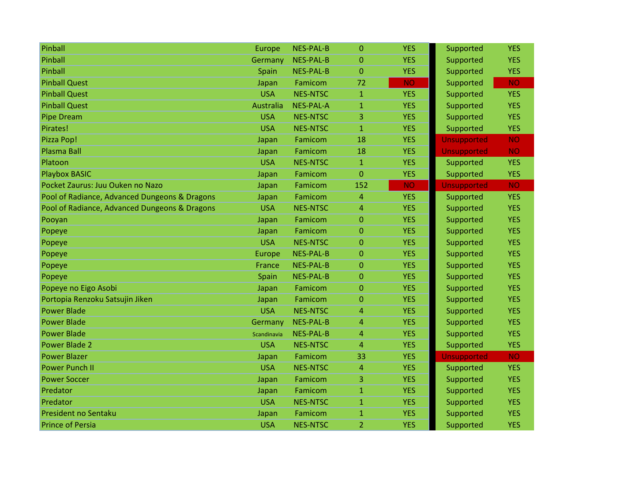| Pinball                                       | Europe      | <b>NES-PAL-B</b> | $\Omega$       | <b>YES</b> | Supported          | <b>YES</b> |
|-----------------------------------------------|-------------|------------------|----------------|------------|--------------------|------------|
| Pinball                                       | Germany     | <b>NES-PAL-B</b> | $\mathbf{0}$   | <b>YES</b> | Supported          | <b>YES</b> |
| Pinball                                       | Spain       | NES-PAL-B        | $\Omega$       | <b>YES</b> | Supported          | <b>YES</b> |
| <b>Pinball Quest</b>                          | Japan       | Famicom          | 72             | <b>NO</b>  | Supported          | <b>NO</b>  |
| <b>Pinball Quest</b>                          | <b>USA</b>  | <b>NES-NTSC</b>  | 1              | <b>YES</b> | Supported          | <b>YES</b> |
| <b>Pinball Quest</b>                          | Australia   | <b>NES-PAL-A</b> | $\mathbf{1}$   | <b>YES</b> | Supported          | <b>YES</b> |
| <b>Pipe Dream</b>                             | <b>USA</b>  | <b>NES-NTSC</b>  | 3              | <b>YES</b> | Supported          | <b>YES</b> |
| Pirates!                                      | <b>USA</b>  | <b>NES-NTSC</b>  | $\mathbf{1}$   | <b>YES</b> | Supported          | <b>YES</b> |
| Pizza Pop!                                    | Japan       | Famicom          | 18             | <b>YES</b> | <b>Unsupported</b> | <b>NO</b>  |
| Plasma Ball                                   | Japan       | Famicom          | 18             | <b>YES</b> | <b>Unsupported</b> | <b>NO</b>  |
| Platoon                                       | <b>USA</b>  | <b>NES-NTSC</b>  | $\mathbf{1}$   | <b>YES</b> | Supported          | <b>YES</b> |
| <b>Playbox BASIC</b>                          | Japan       | Famicom          | 0              | <b>YES</b> | Supported          | <b>YES</b> |
| Pocket Zaurus: Juu Ouken no Nazo              | Japan       | Famicom          | 152            | <b>NO</b>  | <b>Unsupported</b> | <b>NO</b>  |
| Pool of Radiance, Advanced Dungeons & Dragons | Japan       | Famicom          | 4              | <b>YES</b> | Supported          | <b>YES</b> |
| Pool of Radiance, Advanced Dungeons & Dragons | <b>USA</b>  | <b>NES-NTSC</b>  | 4              | <b>YES</b> | Supported          | <b>YES</b> |
| Pooyan                                        | Japan       | Famicom          | $\mathbf{0}$   | <b>YES</b> | Supported          | <b>YES</b> |
| Popeye                                        | Japan       | Famicom          | $\Omega$       | <b>YES</b> | Supported          | <b>YES</b> |
| Popeye                                        | <b>USA</b>  | <b>NES-NTSC</b>  | $\overline{0}$ | <b>YES</b> | Supported          | <b>YES</b> |
| Popeye                                        | Europe      | <b>NES-PAL-B</b> | 0              | <b>YES</b> | Supported          | <b>YES</b> |
| Popeye                                        | France      | <b>NES-PAL-B</b> | $\mathbf 0$    | <b>YES</b> | Supported          | <b>YES</b> |
| Popeye                                        | Spain       | <b>NES-PAL-B</b> | 0              | <b>YES</b> | Supported          | <b>YES</b> |
| Popeye no Eigo Asobi                          | Japan       | Famicom          | $\mathbf{0}$   | <b>YES</b> | Supported          | <b>YES</b> |
| Portopia Renzoku Satsujin Jiken               | Japan       | Famicom          | $\overline{0}$ | <b>YES</b> | Supported          | <b>YES</b> |
| <b>Power Blade</b>                            | <b>USA</b>  | <b>NES-NTSC</b>  | 4              | <b>YES</b> | Supported          | <b>YES</b> |
| <b>Power Blade</b>                            | Germany     | <b>NES-PAL-B</b> | 4              | <b>YES</b> | Supported          | <b>YES</b> |
| <b>Power Blade</b>                            | Scandinavia | <b>NES-PAL-B</b> | 4              | <b>YES</b> | Supported          | <b>YES</b> |
| <b>Power Blade 2</b>                          | <b>USA</b>  | <b>NES-NTSC</b>  | $\overline{4}$ | <b>YES</b> | Supported          | <b>YES</b> |
| <b>Power Blazer</b>                           | Japan       | Famicom          | 33             | <b>YES</b> | <b>Unsupported</b> | <b>NO</b>  |
| <b>Power Punch II</b>                         | <b>USA</b>  | <b>NES-NTSC</b>  | 4              | <b>YES</b> | Supported          | <b>YES</b> |
| <b>Power Soccer</b>                           | Japan       | Famicom          | 3              | <b>YES</b> | Supported          | <b>YES</b> |
| Predator                                      | Japan       | Famicom          | $\mathbf{1}$   | <b>YES</b> | Supported          | <b>YES</b> |
| Predator                                      | <b>USA</b>  | <b>NES-NTSC</b>  | $\mathbf{1}$   | <b>YES</b> | Supported          | <b>YES</b> |
| <b>President no Sentaku</b>                   | Japan       | Famicom          | $\mathbf{1}$   | <b>YES</b> | Supported          | <b>YES</b> |
| <b>Prince of Persia</b>                       | <b>USA</b>  | <b>NES-NTSC</b>  | 2              | <b>YES</b> | Supported          | <b>YES</b> |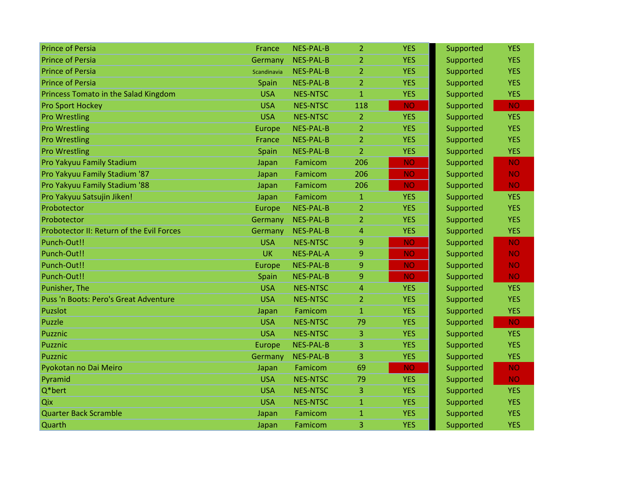| <b>Prince of Persia</b>                   | <b>France</b> | <b>NES-PAL-B</b> | $\overline{2}$ | <b>YES</b> | Supported | <b>YES</b> |
|-------------------------------------------|---------------|------------------|----------------|------------|-----------|------------|
| <b>Prince of Persia</b>                   | Germany       | <b>NES-PAL-B</b> | $\overline{2}$ | <b>YES</b> | Supported | <b>YES</b> |
| <b>Prince of Persia</b>                   | Scandinavia   | <b>NES-PAL-B</b> | $\overline{2}$ | <b>YES</b> | Supported | <b>YES</b> |
| <b>Prince of Persia</b>                   | Spain         | <b>NES-PAL-B</b> | $\overline{2}$ | <b>YES</b> | Supported | <b>YES</b> |
| Princess Tomato in the Salad Kingdom      | <b>USA</b>    | <b>NES-NTSC</b>  | $\mathbf{1}$   | <b>YES</b> | Supported | <b>YES</b> |
| <b>Pro Sport Hockey</b>                   | <b>USA</b>    | <b>NES-NTSC</b>  | 118            | <b>NO</b>  | Supported | <b>NO</b>  |
| <b>Pro Wrestling</b>                      | <b>USA</b>    | <b>NES-NTSC</b>  | $\overline{2}$ | <b>YES</b> | Supported | <b>YES</b> |
| <b>Pro Wrestling</b>                      | Europe        | <b>NES-PAL-B</b> | $\overline{2}$ | <b>YES</b> | Supported | <b>YES</b> |
| <b>Pro Wrestling</b>                      | France        | <b>NES-PAL-B</b> | $\overline{2}$ | <b>YES</b> | Supported | <b>YES</b> |
| <b>Pro Wrestling</b>                      | Spain         | <b>NES-PAL-B</b> | $\overline{2}$ | <b>YES</b> | Supported | <b>YES</b> |
| Pro Yakyuu Family Stadium                 | Japan         | Famicom          | 206            | <b>NO</b>  | Supported | <b>NO</b>  |
| Pro Yakyuu Family Stadium '87             | Japan         | Famicom          | 206            | <b>NO</b>  | Supported | <b>NO</b>  |
| Pro Yakyuu Family Stadium '88             | Japan         | Famicom          | 206            | <b>NO</b>  | Supported | <b>NO</b>  |
| Pro Yakyuu Satsujin Jiken!                | Japan         | Famicom          | $\mathbf{1}$   | <b>YES</b> | Supported | <b>YES</b> |
| Probotector                               | Europe        | <b>NES-PAL-B</b> | $\overline{2}$ | <b>YES</b> | Supported | <b>YES</b> |
| Probotector                               | Germany       | <b>NES-PAL-B</b> | $\overline{2}$ | <b>YES</b> | Supported | <b>YES</b> |
| Probotector II: Return of the Evil Forces | Germany       | <b>NES-PAL-B</b> | 4              | <b>YES</b> | Supported | <b>YES</b> |
| Punch-Out!!                               | <b>USA</b>    | <b>NES-NTSC</b>  | 9              | <b>NO</b>  | Supported | <b>NO</b>  |
| Punch-Out!!                               | <b>UK</b>     | <b>NES-PAL-A</b> | 9              | <b>NO</b>  | Supported | <b>NO</b>  |
| Punch-Out!!                               | Europe        | <b>NES-PAL-B</b> | 9              | <b>NO</b>  | Supported | <b>NO</b>  |
| Punch-Out!!                               | Spain         | <b>NES-PAL-B</b> | 9              | <b>NO</b>  | Supported | <b>NO</b>  |
| Punisher, The                             | <b>USA</b>    | <b>NES-NTSC</b>  | $\overline{4}$ | <b>YES</b> | Supported | <b>YES</b> |
| Puss 'n Boots: Pero's Great Adventure     | <b>USA</b>    | <b>NES-NTSC</b>  | $\overline{2}$ | <b>YES</b> | Supported | <b>YES</b> |
| Puzslot                                   | Japan         | Famicom          | $\mathbf{1}$   | <b>YES</b> | Supported | <b>YES</b> |
| <b>Puzzle</b>                             | <b>USA</b>    | <b>NES-NTSC</b>  | 79             | <b>YES</b> | Supported | <b>NO</b>  |
| Puzznic                                   | <b>USA</b>    | <b>NES-NTSC</b>  | 3              | <b>YES</b> | Supported | <b>YES</b> |
| Puzznic                                   | Europe        | <b>NES-PAL-B</b> | 3              | <b>YES</b> | Supported | <b>YES</b> |
| Puzznic                                   | Germany       | <b>NES-PAL-B</b> | 3              | <b>YES</b> | Supported | <b>YES</b> |
| Pyokotan no Dai Meiro                     | Japan         | Famicom          | 69             | <b>NO</b>  | Supported | <b>NO</b>  |
| Pyramid                                   | <b>USA</b>    | <b>NES-NTSC</b>  | 79             | <b>YES</b> | Supported | <b>NO</b>  |
| $Q*$ bert                                 | <b>USA</b>    | <b>NES-NTSC</b>  | 3              | <b>YES</b> | Supported | <b>YES</b> |
| Qix                                       | <b>USA</b>    | <b>NES-NTSC</b>  | $\mathbf{1}$   | <b>YES</b> | Supported | <b>YES</b> |
| Quarter Back Scramble                     | Japan         | Famicom          | $\mathbf{1}$   | <b>YES</b> | Supported | <b>YES</b> |
| Quarth                                    | Japan         | Famicom          | 3              | <b>YES</b> | Supported | <b>YES</b> |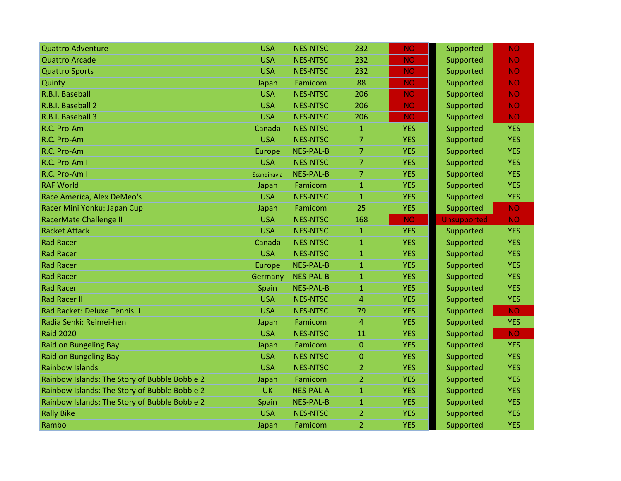| <b>Quattro Adventure</b>                      | <b>USA</b>  | <b>NES-NTSC</b>  | 232            | <b>NO</b>  | Supported   | <b>NO</b>  |
|-----------------------------------------------|-------------|------------------|----------------|------------|-------------|------------|
| <b>Quattro Arcade</b>                         | <b>USA</b>  | <b>NES-NTSC</b>  | 232            | <b>NO</b>  | Supported   | <b>NO</b>  |
| <b>Quattro Sports</b>                         | <b>USA</b>  | <b>NES-NTSC</b>  | 232            | <b>NO</b>  | Supported   | <b>NO</b>  |
| Quinty                                        | Japan       | Famicom          | 88             | <b>NO</b>  | Supported   | <b>NO</b>  |
| R.B.I. Baseball                               | <b>USA</b>  | <b>NES-NTSC</b>  | 206            | <b>NO</b>  | Supported   | <b>NO</b>  |
| R.B.I. Baseball 2                             | <b>USA</b>  | <b>NES-NTSC</b>  | 206            | <b>NO</b>  | Supported   | <b>NO</b>  |
| R.B.I. Baseball 3                             | <b>USA</b>  | <b>NES-NTSC</b>  | 206            | <b>NO</b>  | Supported   | <b>NO</b>  |
| R.C. Pro-Am                                   | Canada      | <b>NES-NTSC</b>  | $\mathbf{1}$   | <b>YES</b> | Supported   | <b>YES</b> |
| R.C. Pro-Am                                   | <b>USA</b>  | <b>NES-NTSC</b>  | $\overline{7}$ | <b>YES</b> | Supported   | <b>YES</b> |
| R.C. Pro-Am                                   | Europe      | <b>NES-PAL-B</b> | 7              | <b>YES</b> | Supported   | <b>YES</b> |
| R.C. Pro-Am II                                | <b>USA</b>  | <b>NES-NTSC</b>  | $\overline{7}$ | <b>YES</b> | Supported   | <b>YES</b> |
| R.C. Pro-Am II                                | Scandinavia | <b>NES-PAL-B</b> | 7              | <b>YES</b> | Supported   | <b>YES</b> |
| <b>RAF World</b>                              | Japan       | Famicom          | $\mathbf{1}$   | <b>YES</b> | Supported   | <b>YES</b> |
| Race America, Alex DeMeo's                    | <b>USA</b>  | <b>NES-NTSC</b>  | $\mathbf{1}$   | <b>YES</b> | Supported   | <b>YES</b> |
| Racer Mini Yonku: Japan Cup                   | Japan       | Famicom          | 25             | <b>YES</b> | Supported   | <b>NO</b>  |
| RacerMate Challenge II                        | <b>USA</b>  | <b>NES-NTSC</b>  | 168            | <b>NO</b>  | Unsupported | <b>NO</b>  |
| <b>Racket Attack</b>                          | <b>USA</b>  | <b>NES-NTSC</b>  | $\mathbf{1}$   | <b>YES</b> | Supported   | <b>YES</b> |
| <b>Rad Racer</b>                              | Canada      | <b>NES-NTSC</b>  | $\mathbf{1}$   | <b>YES</b> | Supported   | <b>YES</b> |
| <b>Rad Racer</b>                              | <b>USA</b>  | <b>NES-NTSC</b>  | $\overline{1}$ | <b>YES</b> | Supported   | <b>YES</b> |
| <b>Rad Racer</b>                              | Europe      | <b>NES-PAL-B</b> | $\mathbf{1}$   | <b>YES</b> | Supported   | <b>YES</b> |
| <b>Rad Racer</b>                              | Germany     | NES-PAL-B        | $\mathbf{1}$   | <b>YES</b> | Supported   | <b>YES</b> |
| <b>Rad Racer</b>                              | Spain       | NES-PAL-B        | $\mathbf{1}$   | <b>YES</b> | Supported   | <b>YES</b> |
| <b>Rad Racer II</b>                           | <b>USA</b>  | <b>NES-NTSC</b>  | 4              | <b>YES</b> | Supported   | <b>YES</b> |
| Rad Racket: Deluxe Tennis II                  | <b>USA</b>  | <b>NES-NTSC</b>  | 79             | <b>YES</b> | Supported   | <b>NO</b>  |
| Radia Senki: Reimei-hen                       | Japan       | Famicom          | $\overline{4}$ | <b>YES</b> | Supported   | <b>YES</b> |
| <b>Raid 2020</b>                              | <b>USA</b>  | <b>NES-NTSC</b>  | 11             | <b>YES</b> | Supported   | <b>NO</b>  |
| <b>Raid on Bungeling Bay</b>                  | Japan       | Famicom          | $\overline{0}$ | <b>YES</b> | Supported   | <b>YES</b> |
| <b>Raid on Bungeling Bay</b>                  | <b>USA</b>  | <b>NES-NTSC</b>  | $\overline{0}$ | <b>YES</b> | Supported   | <b>YES</b> |
| <b>Rainbow Islands</b>                        | <b>USA</b>  | <b>NES-NTSC</b>  | $\overline{2}$ | <b>YES</b> | Supported   | <b>YES</b> |
| Rainbow Islands: The Story of Bubble Bobble 2 | Japan       | Famicom          | $\overline{2}$ | <b>YES</b> | Supported   | <b>YES</b> |
| Rainbow Islands: The Story of Bubble Bobble 2 | <b>UK</b>   | <b>NES-PAL-A</b> | $\mathbf{1}$   | <b>YES</b> | Supported   | <b>YES</b> |
| Rainbow Islands: The Story of Bubble Bobble 2 | Spain       | NES-PAL-B        | $\mathbf{1}$   | <b>YES</b> | Supported   | <b>YES</b> |
| <b>Rally Bike</b>                             | <b>USA</b>  | <b>NES-NTSC</b>  | $\overline{2}$ | <b>YES</b> | Supported   | <b>YES</b> |
| Rambo                                         | Japan       | Famicom          | 2              | <b>YES</b> | Supported   | <b>YES</b> |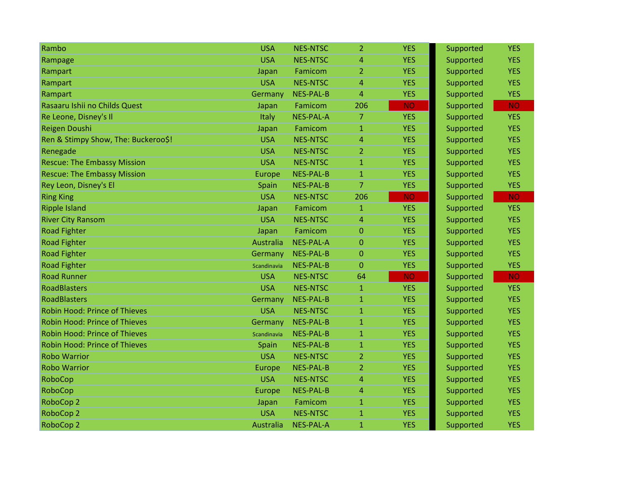| Rambo                                | <b>USA</b>  | <b>NES-NTSC</b>  | $\overline{2}$ | <b>YES</b> | Supported | <b>YES</b> |
|--------------------------------------|-------------|------------------|----------------|------------|-----------|------------|
| Rampage                              | <b>USA</b>  | <b>NES-NTSC</b>  | 4              | <b>YES</b> | Supported | <b>YES</b> |
| Rampart                              | Japan       | Famicom          | $\overline{2}$ | <b>YES</b> | Supported | <b>YES</b> |
| Rampart                              | <b>USA</b>  | <b>NES-NTSC</b>  | 4              | <b>YES</b> | Supported | <b>YES</b> |
| Rampart                              | Germany     | <b>NES-PAL-B</b> | 4              | <b>YES</b> | Supported | <b>YES</b> |
| Rasaaru Ishii no Childs Quest        | Japan       | Famicom          | 206            | <b>NO</b>  | Supported | <b>NO</b>  |
| Re Leone, Disney's Il                | Italy       | <b>NES-PAL-A</b> | $\overline{7}$ | <b>YES</b> | Supported | <b>YES</b> |
| Reigen Doushi                        | Japan       | Famicom          | $\mathbf{1}$   | <b>YES</b> | Supported | <b>YES</b> |
| Ren & Stimpy Show, The: Buckeroo\$!  | <b>USA</b>  | <b>NES-NTSC</b>  | 4              | <b>YES</b> | Supported | <b>YES</b> |
| Renegade                             | <b>USA</b>  | <b>NES-NTSC</b>  | 2              | <b>YES</b> | Supported | <b>YES</b> |
| <b>Rescue: The Embassy Mission</b>   | <b>USA</b>  | <b>NES-NTSC</b>  | $\mathbf{1}$   | <b>YES</b> | Supported | <b>YES</b> |
| <b>Rescue: The Embassy Mission</b>   | Europe      | NES-PAL-B        | $\mathbf{1}$   | <b>YES</b> | Supported | <b>YES</b> |
| Rey Leon, Disney's El                | Spain       | <b>NES-PAL-B</b> | $\overline{7}$ | <b>YES</b> | Supported | <b>YES</b> |
| <b>Ring King</b>                     | <b>USA</b>  | <b>NES-NTSC</b>  | 206            | <b>NO</b>  | Supported | <b>NO</b>  |
| <b>Ripple Island</b>                 | Japan       | Famicom          | 1              | <b>YES</b> | Supported | <b>YES</b> |
| <b>River City Ransom</b>             | <b>USA</b>  | <b>NES-NTSC</b>  | 4              | <b>YES</b> | Supported | <b>YES</b> |
| <b>Road Fighter</b>                  | Japan       | Famicom          | $\Omega$       | <b>YES</b> | Supported | <b>YES</b> |
| <b>Road Fighter</b>                  | Australia   | <b>NES-PAL-A</b> | $\overline{0}$ | <b>YES</b> | Supported | <b>YES</b> |
| <b>Road Fighter</b>                  | Germany     | <b>NES-PAL-B</b> | $\Omega$       | <b>YES</b> | Supported | <b>YES</b> |
| <b>Road Fighter</b>                  | Scandinavia | <b>NES-PAL-B</b> | $\mathbf{0}$   | <b>YES</b> | Supported | <b>YES</b> |
| <b>Road Runner</b>                   | <b>USA</b>  | <b>NES-NTSC</b>  | 64             | <b>NO</b>  | Supported | <b>NO</b>  |
| <b>RoadBlasters</b>                  | <b>USA</b>  | <b>NES-NTSC</b>  | $\mathbf{1}$   | <b>YES</b> | Supported | <b>YES</b> |
| <b>RoadBlasters</b>                  | Germany     | <b>NES-PAL-B</b> | 1              | <b>YES</b> | Supported | <b>YES</b> |
| <b>Robin Hood: Prince of Thieves</b> | <b>USA</b>  | <b>NES-NTSC</b>  | $\mathbf{1}$   | <b>YES</b> | Supported | <b>YES</b> |
| <b>Robin Hood: Prince of Thieves</b> | Germany     | <b>NES-PAL-B</b> | 1              | <b>YES</b> | Supported | <b>YES</b> |
| <b>Robin Hood: Prince of Thieves</b> | Scandinavia | <b>NES-PAL-B</b> | $\mathbf{1}$   | <b>YES</b> | Supported | <b>YES</b> |
| <b>Robin Hood: Prince of Thieves</b> | Spain       | <b>NES-PAL-B</b> | $\mathbf{1}$   | <b>YES</b> | Supported | <b>YES</b> |
| <b>Robo Warrior</b>                  | <b>USA</b>  | <b>NES-NTSC</b>  | $\overline{2}$ | <b>YES</b> | Supported | <b>YES</b> |
| <b>Robo Warrior</b>                  | Europe      | <b>NES-PAL-B</b> | $\overline{2}$ | <b>YES</b> | Supported | <b>YES</b> |
| RoboCop                              | <b>USA</b>  | <b>NES-NTSC</b>  | 4              | <b>YES</b> | Supported | <b>YES</b> |
| RoboCop                              | Europe      | <b>NES-PAL-B</b> | 4              | <b>YES</b> | Supported | <b>YES</b> |
| RoboCop 2                            | Japan       | Famicom          | $\mathbf{1}$   | <b>YES</b> | Supported | <b>YES</b> |
| RoboCop 2                            | <b>USA</b>  | <b>NES-NTSC</b>  | $\mathbf{1}$   | <b>YES</b> | Supported | <b>YES</b> |
| RoboCop 2                            | Australia   | <b>NES-PAL-A</b> | $\mathbf{1}$   | <b>YES</b> | Supported | <b>YES</b> |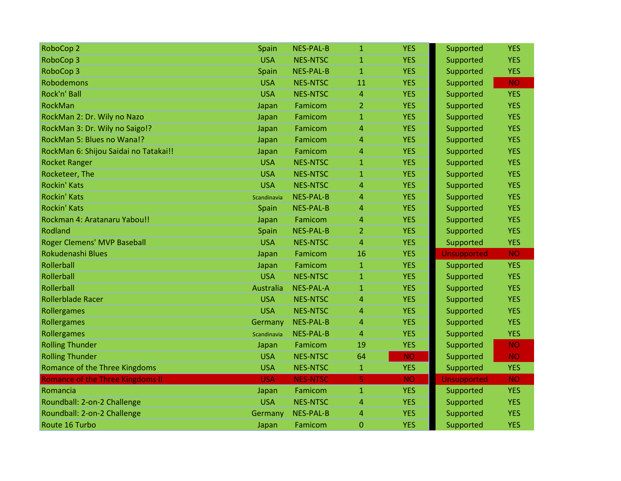| RoboCop 2                               | Spain       | <b>NES-PAL-B</b> | $\mathbf{1}$   | <b>YES</b> | Supported          | <b>YES</b> |
|-----------------------------------------|-------------|------------------|----------------|------------|--------------------|------------|
| RoboCop 3                               | <b>USA</b>  | <b>NES-NTSC</b>  | $\mathbf{1}$   | <b>YES</b> | Supported          | <b>YES</b> |
| RoboCop 3                               | Spain       | <b>NES-PAL-B</b> | $\mathbf{1}$   | <b>YES</b> | Supported          | <b>YES</b> |
| <b>Robodemons</b>                       | <b>USA</b>  | <b>NES-NTSC</b>  | 11             | <b>YES</b> | Supported          | <b>NO</b>  |
| Rock'n' Ball                            | <b>USA</b>  | <b>NES-NTSC</b>  | $\overline{4}$ | <b>YES</b> | Supported          | <b>YES</b> |
| RockMan                                 | Japan       | Famicom          | 2              | <b>YES</b> | Supported          | <b>YES</b> |
| RockMan 2: Dr. Wily no Nazo             | Japan       | Famicom          | $\mathbf{1}$   | <b>YES</b> | Supported          | <b>YES</b> |
| RockMan 3: Dr. Wily no Saigo!?          | Japan       | Famicom          | 4              | <b>YES</b> | Supported          | <b>YES</b> |
| RockMan 5: Blues no Wana!?              | Japan       | Famicom          | 4              | <b>YES</b> | Supported          | <b>YES</b> |
| RockMan 6: Shijou Saidai no Tatakai!!   | Japan       | Famicom          | 4              | <b>YES</b> | Supported          | <b>YES</b> |
| <b>Rocket Ranger</b>                    | <b>USA</b>  | <b>NES-NTSC</b>  | $\mathbf{1}$   | <b>YES</b> | Supported          | <b>YES</b> |
| Rocketeer, The                          | <b>USA</b>  | <b>NES-NTSC</b>  | $\mathbf{1}$   | <b>YES</b> | Supported          | <b>YES</b> |
| <b>Rockin' Kats</b>                     | <b>USA</b>  | <b>NES-NTSC</b>  | 4              | <b>YES</b> | Supported          | <b>YES</b> |
| <b>Rockin' Kats</b>                     | Scandinavia | <b>NES-PAL-B</b> | 4              | <b>YES</b> | Supported          | <b>YES</b> |
| <b>Rockin' Kats</b>                     | Spain       | <b>NES-PAL-B</b> | 4              | <b>YES</b> | Supported          | <b>YES</b> |
| Rockman 4: Aratanaru Yabou!!            | Japan       | Famicom          | 4              | <b>YES</b> | Supported          | <b>YES</b> |
| Rodland                                 | Spain       | <b>NES-PAL-B</b> | $\overline{2}$ | <b>YES</b> | Supported          | <b>YES</b> |
| <b>Roger Clemens' MVP Baseball</b>      | <b>USA</b>  | <b>NES-NTSC</b>  | 4              | <b>YES</b> | Supported          | <b>YES</b> |
| Rokudenashi Blues                       | Japan       | Famicom          | 16             | <b>YES</b> | <b>Unsupported</b> | <b>NO</b>  |
| Rollerball                              | Japan       | Famicom          | $\mathbf{1}$   | <b>YES</b> | Supported          | <b>YES</b> |
| Rollerball                              | <b>USA</b>  | <b>NES-NTSC</b>  | $\mathbf{1}$   | <b>YES</b> | Supported          | <b>YES</b> |
| Rollerball                              | Australia   | <b>NES-PAL-A</b> | $\mathbf{1}$   | <b>YES</b> | Supported          | <b>YES</b> |
| <b>Rollerblade Racer</b>                | <b>USA</b>  | <b>NES-NTSC</b>  | 4              | <b>YES</b> | Supported          | <b>YES</b> |
| Rollergames                             | <b>USA</b>  | <b>NES-NTSC</b>  | 4              | <b>YES</b> | Supported          | <b>YES</b> |
| Rollergames                             | Germany     | <b>NES-PAL-B</b> | 4              | <b>YES</b> | Supported          | <b>YES</b> |
| Rollergames                             | Scandinavia | <b>NES-PAL-B</b> | 4              | <b>YES</b> | Supported          | <b>YES</b> |
| <b>Rolling Thunder</b>                  | Japan       | Famicom          | 19             | <b>YES</b> | Supported          | <b>NO</b>  |
| <b>Rolling Thunder</b>                  | <b>USA</b>  | <b>NES-NTSC</b>  | 64             | <b>NO</b>  | Supported          | <b>NO</b>  |
| Romance of the Three Kingdoms           | <b>USA</b>  | <b>NES-NTSC</b>  | $\mathbf{1}$   | <b>YES</b> | Supported          | <b>YES</b> |
| <b>Romance of the Three Kingdoms II</b> | <b>USA</b>  | <b>NES-NTSC</b>  | 5.             | <b>NO</b>  | <b>Unsupported</b> | <b>NO</b>  |
| Romancia                                | Japan       | Famicom          | $\mathbf{1}$   | <b>YES</b> | Supported          | <b>YES</b> |
| Roundball: 2-on-2 Challenge             | <b>USA</b>  | <b>NES-NTSC</b>  | $\overline{4}$ | <b>YES</b> | Supported          | <b>YES</b> |
| Roundball: 2-on-2 Challenge             | Germany     | <b>NES-PAL-B</b> | 4              | <b>YES</b> | Supported          | <b>YES</b> |
| Route 16 Turbo                          | Japan       | Famicom          | $\mathbf{0}$   | <b>YES</b> | Supported          | <b>YES</b> |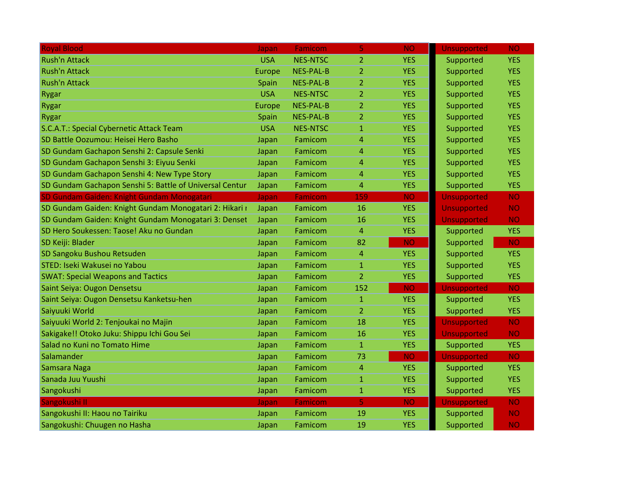| <b>Royal Blood</b>                                      | Japan      | Famicom          | 5              | <b>NO</b>  | <b>Unsupported</b> | <b>NO</b>  |
|---------------------------------------------------------|------------|------------------|----------------|------------|--------------------|------------|
| <b>Rush'n Attack</b>                                    | <b>USA</b> | <b>NES-NTSC</b>  | $\overline{2}$ | <b>YES</b> | Supported          | <b>YES</b> |
| <b>Rush'n Attack</b>                                    | Europe     | <b>NES-PAL-B</b> | $\overline{2}$ | <b>YES</b> | Supported          | <b>YES</b> |
| <b>Rush'n Attack</b>                                    | Spain      | <b>NES-PAL-B</b> | $\overline{2}$ | <b>YES</b> | Supported          | <b>YES</b> |
| <b>Rygar</b>                                            | <b>USA</b> | <b>NES-NTSC</b>  | $\overline{2}$ | <b>YES</b> | Supported          | <b>YES</b> |
| Rygar                                                   | Europe     | <b>NES-PAL-B</b> | $\overline{2}$ | <b>YES</b> | Supported          | <b>YES</b> |
| <b>Rygar</b>                                            | Spain      | <b>NES-PAL-B</b> | $\overline{2}$ | <b>YES</b> | Supported          | <b>YES</b> |
| S.C.A.T.: Special Cybernetic Attack Team                | <b>USA</b> | <b>NES-NTSC</b>  | $\mathbf{1}$   | <b>YES</b> | Supported          | <b>YES</b> |
| SD Battle Oozumou: Heisei Hero Basho                    | Japan      | Famicom          | $\overline{4}$ | <b>YES</b> | Supported          | <b>YES</b> |
| SD Gundam Gachapon Senshi 2: Capsule Senki              | Japan      | Famicom          | $\overline{4}$ | <b>YES</b> | Supported          | <b>YES</b> |
| SD Gundam Gachapon Senshi 3: Eiyuu Senki                | Japan      | Famicom          | 4              | <b>YES</b> | Supported          | <b>YES</b> |
| SD Gundam Gachapon Senshi 4: New Type Story             | Japan      | Famicom          | $\overline{4}$ | <b>YES</b> | Supported          | <b>YES</b> |
| SD Gundam Gachapon Senshi 5: Battle of Universal Centur | Japan      | Famicom          | 4              | <b>YES</b> | Supported          | <b>YES</b> |
| SD Gundam Gaiden: Knight Gundam Monogatari              | Japan      | <b>Famicom</b>   | 159            | <b>NO</b>  | <b>Unsupported</b> | <b>NO</b>  |
| SD Gundam Gaiden: Knight Gundam Monogatari 2: Hikari r  | Japan      | Famicom          | 16             | <b>YES</b> | <b>Unsupported</b> | <b>NO</b>  |
| SD Gundam Gaiden: Knight Gundam Monogatari 3: Denset    | Japan      | Famicom          | 16             | <b>YES</b> | <b>Unsupported</b> | <b>NO</b>  |
| SD Hero Soukessen: Taose! Aku no Gundan                 | Japan      | Famicom          | $\overline{4}$ | <b>YES</b> | Supported          | <b>YES</b> |
| SD Keiji: Blader                                        | Japan      | Famicom          | 82             | <b>NO</b>  | Supported          | <b>NO</b>  |
| SD Sangoku Bushou Retsuden                              | Japan      | Famicom          | $\overline{4}$ | <b>YES</b> | Supported          | <b>YES</b> |
| STED: Iseki Wakusei no Yabou                            | Japan      | Famicom          | $\mathbf{1}$   | <b>YES</b> | Supported          | <b>YES</b> |
| <b>SWAT: Special Weapons and Tactics</b>                | Japan      | Famicom          | $\overline{2}$ | <b>YES</b> | Supported          | <b>YES</b> |
| Saint Seiya: Ougon Densetsu                             | Japan      | Famicom          | 152            | <b>NO</b>  | <b>Unsupported</b> | <b>NO</b>  |
| Saint Seiya: Ougon Densetsu Kanketsu-hen                | Japan      | Famicom          | $\mathbf{1}$   | <b>YES</b> | Supported          | <b>YES</b> |
| Saiyuuki World                                          | Japan      | Famicom          | $\overline{2}$ | <b>YES</b> | Supported          | <b>YES</b> |
| Saiyuuki World 2: Tenjoukai no Majin                    | Japan      | Famicom          | 18             | <b>YES</b> | <b>Unsupported</b> | <b>NO</b>  |
| Sakigake!! Otoko Juku: Shippu Ichi Gou Sei              | Japan      | Famicom          | 16             | <b>YES</b> | <b>Unsupported</b> | <b>NO</b>  |
| Salad no Kuni no Tomato Hime                            | Japan      | Famicom          | $\mathbf{1}$   | <b>YES</b> | Supported          | <b>YES</b> |
| Salamander                                              | Japan      | Famicom          | 73             | <b>NO</b>  | <b>Unsupported</b> | <b>NO</b>  |
| Samsara Naga                                            | Japan      | Famicom          | $\overline{4}$ | <b>YES</b> | Supported          | <b>YES</b> |
| Sanada Juu Yuushi                                       | Japan      | Famicom          | $\mathbf{1}$   | <b>YES</b> | Supported          | <b>YES</b> |
| Sangokushi                                              | Japan      | Famicom          | $\mathbf{1}$   | <b>YES</b> | Supported          | <b>YES</b> |
| Sangokushi II                                           | Japan      | Famicom          | 5              | <b>NO</b>  | <b>Unsupported</b> | <b>NO</b>  |
| Sangokushi II: Haou no Tairiku                          | Japan      | Famicom          | 19             | <b>YES</b> | Supported          | <b>NO</b>  |
| Sangokushi: Chuugen no Hasha                            | Japan      | Famicom          | 19             | <b>YES</b> | Supported          | <b>NO</b>  |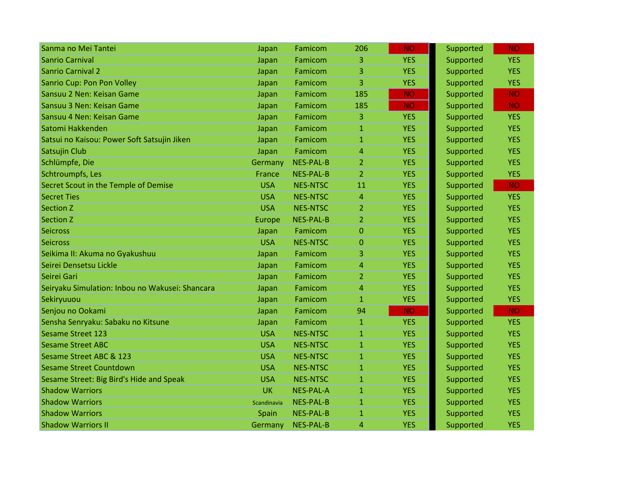| Sanma no Mei Tantei                             | Japan       | Famicom          | 206            | <b>NO</b>  | Supported | <b>NO</b>  |
|-------------------------------------------------|-------------|------------------|----------------|------------|-----------|------------|
| <b>Sanrio Carnival</b>                          | Japan       | Famicom          | 3              | <b>YES</b> | Supported | <b>YES</b> |
| <b>Sanrio Carnival 2</b>                        | Japan       | Famicom          | 3              | <b>YES</b> | Supported | <b>YES</b> |
| Sanrio Cup: Pon Pon Volley                      | Japan       | Famicom          | 3              | <b>YES</b> | Supported | <b>YES</b> |
| Sansuu 2 Nen: Keisan Game                       | Japan       | Famicom          | 185            | <b>NO</b>  | Supported | <b>NO</b>  |
| Sansuu 3 Nen: Keisan Game                       | Japan       | Famicom          | 185            | <b>NO</b>  | Supported | <b>NO</b>  |
| Sansuu 4 Nen: Keisan Game                       | Japan       | Famicom          | 3              | <b>YES</b> | Supported | <b>YES</b> |
| Satomi Hakkenden                                | Japan       | Famicom          | $\mathbf{1}$   | <b>YES</b> | Supported | <b>YES</b> |
| Satsui no Kaisou: Power Soft Satsujin Jiken     | Japan       | Famicom          | $\mathbf{1}$   | <b>YES</b> | Supported | <b>YES</b> |
| Satsujin Club                                   | Japan       | Famicom          | 4              | <b>YES</b> | Supported | <b>YES</b> |
| Schlümpfe, Die                                  | Germany     | <b>NES-PAL-B</b> | $\overline{2}$ | <b>YES</b> | Supported | <b>YES</b> |
| Schtroumpfs, Les                                | France      | <b>NES-PAL-B</b> | 2              | <b>YES</b> | Supported | <b>YES</b> |
| Secret Scout in the Temple of Demise            | <b>USA</b>  | <b>NES-NTSC</b>  | 11             | <b>YES</b> | Supported | <b>NO</b>  |
| <b>Secret Ties</b>                              | <b>USA</b>  | <b>NES-NTSC</b>  | $\overline{4}$ | <b>YES</b> | Supported | <b>YES</b> |
| <b>Section Z</b>                                | <b>USA</b>  | <b>NES-NTSC</b>  | $\overline{2}$ | <b>YES</b> | Supported | <b>YES</b> |
| <b>Section Z</b>                                | Europe      | <b>NES-PAL-B</b> | $\overline{2}$ | <b>YES</b> | Supported | <b>YES</b> |
| <b>Seicross</b>                                 | Japan       | Famicom          | $\mathbf{0}$   | <b>YES</b> | Supported | <b>YES</b> |
| <b>Seicross</b>                                 | <b>USA</b>  | <b>NES-NTSC</b>  | $\overline{0}$ | <b>YES</b> | Supported | <b>YES</b> |
| Seikima II: Akuma no Gyakushuu                  | Japan       | Famicom          | 3              | <b>YES</b> | Supported | <b>YES</b> |
| Seirei Densetsu Lickle                          | Japan       | Famicom          | 4              | <b>YES</b> | Supported | <b>YES</b> |
| Seirei Gari                                     | Japan       | Famicom          | $\overline{2}$ | <b>YES</b> | Supported | <b>YES</b> |
| Seiryaku Simulation: Inbou no Wakusei: Shancara | Japan       | Famicom          | $\overline{4}$ | <b>YES</b> | Supported | <b>YES</b> |
| Sekiryuuou                                      | Japan       | Famicom          | $\mathbf{1}$   | <b>YES</b> | Supported | <b>YES</b> |
| Senjou no Ookami                                | Japan       | Famicom          | 94             | <b>NO</b>  | Supported | <b>NO</b>  |
| Sensha Senryaku: Sabaku no Kitsune              | Japan       | Famicom          | 1              | <b>YES</b> | Supported | <b>YES</b> |
| <b>Sesame Street 123</b>                        | <b>USA</b>  | <b>NES-NTSC</b>  | $\mathbf{1}$   | <b>YES</b> | Supported | <b>YES</b> |
| <b>Sesame Street ABC</b>                        | <b>USA</b>  | <b>NES-NTSC</b>  | $\mathbf{1}$   | <b>YES</b> | Supported | <b>YES</b> |
| Sesame Street ABC & 123                         | <b>USA</b>  | <b>NES-NTSC</b>  | $\mathbf{1}$   | <b>YES</b> | Supported | <b>YES</b> |
| <b>Sesame Street Countdown</b>                  | <b>USA</b>  | <b>NES-NTSC</b>  | $\mathbf{1}$   | <b>YES</b> | Supported | <b>YES</b> |
| Sesame Street: Big Bird's Hide and Speak        | <b>USA</b>  | <b>NES-NTSC</b>  | 1              | <b>YES</b> | Supported | <b>YES</b> |
| <b>Shadow Warriors</b>                          | <b>UK</b>   | <b>NES-PAL-A</b> | $\mathbf{1}$   | <b>YES</b> | Supported | <b>YES</b> |
| <b>Shadow Warriors</b>                          | Scandinavia | <b>NES-PAL-B</b> | $\mathbf{1}$   | <b>YES</b> | Supported | <b>YES</b> |
| <b>Shadow Warriors</b>                          | Spain       | <b>NES-PAL-B</b> | $\mathbf{1}$   | <b>YES</b> | Supported | <b>YES</b> |
| <b>Shadow Warriors II</b>                       | Germany     | <b>NES-PAL-B</b> | $\overline{4}$ | <b>YES</b> | Supported | <b>YES</b> |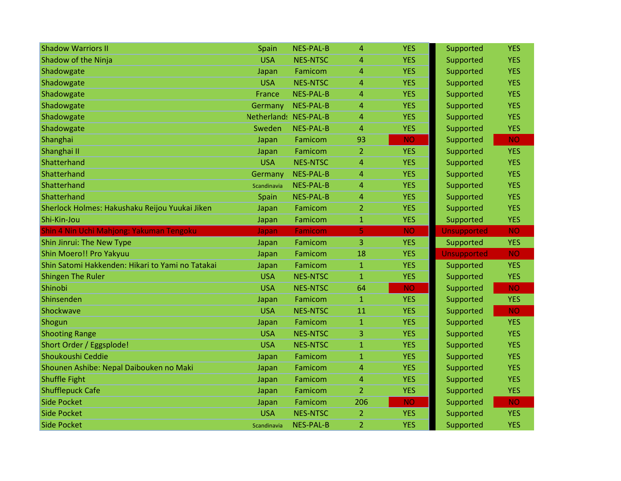| <b>Shadow Warriors II</b>                        | Spain                 | <b>NES-PAL-B</b> | 4              | <b>YES</b> | Supported          | <b>YES</b> |
|--------------------------------------------------|-----------------------|------------------|----------------|------------|--------------------|------------|
| Shadow of the Ninja                              | <b>USA</b>            | <b>NES-NTSC</b>  | 4              | <b>YES</b> | Supported          | <b>YES</b> |
| Shadowgate                                       | Japan                 | Famicom          | 4              | <b>YES</b> | Supported          | <b>YES</b> |
| Shadowgate                                       | <b>USA</b>            | <b>NES-NTSC</b>  | 4              | <b>YES</b> | Supported          | <b>YES</b> |
| Shadowgate                                       | France                | <b>NES-PAL-B</b> | 4              | <b>YES</b> | Supported          | <b>YES</b> |
| Shadowgate                                       | Germany               | <b>NES-PAL-B</b> | 4              | <b>YES</b> | Supported          | <b>YES</b> |
| Shadowgate                                       | Netherland: NES-PAL-B |                  | 4              | <b>YES</b> | Supported          | <b>YES</b> |
| Shadowgate                                       | Sweden                | <b>NES-PAL-B</b> | 4              | <b>YES</b> | Supported          | <b>YES</b> |
| Shanghai                                         | Japan                 | Famicom          | 93             | <b>NO</b>  | Supported          | <b>NO</b>  |
| Shanghai II                                      | Japan                 | Famicom          | 2              | <b>YES</b> | Supported          | <b>YES</b> |
| Shatterhand                                      | <b>USA</b>            | <b>NES-NTSC</b>  | 4              | <b>YES</b> | Supported          | <b>YES</b> |
| Shatterhand                                      | Germany               | <b>NES-PAL-B</b> | 4              | <b>YES</b> | Supported          | <b>YES</b> |
| Shatterhand                                      | Scandinavia           | <b>NES-PAL-B</b> | 4              | <b>YES</b> | Supported          | <b>YES</b> |
| Shatterhand                                      | Spain                 | <b>NES-PAL-B</b> | 4              | <b>YES</b> | Supported          | <b>YES</b> |
| Sherlock Holmes: Hakushaku Reijou Yuukai Jiken   | Japan                 | Famicom          | 2              | <b>YES</b> | Supported          | <b>YES</b> |
| Shi-Kin-Jou                                      | Japan                 | Famicom          | 1              | <b>YES</b> | Supported          | <b>YES</b> |
| Shin 4 Nin Uchi Mahjong: Yakuman Tengoku         | Japan                 | <b>Famicom</b>   | 5              | <b>NO</b>  | <b>Unsupported</b> | <b>NO</b>  |
| Shin Jinrui: The New Type                        | Japan                 | Famicom          | 3              | <b>YES</b> | Supported          | <b>YES</b> |
| Shin Moero!! Pro Yakyuu                          | Japan                 | Famicom          | 18             | <b>YES</b> | <b>Unsupported</b> | <b>NO</b>  |
| Shin Satomi Hakkenden: Hikari to Yami no Tatakai | Japan                 | Famicom          | $\mathbf{1}$   | <b>YES</b> | Supported          | <b>YES</b> |
| <b>Shingen The Ruler</b>                         | <b>USA</b>            | <b>NES-NTSC</b>  | $\mathbf{1}$   | <b>YES</b> | Supported          | <b>YES</b> |
| Shinobi                                          | <b>USA</b>            | <b>NES-NTSC</b>  | 64             | <b>NO</b>  | Supported          | <b>NO</b>  |
| Shinsenden                                       | Japan                 | Famicom          | $\mathbf{1}$   | <b>YES</b> | Supported          | <b>YES</b> |
| Shockwave                                        | <b>USA</b>            | <b>NES-NTSC</b>  | 11             | <b>YES</b> | Supported          | <b>NO</b>  |
| Shogun                                           | Japan                 | Famicom          | $\mathbf{1}$   | <b>YES</b> | Supported          | <b>YES</b> |
| <b>Shooting Range</b>                            | <b>USA</b>            | <b>NES-NTSC</b>  | 3              | <b>YES</b> | Supported          | <b>YES</b> |
| Short Order / Eggsplode!                         | <b>USA</b>            | <b>NES-NTSC</b>  | $\mathbf{1}$   | <b>YES</b> | Supported          | <b>YES</b> |
| Shoukoushi Ceddie                                | Japan                 | Famicom          | $\mathbf{1}$   | <b>YES</b> | Supported          | <b>YES</b> |
| Shounen Ashibe: Nepal Daibouken no Maki          | Japan                 | Famicom          | 4              | <b>YES</b> | Supported          | <b>YES</b> |
| <b>Shuffle Fight</b>                             | Japan                 | Famicom          | 4              | <b>YES</b> | Supported          | <b>YES</b> |
|                                                  |                       |                  |                |            |                    |            |
| <b>Shufflepuck Cafe</b>                          | Japan                 | Famicom          | $\overline{2}$ | <b>YES</b> | Supported          | <b>YES</b> |
| <b>Side Pocket</b>                               | Japan                 | Famicom          | 206            | <b>NO</b>  | Supported          | <b>NO</b>  |
| <b>Side Pocket</b>                               | <b>USA</b>            | <b>NES-NTSC</b>  | $\overline{2}$ | <b>YES</b> | Supported          | <b>YES</b> |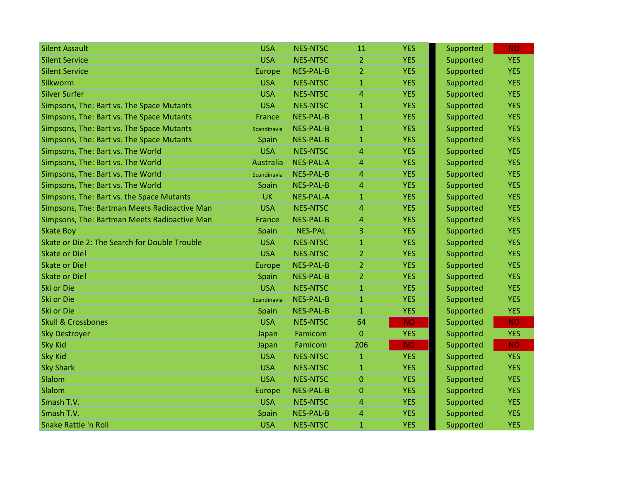| <b>Silent Assault</b>                         | <b>USA</b>  | <b>NES-NTSC</b>  | 11             | <b>YES</b> | Supported | <b>NO</b>  |
|-----------------------------------------------|-------------|------------------|----------------|------------|-----------|------------|
| <b>Silent Service</b>                         | <b>USA</b>  | <b>NES-NTSC</b>  | $\overline{2}$ | <b>YES</b> | Supported | <b>YES</b> |
| <b>Silent Service</b>                         | Europe      | <b>NES-PAL-B</b> | $\overline{2}$ | <b>YES</b> | Supported | <b>YES</b> |
| Silkworm                                      | <b>USA</b>  | <b>NES-NTSC</b>  | $\mathbf{1}$   | <b>YES</b> | Supported | <b>YES</b> |
| <b>Silver Surfer</b>                          | <b>USA</b>  | <b>NES-NTSC</b>  | 4              | <b>YES</b> | Supported | <b>YES</b> |
| Simpsons, The: Bart vs. The Space Mutants     | <b>USA</b>  | <b>NES-NTSC</b>  | $\mathbf{1}$   | <b>YES</b> | Supported | <b>YES</b> |
| Simpsons, The: Bart vs. The Space Mutants     | France      | <b>NES-PAL-B</b> | $\mathbf{1}$   | <b>YES</b> | Supported | <b>YES</b> |
| Simpsons, The: Bart vs. The Space Mutants     | Scandinavia | <b>NES-PAL-B</b> | $\mathbf{1}$   | <b>YES</b> | Supported | <b>YES</b> |
| Simpsons, The: Bart vs. The Space Mutants     | Spain       | <b>NES-PAL-B</b> | $\mathbf{1}$   | <b>YES</b> | Supported | <b>YES</b> |
| Simpsons, The: Bart vs. The World             | <b>USA</b>  | <b>NES-NTSC</b>  | 4              | <b>YES</b> | Supported | <b>YES</b> |
| Simpsons, The: Bart vs. The World             | Australia   | <b>NES-PAL-A</b> | 4              | <b>YES</b> | Supported | <b>YES</b> |
| Simpsons, The: Bart vs. The World             | Scandinavia | <b>NES-PAL-B</b> | 4              | <b>YES</b> | Supported | <b>YES</b> |
| Simpsons, The: Bart vs. The World             | Spain       | <b>NES-PAL-B</b> | 4              | <b>YES</b> | Supported | <b>YES</b> |
| Simpsons, The: Bart vs. the Space Mutants     | <b>UK</b>   | <b>NES-PAL-A</b> | $\mathbf{1}$   | <b>YES</b> | Supported | <b>YES</b> |
| Simpsons, The: Bartman Meets Radioactive Man  | <b>USA</b>  | <b>NES-NTSC</b>  | 4              | <b>YES</b> | Supported | <b>YES</b> |
| Simpsons, The: Bartman Meets Radioactive Man  | France      | <b>NES-PAL-B</b> | 4              | <b>YES</b> | Supported | <b>YES</b> |
| <b>Skate Boy</b>                              | Spain       | <b>NES-PAL</b>   | 3              | <b>YES</b> | Supported | <b>YES</b> |
| Skate or Die 2: The Search for Double Trouble | <b>USA</b>  | <b>NES-NTSC</b>  | $\mathbf{1}$   | <b>YES</b> | Supported | <b>YES</b> |
| <b>Skate or Die!</b>                          | <b>USA</b>  | <b>NES-NTSC</b>  | $\overline{2}$ | <b>YES</b> | Supported | <b>YES</b> |
| <b>Skate or Die!</b>                          | Europe      | <b>NES-PAL-B</b> | $\overline{2}$ | <b>YES</b> | Supported | <b>YES</b> |
| <b>Skate or Die!</b>                          | Spain       | <b>NES-PAL-B</b> | $\overline{2}$ | <b>YES</b> | Supported | <b>YES</b> |
| Ski or Die                                    | <b>USA</b>  | <b>NES-NTSC</b>  | $\mathbf{1}$   | <b>YES</b> | Supported | <b>YES</b> |
| Ski or Die                                    | Scandinavia | <b>NES-PAL-B</b> | $\mathbf{1}$   | <b>YES</b> | Supported | <b>YES</b> |
| <b>Ski or Die</b>                             | Spain       | <b>NES-PAL-B</b> | $\mathbf{1}$   | <b>YES</b> | Supported | <b>YES</b> |
| <b>Skull &amp; Crossbones</b>                 | <b>USA</b>  | <b>NES-NTSC</b>  | 64             | <b>NO</b>  | Supported | <b>NO</b>  |
| <b>Sky Destroyer</b>                          | Japan       | Famicom          | $\Omega$       | <b>YES</b> | Supported | <b>YES</b> |
| <b>Sky Kid</b>                                | Japan       | Famicom          | 206            | <b>NO</b>  | Supported | <b>NO</b>  |
| <b>Sky Kid</b>                                | <b>USA</b>  | <b>NES-NTSC</b>  | $\mathbf{1}$   | <b>YES</b> | Supported | <b>YES</b> |
| <b>Sky Shark</b>                              | <b>USA</b>  | <b>NES-NTSC</b>  | $\mathbf{1}$   | <b>YES</b> | Supported | <b>YES</b> |
| Slalom                                        | <b>USA</b>  | <b>NES-NTSC</b>  | $\mathbf 0$    | <b>YES</b> | Supported | <b>YES</b> |
| Slalom                                        | Europe      | <b>NES-PAL-B</b> | $\Omega$       | <b>YES</b> | Supported | <b>YES</b> |
| Smash T.V.                                    | <b>USA</b>  | <b>NES-NTSC</b>  | 4              | <b>YES</b> | Supported | <b>YES</b> |
| Smash T.V.                                    | Spain       | <b>NES-PAL-B</b> | 4              | <b>YES</b> | Supported | <b>YES</b> |
| <b>Snake Rattle 'n Roll</b>                   | <b>USA</b>  | <b>NES-NTSC</b>  | $\mathbf{1}$   | <b>YES</b> | Supported | <b>YES</b> |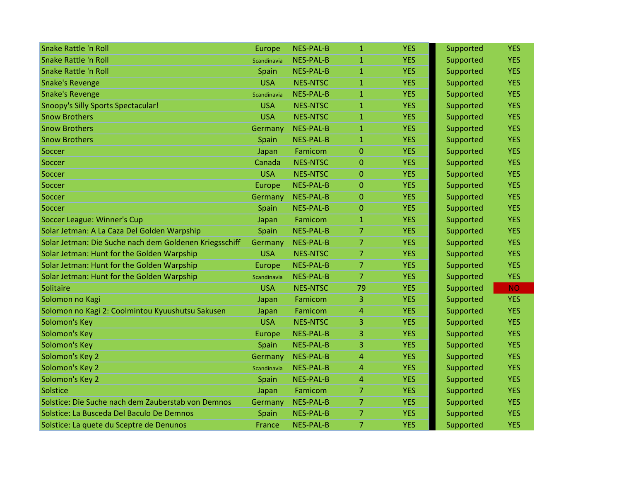| <b>Snake Rattle 'n Roll</b>                            | Europe      | <b>NES-PAL-B</b> | $\mathbf{1}$   | <b>YES</b> | Supported | <b>YES</b> |
|--------------------------------------------------------|-------------|------------------|----------------|------------|-----------|------------|
| <b>Snake Rattle 'n Roll</b>                            | Scandinavia | <b>NES-PAL-B</b> | $\mathbf{1}$   | <b>YES</b> | Supported | <b>YES</b> |
| <b>Snake Rattle 'n Roll</b>                            | Spain       | <b>NES-PAL-B</b> | $\mathbf{1}$   | <b>YES</b> | Supported | <b>YES</b> |
| <b>Snake's Revenge</b>                                 | <b>USA</b>  | <b>NES-NTSC</b>  | $\mathbf{1}$   | <b>YES</b> | Supported | <b>YES</b> |
| <b>Snake's Revenge</b>                                 | Scandinavia | <b>NES-PAL-B</b> | $\mathbf{1}$   | <b>YES</b> | Supported | <b>YES</b> |
| <b>Snoopy's Silly Sports Spectacular!</b>              | <b>USA</b>  | <b>NES-NTSC</b>  | 1              | <b>YES</b> | Supported | <b>YES</b> |
| <b>Snow Brothers</b>                                   | <b>USA</b>  | <b>NES-NTSC</b>  | $\mathbf{1}$   | <b>YES</b> | Supported | <b>YES</b> |
| <b>Snow Brothers</b>                                   | Germany     | <b>NES-PAL-B</b> | $\mathbf{1}$   | <b>YES</b> | Supported | <b>YES</b> |
| <b>Snow Brothers</b>                                   | Spain       | <b>NES-PAL-B</b> | $\mathbf{1}$   | <b>YES</b> | Supported | <b>YES</b> |
| Soccer                                                 | Japan       | Famicom          | $\overline{0}$ | <b>YES</b> | Supported | <b>YES</b> |
| Soccer                                                 | Canada      | <b>NES-NTSC</b>  | $\Omega$       | <b>YES</b> | Supported | <b>YES</b> |
| Soccer                                                 | <b>USA</b>  | <b>NES-NTSC</b>  | $\Omega$       | <b>YES</b> | Supported | <b>YES</b> |
| Soccer                                                 | Europe      | <b>NES-PAL-B</b> | $\overline{0}$ | <b>YES</b> | Supported | <b>YES</b> |
| Soccer                                                 | Germany     | <b>NES-PAL-B</b> | $\Omega$       | <b>YES</b> | Supported | <b>YES</b> |
| Soccer                                                 | Spain       | <b>NES-PAL-B</b> | 0              | <b>YES</b> | Supported | <b>YES</b> |
| Soccer League: Winner's Cup                            | Japan       | Famicom          | $\mathbf{1}$   | <b>YES</b> | Supported | <b>YES</b> |
| Solar Jetman: A La Caza Del Golden Warpship            | Spain       | <b>NES-PAL-B</b> | $\overline{7}$ | <b>YES</b> | Supported | <b>YES</b> |
| Solar Jetman: Die Suche nach dem Goldenen Kriegsschiff | Germany     | <b>NES-PAL-B</b> | $\overline{7}$ | <b>YES</b> | Supported | <b>YES</b> |
| Solar Jetman: Hunt for the Golden Warpship             | <b>USA</b>  | <b>NES-NTSC</b>  | $\overline{7}$ | <b>YES</b> | Supported | <b>YES</b> |
| Solar Jetman: Hunt for the Golden Warpship             | Europe      | <b>NES-PAL-B</b> | 7              | <b>YES</b> | Supported | <b>YES</b> |
| Solar Jetman: Hunt for the Golden Warpship             | Scandinavia | <b>NES-PAL-B</b> | $\overline{7}$ | <b>YES</b> | Supported | <b>YES</b> |
| Solitaire                                              | <b>USA</b>  | <b>NES-NTSC</b>  | 79             | <b>YES</b> | Supported | <b>NO</b>  |
| Solomon no Kagi                                        | Japan       | Famicom          | 3              | <b>YES</b> | Supported | <b>YES</b> |
| Solomon no Kagi 2: Coolmintou Kyuushutsu Sakusen       | Japan       | Famicom          | 4              | <b>YES</b> | Supported | <b>YES</b> |
| Solomon's Key                                          | <b>USA</b>  | <b>NES-NTSC</b>  | 3              | <b>YES</b> | Supported | <b>YES</b> |
| Solomon's Key                                          | Europe      | <b>NES-PAL-B</b> | 3              | <b>YES</b> | Supported | <b>YES</b> |
| Solomon's Key                                          | Spain       | <b>NES-PAL-B</b> | 3              | <b>YES</b> | Supported | <b>YES</b> |
| Solomon's Key 2                                        | Germany     | <b>NES-PAL-B</b> | 4              | <b>YES</b> | Supported | <b>YES</b> |
| Solomon's Key 2                                        | Scandinavia | <b>NES-PAL-B</b> | 4              | <b>YES</b> | Supported | <b>YES</b> |
| Solomon's Key 2                                        | Spain       | <b>NES-PAL-B</b> | 4              | <b>YES</b> | Supported | <b>YES</b> |
| Solstice                                               | Japan       | Famicom          | 7              | <b>YES</b> | Supported | <b>YES</b> |
| Solstice: Die Suche nach dem Zauberstab von Demnos     | Germany     | <b>NES-PAL-B</b> | $\overline{7}$ | <b>YES</b> | Supported | <b>YES</b> |
| Solstice: La Busceda Del Baculo De Demnos              | Spain       | <b>NES-PAL-B</b> | $\overline{7}$ | <b>YES</b> | Supported | <b>YES</b> |
| Solstice: La quete du Sceptre de Denunos               | France      | <b>NES-PAL-B</b> | 7              | <b>YES</b> | Supported | <b>YES</b> |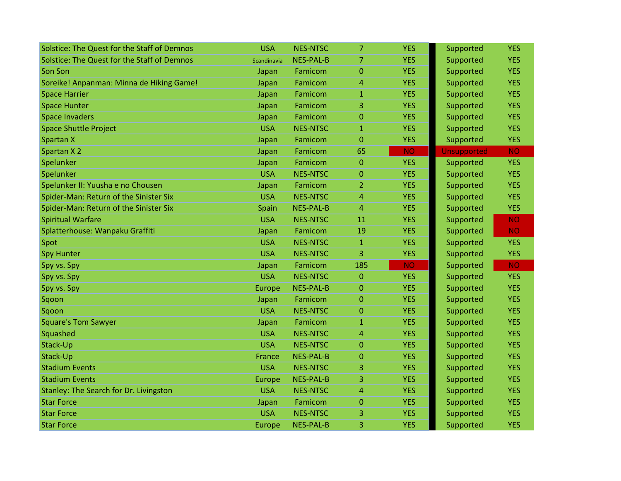| Solstice: The Quest for the Staff of Demnos | <b>USA</b>  | <b>NES-NTSC</b>  | 7              | <b>YES</b> | Supported          | <b>YES</b> |
|---------------------------------------------|-------------|------------------|----------------|------------|--------------------|------------|
| Solstice: The Quest for the Staff of Demnos | Scandinavia | <b>NES-PAL-B</b> | $\overline{7}$ | <b>YES</b> | Supported          | <b>YES</b> |
| Son Son                                     | Japan       | Famicom          | $\overline{0}$ | <b>YES</b> | Supported          | <b>YES</b> |
| Soreike! Anpanman: Minna de Hiking Game!    | Japan       | Famicom          | 4              | <b>YES</b> | Supported          | <b>YES</b> |
| <b>Space Harrier</b>                        | Japan       | Famicom          | $\mathbf{1}$   | <b>YES</b> | Supported          | <b>YES</b> |
| <b>Space Hunter</b>                         | Japan       | Famicom          | 3              | <b>YES</b> | Supported          | <b>YES</b> |
| <b>Space Invaders</b>                       | Japan       | Famicom          | $\overline{0}$ | <b>YES</b> | Supported          | <b>YES</b> |
| <b>Space Shuttle Project</b>                | <b>USA</b>  | <b>NES-NTSC</b>  | $\mathbf{1}$   | <b>YES</b> | Supported          | <b>YES</b> |
| Spartan X                                   | Japan       | Famicom          | $\overline{0}$ | <b>YES</b> | Supported          | <b>YES</b> |
| Spartan X 2                                 | Japan       | Famicom          | 65             | <b>NO</b>  | <b>Unsupported</b> | <b>NO</b>  |
| Spelunker                                   | Japan       | Famicom          | $\Omega$       | <b>YES</b> | Supported          | <b>YES</b> |
| Spelunker                                   | <b>USA</b>  | <b>NES-NTSC</b>  | $\Omega$       | <b>YES</b> | Supported          | <b>YES</b> |
| Spelunker II: Yuusha e no Chousen           | Japan       | Famicom          | $\overline{2}$ | <b>YES</b> | Supported          | <b>YES</b> |
| Spider-Man: Return of the Sinister Six      | <b>USA</b>  | <b>NES-NTSC</b>  | 4              | <b>YES</b> | Supported          | <b>YES</b> |
| Spider-Man: Return of the Sinister Six      | Spain       | <b>NES-PAL-B</b> | 4              | <b>YES</b> | Supported          | <b>YES</b> |
| <b>Spiritual Warfare</b>                    | <b>USA</b>  | <b>NES-NTSC</b>  | 11             | <b>YES</b> | Supported          | <b>NO</b>  |
| Splatterhouse: Wanpaku Graffiti             | Japan       | Famicom          | 19             | <b>YES</b> | Supported          | <b>NO</b>  |
| Spot                                        | <b>USA</b>  | <b>NES-NTSC</b>  | $\mathbf{1}$   | <b>YES</b> | Supported          | <b>YES</b> |
| <b>Spy Hunter</b>                           | <b>USA</b>  | <b>NES-NTSC</b>  | 3              | <b>YES</b> | Supported          | <b>YES</b> |
| Spy vs. Spy                                 | Japan       | Famicom          | 185            | <b>NO</b>  | Supported          | <b>NO</b>  |
| Spy vs. Spy                                 | <b>USA</b>  | <b>NES-NTSC</b>  | $\mathbf{0}$   | <b>YES</b> | Supported          | <b>YES</b> |
| Spy vs. Spy                                 | Europe      | <b>NES-PAL-B</b> | $\Omega$       | <b>YES</b> | Supported          | <b>YES</b> |
| Sqoon                                       | Japan       | Famicom          | $\mathbf{0}$   | <b>YES</b> | Supported          | <b>YES</b> |
| Sqoon                                       | <b>USA</b>  | <b>NES-NTSC</b>  | $\overline{0}$ | <b>YES</b> | Supported          | <b>YES</b> |
| <b>Square's Tom Sawyer</b>                  | Japan       | Famicom          | 1              | <b>YES</b> | Supported          | <b>YES</b> |
| Squashed                                    | <b>USA</b>  | <b>NES-NTSC</b>  | 4              | <b>YES</b> | Supported          | <b>YES</b> |
| Stack-Up                                    | <b>USA</b>  | <b>NES-NTSC</b>  | $\Omega$       | <b>YES</b> | Supported          | <b>YES</b> |
| Stack-Up                                    | France      | <b>NES-PAL-B</b> | $\overline{0}$ | <b>YES</b> | Supported          | <b>YES</b> |
| <b>Stadium Events</b>                       | <b>USA</b>  | <b>NES-NTSC</b>  | 3              | <b>YES</b> | Supported          | <b>YES</b> |
| <b>Stadium Events</b>                       | Europe      | <b>NES-PAL-B</b> | 3              | <b>YES</b> | Supported          | <b>YES</b> |
| Stanley: The Search for Dr. Livingston      | <b>USA</b>  | <b>NES-NTSC</b>  | 4              | <b>YES</b> | Supported          | <b>YES</b> |
| <b>Star Force</b>                           | Japan       | Famicom          | $\mathbf{0}$   | <b>YES</b> | Supported          | <b>YES</b> |
| <b>Star Force</b>                           | <b>USA</b>  | <b>NES-NTSC</b>  | 3              | <b>YES</b> | Supported          | <b>YES</b> |
| <b>Star Force</b>                           | Europe      | <b>NES-PAL-B</b> | 3              | <b>YES</b> | Supported          | <b>YES</b> |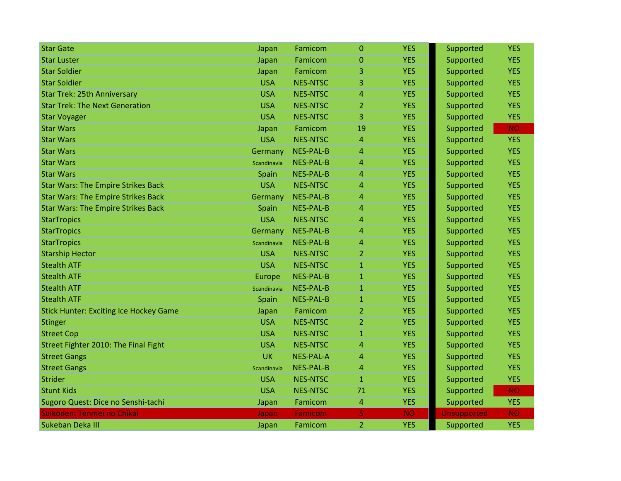| <b>Star Gate</b>                              | Japan       | Famicom          | $\Omega$       | <b>YES</b> | Supported          | <b>YES</b> |
|-----------------------------------------------|-------------|------------------|----------------|------------|--------------------|------------|
| <b>Star Luster</b>                            | Japan       | Famicom          | 0              | <b>YES</b> | Supported          | <b>YES</b> |
| <b>Star Soldier</b>                           | Japan       | Famicom          | 3              | <b>YES</b> | Supported          | <b>YES</b> |
| <b>Star Soldier</b>                           | <b>USA</b>  | <b>NES-NTSC</b>  | 3              | <b>YES</b> | Supported          | <b>YES</b> |
| <b>Star Trek: 25th Anniversary</b>            | <b>USA</b>  | <b>NES-NTSC</b>  | 4              | <b>YES</b> | Supported          | <b>YES</b> |
| <b>Star Trek: The Next Generation</b>         | <b>USA</b>  | <b>NES-NTSC</b>  | 2              | <b>YES</b> | Supported          | <b>YES</b> |
| <b>Star Voyager</b>                           | <b>USA</b>  | <b>NES-NTSC</b>  | 3              | <b>YES</b> | Supported          | <b>YES</b> |
| <b>Star Wars</b>                              | Japan       | Famicom          | 19             | <b>YES</b> | Supported          | <b>NO</b>  |
| <b>Star Wars</b>                              | <b>USA</b>  | <b>NES-NTSC</b>  | 4              | <b>YES</b> | Supported          | <b>YES</b> |
| <b>Star Wars</b>                              | Germany     | <b>NES-PAL-B</b> | 4              | <b>YES</b> | Supported          | <b>YES</b> |
| <b>Star Wars</b>                              | Scandinavia | <b>NES-PAL-B</b> | 4              | <b>YES</b> | Supported          | <b>YES</b> |
| <b>Star Wars</b>                              | Spain       | <b>NES-PAL-B</b> | 4              | <b>YES</b> | Supported          | <b>YES</b> |
| <b>Star Wars: The Empire Strikes Back</b>     | <b>USA</b>  | <b>NES-NTSC</b>  | 4              | <b>YES</b> | Supported          | <b>YES</b> |
| <b>Star Wars: The Empire Strikes Back</b>     | Germany     | <b>NES-PAL-B</b> | 4              | <b>YES</b> | Supported          | <b>YES</b> |
| <b>Star Wars: The Empire Strikes Back</b>     | Spain       | <b>NES-PAL-B</b> | 4              | <b>YES</b> | Supported          | <b>YES</b> |
| <b>StarTropics</b>                            | <b>USA</b>  | <b>NES-NTSC</b>  | 4              | <b>YES</b> | Supported          | <b>YES</b> |
| <b>StarTropics</b>                            | Germany     | <b>NES-PAL-B</b> | 4              | <b>YES</b> | Supported          | <b>YES</b> |
| <b>StarTropics</b>                            | Scandinavia | <b>NES-PAL-B</b> | 4              | <b>YES</b> | Supported          | <b>YES</b> |
| <b>Starship Hector</b>                        | <b>USA</b>  | <b>NES-NTSC</b>  | $\overline{2}$ | <b>YES</b> | Supported          | <b>YES</b> |
| <b>Stealth ATF</b>                            | <b>USA</b>  | <b>NES-NTSC</b>  | 1              | <b>YES</b> | Supported          | <b>YES</b> |
| <b>Stealth ATF</b>                            | Europe      | <b>NES-PAL-B</b> | $\mathbf{1}$   | <b>YES</b> | Supported          | <b>YES</b> |
| <b>Stealth ATF</b>                            | Scandinavia | <b>NES-PAL-B</b> | $\mathbf{1}$   | <b>YES</b> | Supported          | <b>YES</b> |
| <b>Stealth ATF</b>                            | Spain       | <b>NES-PAL-B</b> | $\mathbf{1}$   | <b>YES</b> | Supported          | <b>YES</b> |
| <b>Stick Hunter: Exciting Ice Hockey Game</b> | Japan       | Famicom          | $\overline{2}$ | <b>YES</b> | Supported          | <b>YES</b> |
| Stinger                                       | <b>USA</b>  | <b>NES-NTSC</b>  | 2              | <b>YES</b> | Supported          | <b>YES</b> |
| <b>Street Cop</b>                             | <b>USA</b>  | <b>NES-NTSC</b>  | $\mathbf{1}$   | <b>YES</b> | Supported          | <b>YES</b> |
| Street Fighter 2010: The Final Fight          | <b>USA</b>  | <b>NES-NTSC</b>  | 4              | <b>YES</b> | Supported          | <b>YES</b> |
| <b>Street Gangs</b>                           | <b>UK</b>   | <b>NES-PAL-A</b> | 4              | <b>YES</b> | Supported          | <b>YES</b> |
| <b>Street Gangs</b>                           | Scandinavia | <b>NES-PAL-B</b> | $\overline{4}$ | <b>YES</b> | Supported          | <b>YES</b> |
| <b>Strider</b>                                | <b>USA</b>  | <b>NES-NTSC</b>  | $\mathbf{1}$   | <b>YES</b> | Supported          | <b>YES</b> |
| <b>Stunt Kids</b>                             | <b>USA</b>  | <b>NES-NTSC</b>  | 71             | <b>YES</b> | Supported          | <b>NO</b>  |
| Sugoro Quest: Dice no Senshi-tachi            | Japan       | Famicom          | 4              | <b>YES</b> | Supported          | <b>YES</b> |
| Suikoden: Tenmei no Chikai                    | Japan       | Famicom          | 5              | <b>NO</b>  | <b>Unsupported</b> | <b>NO</b>  |
| Sukeban Deka III                              | Japan       | Famicom          | $\overline{2}$ | <b>YES</b> | Supported          | <b>YES</b> |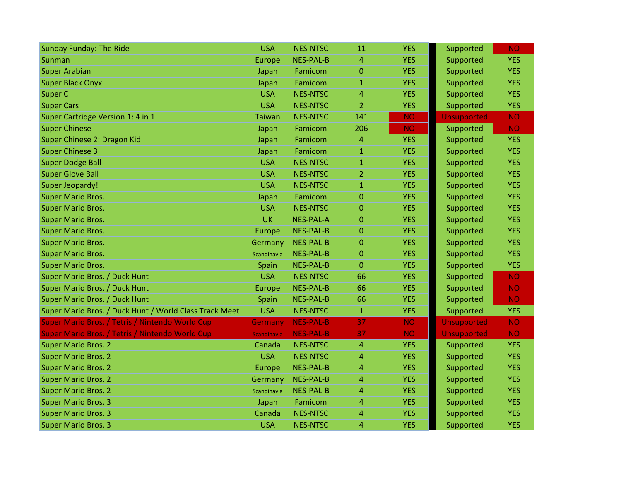| <b>Sunday Funday: The Ride</b>                         | <b>USA</b>    | <b>NES-NTSC</b>  | 11               | <b>YES</b> | Supported          | <b>NO</b>  |
|--------------------------------------------------------|---------------|------------------|------------------|------------|--------------------|------------|
| Sunman                                                 | Europe        | <b>NES-PAL-B</b> | 4                | <b>YES</b> | Supported          | <b>YES</b> |
| <b>Super Arabian</b>                                   | Japan         | Famicom          | $\overline{0}$   | <b>YES</b> | Supported          | <b>YES</b> |
| <b>Super Black Onyx</b>                                | Japan         | Famicom          | $\mathbf{1}$     | <b>YES</b> | Supported          | <b>YES</b> |
| <b>Super C</b>                                         | <b>USA</b>    | <b>NES-NTSC</b>  | 4                | <b>YES</b> | Supported          | <b>YES</b> |
| <b>Super Cars</b>                                      | <b>USA</b>    | <b>NES-NTSC</b>  | $\overline{2}$   | <b>YES</b> | Supported          | <b>YES</b> |
| Super Cartridge Version 1: 4 in 1                      | <b>Taiwan</b> | <b>NES-NTSC</b>  | 141              | <b>NO</b>  | <b>Unsupported</b> | <b>NO</b>  |
| <b>Super Chinese</b>                                   | Japan         | Famicom          | 206              | <b>NO</b>  | Supported          | <b>NO</b>  |
| Super Chinese 2: Dragon Kid                            | Japan         | Famicom          | $\overline{4}$   | <b>YES</b> | Supported          | <b>YES</b> |
| <b>Super Chinese 3</b>                                 | Japan         | Famicom          | $\mathbf{1}$     | <b>YES</b> | Supported          | <b>YES</b> |
| <b>Super Dodge Ball</b>                                | <b>USA</b>    | <b>NES-NTSC</b>  | $\mathbf{1}$     | <b>YES</b> | Supported          | <b>YES</b> |
| <b>Super Glove Ball</b>                                | <b>USA</b>    | <b>NES-NTSC</b>  | $\overline{2}$   | <b>YES</b> | Supported          | <b>YES</b> |
| Super Jeopardy!                                        | <b>USA</b>    | <b>NES-NTSC</b>  | $\mathbf{1}$     | <b>YES</b> | Supported          | <b>YES</b> |
| <b>Super Mario Bros.</b>                               | Japan         | Famicom          | $\mathbf 0$      | <b>YES</b> | Supported          | <b>YES</b> |
| <b>Super Mario Bros.</b>                               | <b>USA</b>    | <b>NES-NTSC</b>  | $\mathbf{0}$     | <b>YES</b> | Supported          | <b>YES</b> |
| <b>Super Mario Bros.</b>                               | UK            | <b>NES-PAL-A</b> | $\boldsymbol{0}$ | <b>YES</b> | Supported          | <b>YES</b> |
| <b>Super Mario Bros.</b>                               | Europe        | <b>NES-PAL-B</b> | $\overline{0}$   | <b>YES</b> | Supported          | <b>YES</b> |
| <b>Super Mario Bros.</b>                               | Germany       | <b>NES-PAL-B</b> | $\overline{0}$   | <b>YES</b> | Supported          | <b>YES</b> |
| <b>Super Mario Bros.</b>                               | Scandinavia   | <b>NES-PAL-B</b> | $\overline{0}$   | <b>YES</b> | Supported          | <b>YES</b> |
| <b>Super Mario Bros.</b>                               | Spain         | <b>NES-PAL-B</b> | $\mathbf{0}$     | <b>YES</b> | Supported          | <b>YES</b> |
| Super Mario Bros. / Duck Hunt                          | <b>USA</b>    | <b>NES-NTSC</b>  | 66               | <b>YES</b> | Supported          | <b>NO</b>  |
| Super Mario Bros. / Duck Hunt                          | Europe        | <b>NES-PAL-B</b> | 66               | <b>YES</b> | Supported          | <b>NO</b>  |
| Super Mario Bros. / Duck Hunt                          | Spain         | <b>NES-PAL-B</b> | 66               | <b>YES</b> | Supported          | <b>NO</b>  |
| Super Mario Bros. / Duck Hunt / World Class Track Meet | <b>USA</b>    | <b>NES-NTSC</b>  | $\mathbf{1}$     | <b>YES</b> | Supported          | <b>YES</b> |
| Super Mario Bros. / Tetris / Nintendo World Cup        | Germany       | <b>NES-PAL-B</b> | 37               | <b>NO</b>  | <b>Unsupported</b> | <b>NO</b>  |
| Super Mario Bros. / Tetris / Nintendo World Cup        | Scandinavia   | <b>NES-PAL-B</b> | 37               | <b>NO</b>  | <b>Unsupported</b> | <b>NO</b>  |
| <b>Super Mario Bros. 2</b>                             | Canada        | <b>NES-NTSC</b>  | $\overline{4}$   | <b>YES</b> | Supported          | <b>YES</b> |
| <b>Super Mario Bros. 2</b>                             | <b>USA</b>    | <b>NES-NTSC</b>  | $\overline{4}$   | <b>YES</b> | Supported          | <b>YES</b> |
| <b>Super Mario Bros. 2</b>                             | Europe        | <b>NES-PAL-B</b> | $\overline{4}$   | <b>YES</b> | Supported          | <b>YES</b> |
| <b>Super Mario Bros. 2</b>                             | Germany       | <b>NES-PAL-B</b> | 4                | <b>YES</b> | Supported          | <b>YES</b> |
| <b>Super Mario Bros. 2</b>                             | Scandinavia   | <b>NES-PAL-B</b> | 4                | <b>YES</b> | Supported          | <b>YES</b> |
| <b>Super Mario Bros. 3</b>                             | Japan         | Famicom          | $\overline{4}$   | <b>YES</b> | Supported          | <b>YES</b> |
| <b>Super Mario Bros. 3</b>                             | Canada        | <b>NES-NTSC</b>  | $\overline{4}$   | <b>YES</b> | Supported          | <b>YES</b> |
| <b>Super Mario Bros. 3</b>                             | <b>USA</b>    | <b>NES-NTSC</b>  | $\overline{4}$   | <b>YES</b> | Supported          | <b>YES</b> |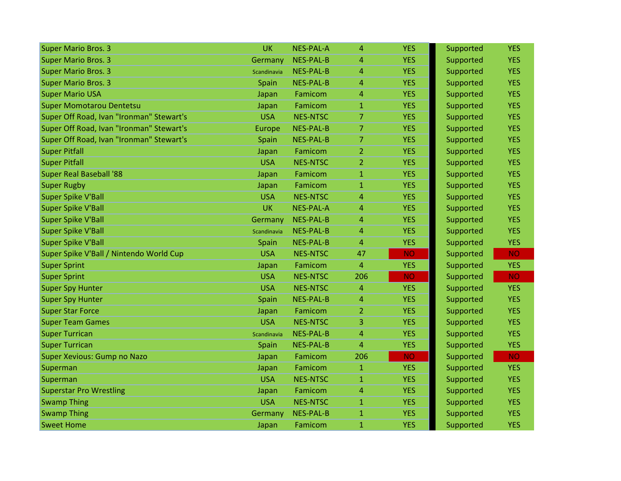| <b>Super Mario Bros. 3</b>               | <b>UK</b>     | <b>NES-PAL-A</b> | 4              | <b>YES</b> | Supported | <b>YES</b> |
|------------------------------------------|---------------|------------------|----------------|------------|-----------|------------|
| <b>Super Mario Bros. 3</b>               | Germany       | <b>NES-PAL-B</b> | 4              | <b>YES</b> | Supported | <b>YES</b> |
| <b>Super Mario Bros. 3</b>               | Scandinavia   | <b>NES-PAL-B</b> | 4              | <b>YES</b> | Supported | <b>YES</b> |
| <b>Super Mario Bros. 3</b>               | Spain         | <b>NES-PAL-B</b> | 4              | <b>YES</b> | Supported | <b>YES</b> |
| <b>Super Mario USA</b>                   | Japan         | Famicom          | 4              | <b>YES</b> | Supported | <b>YES</b> |
| <b>Super Momotarou Dentetsu</b>          | Japan         | Famicom          | 1              | <b>YES</b> | Supported | <b>YES</b> |
| Super Off Road, Ivan "Ironman" Stewart's | <b>USA</b>    | <b>NES-NTSC</b>  | $\overline{7}$ | <b>YES</b> | Supported | <b>YES</b> |
| Super Off Road, Ivan "Ironman" Stewart's | <b>Europe</b> | <b>NES-PAL-B</b> | $\overline{7}$ | <b>YES</b> | Supported | <b>YES</b> |
| Super Off Road, Ivan "Ironman" Stewart's | Spain         | <b>NES-PAL-B</b> | $\overline{7}$ | <b>YES</b> | Supported | <b>YES</b> |
| <b>Super Pitfall</b>                     | Japan         | Famicom          | $\overline{2}$ | <b>YES</b> | Supported | <b>YES</b> |
| <b>Super Pitfall</b>                     | <b>USA</b>    | <b>NES-NTSC</b>  | $\overline{2}$ | <b>YES</b> | Supported | <b>YES</b> |
| <b>Super Real Baseball '88</b>           | Japan         | Famicom          | $\mathbf{1}$   | <b>YES</b> | Supported | <b>YES</b> |
| <b>Super Rugby</b>                       | Japan         | Famicom          | $\mathbf{1}$   | <b>YES</b> | Supported | <b>YES</b> |
| <b>Super Spike V'Ball</b>                | <b>USA</b>    | <b>NES-NTSC</b>  | $\overline{4}$ | <b>YES</b> | Supported | <b>YES</b> |
| <b>Super Spike V'Ball</b>                | <b>UK</b>     | <b>NES-PAL-A</b> | 4              | <b>YES</b> | Supported | <b>YES</b> |
| <b>Super Spike V'Ball</b>                | Germany       | <b>NES-PAL-B</b> | 4              | <b>YES</b> | Supported | <b>YES</b> |
| <b>Super Spike V'Ball</b>                | Scandinavia   | <b>NES-PAL-B</b> | 4              | <b>YES</b> | Supported | <b>YES</b> |
| <b>Super Spike V'Ball</b>                | Spain         | <b>NES-PAL-B</b> | 4              | <b>YES</b> | Supported | <b>YES</b> |
| Super Spike V'Ball / Nintendo World Cup  | <b>USA</b>    | <b>NES-NTSC</b>  | 47             | <b>NO</b>  | Supported | <b>NO</b>  |
| <b>Super Sprint</b>                      | Japan         | Famicom          | 4              | <b>YES</b> | Supported | <b>YES</b> |
| <b>Super Sprint</b>                      | <b>USA</b>    | <b>NES-NTSC</b>  | 206            | <b>NO</b>  | Supported | <b>NO</b>  |
| <b>Super Spy Hunter</b>                  | <b>USA</b>    | <b>NES-NTSC</b>  | 4              | <b>YES</b> | Supported | <b>YES</b> |
| <b>Super Spy Hunter</b>                  | Spain         | <b>NES-PAL-B</b> | 4              | <b>YES</b> | Supported | <b>YES</b> |
| <b>Super Star Force</b>                  | Japan         | Famicom          | $\overline{2}$ | <b>YES</b> | Supported | <b>YES</b> |
| <b>Super Team Games</b>                  | <b>USA</b>    | <b>NES-NTSC</b>  | 3              | <b>YES</b> | Supported | <b>YES</b> |
| <b>Super Turrican</b>                    | Scandinavia   | <b>NES-PAL-B</b> | 4              | <b>YES</b> | Supported | <b>YES</b> |
| <b>Super Turrican</b>                    | Spain         | <b>NES-PAL-B</b> | 4              | <b>YES</b> | Supported | <b>YES</b> |
| Super Xevious: Gump no Nazo              | Japan         | Famicom          | 206            | <b>NO</b>  | Supported | <b>NO</b>  |
| Superman                                 | Japan         | Famicom          | $\mathbf{1}$   | <b>YES</b> | Supported | <b>YES</b> |
| Superman                                 | <b>USA</b>    | <b>NES-NTSC</b>  | $\mathbf{1}$   | <b>YES</b> | Supported | <b>YES</b> |
| <b>Superstar Pro Wrestling</b>           | Japan         | Famicom          | 4              | <b>YES</b> | Supported | <b>YES</b> |
| <b>Swamp Thing</b>                       | <b>USA</b>    | <b>NES-NTSC</b>  | $\mathbf{1}$   | <b>YES</b> | Supported | <b>YES</b> |
| <b>Swamp Thing</b>                       | Germany       | <b>NES-PAL-B</b> | $\mathbf{1}$   | <b>YES</b> | Supported | <b>YES</b> |
| <b>Sweet Home</b>                        | Japan         | Famicom          | $\mathbf{1}$   | <b>YES</b> | Supported | <b>YES</b> |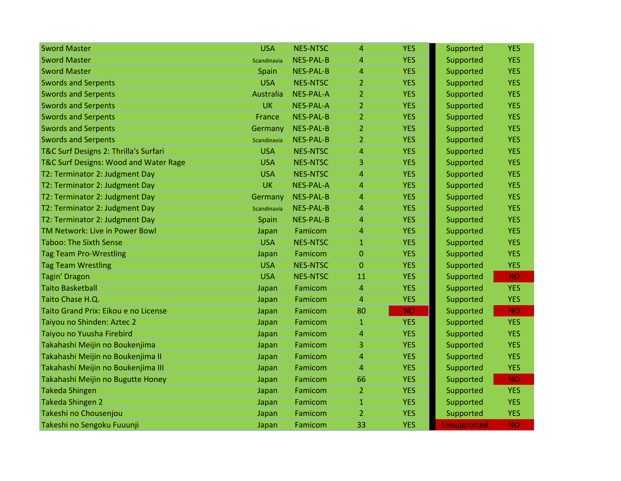| <b>Sword Master</b>                   | <b>USA</b>  | <b>NES-NTSC</b>  | 4              | <b>YES</b> | Supported          | <b>YES</b> |
|---------------------------------------|-------------|------------------|----------------|------------|--------------------|------------|
| <b>Sword Master</b>                   | Scandinavia | <b>NES-PAL-B</b> | 4              | <b>YES</b> | Supported          | <b>YES</b> |
| <b>Sword Master</b>                   | Spain       | <b>NES-PAL-B</b> | 4              | <b>YES</b> | Supported          | <b>YES</b> |
| <b>Swords and Serpents</b>            | <b>USA</b>  | <b>NES-NTSC</b>  | $\overline{2}$ | <b>YES</b> | Supported          | <b>YES</b> |
| <b>Swords and Serpents</b>            | Australia   | <b>NES-PAL-A</b> | $\overline{2}$ | <b>YES</b> | Supported          | <b>YES</b> |
| <b>Swords and Serpents</b>            | <b>UK</b>   | <b>NES-PAL-A</b> | 2              | <b>YES</b> | Supported          | <b>YES</b> |
| <b>Swords and Serpents</b>            | France      | <b>NES-PAL-B</b> | $\mathbf{2}$   | <b>YES</b> | Supported          | <b>YES</b> |
| <b>Swords and Serpents</b>            | Germany     | <b>NES-PAL-B</b> | $\overline{2}$ | <b>YES</b> | Supported          | <b>YES</b> |
| <b>Swords and Serpents</b>            | Scandinavia | <b>NES-PAL-B</b> | $\overline{2}$ | <b>YES</b> | Supported          | <b>YES</b> |
| T&C Surf Designs 2: Thrilla's Surfari | <b>USA</b>  | <b>NES-NTSC</b>  | 4              | <b>YES</b> | Supported          | <b>YES</b> |
| T&C Surf Designs: Wood and Water Rage | <b>USA</b>  | <b>NES-NTSC</b>  | 3              | <b>YES</b> | Supported          | <b>YES</b> |
| T2: Terminator 2: Judgment Day        | <b>USA</b>  | <b>NES-NTSC</b>  | 4              | <b>YES</b> | Supported          | <b>YES</b> |
| T2: Terminator 2: Judgment Day        | <b>UK</b>   | <b>NES-PAL-A</b> | 4              | <b>YES</b> | Supported          | <b>YES</b> |
| T2: Terminator 2: Judgment Day        | Germany     | <b>NES-PAL-B</b> | 4              | <b>YES</b> | Supported          | <b>YES</b> |
| T2: Terminator 2: Judgment Day        | Scandinavia | <b>NES-PAL-B</b> | 4              | <b>YES</b> | Supported          | <b>YES</b> |
| T2: Terminator 2: Judgment Day        | Spain       | <b>NES-PAL-B</b> | 4              | <b>YES</b> | Supported          | <b>YES</b> |
| TM Network: Live in Power Bowl        | Japan       | Famicom          | 4              | <b>YES</b> | Supported          | <b>YES</b> |
| <b>Taboo: The Sixth Sense</b>         | <b>USA</b>  | <b>NES-NTSC</b>  | $\mathbf{1}$   | <b>YES</b> | Supported          | <b>YES</b> |
| <b>Tag Team Pro-Wrestling</b>         | Japan       | Famicom          | 0              | <b>YES</b> | Supported          | <b>YES</b> |
| <b>Tag Team Wrestling</b>             | <b>USA</b>  | <b>NES-NTSC</b>  | 0              | <b>YES</b> | Supported          | <b>YES</b> |
| <b>Tagin' Dragon</b>                  | <b>USA</b>  | <b>NES-NTSC</b>  | 11             | <b>YES</b> | Supported          | <b>NO</b>  |
| <b>Taito Basketball</b>               | Japan       | Famicom          | 4              | <b>YES</b> | Supported          | <b>YES</b> |
| Taito Chase H.Q.                      | Japan       | Famicom          | 4              | <b>YES</b> | Supported          | <b>YES</b> |
| Taito Grand Prix: Eikou e no License  | Japan       | Famicom          | 80             | <b>NO</b>  | Supported          | <b>NO</b>  |
| Taiyou no Shinden: Aztec 2            | Japan       | Famicom          | $\mathbf{1}$   | <b>YES</b> | Supported          | <b>YES</b> |
| Taiyou no Yuusha Firebird             | Japan       | Famicom          | 4              | <b>YES</b> | Supported          | <b>YES</b> |
| Takahashi Meijin no Boukenjima        | Japan       | Famicom          | 3              | <b>YES</b> | Supported          | <b>YES</b> |
| Takahashi Meijin no Boukenjima II     | Japan       | Famicom          | 4              | <b>YES</b> | Supported          | <b>YES</b> |
| Takahashi Meijin no Boukenjima III    | Japan       | Famicom          | 4              | <b>YES</b> | Supported          | <b>YES</b> |
| Takahashi Meijin no Bugutte Honey     | Japan       | Famicom          | 66             | <b>YES</b> | Supported          | <b>NO</b>  |
| <b>Takeda Shingen</b>                 | Japan       | Famicom          | $\overline{2}$ | <b>YES</b> | Supported          | <b>YES</b> |
| <b>Takeda Shingen 2</b>               | Japan       | Famicom          | $\mathbf{1}$   | <b>YES</b> | Supported          | <b>YES</b> |
| Takeshi no Chousenjou                 | Japan       | Famicom          | $\overline{2}$ | <b>YES</b> | Supported          | <b>YES</b> |
| Takeshi no Sengoku Fuuunji            | Japan       | Famicom          | 33             | <b>YES</b> | <b>Unsupported</b> | <b>NO</b>  |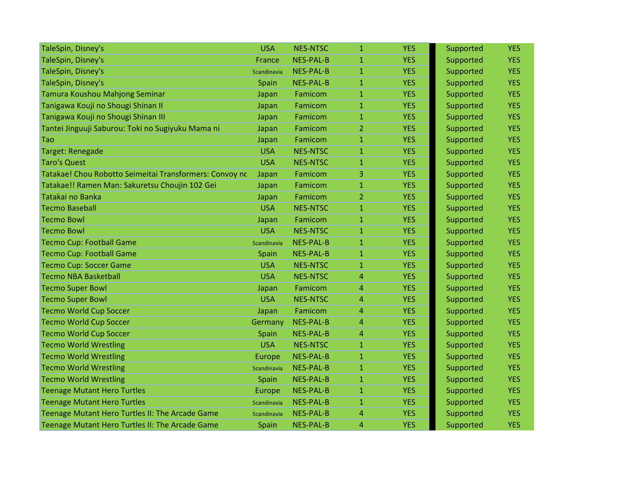| TaleSpin, Disney's                                      | <b>USA</b>    | <b>NES-NTSC</b>  | $\mathbf{1}$   | <b>YES</b> | Supported | <b>YES</b> |
|---------------------------------------------------------|---------------|------------------|----------------|------------|-----------|------------|
| TaleSpin, Disney's                                      | France        | <b>NES-PAL-B</b> | $\mathbf{1}$   | <b>YES</b> | Supported | <b>YES</b> |
| TaleSpin, Disney's                                      | Scandinavia   | <b>NES-PAL-B</b> | $\mathbf{1}$   | <b>YES</b> | Supported | <b>YES</b> |
| TaleSpin, Disney's                                      | Spain         | <b>NES-PAL-B</b> | $\mathbf{1}$   | <b>YES</b> | Supported | <b>YES</b> |
| Tamura Koushou Mahjong Seminar                          | Japan         | Famicom          | $\mathbf{1}$   | <b>YES</b> | Supported | <b>YES</b> |
| Tanigawa Kouji no Shougi Shinan II                      | Japan         | Famicom          | $\mathbf{1}$   | <b>YES</b> | Supported | <b>YES</b> |
| Tanigawa Kouji no Shougi Shinan III                     | Japan         | Famicom          | $\mathbf{1}$   | <b>YES</b> | Supported | <b>YES</b> |
| Tantei Jinguuji Saburou: Toki no Sugiyuku Mama ni       | Japan         | Famicom          | $\overline{2}$ | <b>YES</b> | Supported | <b>YES</b> |
| Tao                                                     | Japan         | Famicom          | $\mathbf{1}$   | <b>YES</b> | Supported | <b>YES</b> |
| Target: Renegade                                        | <b>USA</b>    | <b>NES-NTSC</b>  | $\overline{1}$ | <b>YES</b> | Supported | <b>YES</b> |
| <b>Taro's Quest</b>                                     | <b>USA</b>    | <b>NES-NTSC</b>  | $\mathbf{1}$   | <b>YES</b> | Supported | <b>YES</b> |
| Tatakae! Chou Robotto Seimeitai Transformers: Convoy nc | Japan         | Famicom          | 3              | <b>YES</b> | Supported | <b>YES</b> |
| Tatakae!! Ramen Man: Sakuretsu Choujin 102 Gei          | Japan         | Famicom          | $\mathbf{1}$   | <b>YES</b> | Supported | <b>YES</b> |
| Tatakai no Banka                                        | Japan         | Famicom          | $\overline{2}$ | <b>YES</b> | Supported | <b>YES</b> |
| <b>Tecmo Baseball</b>                                   | <b>USA</b>    | <b>NES-NTSC</b>  | $\mathbf{1}$   | <b>YES</b> | Supported | <b>YES</b> |
| <b>Tecmo Bowl</b>                                       | Japan         | Famicom          | $\mathbf{1}$   | <b>YES</b> | Supported | <b>YES</b> |
| <b>Tecmo Bowl</b>                                       | <b>USA</b>    | <b>NES-NTSC</b>  | $\mathbf{1}$   | <b>YES</b> | Supported | <b>YES</b> |
| <b>Tecmo Cup: Football Game</b>                         | Scandinavia   | <b>NES-PAL-B</b> | $\mathbf{1}$   | <b>YES</b> | Supported | <b>YES</b> |
| <b>Tecmo Cup: Football Game</b>                         | Spain         | <b>NES-PAL-B</b> | $\mathbf{1}$   | <b>YES</b> | Supported | <b>YES</b> |
| <b>Tecmo Cup: Soccer Game</b>                           | <b>USA</b>    | <b>NES-NTSC</b>  | $\mathbf{1}$   | <b>YES</b> | Supported | <b>YES</b> |
| <b>Tecmo NBA Basketball</b>                             | <b>USA</b>    | <b>NES-NTSC</b>  | 4              | <b>YES</b> | Supported | <b>YES</b> |
| <b>Tecmo Super Bowl</b>                                 | Japan         | Famicom          | 4              | <b>YES</b> | Supported | <b>YES</b> |
| <b>Tecmo Super Bowl</b>                                 | <b>USA</b>    | <b>NES-NTSC</b>  | 4              | <b>YES</b> | Supported | <b>YES</b> |
| <b>Tecmo World Cup Soccer</b>                           | Japan         | Famicom          | 4              | <b>YES</b> | Supported | <b>YES</b> |
| <b>Tecmo World Cup Soccer</b>                           | Germany       | <b>NES-PAL-B</b> | 4              | <b>YES</b> | Supported | <b>YES</b> |
| <b>Tecmo World Cup Soccer</b>                           | Spain         | NES-PAL-B        | 4              | <b>YES</b> | Supported | <b>YES</b> |
| <b>Tecmo World Wrestling</b>                            | <b>USA</b>    | <b>NES-NTSC</b>  | $\mathbf{1}$   | <b>YES</b> | Supported | <b>YES</b> |
| <b>Tecmo World Wrestling</b>                            | <b>Europe</b> | <b>NES-PAL-B</b> | $\mathbf{1}$   | <b>YES</b> | Supported | <b>YES</b> |
| <b>Tecmo World Wrestling</b>                            | Scandinavia   | <b>NES-PAL-B</b> | $\mathbf{1}$   | <b>YES</b> | Supported | <b>YES</b> |
| <b>Tecmo World Wrestling</b>                            | Spain         | <b>NES-PAL-B</b> | 1              | <b>YES</b> | Supported | <b>YES</b> |
| <b>Teenage Mutant Hero Turtles</b>                      | Europe        | <b>NES-PAL-B</b> | $\mathbf{1}$   | <b>YES</b> | Supported | <b>YES</b> |
| <b>Teenage Mutant Hero Turtles</b>                      | Scandinavia   | NES-PAL-B        | $\mathbf{1}$   | <b>YES</b> | Supported | <b>YES</b> |
| Teenage Mutant Hero Turtles II: The Arcade Game         | Scandinavia   | <b>NES-PAL-B</b> | 4              | <b>YES</b> | Supported | <b>YES</b> |
| Teenage Mutant Hero Turtles II: The Arcade Game         | Spain         | <b>NES-PAL-B</b> | 4              | <b>YES</b> | Supported | <b>YES</b> |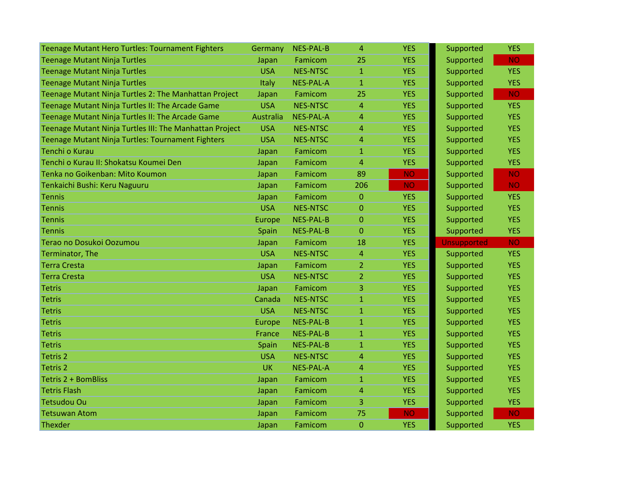| Teenage Mutant Hero Turtles: Tournament Fighters        | Germany       | <b>NES-PAL-B</b> | 4              | <b>YES</b> | Supported          | <b>YES</b> |
|---------------------------------------------------------|---------------|------------------|----------------|------------|--------------------|------------|
| <b>Teenage Mutant Ninja Turtles</b>                     | Japan         | Famicom          | 25             | <b>YES</b> | Supported          | <b>NO</b>  |
| <b>Teenage Mutant Ninja Turtles</b>                     | <b>USA</b>    | <b>NES-NTSC</b>  | $\mathbf{1}$   | <b>YES</b> | Supported          | <b>YES</b> |
| <b>Teenage Mutant Ninja Turtles</b>                     | Italy         | <b>NES-PAL-A</b> | $\mathbf{1}$   | <b>YES</b> | Supported          | <b>YES</b> |
| Teenage Mutant Ninja Turtles 2: The Manhattan Project   | Japan         | Famicom          | 25             | <b>YES</b> | Supported          | <b>NO</b>  |
| Teenage Mutant Ninja Turtles II: The Arcade Game        | <b>USA</b>    | <b>NES-NTSC</b>  | 4              | <b>YES</b> | Supported          | <b>YES</b> |
| Teenage Mutant Ninja Turtles II: The Arcade Game        | Australia     | <b>NES-PAL-A</b> | 4              | <b>YES</b> | Supported          | <b>YES</b> |
| Teenage Mutant Ninja Turtles III: The Manhattan Project | <b>USA</b>    | <b>NES-NTSC</b>  | 4              | <b>YES</b> | Supported          | <b>YES</b> |
| Teenage Mutant Ninja Turtles: Tournament Fighters       | <b>USA</b>    | <b>NES-NTSC</b>  | 4              | <b>YES</b> | Supported          | <b>YES</b> |
| Tenchi o Kurau                                          | Japan         | Famicom          | $\mathbf{1}$   | <b>YES</b> | Supported          | <b>YES</b> |
| Tenchi o Kurau II: Shokatsu Koumei Den                  | Japan         | Famicom          | 4              | <b>YES</b> | Supported          | <b>YES</b> |
| Tenka no Goikenban: Mito Koumon                         | Japan         | Famicom          | 89             | <b>NO</b>  | Supported          | <b>NO</b>  |
| Tenkaichi Bushi: Keru Naguuru                           | Japan         | Famicom          | 206            | <b>NO</b>  | Supported          | <b>NO</b>  |
| <b>Tennis</b>                                           | Japan         | Famicom          | $\Omega$       | <b>YES</b> | Supported          | <b>YES</b> |
| <b>Tennis</b>                                           | <b>USA</b>    | <b>NES-NTSC</b>  | $\mathbf 0$    | <b>YES</b> | Supported          | <b>YES</b> |
| <b>Tennis</b>                                           | <b>Europe</b> | <b>NES-PAL-B</b> | 0              | <b>YES</b> | Supported          | <b>YES</b> |
| <b>Tennis</b>                                           | Spain         | <b>NES-PAL-B</b> | 0              | <b>YES</b> | Supported          | <b>YES</b> |
|                                                         |               |                  |                |            |                    |            |
| Terao no Dosukoi Oozumou                                | Japan         | Famicom          | 18             | <b>YES</b> | <b>Unsupported</b> | <b>NO</b>  |
| Terminator, The                                         | <b>USA</b>    | <b>NES-NTSC</b>  | 4              | <b>YES</b> | Supported          | <b>YES</b> |
| <b>Terra Cresta</b>                                     | Japan         | Famicom          | $\overline{2}$ | <b>YES</b> | Supported          | <b>YES</b> |
| <b>Terra Cresta</b>                                     | <b>USA</b>    | <b>NES-NTSC</b>  | 2              | <b>YES</b> | Supported          | <b>YES</b> |
| <b>Tetris</b>                                           | Japan         | Famicom          | 3              | <b>YES</b> | Supported          | <b>YES</b> |
| <b>Tetris</b>                                           | Canada        | <b>NES-NTSC</b>  | $\mathbf{1}$   | <b>YES</b> | Supported          | <b>YES</b> |
| <b>Tetris</b>                                           | <b>USA</b>    | <b>NES-NTSC</b>  | $\mathbf{1}$   | <b>YES</b> | Supported          | <b>YES</b> |
| <b>Tetris</b>                                           | Europe        | <b>NES-PAL-B</b> | $\mathbf{1}$   | <b>YES</b> | Supported          | <b>YES</b> |
| <b>Tetris</b>                                           | France        | <b>NES-PAL-B</b> | $\mathbf{1}$   | <b>YES</b> | Supported          | <b>YES</b> |
| <b>Tetris</b>                                           | Spain         | <b>NES-PAL-B</b> | $\mathbf{1}$   | <b>YES</b> | Supported          | <b>YES</b> |
| Tetris 2                                                | <b>USA</b>    | <b>NES-NTSC</b>  | 4              | <b>YES</b> | Supported          | <b>YES</b> |
| <b>Tetris 2</b>                                         | <b>UK</b>     | <b>NES-PAL-A</b> | 4              | <b>YES</b> | Supported          | <b>YES</b> |
| Tetris 2 + BomBliss                                     | Japan         | Famicom          | $\mathbf{1}$   | <b>YES</b> | Supported          | <b>YES</b> |
| <b>Tetris Flash</b>                                     | Japan         | Famicom          | 4              | <b>YES</b> | Supported          | <b>YES</b> |
| <b>Tetsudou Ou</b>                                      | Japan         | Famicom          | 3              | <b>YES</b> | Supported          | <b>YES</b> |
| <b>Tetsuwan Atom</b>                                    | Japan         | Famicom          | 75             | <b>NO</b>  | Supported          | <b>NO</b>  |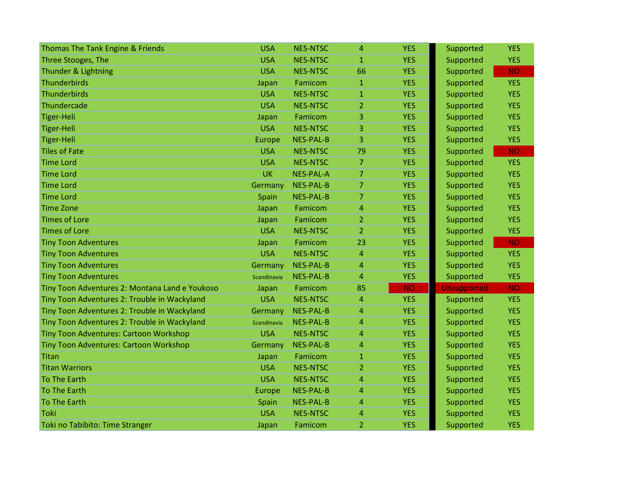| Thomas The Tank Engine & Friends               | <b>USA</b>  | <b>NES-NTSC</b>  | $\overline{4}$ | <b>YES</b> | Supported          | <b>YES</b> |
|------------------------------------------------|-------------|------------------|----------------|------------|--------------------|------------|
| Three Stooges, The                             | <b>USA</b>  | <b>NES-NTSC</b>  | $\mathbf{1}$   | <b>YES</b> | Supported          | <b>YES</b> |
| Thunder & Lightning                            | <b>USA</b>  | <b>NES-NTSC</b>  | 66             | <b>YES</b> | Supported          | <b>NO</b>  |
| Thunderbirds                                   | Japan       | Famicom          | $\mathbf{1}$   | <b>YES</b> | Supported          | <b>YES</b> |
| <b>Thunderbirds</b>                            | <b>USA</b>  | <b>NES-NTSC</b>  | $\mathbf{1}$   | <b>YES</b> | Supported          | <b>YES</b> |
| Thundercade                                    | <b>USA</b>  | <b>NES-NTSC</b>  | $\overline{2}$ | <b>YES</b> | Supported          | <b>YES</b> |
| <b>Tiger-Heli</b>                              | Japan       | Famicom          | 3              | <b>YES</b> | Supported          | <b>YES</b> |
| <b>Tiger-Heli</b>                              | <b>USA</b>  | <b>NES-NTSC</b>  | 3              | <b>YES</b> | Supported          | <b>YES</b> |
| <b>Tiger-Heli</b>                              | Europe      | <b>NES-PAL-B</b> | 3              | <b>YES</b> | Supported          | <b>YES</b> |
| <b>Tiles of Fate</b>                           | <b>USA</b>  | <b>NES-NTSC</b>  | 79             | <b>YES</b> | Supported          | <b>NO</b>  |
| <b>Time Lord</b>                               | <b>USA</b>  | <b>NES-NTSC</b>  | 7              | <b>YES</b> | Supported          | <b>YES</b> |
| <b>Time Lord</b>                               | <b>UK</b>   | <b>NES-PAL-A</b> | 7              | <b>YES</b> | Supported          | <b>YES</b> |
| <b>Time Lord</b>                               | Germany     | <b>NES-PAL-B</b> | $\overline{7}$ | <b>YES</b> | Supported          | <b>YES</b> |
| <b>Time Lord</b>                               | Spain       | <b>NES-PAL-B</b> | $\overline{7}$ | <b>YES</b> | Supported          | <b>YES</b> |
| <b>Time Zone</b>                               | Japan       | Famicom          | 4              | <b>YES</b> | Supported          | <b>YES</b> |
| <b>Times of Lore</b>                           | Japan       | Famicom          | $\overline{2}$ | <b>YES</b> | Supported          | <b>YES</b> |
| <b>Times of Lore</b>                           | <b>USA</b>  | <b>NES-NTSC</b>  | 2              | <b>YES</b> | Supported          | <b>YES</b> |
| <b>Tiny Toon Adventures</b>                    | Japan       | Famicom          | 23             | <b>YES</b> | Supported          | <b>NO</b>  |
| <b>Tiny Toon Adventures</b>                    | <b>USA</b>  | <b>NES-NTSC</b>  | $\overline{4}$ | <b>YES</b> | Supported          | <b>YES</b> |
| <b>Tiny Toon Adventures</b>                    | Germany     | <b>NES-PAL-B</b> | $\overline{4}$ | <b>YES</b> | Supported          | <b>YES</b> |
| <b>Tiny Toon Adventures</b>                    | Scandinavia | <b>NES-PAL-B</b> | $\overline{4}$ | <b>YES</b> | Supported          | <b>YES</b> |
| Tiny Toon Adventures 2: Montana Land e Youkoso | Japan       | Famicom          | 85             | <b>NO</b>  | <b>Unsupported</b> | <b>NO</b>  |
| Tiny Toon Adventures 2: Trouble in Wackyland   | <b>USA</b>  | <b>NES-NTSC</b>  | $\overline{4}$ | <b>YES</b> | Supported          | <b>YES</b> |
| Tiny Toon Adventures 2: Trouble in Wackyland   | Germany     | <b>NES-PAL-B</b> | 4              | <b>YES</b> | Supported          | <b>YES</b> |
| Tiny Toon Adventures 2: Trouble in Wackyland   | Scandinavia | <b>NES-PAL-B</b> | 4              | <b>YES</b> | Supported          | <b>YES</b> |
| Tiny Toon Adventures: Cartoon Workshop         | <b>USA</b>  | <b>NES-NTSC</b>  | $\overline{4}$ | <b>YES</b> | Supported          | <b>YES</b> |
| <b>Tiny Toon Adventures: Cartoon Workshop</b>  | Germany     | <b>NES-PAL-B</b> | $\overline{4}$ | <b>YES</b> | Supported          | <b>YES</b> |
| <b>Titan</b>                                   | Japan       | Famicom          | $\mathbf{1}$   | <b>YES</b> | Supported          | <b>YES</b> |
| <b>Titan Warriors</b>                          | <b>USA</b>  | <b>NES-NTSC</b>  | $\overline{2}$ | <b>YES</b> | Supported          | <b>YES</b> |
| <b>To The Earth</b>                            | <b>USA</b>  | <b>NES-NTSC</b>  | 4              | <b>YES</b> | Supported          | <b>YES</b> |
| <b>To The Earth</b>                            | Europe      | <b>NES-PAL-B</b> | 4              | <b>YES</b> | Supported          | <b>YES</b> |
| <b>To The Earth</b>                            | Spain       | <b>NES-PAL-B</b> | $\overline{4}$ | <b>YES</b> | Supported          | <b>YES</b> |
| Toki                                           | <b>USA</b>  | <b>NES-NTSC</b>  | $\overline{4}$ | <b>YES</b> | Supported          | <b>YES</b> |
| Toki no Tabibito: Time Stranger                | Japan       | Famicom          | $\overline{2}$ | <b>YES</b> | Supported          | <b>YES</b> |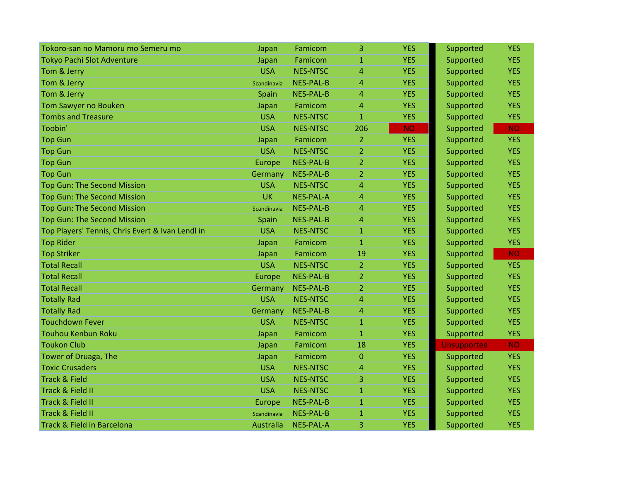| Tokoro-san no Mamoru mo Semeru mo                | Japan       | Famicom          | 3              | <b>YES</b> | Supported          | <b>YES</b> |
|--------------------------------------------------|-------------|------------------|----------------|------------|--------------------|------------|
| <b>Tokyo Pachi Slot Adventure</b>                | Japan       | Famicom          | $\mathbf{1}$   | <b>YES</b> | Supported          | <b>YES</b> |
| Tom & Jerry                                      | <b>USA</b>  | <b>NES-NTSC</b>  | 4              | <b>YES</b> | Supported          | <b>YES</b> |
| Tom & Jerry                                      | Scandinavia | <b>NES-PAL-B</b> | 4              | <b>YES</b> | Supported          | <b>YES</b> |
| Tom & Jerry                                      | Spain       | <b>NES-PAL-B</b> | 4              | <b>YES</b> | Supported          | <b>YES</b> |
| Tom Sawyer no Bouken                             | Japan       | Famicom          | 4              | <b>YES</b> | Supported          | <b>YES</b> |
| <b>Tombs and Treasure</b>                        | <b>USA</b>  | <b>NES-NTSC</b>  | $\mathbf{1}$   | <b>YES</b> | Supported          | <b>YES</b> |
| Toobin'                                          | <b>USA</b>  | <b>NES-NTSC</b>  | 206            | <b>NO</b>  | Supported          | <b>NO</b>  |
| <b>Top Gun</b>                                   | Japan       | Famicom          | $\overline{2}$ | <b>YES</b> | Supported          | <b>YES</b> |
| <b>Top Gun</b>                                   | <b>USA</b>  | <b>NES-NTSC</b>  | $\overline{2}$ | <b>YES</b> | Supported          | <b>YES</b> |
| <b>Top Gun</b>                                   | Europe      | <b>NES-PAL-B</b> | 2              | <b>YES</b> | Supported          | <b>YES</b> |
| <b>Top Gun</b>                                   | Germany     | <b>NES-PAL-B</b> | $\overline{2}$ | <b>YES</b> | Supported          | <b>YES</b> |
| Top Gun: The Second Mission                      | <b>USA</b>  | <b>NES-NTSC</b>  | 4              | <b>YES</b> | Supported          | <b>YES</b> |
| <b>Top Gun: The Second Mission</b>               | <b>UK</b>   | <b>NES-PAL-A</b> | 4              | <b>YES</b> | Supported          | <b>YES</b> |
| <b>Top Gun: The Second Mission</b>               | Scandinavia | <b>NES-PAL-B</b> | 4              | <b>YES</b> | Supported          | <b>YES</b> |
| <b>Top Gun: The Second Mission</b>               | Spain       | <b>NES-PAL-B</b> | 4              | <b>YES</b> | Supported          | <b>YES</b> |
| Top Players' Tennis, Chris Evert & Ivan Lendl in | <b>USA</b>  | <b>NES-NTSC</b>  | $\mathbf{1}$   | <b>YES</b> | Supported          | <b>YES</b> |
| <b>Top Rider</b>                                 | Japan       | Famicom          | $\mathbf{1}$   | <b>YES</b> | Supported          | <b>YES</b> |
| <b>Top Striker</b>                               | Japan       | Famicom          | 19             | <b>YES</b> | Supported          | <b>NO</b>  |
| <b>Total Recall</b>                              | <b>USA</b>  | <b>NES-NTSC</b>  | $\overline{2}$ | <b>YES</b> | Supported          | <b>YES</b> |
| <b>Total Recall</b>                              | Europe      | <b>NES-PAL-B</b> | 2              | <b>YES</b> | Supported          | <b>YES</b> |
| <b>Total Recall</b>                              | Germany     | <b>NES-PAL-B</b> | $\overline{2}$ | <b>YES</b> | Supported          | <b>YES</b> |
| <b>Totally Rad</b>                               | <b>USA</b>  | <b>NES-NTSC</b>  | 4              | <b>YES</b> | Supported          | <b>YES</b> |
| <b>Totally Rad</b>                               | Germany     | <b>NES-PAL-B</b> | 4              | <b>YES</b> | Supported          | <b>YES</b> |
| <b>Touchdown Fever</b>                           | <b>USA</b>  | <b>NES-NTSC</b>  | $\mathbf{1}$   | <b>YES</b> | Supported          | <b>YES</b> |
| <b>Touhou Kenbun Roku</b>                        | Japan       | Famicom          | $\mathbf{1}$   | <b>YES</b> | Supported          | <b>YES</b> |
| <b>Toukon Club</b>                               | Japan       | Famicom          | 18             | <b>YES</b> | <b>Unsupported</b> | <b>NO</b>  |
| Tower of Druaga, The                             | Japan       | Famicom          | $\overline{0}$ | <b>YES</b> | Supported          | <b>YES</b> |
| <b>Toxic Crusaders</b>                           | <b>USA</b>  | <b>NES-NTSC</b>  | 4              | <b>YES</b> | Supported          | <b>YES</b> |
| <b>Track &amp; Field</b>                         | <b>USA</b>  | <b>NES-NTSC</b>  | 3              | <b>YES</b> | Supported          | <b>YES</b> |
| Track & Field II                                 | <b>USA</b>  | <b>NES-NTSC</b>  | $\mathbf{1}$   | <b>YES</b> | Supported          | <b>YES</b> |
| Track & Field II                                 | Europe      | <b>NES-PAL-B</b> | $\mathbf{1}$   | <b>YES</b> | Supported          | <b>YES</b> |
| Track & Field II                                 | Scandinavia | <b>NES-PAL-B</b> | $\mathbf{1}$   | <b>YES</b> | Supported          | <b>YES</b> |
| Track & Field in Barcelona                       | Australia   | <b>NES-PAL-A</b> | 3              | <b>YES</b> | Supported          | <b>YES</b> |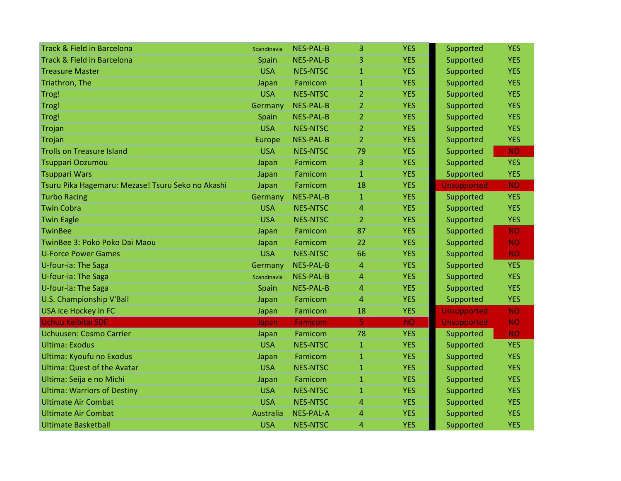| <b>Track &amp; Field in Barcelona</b>             | Scandinavia   | <b>NES-PAL-B</b> | 3              | <b>YES</b> | Supported          | <b>YES</b> |
|---------------------------------------------------|---------------|------------------|----------------|------------|--------------------|------------|
| <b>Track &amp; Field in Barcelona</b>             | Spain         | <b>NES-PAL-B</b> | 3.             | <b>YES</b> | Supported          | <b>YES</b> |
| <b>Treasure Master</b>                            | <b>USA</b>    | <b>NES-NTSC</b>  | $\mathbf{1}$   | <b>YES</b> | Supported          | <b>YES</b> |
| Triathron, The                                    | Japan         | Famicom          | $\mathbf{1}$   | <b>YES</b> | Supported          | <b>YES</b> |
| Trog!                                             | <b>USA</b>    | <b>NES-NTSC</b>  | 2              | <b>YES</b> | Supported          | <b>YES</b> |
| Trog!                                             | Germany       | NES-PAL-B        | 2              | <b>YES</b> | Supported          | <b>YES</b> |
| Trog!                                             | Spain         | <b>NES-PAL-B</b> | $\overline{2}$ | <b>YES</b> | Supported          | <b>YES</b> |
| Trojan                                            | <b>USA</b>    | <b>NES-NTSC</b>  | $\overline{2}$ | <b>YES</b> | Supported          | <b>YES</b> |
| Trojan                                            | <b>Europe</b> | <b>NES-PAL-B</b> | $\overline{2}$ | <b>YES</b> | Supported          | <b>YES</b> |
| <b>Trolls on Treasure Island</b>                  | <b>USA</b>    | <b>NES-NTSC</b>  | 79             | <b>YES</b> | Supported          | <b>NO</b>  |
| Tsuppari Oozumou                                  | Japan         | Famicom          | 3              | <b>YES</b> | Supported          | <b>YES</b> |
| <b>Tsuppari Wars</b>                              | Japan         | Famicom          | $\mathbf{1}$   | <b>YES</b> | Supported          | <b>YES</b> |
| Tsuru Pika Hagemaru: Mezase! Tsuru Seko no Akashi | Japan         | Famicom          | 18             | <b>YES</b> | <b>Unsupported</b> | <b>NO</b>  |
| <b>Turbo Racing</b>                               | Germany       | <b>NES-PAL-B</b> | $\mathbf{1}$   | <b>YES</b> | Supported          | <b>YES</b> |
| <b>Twin Cobra</b>                                 | <b>USA</b>    | <b>NES-NTSC</b>  | 4              | <b>YES</b> | Supported          | <b>YES</b> |
| <b>Twin Eagle</b>                                 | <b>USA</b>    | <b>NES-NTSC</b>  | $\overline{2}$ | <b>YES</b> | Supported          | <b>YES</b> |
| <b>TwinBee</b>                                    | Japan         | Famicom          | 87             | <b>YES</b> | Supported          | <b>NO</b>  |
| TwinBee 3: Poko Poko Dai Maou                     | Japan         | Famicom          | 22             | <b>YES</b> | Supported          | <b>NO</b>  |
| <b>U-Force Power Games</b>                        | <b>USA</b>    | <b>NES-NTSC</b>  | 66             | <b>YES</b> | Supported          | <b>NO</b>  |
| U-four-ia: The Saga                               | Germany       | <b>NES-PAL-B</b> | 4              | <b>YES</b> | Supported          | <b>YES</b> |
| U-four-ia: The Saga                               | Scandinavia   | <b>NES-PAL-B</b> | 4              | <b>YES</b> | Supported          | <b>YES</b> |
| U-four-ia: The Saga                               | Spain         | <b>NES-PAL-B</b> | $\overline{4}$ | <b>YES</b> | Supported          | <b>YES</b> |
| <b>U.S. Championship V'Ball</b>                   | Japan         | Famicom          | 4              | <b>YES</b> | Supported          | <b>YES</b> |
| USA Ice Hockey in FC                              | Japan         | Famicom          | 18             | <b>YES</b> | <b>Unsupported</b> | <b>NO</b>  |
| <b>Uchuu Keibitai SDF</b>                         | Japan         | Famicom          | 5              | <b>NO</b>  | <b>Unsupported</b> | <b>NO</b>  |
| Uchuusen: Cosmo Carrier                           | Japan         | Famicom          | 78             | <b>YES</b> | Supported          | <b>NO</b>  |
| <b>Ultima: Exodus</b>                             | <b>USA</b>    | <b>NES-NTSC</b>  | $\mathbf{1}$   | <b>YES</b> | Supported          | <b>YES</b> |
| Ultima: Kyoufu no Exodus                          | Japan         | Famicom          | $\mathbf{1}$   | <b>YES</b> | Supported          | <b>YES</b> |
| <b>Ultima: Quest of the Avatar</b>                | <b>USA</b>    | <b>NES-NTSC</b>  | $\mathbf{1}$   | <b>YES</b> | Supported          | <b>YES</b> |
| Ultima: Seija e no Michi                          | Japan         | Famicom          | 1              | <b>YES</b> | Supported          | <b>YES</b> |
| <b>Ultima: Warriors of Destiny</b>                | <b>USA</b>    | <b>NES-NTSC</b>  | $\mathbf{1}$   | <b>YES</b> | Supported          | <b>YES</b> |
| <b>Ultimate Air Combat</b>                        | <b>USA</b>    | <b>NES-NTSC</b>  | 4              | <b>YES</b> | Supported          | <b>YES</b> |
| <b>Ultimate Air Combat</b>                        | Australia     | <b>NES-PAL-A</b> | 4              | <b>YES</b> | Supported          | <b>YES</b> |
| <b>Ultimate Basketball</b>                        | <b>USA</b>    | <b>NES-NTSC</b>  | 4              | <b>YES</b> | Supported          | <b>YES</b> |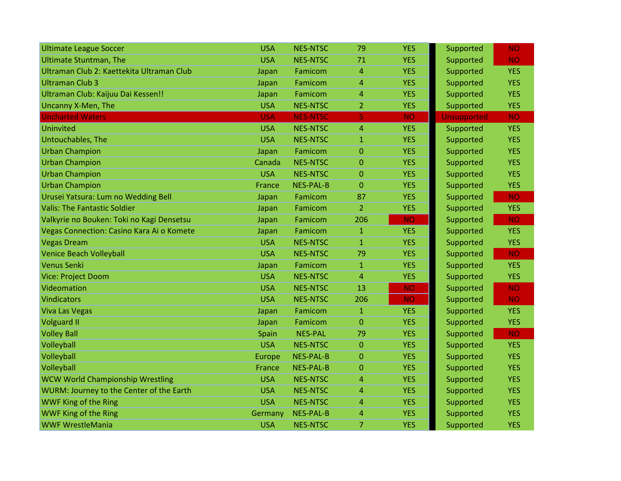| <b>Ultimate League Soccer</b>             | <b>USA</b> | <b>NES-NTSC</b>  | 79             | <b>YES</b> | Supported          | NO.        |
|-------------------------------------------|------------|------------------|----------------|------------|--------------------|------------|
| <b>Ultimate Stuntman, The</b>             | <b>USA</b> | <b>NES-NTSC</b>  | 71             | <b>YES</b> | Supported          | <b>NO</b>  |
| Ultraman Club 2: Kaettekita Ultraman Club | Japan      | Famicom          | 4              | <b>YES</b> | Supported          | <b>YES</b> |
| <b>Ultraman Club 3</b>                    | Japan      | Famicom          | $\overline{a}$ | <b>YES</b> | Supported          | <b>YES</b> |
| Ultraman Club: Kaijuu Dai Kessen!!        | Japan      | Famicom          | 4              | <b>YES</b> | Supported          | <b>YES</b> |
| Uncanny X-Men, The                        | <b>USA</b> | <b>NES-NTSC</b>  | $\overline{2}$ | <b>YES</b> | Supported          | <b>YES</b> |
| <b>Uncharted Waters</b>                   | <b>USA</b> | <b>NES-NTSC</b>  | 5              | <b>NO</b>  | <b>Unsupported</b> | <b>NO</b>  |
| Uninvited                                 | <b>USA</b> | <b>NES-NTSC</b>  | 4              | <b>YES</b> | Supported          | <b>YES</b> |
| Untouchables, The                         | <b>USA</b> | <b>NES-NTSC</b>  | $\mathbf{1}$   | <b>YES</b> | Supported          | <b>YES</b> |
| <b>Urban Champion</b>                     | Japan      | Famicom          | $\overline{0}$ | <b>YES</b> | Supported          | <b>YES</b> |
| <b>Urban Champion</b>                     | Canada     | <b>NES-NTSC</b>  | $\mathbf 0$    | <b>YES</b> | Supported          | <b>YES</b> |
| <b>Urban Champion</b>                     | <b>USA</b> | <b>NES-NTSC</b>  | 0              | <b>YES</b> | Supported          | <b>YES</b> |
| <b>Urban Champion</b>                     | France     | <b>NES-PAL-B</b> | $\overline{0}$ | <b>YES</b> | Supported          | <b>YES</b> |
| Urusei Yatsura: Lum no Wedding Bell       | Japan      | Famicom          | 87             | <b>YES</b> | Supported          | <b>NO</b>  |
| <b>Valis: The Fantastic Soldier</b>       | Japan      | Famicom          | $\overline{2}$ | <b>YES</b> | Supported          | <b>YES</b> |
| Valkyrie no Bouken: Toki no Kagi Densetsu | Japan      | Famicom          | 206            | <b>NO</b>  | Supported          | <b>NO</b>  |
| Vegas Connection: Casino Kara Ai o Komete | Japan      | Famicom          | $\mathbf{1}$   | <b>YES</b> | Supported          | <b>YES</b> |
| <b>Vegas Dream</b>                        | <b>USA</b> | <b>NES-NTSC</b>  | $\mathbf{1}$   | <b>YES</b> | Supported          | <b>YES</b> |
| <b>Venice Beach Volleyball</b>            | <b>USA</b> | <b>NES-NTSC</b>  | 79             | <b>YES</b> | Supported          | <b>NO</b>  |
| <b>Venus Senki</b>                        | Japan      | Famicom          | $\mathbf{1}$   | <b>YES</b> | Supported          | <b>YES</b> |
| Vice: Project Doom                        | <b>USA</b> | <b>NES-NTSC</b>  | 4              | <b>YES</b> | Supported          | <b>YES</b> |
| Videomation                               | <b>USA</b> | <b>NES-NTSC</b>  | 13             | <b>NO</b>  | Supported          | <b>NO</b>  |
| <b>Vindicators</b>                        | <b>USA</b> | <b>NES-NTSC</b>  | 206            | <b>NO</b>  | Supported          | <b>NO</b>  |
| <b>Viva Las Vegas</b>                     | Japan      | Famicom          | $\mathbf{1}$   | <b>YES</b> | Supported          | <b>YES</b> |
| <b>Volguard II</b>                        | Japan      | Famicom          | 0              | <b>YES</b> | Supported          | <b>YES</b> |
| <b>Volley Ball</b>                        | Spain      | <b>NES-PAL</b>   | 79             | <b>YES</b> | Supported          | <b>NO</b>  |
| Volleyball                                | <b>USA</b> | <b>NES-NTSC</b>  | $\overline{0}$ | <b>YES</b> | Supported          | <b>YES</b> |
| Volleyball                                | Europe     | <b>NES-PAL-B</b> | $\mathbf 0$    | <b>YES</b> | Supported          | <b>YES</b> |
| Volleyball                                | France     | <b>NES-PAL-B</b> | $\overline{0}$ | <b>YES</b> | Supported          | <b>YES</b> |
| <b>WCW World Championship Wrestling</b>   | <b>USA</b> | <b>NES-NTSC</b>  | 4              | <b>YES</b> | Supported          | <b>YES</b> |
| WURM: Journey to the Center of the Earth  | <b>USA</b> | <b>NES-NTSC</b>  | 4              | <b>YES</b> | Supported          | <b>YES</b> |
| WWF King of the Ring                      | <b>USA</b> | <b>NES-NTSC</b>  | 4              | <b>YES</b> | Supported          | <b>YES</b> |
| WWF King of the Ring                      | Germany    | <b>NES-PAL-B</b> | 4              | <b>YES</b> | Supported          | <b>YES</b> |
| <b>WWF WrestleMania</b>                   | <b>USA</b> | <b>NES-NTSC</b>  | 7              | <b>YES</b> | Supported          | <b>YES</b> |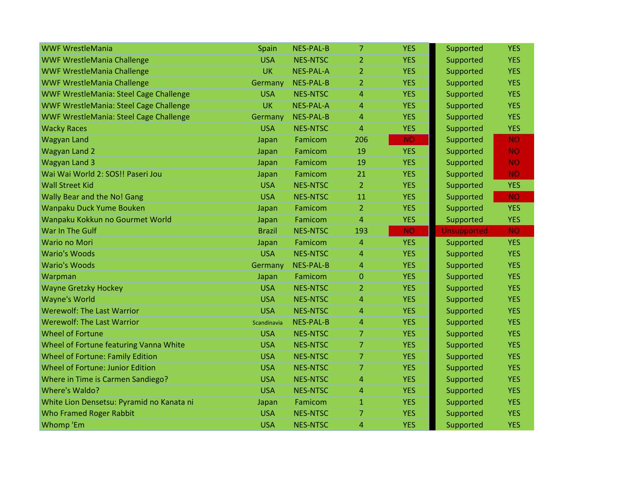| <b>WWF WrestleMania</b>                       | Spain         | <b>NES-PAL-B</b> | 7              | <b>YES</b> | Supported          | <b>YES</b> |
|-----------------------------------------------|---------------|------------------|----------------|------------|--------------------|------------|
| <b>WWF WrestleMania Challenge</b>             | <b>USA</b>    | <b>NES-NTSC</b>  | 2              | <b>YES</b> | Supported          | <b>YES</b> |
| <b>WWF WrestleMania Challenge</b>             | <b>UK</b>     | <b>NES-PAL-A</b> | $\overline{2}$ | <b>YES</b> | Supported          | <b>YES</b> |
| <b>WWF WrestleMania Challenge</b>             | Germany       | <b>NES-PAL-B</b> | $\overline{2}$ | <b>YES</b> | Supported          | <b>YES</b> |
| <b>WWF WrestleMania: Steel Cage Challenge</b> | <b>USA</b>    | <b>NES-NTSC</b>  | 4              | <b>YES</b> | Supported          | <b>YES</b> |
| <b>WWF WrestleMania: Steel Cage Challenge</b> | <b>UK</b>     | <b>NES-PAL-A</b> | 4              | <b>YES</b> | Supported          | <b>YES</b> |
| WWF WrestleMania: Steel Cage Challenge        | Germany       | <b>NES-PAL-B</b> | 4              | <b>YES</b> | Supported          | <b>YES</b> |
| <b>Wacky Races</b>                            | <b>USA</b>    | <b>NES-NTSC</b>  | 4              | <b>YES</b> | Supported          | <b>YES</b> |
| <b>Wagyan Land</b>                            | Japan         | Famicom          | 206            | <b>NO</b>  | Supported          | <b>NO</b>  |
| Wagyan Land 2                                 | Japan         | Famicom          | 19             | <b>YES</b> | Supported          | <b>NO</b>  |
| <b>Wagyan Land 3</b>                          | Japan         | Famicom          | 19             | <b>YES</b> | Supported          | <b>NO</b>  |
| Wai Wai World 2: SOS!! Paseri Jou             | Japan         | Famicom          | 21             | <b>YES</b> | Supported          | <b>NO</b>  |
| <b>Wall Street Kid</b>                        | <b>USA</b>    | <b>NES-NTSC</b>  | $\overline{2}$ | <b>YES</b> | Supported          | <b>YES</b> |
| <b>Wally Bear and the No! Gang</b>            | <b>USA</b>    | <b>NES-NTSC</b>  | 11             | <b>YES</b> | Supported          | <b>NO</b>  |
| Wanpaku Duck Yume Bouken                      | Japan         | Famicom          | $\overline{2}$ | <b>YES</b> | Supported          | <b>YES</b> |
| Wanpaku Kokkun no Gourmet World               | Japan         | Famicom          | 4              | <b>YES</b> | Supported          | <b>YES</b> |
| War In The Gulf                               | <b>Brazil</b> | <b>NES-NTSC</b>  | 193            | <b>NO</b>  | <b>Unsupported</b> | <b>NO</b>  |
| <b>Wario no Mori</b>                          | Japan         | Famicom          | 4              | <b>YES</b> | Supported          | <b>YES</b> |
| <b>Wario's Woods</b>                          | <b>USA</b>    | <b>NES-NTSC</b>  | 4              | <b>YES</b> | Supported          | <b>YES</b> |
| <b>Wario's Woods</b>                          | Germany       | <b>NES-PAL-B</b> | 4              | <b>YES</b> | Supported          | <b>YES</b> |
| Warpman                                       | Japan         | Famicom          | 0              | <b>YES</b> | Supported          | <b>YES</b> |
| <b>Wayne Gretzky Hockey</b>                   | <b>USA</b>    | <b>NES-NTSC</b>  | $\overline{2}$ | <b>YES</b> | Supported          | <b>YES</b> |
| <b>Wayne's World</b>                          | <b>USA</b>    | <b>NES-NTSC</b>  | 4              | <b>YES</b> | Supported          | <b>YES</b> |
| <b>Werewolf: The Last Warrior</b>             | <b>USA</b>    | <b>NES-NTSC</b>  | 4              | <b>YES</b> | Supported          | <b>YES</b> |
| <b>Werewolf: The Last Warrior</b>             | Scandinavia   | <b>NES-PAL-B</b> | 4              | <b>YES</b> | Supported          | <b>YES</b> |
| <b>Wheel of Fortune</b>                       | <b>USA</b>    | <b>NES-NTSC</b>  | 7              | <b>YES</b> | Supported          | <b>YES</b> |
| Wheel of Fortune featuring Vanna White        | <b>USA</b>    | <b>NES-NTSC</b>  | $\overline{7}$ | <b>YES</b> | Supported          | <b>YES</b> |
| <b>Wheel of Fortune: Family Edition</b>       | <b>USA</b>    | <b>NES-NTSC</b>  | $\overline{7}$ | <b>YES</b> | Supported          | <b>YES</b> |
| Wheel of Fortune: Junior Edition              | <b>USA</b>    | <b>NES-NTSC</b>  | $\overline{7}$ | <b>YES</b> | Supported          | <b>YES</b> |
| Where in Time is Carmen Sandiego?             | <b>USA</b>    | <b>NES-NTSC</b>  | 4              | <b>YES</b> | Supported          | <b>YES</b> |
| <b>Where's Waldo?</b>                         | <b>USA</b>    | <b>NES-NTSC</b>  | 4              | <b>YES</b> | Supported          | <b>YES</b> |
| White Lion Densetsu: Pyramid no Kanata ni     | Japan         | Famicom          | $\mathbf{1}$   | <b>YES</b> | Supported          | <b>YES</b> |
| <b>Who Framed Roger Rabbit</b>                | <b>USA</b>    | <b>NES-NTSC</b>  | 7              | <b>YES</b> | Supported          | <b>YES</b> |
| <b>Whomp</b> 'Em                              | <b>USA</b>    | <b>NES-NTSC</b>  | 4              | <b>YES</b> | Supported          | <b>YES</b> |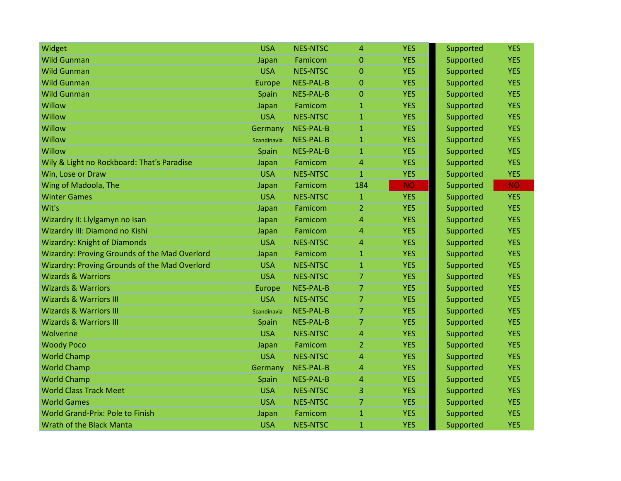| Widget                                               | <b>USA</b>  | <b>NES-NTSC</b>  | 4              | <b>YES</b> | Supported | <b>YES</b> |
|------------------------------------------------------|-------------|------------------|----------------|------------|-----------|------------|
| <b>Wild Gunman</b>                                   | Japan       | Famicom          | $\Omega$       | <b>YES</b> | Supported | <b>YES</b> |
| <b>Wild Gunman</b>                                   | <b>USA</b>  | <b>NES-NTSC</b>  | $\Omega$       | <b>YES</b> | Supported | <b>YES</b> |
| <b>Wild Gunman</b>                                   | Europe      | <b>NES-PAL-B</b> | $\overline{0}$ | <b>YES</b> | Supported | <b>YES</b> |
| <b>Wild Gunman</b>                                   | Spain       | <b>NES-PAL-B</b> | 0              | <b>YES</b> | Supported | <b>YES</b> |
| Willow                                               | Japan       | Famicom          | $\mathbf{1}$   | <b>YES</b> | Supported | <b>YES</b> |
| Willow                                               | <b>USA</b>  | <b>NES-NTSC</b>  | $\mathbf{1}$   | <b>YES</b> | Supported | <b>YES</b> |
| Willow                                               | Germany     | <b>NES-PAL-B</b> | $\mathbf{1}$   | <b>YES</b> | Supported | <b>YES</b> |
| Willow                                               | Scandinavia | <b>NES-PAL-B</b> | $\mathbf{1}$   | <b>YES</b> | Supported | <b>YES</b> |
| Willow                                               | Spain       | <b>NES-PAL-B</b> | 1              | <b>YES</b> | Supported | <b>YES</b> |
| Wily & Light no Rockboard: That's Paradise           | Japan       | Famicom          | 4              | <b>YES</b> | Supported | <b>YES</b> |
| Win, Lose or Draw                                    | <b>USA</b>  | <b>NES-NTSC</b>  | $\mathbf{1}$   | <b>YES</b> | Supported | <b>YES</b> |
| Wing of Madoola, The                                 | Japan       | Famicom          | 184            | <b>NO</b>  | Supported | <b>NO</b>  |
| <b>Winter Games</b>                                  | <b>USA</b>  | <b>NES-NTSC</b>  | $\mathbf{1}$   | <b>YES</b> | Supported | <b>YES</b> |
| Wit's                                                | Japan       | Famicom          | 2              | <b>YES</b> | Supported | <b>YES</b> |
| Wizardry II: Llylgamyn no Isan                       | Japan       | Famicom          | 4              | <b>YES</b> | Supported | <b>YES</b> |
| Wizardry III: Diamond no Kishi                       | Japan       | Famicom          | 4              | <b>YES</b> | Supported | <b>YES</b> |
| <b>Wizardry: Knight of Diamonds</b>                  | <b>USA</b>  | <b>NES-NTSC</b>  | 4              | <b>YES</b> | Supported | <b>YES</b> |
| <b>Wizardry: Proving Grounds of the Mad Overlord</b> | Japan       | Famicom          | 1              | <b>YES</b> | Supported | <b>YES</b> |
| Wizardry: Proving Grounds of the Mad Overlord        | <b>USA</b>  | <b>NES-NTSC</b>  | 1              | <b>YES</b> | Supported | <b>YES</b> |
| <b>Wizards &amp; Warriors</b>                        | <b>USA</b>  | <b>NES-NTSC</b>  | 7              | <b>YES</b> | Supported | <b>YES</b> |
| <b>Wizards &amp; Warriors</b>                        | Europe      | <b>NES-PAL-B</b> | $\overline{7}$ | <b>YES</b> | Supported | <b>YES</b> |
| <b>Wizards &amp; Warriors III</b>                    | <b>USA</b>  | <b>NES-NTSC</b>  | $\overline{7}$ | <b>YES</b> | Supported | <b>YES</b> |
| <b>Wizards &amp; Warriors III</b>                    | Scandinavia | <b>NES-PAL-B</b> | 7              | <b>YES</b> | Supported | <b>YES</b> |
| <b>Wizards &amp; Warriors III</b>                    | Spain       | <b>NES-PAL-B</b> | 7              | <b>YES</b> | Supported | <b>YES</b> |
| Wolverine                                            | <b>USA</b>  | <b>NES-NTSC</b>  | $\overline{4}$ | <b>YES</b> | Supported | <b>YES</b> |
| <b>Woody Poco</b>                                    | Japan       | Famicom          | 2              | <b>YES</b> | Supported | <b>YES</b> |
| <b>World Champ</b>                                   | <b>USA</b>  | <b>NES-NTSC</b>  | 4              | <b>YES</b> | Supported | <b>YES</b> |
| <b>World Champ</b>                                   | Germany     | <b>NES-PAL-B</b> | 4              | <b>YES</b> | Supported | <b>YES</b> |
| <b>World Champ</b>                                   | Spain       | <b>NES-PAL-B</b> | 4              | <b>YES</b> | Supported | <b>YES</b> |
| <b>World Class Track Meet</b>                        | <b>USA</b>  | <b>NES-NTSC</b>  | 3              | <b>YES</b> | Supported | <b>YES</b> |
| <b>World Games</b>                                   | <b>USA</b>  | <b>NES-NTSC</b>  | 7              | <b>YES</b> | Supported | <b>YES</b> |
| <b>World Grand-Prix: Pole to Finish</b>              | Japan       | Famicom          | $\mathbf{1}$   | <b>YES</b> | Supported | <b>YES</b> |
| <b>Wrath of the Black Manta</b>                      | <b>USA</b>  | <b>NES-NTSC</b>  | $\mathbf{1}$   | <b>YES</b> | Supported | <b>YES</b> |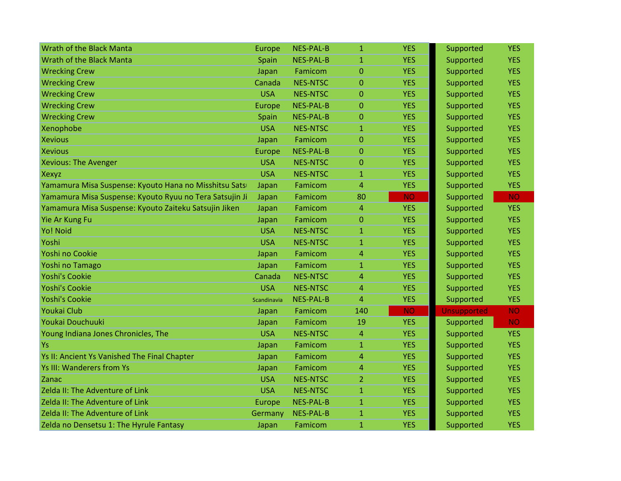| Wrath of the Black Manta                                | <b>Europe</b> | <b>NES-PAL-B</b> | $\mathbf{1}$   | <b>YES</b> | Supported          | <b>YES</b> |
|---------------------------------------------------------|---------------|------------------|----------------|------------|--------------------|------------|
| Wrath of the Black Manta                                | Spain         | <b>NES-PAL-B</b> | $\mathbf{1}$   | <b>YES</b> | Supported          | <b>YES</b> |
| <b>Wrecking Crew</b>                                    | Japan         | Famicom          | $\overline{0}$ | <b>YES</b> | Supported          | <b>YES</b> |
| <b>Wrecking Crew</b>                                    | Canada        | <b>NES-NTSC</b>  | $\overline{0}$ | <b>YES</b> | Supported          | <b>YES</b> |
| <b>Wrecking Crew</b>                                    | <b>USA</b>    | <b>NES-NTSC</b>  | $\overline{0}$ | <b>YES</b> | Supported          | <b>YES</b> |
| <b>Wrecking Crew</b>                                    | Europe        | <b>NES-PAL-B</b> | 0              | <b>YES</b> | Supported          | <b>YES</b> |
| <b>Wrecking Crew</b>                                    | Spain         | <b>NES-PAL-B</b> | $\overline{0}$ | <b>YES</b> | Supported          | <b>YES</b> |
| Xenophobe                                               | <b>USA</b>    | <b>NES-NTSC</b>  | $\mathbf{1}$   | <b>YES</b> | Supported          | <b>YES</b> |
| <b>Xevious</b>                                          | Japan         | Famicom          | $\overline{0}$ | <b>YES</b> | Supported          | <b>YES</b> |
| <b>Xevious</b>                                          | Europe        | <b>NES-PAL-B</b> | 0              | <b>YES</b> | Supported          | <b>YES</b> |
| <b>Xevious: The Avenger</b>                             | <b>USA</b>    | <b>NES-NTSC</b>  | $\Omega$       | <b>YES</b> | Supported          | <b>YES</b> |
| Xexyz                                                   | <b>USA</b>    | <b>NES-NTSC</b>  | $\mathbf{1}$   | <b>YES</b> | Supported          | <b>YES</b> |
| Yamamura Misa Suspense: Kyouto Hana no Misshitsu Satsi  | Japan         | Famicom          | 4              | <b>YES</b> | Supported          | <b>YES</b> |
| Yamamura Misa Suspense: Kyouto Ryuu no Tera Satsujin Ji | Japan         | Famicom          | 80             | <b>NO</b>  | Supported          | <b>NO</b>  |
| Yamamura Misa Suspense: Kyouto Zaiteku Satsujin Jiken   | Japan         | Famicom          | 4              | <b>YES</b> | Supported          | <b>YES</b> |
| Yie Ar Kung Fu                                          | Japan         | Famicom          | 0              | <b>YES</b> | Supported          | <b>YES</b> |
| Yo! Noid                                                | <b>USA</b>    | <b>NES-NTSC</b>  | $\mathbf{1}$   | <b>YES</b> | Supported          | <b>YES</b> |
| Yoshi                                                   | <b>USA</b>    | <b>NES-NTSC</b>  | $\mathbf{1}$   | <b>YES</b> | Supported          | <b>YES</b> |
| Yoshi no Cookie                                         | Japan         | Famicom          | 4              | <b>YES</b> | Supported          | <b>YES</b> |
| Yoshi no Tamago                                         | Japan         | Famicom          | 1              | <b>YES</b> | Supported          | <b>YES</b> |
| <b>Yoshi's Cookie</b>                                   | Canada        | <b>NES-NTSC</b>  | 4              | <b>YES</b> | Supported          | <b>YES</b> |
| <b>Yoshi's Cookie</b>                                   | <b>USA</b>    | <b>NES-NTSC</b>  | 4              | <b>YES</b> | Supported          | <b>YES</b> |
| <b>Yoshi's Cookie</b>                                   | Scandinavia   | <b>NES-PAL-B</b> | 4              | <b>YES</b> | Supported          | <b>YES</b> |
| Youkai Club                                             | Japan         | Famicom          | 140            | <b>NO</b>  | <b>Unsupported</b> | <b>NO</b>  |
| Youkai Douchuuki                                        | Japan         | Famicom          | 19             | <b>YES</b> | Supported          | <b>NO</b>  |
| Young Indiana Jones Chronicles, The                     | <b>USA</b>    | <b>NES-NTSC</b>  | 4              | <b>YES</b> | Supported          | <b>YES</b> |
| Ys                                                      | Japan         | Famicom          | $\mathbf{1}$   | <b>YES</b> | Supported          | <b>YES</b> |
| Ys II: Ancient Ys Vanished The Final Chapter            | Japan         | Famicom          | 4              | <b>YES</b> | Supported          | <b>YES</b> |
| <b>Ys III: Wanderers from Ys</b>                        | Japan         | Famicom          | 4              | <b>YES</b> | Supported          | <b>YES</b> |
| Zanac                                                   | <b>USA</b>    | <b>NES-NTSC</b>  | 2              | <b>YES</b> | Supported          | <b>YES</b> |
| Zelda II: The Adventure of Link                         | <b>USA</b>    | <b>NES-NTSC</b>  | $\mathbf{1}$   | <b>YES</b> | Supported          | <b>YES</b> |
| Zelda II: The Adventure of Link                         | Europe        | <b>NES-PAL-B</b> | $\mathbf{1}$   | <b>YES</b> | Supported          | <b>YES</b> |
| Zelda II: The Adventure of Link                         | Germany       | <b>NES-PAL-B</b> | $\mathbf{1}$   | <b>YES</b> | Supported          | <b>YES</b> |
| Zelda no Densetsu 1: The Hyrule Fantasy                 | Japan         | Famicom          | $\mathbf{1}$   | <b>YES</b> | Supported          | <b>YES</b> |